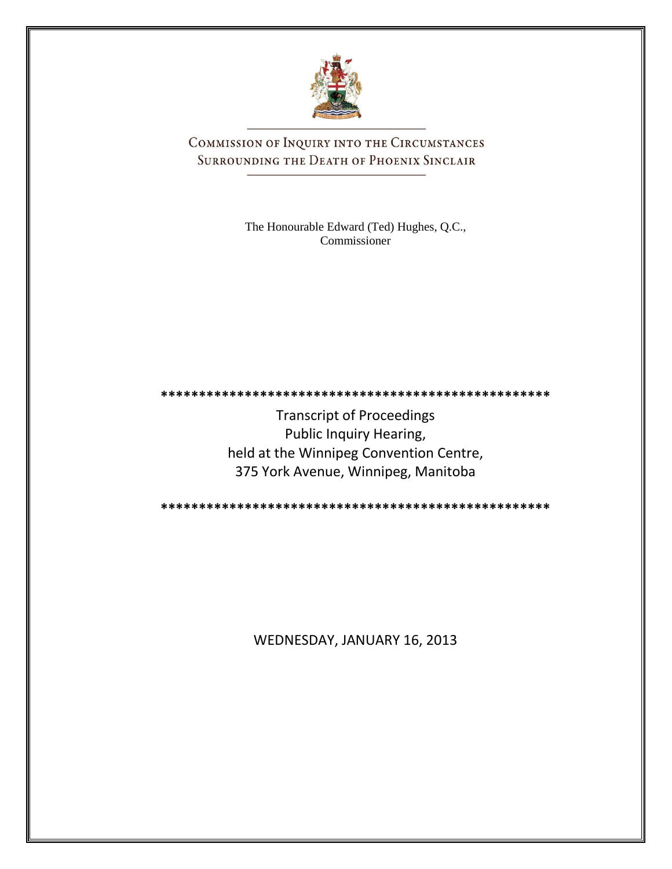

COMMISSION OF INQUIRY INTO THE CIRCUMSTANCES SURROUNDING THE DEATH OF PHOENIX SINCLAIR

> The Honourable Edward (Ted) Hughes, Q.C., Commissioner

**\*\*\*\*\*\*\*\*\*\*\*\*\*\*\*\*\*\*\*\*\*\*\*\*\*\*\*\*\*\*\*\*\*\*\*\*\*\*\*\*\*\*\*\*\*\*\*\*\*\*\***

Transcript of Proceedings Public Inquiry Hearing, held at the Winnipeg Convention Centre, 375 York Avenue, Winnipeg, Manitoba

**\*\*\*\*\*\*\*\*\*\*\*\*\*\*\*\*\*\*\*\*\*\*\*\*\*\*\*\*\*\*\*\*\*\*\*\*\*\*\*\*\*\*\*\*\*\*\*\*\*\*\***

WEDNESDAY, JANUARY 16, 2013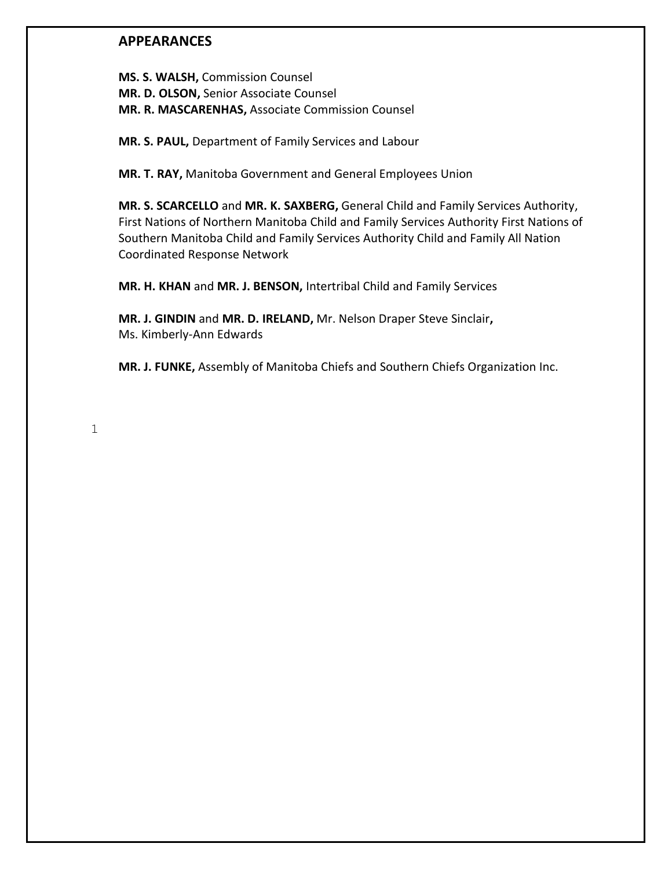### **APPEARANCES**

**MS. S. WALSH,** Commission Counsel **MR. D. OLSON,** Senior Associate Counsel **MR. R. MASCARENHAS,** Associate Commission Counsel

**MR. S. PAUL,** Department of Family Services and Labour

**MR. T. RAY,** Manitoba Government and General Employees Union

**MR. S. SCARCELLO** and **MR. K. SAXBERG,** General Child and Family Services Authority, First Nations of Northern Manitoba Child and Family Services Authority First Nations of Southern Manitoba Child and Family Services Authority Child and Family All Nation Coordinated Response Network

**MR. H. KHAN** and **MR. J. BENSON,** Intertribal Child and Family Services

**MR. J. GINDIN** and **MR. D. IRELAND,** Mr. Nelson Draper Steve Sinclair**,** Ms. Kimberly-Ann Edwards

**MR. J. FUNKE,** Assembly of Manitoba Chiefs and Southern Chiefs Organization Inc.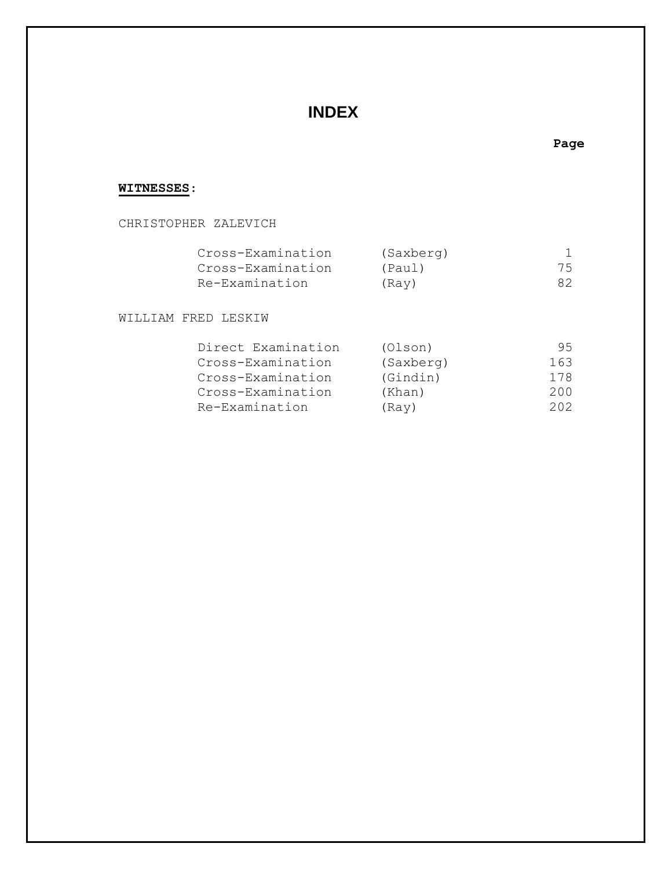# **INDEX**

### **Page**

### **WITNESSES**:

### CHRISTOPHER ZALEVICH

| Cross-Examination | (Saxberg) |     |
|-------------------|-----------|-----|
| Cross-Examination | (Paul)    | 75  |
| Re-Examination    | (Ray)     | 82. |

WILLIAM FRED LESKIW

| Direct Examination | (Olson)   | 95. |
|--------------------|-----------|-----|
| Cross-Examination  | (Saxberg) | 163 |
| Cross-Examination  | (Gindin)  | 178 |
| Cross-Examination  | (Khan)    | 200 |
| Re-Examination     | (Ray)     | 202 |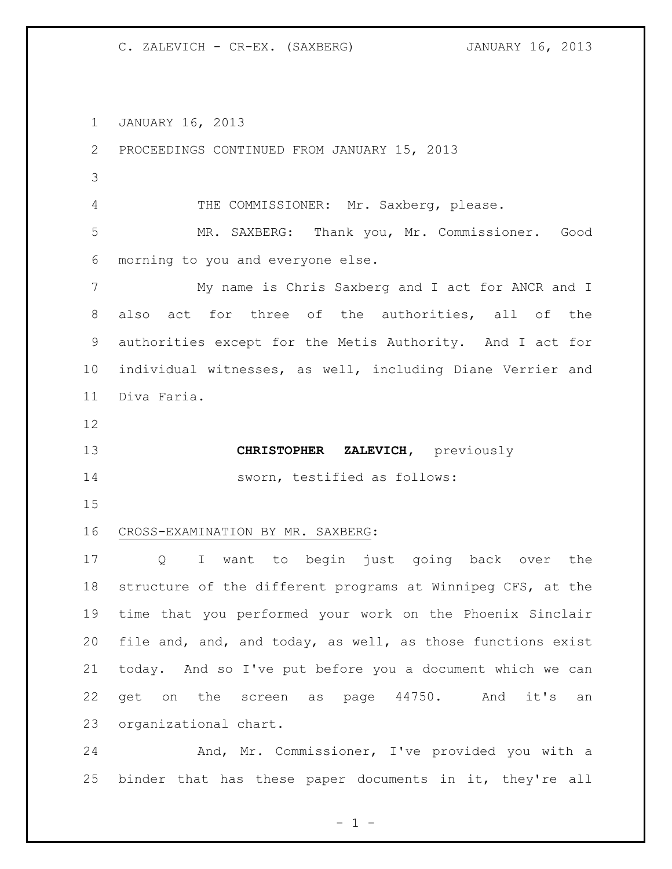JANUARY 16, 2013

 PROCEEDINGS CONTINUED FROM JANUARY 15, 2013 THE COMMISSIONER: Mr. Saxberg, please. MR. SAXBERG: Thank you, Mr. Commissioner. Good morning to you and everyone else. My name is Chris Saxberg and I act for ANCR and I also act for three of the authorities, all of the authorities except for the Metis Authority. And I act for individual witnesses, as well, including Diane Verrier and Diva Faria. **CHRISTOPHER ZALEVICH,** previously sworn, testified as follows: CROSS-EXAMINATION BY MR. SAXBERG: Q I want to begin just going back over the structure of the different programs at Winnipeg CFS, at the time that you performed your work on the Phoenix Sinclair file and, and, and today, as well, as those functions exist today. And so I've put before you a document which we can get on the screen as page 44750. And it's an organizational chart. And, Mr. Commissioner, I've provided you with a binder that has these paper documents in it, they're all

 $- 1 -$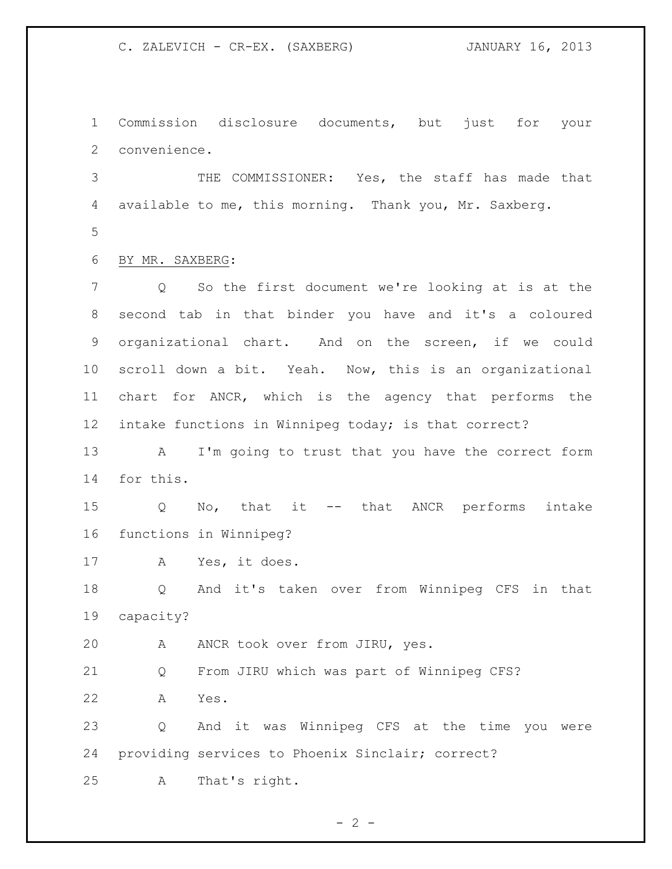Commission disclosure documents, but just for your convenience.

 THE COMMISSIONER: Yes, the staff has made that available to me, this morning. Thank you, Mr. Saxberg. 

BY MR. SAXBERG:

 Q So the first document we're looking at is at the second tab in that binder you have and it's a coloured organizational chart. And on the screen, if we could scroll down a bit. Yeah. Now, this is an organizational chart for ANCR, which is the agency that performs the intake functions in Winnipeg today; is that correct?

 A I'm going to trust that you have the correct form for this.

 Q No, that it -- that ANCR performs intake functions in Winnipeg?

A Yes, it does.

 Q And it's taken over from Winnipeg CFS in that capacity?

A ANCR took over from JIRU, yes.

Q From JIRU which was part of Winnipeg CFS?

A Yes.

 Q And it was Winnipeg CFS at the time you were providing services to Phoenix Sinclair; correct?

A That's right.

 $- 2 -$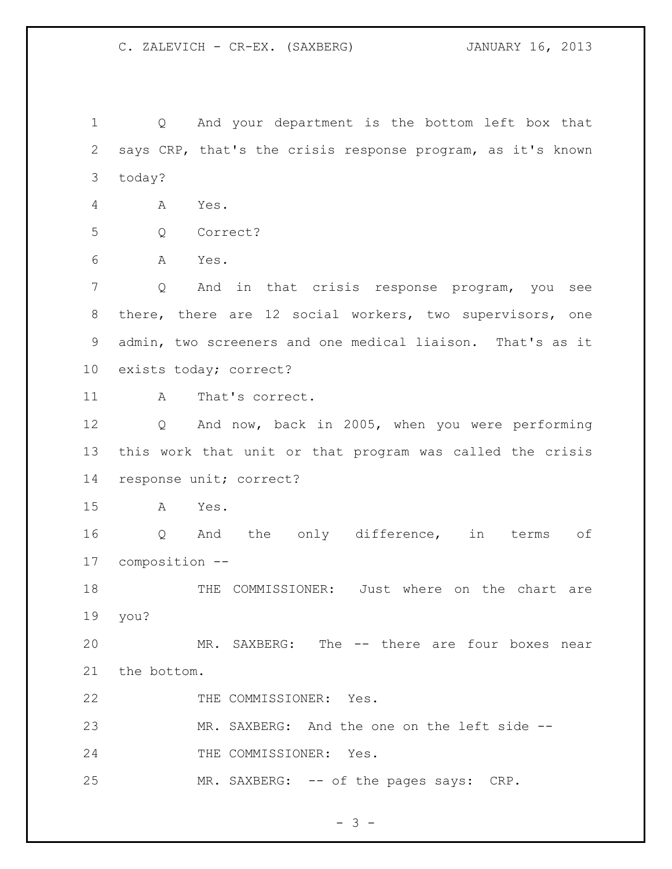Q And your department is the bottom left box that says CRP, that's the crisis response program, as it's known today?

A Yes.

Q Correct?

A Yes.

 Q And in that crisis response program, you see there, there are 12 social workers, two supervisors, one admin, two screeners and one medical liaison. That's as it exists today; correct?

11 A That's correct.

 Q And now, back in 2005, when you were performing this work that unit or that program was called the crisis response unit; correct?

A Yes.

 Q And the only difference, in terms of composition --

 THE COMMISSIONER: Just where on the chart are you?

 MR. SAXBERG: The -- there are four boxes near the bottom.

22 THE COMMISSIONER: Yes.

MR. SAXBERG: And the one on the left side --

24 THE COMMISSIONER: Yes.

25 MR. SAXBERG: -- of the pages says: CRP.

 $- 3 -$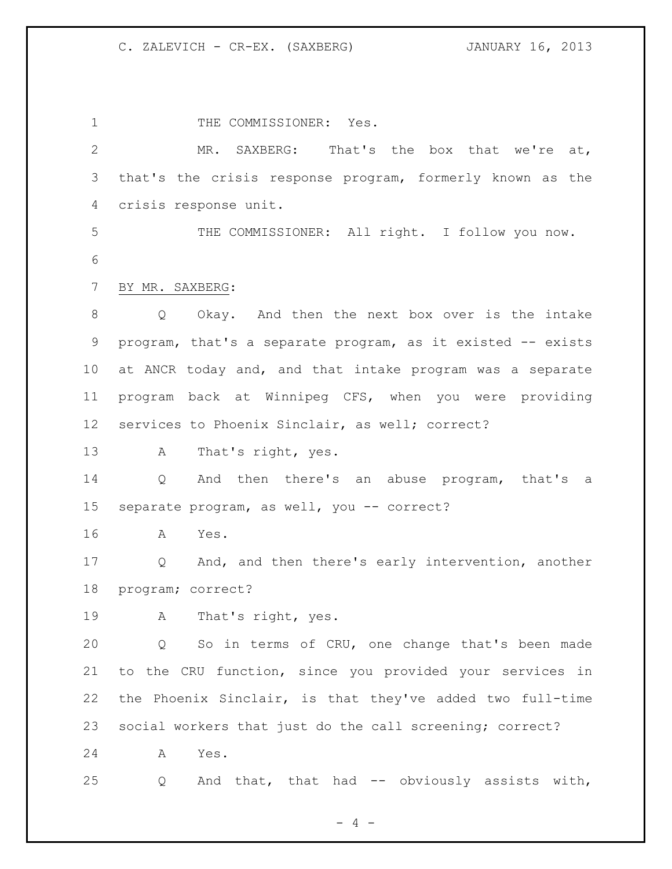1 THE COMMISSIONER: Yes. MR. SAXBERG: That's the box that we're at, that's the crisis response program, formerly known as the crisis response unit. THE COMMISSIONER: All right. I follow you now. BY MR. SAXBERG: Q Okay. And then the next box over is the intake program, that's a separate program, as it existed -- exists at ANCR today and, and that intake program was a separate program back at Winnipeg CFS, when you were providing services to Phoenix Sinclair, as well; correct? A That's right, yes. Q And then there's an abuse program, that's a 15 separate program, as well, you -- correct? A Yes. Q And, and then there's early intervention, another program; correct? A That's right, yes. Q So in terms of CRU, one change that's been made to the CRU function, since you provided your services in the Phoenix Sinclair, is that they've added two full-time social workers that just do the call screening; correct? A Yes. Q And that, that had -- obviously assists with,

 $- 4 -$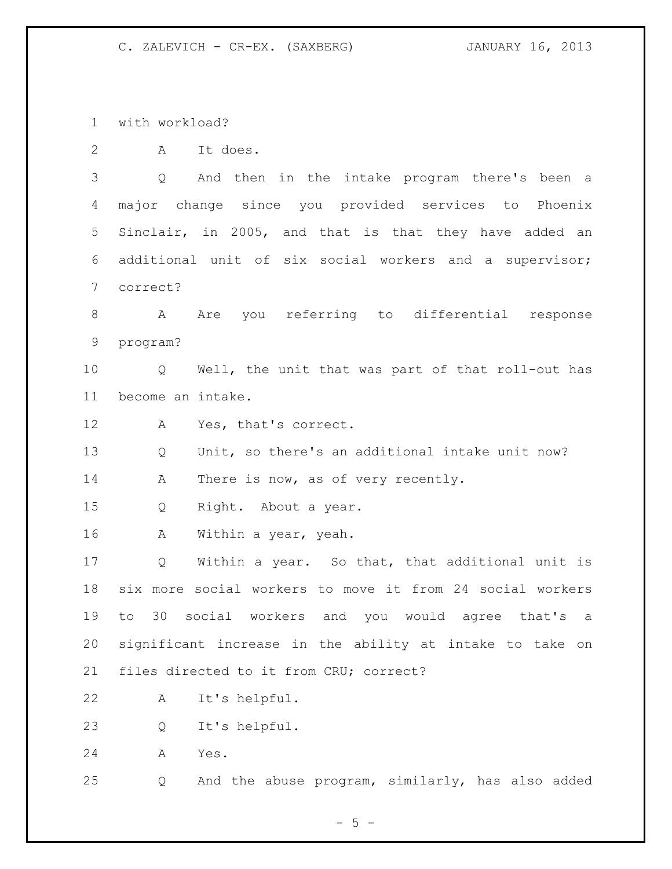with workload?

A It does.

 Q And then in the intake program there's been a major change since you provided services to Phoenix Sinclair, in 2005, and that is that they have added an additional unit of six social workers and a supervisor; correct?

 A Are you referring to differential response program?

 Q Well, the unit that was part of that roll-out has become an intake.

A Yes, that's correct.

 Q Unit, so there's an additional intake unit now? 14 A There is now, as of very recently.

Q Right. About a year.

A Within a year, yeah.

 Q Within a year. So that, that additional unit is six more social workers to move it from 24 social workers to 30 social workers and you would agree that's a significant increase in the ability at intake to take on files directed to it from CRU; correct?

A It's helpful.

Q It's helpful.

A Yes.

Q And the abuse program, similarly, has also added

 $- 5 -$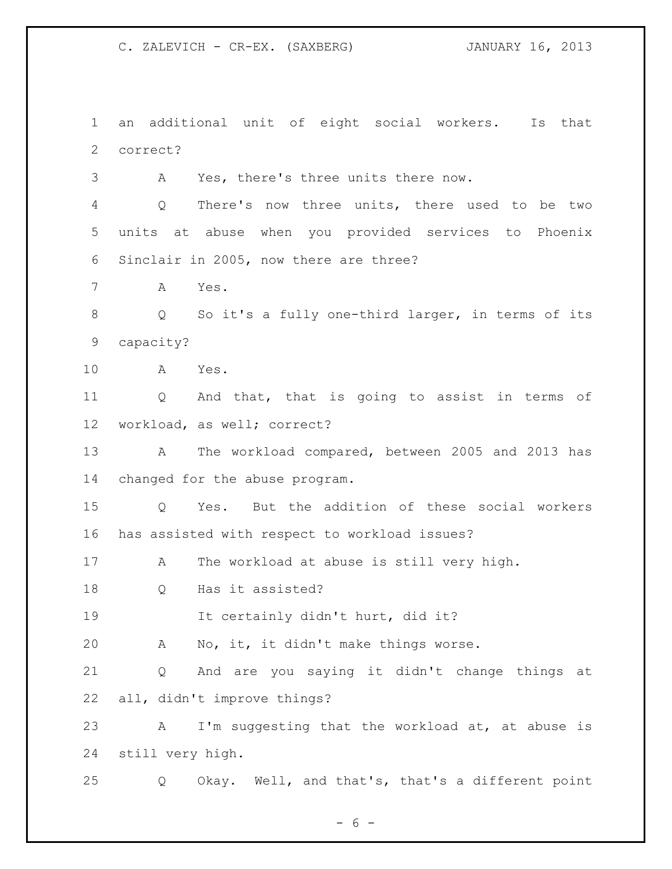an additional unit of eight social workers. Is that correct? A Yes, there's three units there now.

 Q There's now three units, there used to be two units at abuse when you provided services to Phoenix Sinclair in 2005, now there are three?

A Yes.

 Q So it's a fully one-third larger, in terms of its capacity?

A Yes.

 Q And that, that is going to assist in terms of workload, as well; correct?

 A The workload compared, between 2005 and 2013 has changed for the abuse program.

 Q Yes. But the addition of these social workers has assisted with respect to workload issues?

A The workload at abuse is still very high.

Q Has it assisted?

It certainly didn't hurt, did it?

A No, it, it didn't make things worse.

 Q And are you saying it didn't change things at all, didn't improve things?

 A I'm suggesting that the workload at, at abuse is still very high.

Q Okay. Well, and that's, that's a different point

 $- 6 -$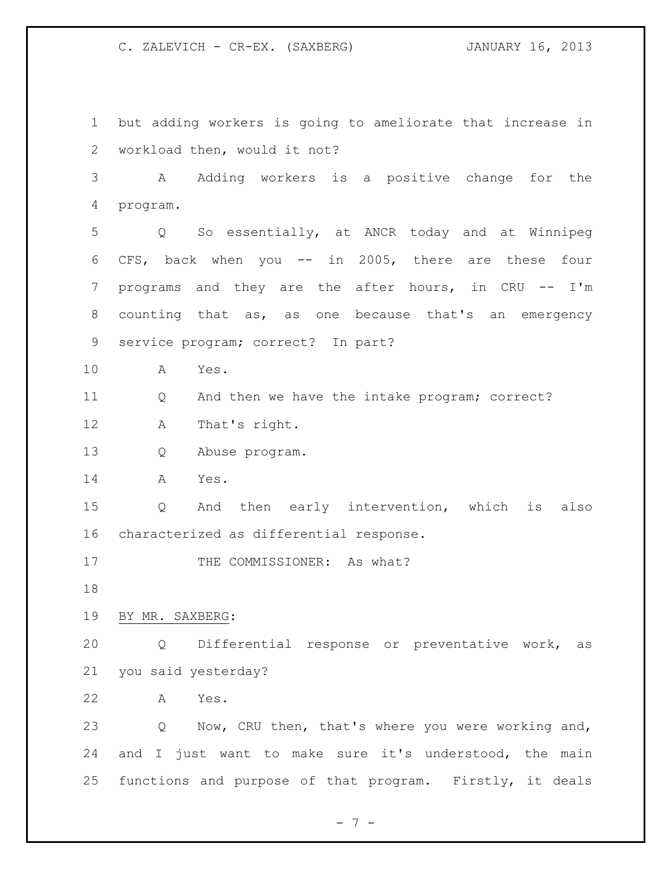but adding workers is going to ameliorate that increase in workload then, would it not? A Adding workers is a positive change for the program. Q So essentially, at ANCR today and at Winnipeg CFS, back when you -- in 2005, there are these four programs and they are the after hours, in CRU -- I'm counting that as, as one because that's an emergency service program; correct? In part? A Yes. Q And then we have the intake program; correct? A That's right. Q Abuse program. A Yes. Q And then early intervention, which is also characterized as differential response. 17 THE COMMISSIONER: As what? BY MR. SAXBERG: Q Differential response or preventative work, as you said yesterday? A Yes. Q Now, CRU then, that's where you were working and, and I just want to make sure it's understood, the main functions and purpose of that program. Firstly, it deals

 $- 7 -$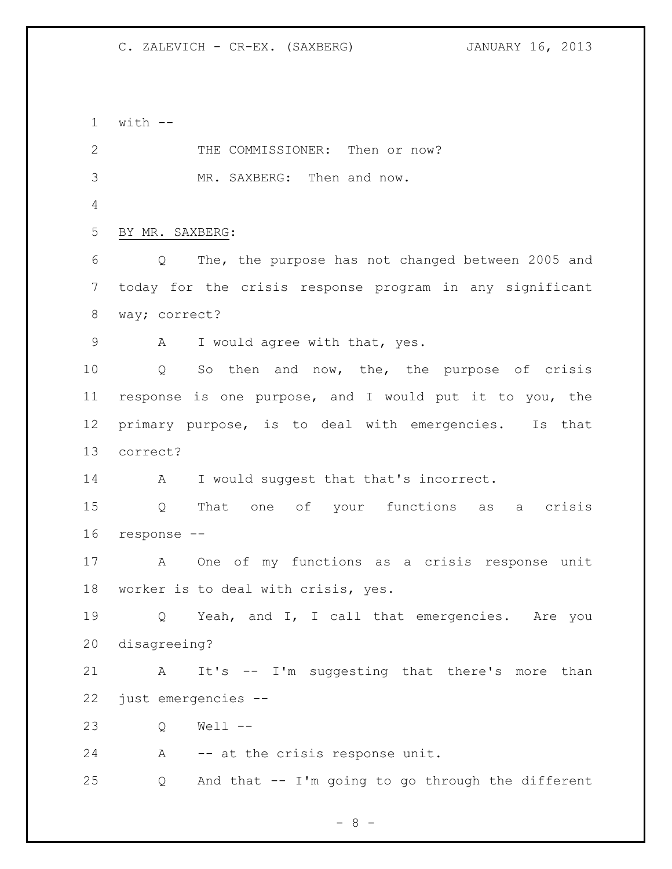with  $-$ 2 THE COMMISSIONER: Then or now? MR. SAXBERG: Then and now. BY MR. SAXBERG: Q The, the purpose has not changed between 2005 and today for the crisis response program in any significant way; correct? 9 A I would agree with that, yes. Q So then and now, the, the purpose of crisis response is one purpose, and I would put it to you, the primary purpose, is to deal with emergencies. Is that correct? 14 A I would suggest that that's incorrect. Q That one of your functions as a crisis response -- A One of my functions as a crisis response unit worker is to deal with crisis, yes. Q Yeah, and I, I call that emergencies. Are you disagreeing? A It's -- I'm suggesting that there's more than just emergencies -- Q Well -- A -- at the crisis response unit. Q And that -- I'm going to go through the different

- 8 -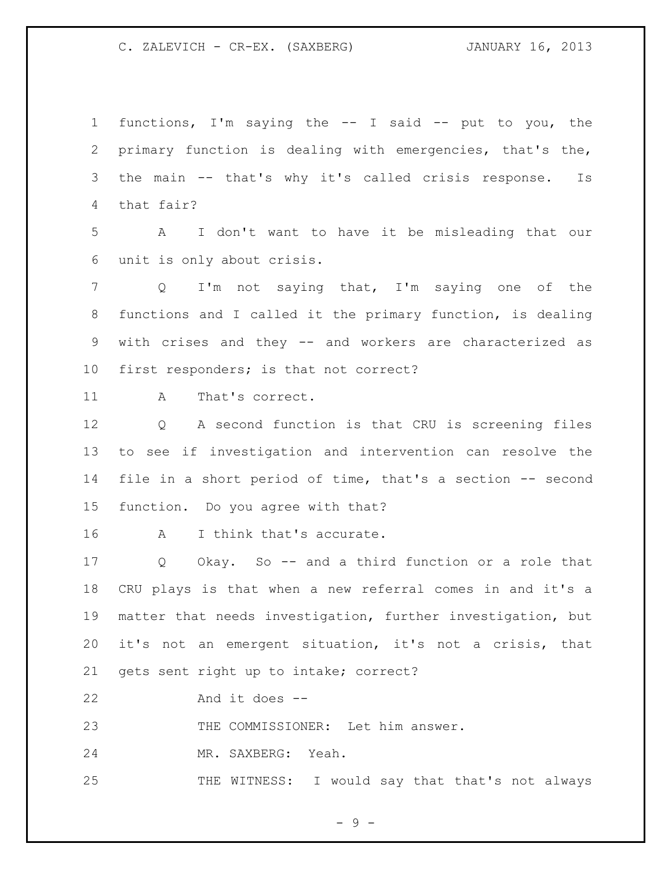functions, I'm saying the -- I said -- put to you, the primary function is dealing with emergencies, that's the, the main -- that's why it's called crisis response. Is that fair? A I don't want to have it be misleading that our unit is only about crisis. Q I'm not saying that, I'm saying one of the functions and I called it the primary function, is dealing with crises and they -- and workers are characterized as first responders; is that not correct? 11 A That's correct. Q A second function is that CRU is screening files to see if investigation and intervention can resolve the file in a short period of time, that's a section -- second function. Do you agree with that? A I think that's accurate. Q Okay. So -- and a third function or a role that CRU plays is that when a new referral comes in and it's a matter that needs investigation, further investigation, but it's not an emergent situation, it's not a crisis, that gets sent right up to intake; correct? And it does -- THE COMMISSIONER: Let him answer. MR. SAXBERG: Yeah. 25 THE WITNESS: I would say that that's not always

 $-9 -$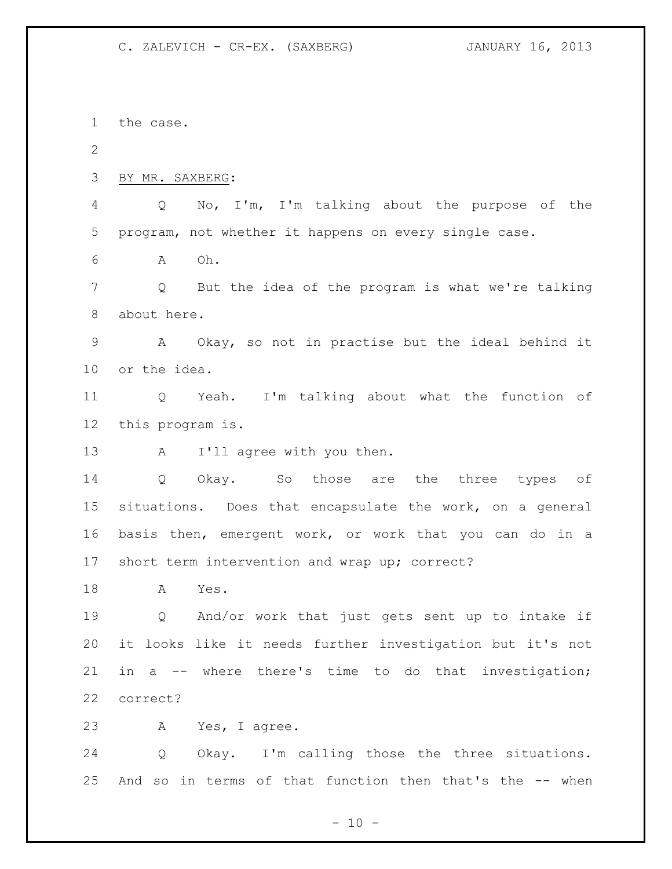the case. BY MR. SAXBERG: Q No, I'm, I'm talking about the purpose of the program, not whether it happens on every single case. A Oh. Q But the idea of the program is what we're talking about here. A Okay, so not in practise but the ideal behind it or the idea. Q Yeah. I'm talking about what the function of this program is. 13 A I'll agree with you then. Q Okay. So those are the three types of situations. Does that encapsulate the work, on a general basis then, emergent work, or work that you can do in a short term intervention and wrap up; correct? A Yes. Q And/or work that just gets sent up to intake if it looks like it needs further investigation but it's not in a -- where there's time to do that investigation; correct? A Yes, I agree. Q Okay. I'm calling those the three situations. And so in terms of that function then that's the -- when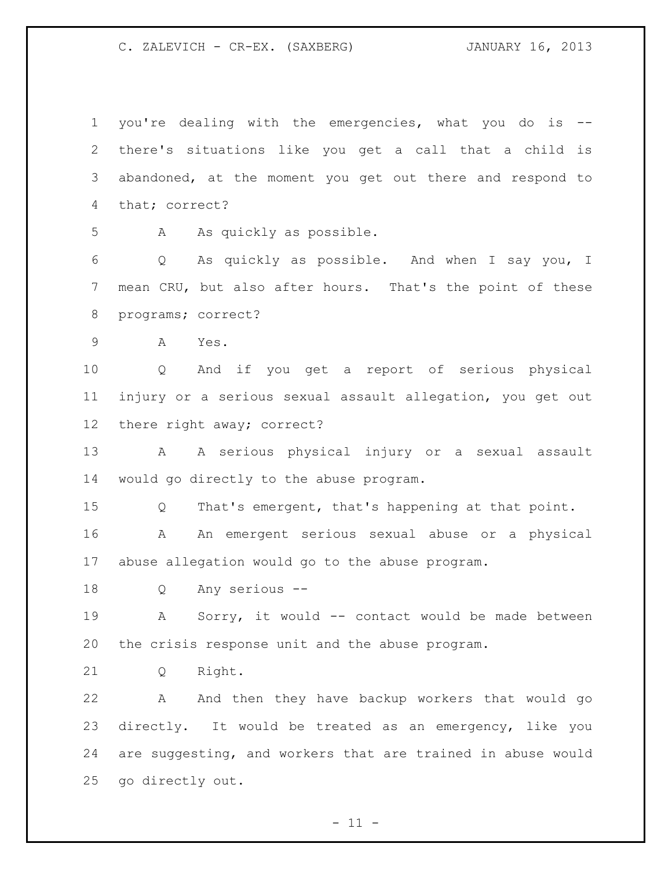you're dealing with the emergencies, what you do is -- there's situations like you get a call that a child is abandoned, at the moment you get out there and respond to that; correct?

A As quickly as possible.

 Q As quickly as possible. And when I say you, I mean CRU, but also after hours. That's the point of these programs; correct?

A Yes.

 Q And if you get a report of serious physical injury or a serious sexual assault allegation, you get out there right away; correct?

 A A serious physical injury or a sexual assault would go directly to the abuse program.

 Q That's emergent, that's happening at that point. A An emergent serious sexual abuse or a physical abuse allegation would go to the abuse program.

Q Any serious --

 A Sorry, it would -- contact would be made between the crisis response unit and the abuse program.

Q Right.

 A And then they have backup workers that would go directly. It would be treated as an emergency, like you are suggesting, and workers that are trained in abuse would go directly out.

 $- 11 -$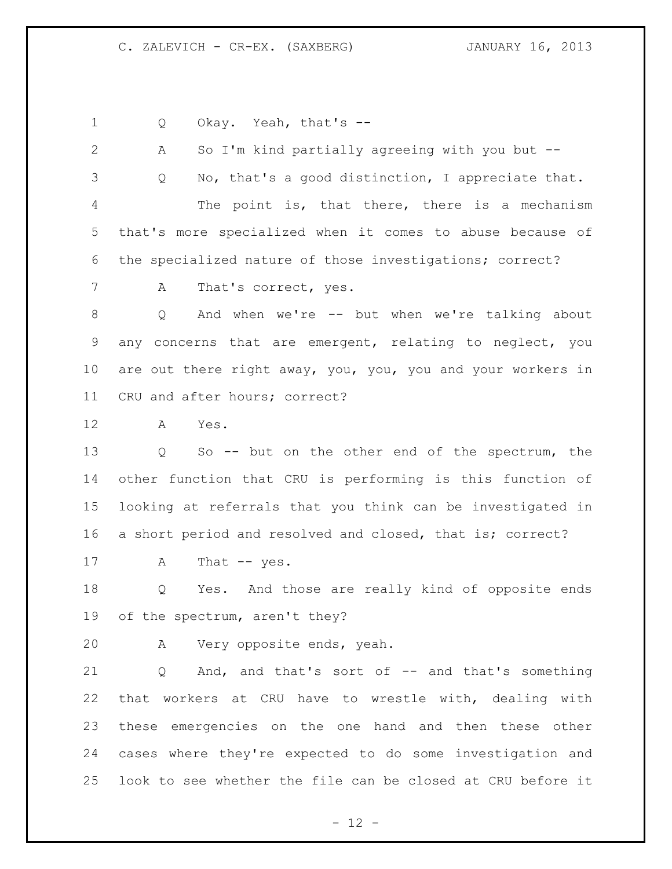1 Q Okay. Yeah, that's --

 A So I'm kind partially agreeing with you but -- Q No, that's a good distinction, I appreciate that. The point is, that there, there is a mechanism that's more specialized when it comes to abuse because of the specialized nature of those investigations; correct? 7 A That's correct, yes. Q And when we're -- but when we're talking about any concerns that are emergent, relating to neglect, you are out there right away, you, you, you and your workers in CRU and after hours; correct? A Yes. Q So -- but on the other end of the spectrum, the other function that CRU is performing is this function of looking at referrals that you think can be investigated in a short period and resolved and closed, that is; correct? 17 A That -- yes. Q Yes. And those are really kind of opposite ends of the spectrum, aren't they? A Very opposite ends, yeah. Q And, and that's sort of -- and that's something that workers at CRU have to wrestle with, dealing with these emergencies on the one hand and then these other cases where they're expected to do some investigation and look to see whether the file can be closed at CRU before it

 $- 12 -$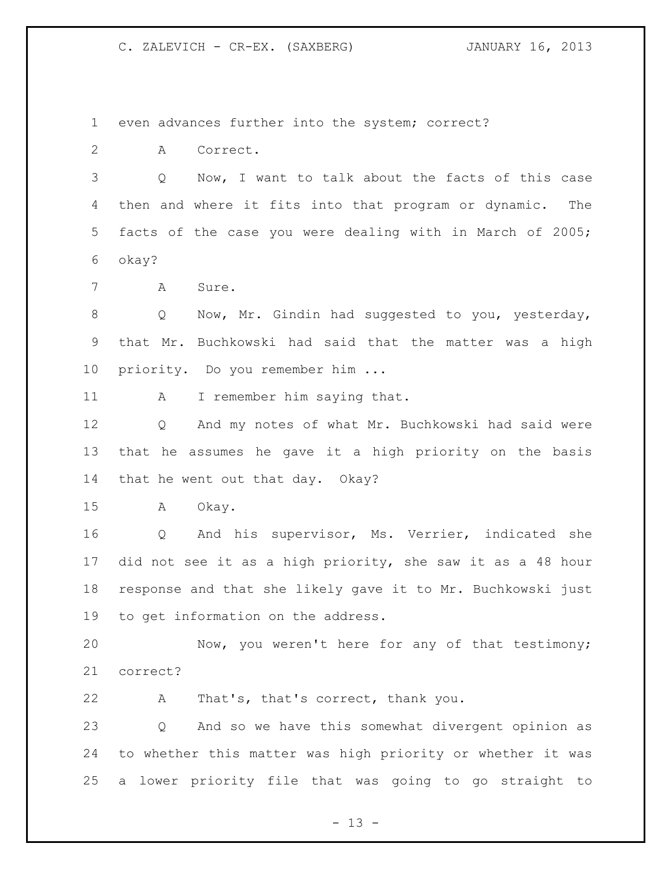even advances further into the system; correct?

A Correct.

 Q Now, I want to talk about the facts of this case then and where it fits into that program or dynamic. The facts of the case you were dealing with in March of 2005; okay?

A Sure.

8 Q Now, Mr. Gindin had suggested to you, yesterday, that Mr. Buchkowski had said that the matter was a high priority. Do you remember him ...

11 A I remember him saying that.

 Q And my notes of what Mr. Buchkowski had said were that he assumes he gave it a high priority on the basis that he went out that day. Okay?

A Okay.

 Q And his supervisor, Ms. Verrier, indicated she did not see it as a high priority, she saw it as a 48 hour response and that she likely gave it to Mr. Buchkowski just to get information on the address.

 Now, you weren't here for any of that testimony; correct?

A That's, that's correct, thank you.

 Q And so we have this somewhat divergent opinion as to whether this matter was high priority or whether it was a lower priority file that was going to go straight to

 $- 13 -$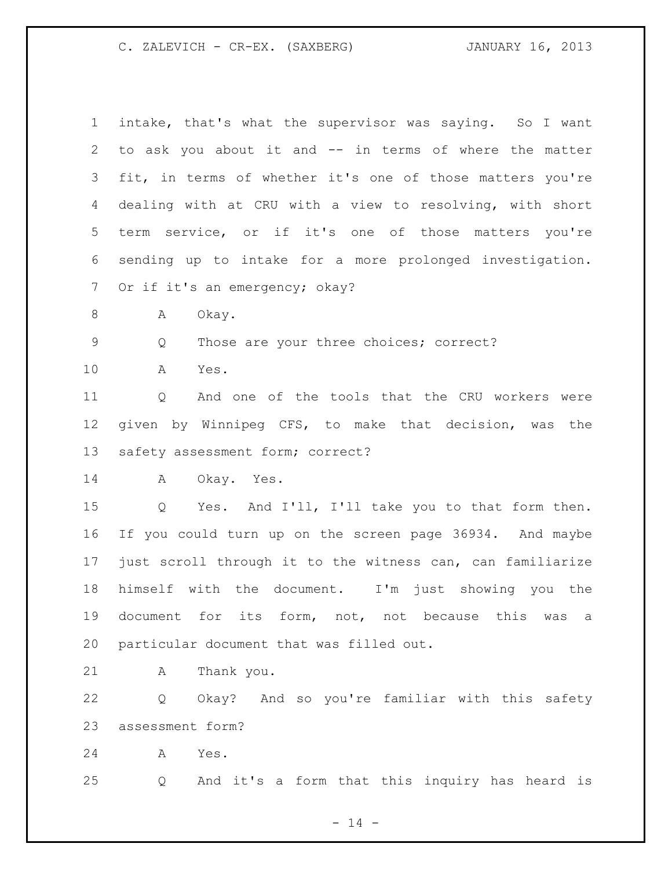| $\mathbf 1$ | intake, that's what the supervisor was saying. So I want   |
|-------------|------------------------------------------------------------|
| 2           | to ask you about it and -- in terms of where the matter    |
| 3           | fit, in terms of whether it's one of those matters you're  |
| 4           | dealing with at CRU with a view to resolving, with short   |
| 5           | term service, or if it's one of those matters you're       |
| 6           | sending up to intake for a more prolonged investigation.   |
| 7           | Or if it's an emergency; okay?                             |
| 8           | А<br>Okay.                                                 |
| 9           | Those are your three choices; correct?<br>Q                |
| 10          | Α<br>Yes.                                                  |
| 11          | And one of the tools that the CRU workers were<br>Q        |
| 12          | given by Winnipeg CFS, to make that decision, was the      |
| 13          | safety assessment form; correct?                           |
|             |                                                            |
| 14          | A<br>Okay. Yes.                                            |
| 15          | Yes. And I'll, I'll take you to that form then.<br>Q       |
| 16          | If you could turn up on the screen page 36934. And maybe   |
| 17          | just scroll through it to the witness can, can familiarize |
| 18          | himself with the document. I'm just showing you<br>the     |
| 19          | document for its form, not, not because this was<br>а      |
| 20          | particular document that was filled out.                   |
| 21          | Thank you.<br>Α                                            |
| 22          | Okay? And so you're familiar with this safety<br>Q         |
| 23          | assessment form?                                           |

Q And it's a form that this inquiry has heard is

 $- 14 -$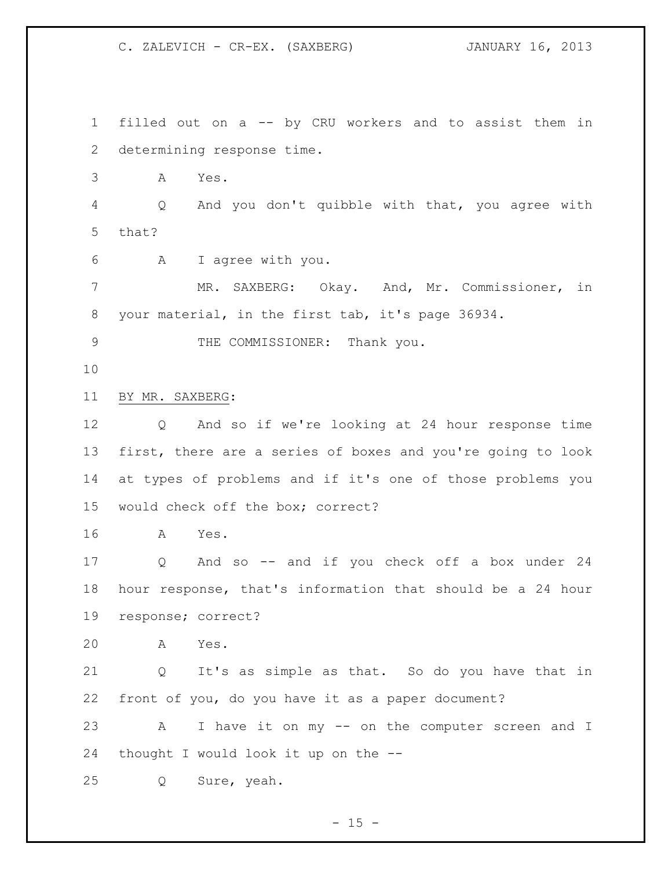filled out on a -- by CRU workers and to assist them in determining response time. A Yes. Q And you don't quibble with that, you agree with that? A I agree with you. MR. SAXBERG: Okay. And, Mr. Commissioner, in your material, in the first tab, it's page 36934. 9 THE COMMISSIONER: Thank you. BY MR. SAXBERG: Q And so if we're looking at 24 hour response time first, there are a series of boxes and you're going to look at types of problems and if it's one of those problems you would check off the box; correct? A Yes. Q And so -- and if you check off a box under 24 hour response, that's information that should be a 24 hour response; correct? A Yes. Q It's as simple as that. So do you have that in front of you, do you have it as a paper document? A I have it on my -- on the computer screen and I thought I would look it up on the -- Q Sure, yeah.

 $- 15 -$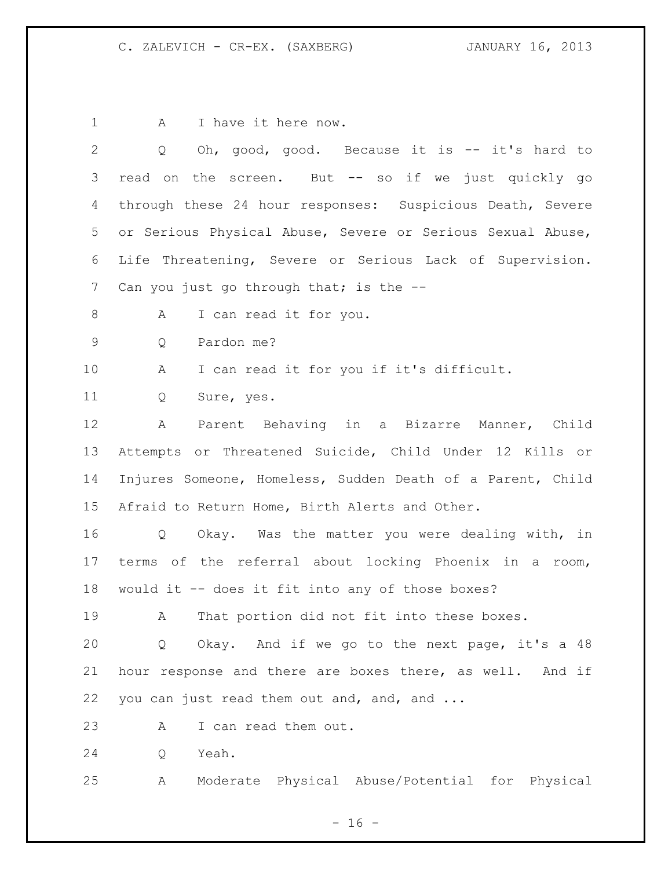1 A I have it here now.

| $\overline{2}$  | Oh, good, good. Because it is -- it's hard to<br>Q                  |
|-----------------|---------------------------------------------------------------------|
| 3               | read on the screen. But -- so if we just quickly go                 |
| 4               | through these 24 hour responses: Suspicious Death, Severe           |
| 5               | or Serious Physical Abuse, Severe or Serious Sexual Abuse,          |
| 6               | Life Threatening, Severe or Serious Lack of Supervision.            |
| $7\phantom{.0}$ | Can you just go through that; is the --                             |
| 8               | I can read it for you.<br>A                                         |
| $\mathsf 9$     | Pardon me?<br>Q                                                     |
| 10              | I can read it for you if it's difficult.<br>A                       |
| 11              | Q<br>Sure, yes.                                                     |
| 12              | Parent Behaving in a Bizarre Manner, Child<br>A                     |
| 13              | Attempts or Threatened Suicide, Child Under 12 Kills or             |
| 14              | Injures Someone, Homeless, Sudden Death of a Parent, Child          |
| 15              | Afraid to Return Home, Birth Alerts and Other.                      |
| 16              | Okay. Was the matter you were dealing with, in<br>$Q \qquad \qquad$ |
| 17              | terms of the referral about locking Phoenix in a room,              |
| 18              | would it -- does it fit into any of those boxes?                    |
| 19              | That portion did not fit into these boxes.<br>$\mathbf{A}$          |
| 20              | Okay. And if we go to the next page, it's a 48<br>Q                 |
| 21              | hour response and there are boxes there, as well. And if            |
| 22              | you can just read them out and, and, and                            |
| 23              | I can read them out.<br>A                                           |
| 24              | Yeah.<br>Q                                                          |
| 25              | Moderate Physical Abuse/Potential for Physical<br>Α                 |

- 16 -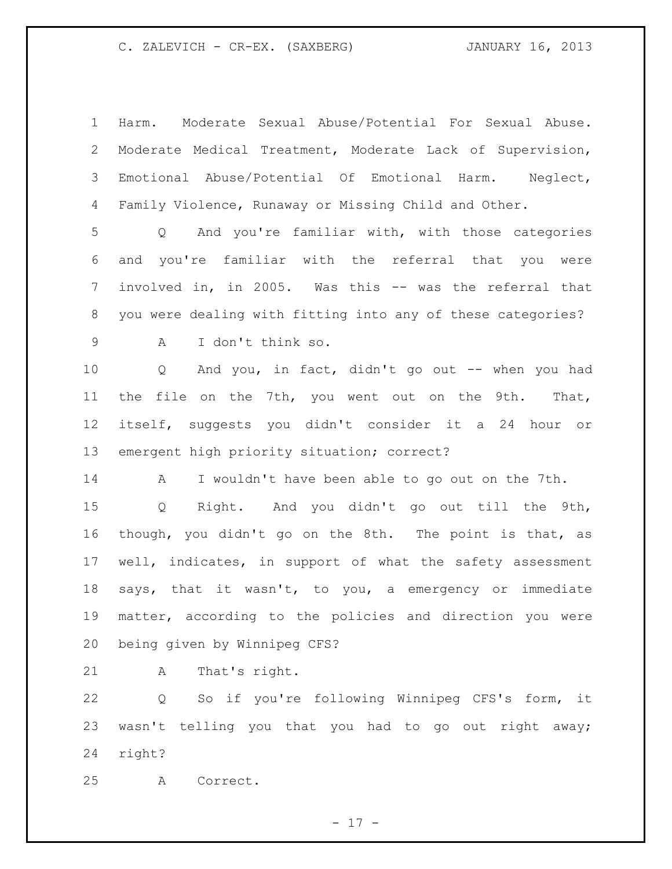Harm. Moderate Sexual Abuse/Potential For Sexual Abuse. Moderate Medical Treatment, Moderate Lack of Supervision, Emotional Abuse/Potential Of Emotional Harm. Neglect, Family Violence, Runaway or Missing Child and Other.

 Q And you're familiar with, with those categories and you're familiar with the referral that you were involved in, in 2005. Was this -- was the referral that you were dealing with fitting into any of these categories?

A I don't think so.

 Q And you, in fact, didn't go out -- when you had the file on the 7th, you went out on the 9th. That, itself, suggests you didn't consider it a 24 hour or emergent high priority situation; correct?

A I wouldn't have been able to go out on the 7th.

 Q Right. And you didn't go out till the 9th, though, you didn't go on the 8th. The point is that, as well, indicates, in support of what the safety assessment says, that it wasn't, to you, a emergency or immediate matter, according to the policies and direction you were being given by Winnipeg CFS?

21 A That's right.

 Q So if you're following Winnipeg CFS's form, it wasn't telling you that you had to go out right away; right?

A Correct.

- 17 -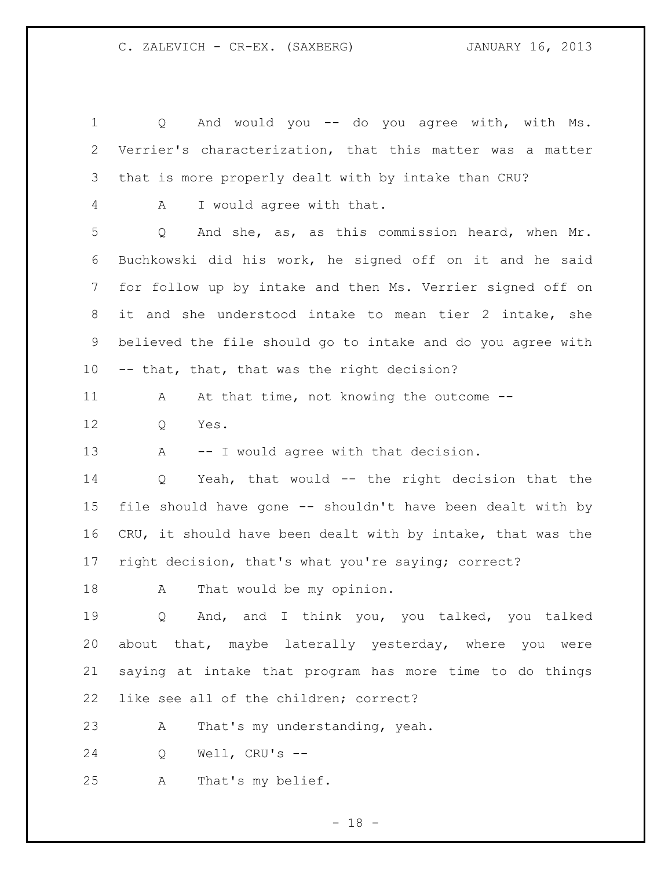Q And would you -- do you agree with, with Ms. Verrier's characterization, that this matter was a matter that is more properly dealt with by intake than CRU? A I would agree with that. Q And she, as, as this commission heard, when Mr. Buchkowski did his work, he signed off on it and he said for follow up by intake and then Ms. Verrier signed off on it and she understood intake to mean tier 2 intake, she believed the file should go to intake and do you agree with -- that, that, that was the right decision? 11 A At that time, not knowing the outcome -- Q Yes. 13 A -- I would agree with that decision. Q Yeah, that would -- the right decision that the file should have gone -- shouldn't have been dealt with by CRU, it should have been dealt with by intake, that was the right decision, that's what you're saying; correct? 18 A That would be my opinion. Q And, and I think you, you talked, you talked about that, maybe laterally yesterday, where you were saying at intake that program has more time to do things like see all of the children; correct? A That's my understanding, yeah. Q Well, CRU's -- A That's my belief.

- 18 -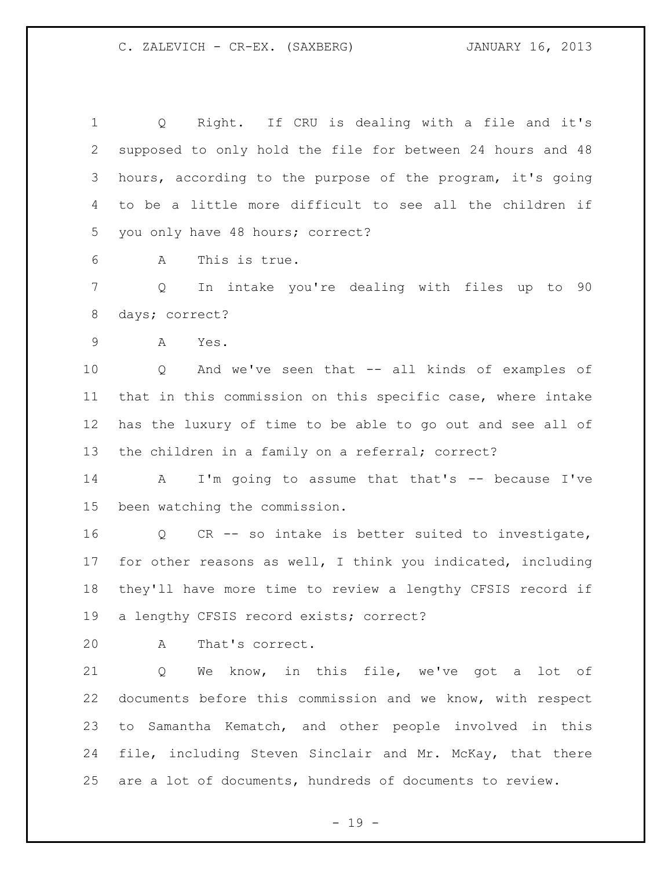Q Right. If CRU is dealing with a file and it's supposed to only hold the file for between 24 hours and 48 hours, according to the purpose of the program, it's going to be a little more difficult to see all the children if you only have 48 hours; correct?

A This is true.

 Q In intake you're dealing with files up to 90 days; correct?

A Yes.

 Q And we've seen that -- all kinds of examples of that in this commission on this specific case, where intake has the luxury of time to be able to go out and see all of the children in a family on a referral; correct?

14 A I'm going to assume that that's -- because I've been watching the commission.

 Q CR -- so intake is better suited to investigate, for other reasons as well, I think you indicated, including they'll have more time to review a lengthy CFSIS record if a lengthy CFSIS record exists; correct?

A That's correct.

 Q We know, in this file, we've got a lot of documents before this commission and we know, with respect to Samantha Kematch, and other people involved in this file, including Steven Sinclair and Mr. McKay, that there are a lot of documents, hundreds of documents to review.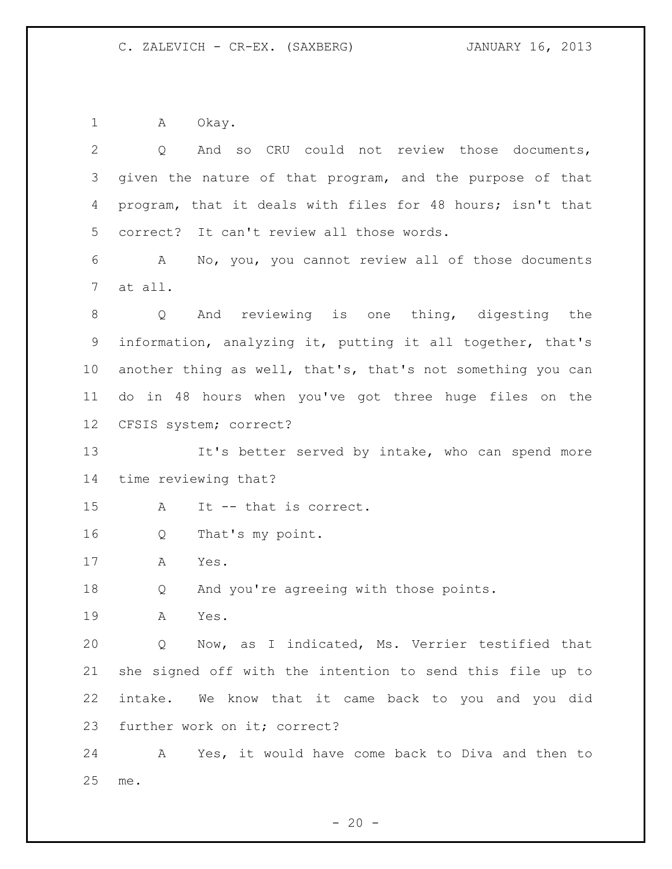A Okay.

| $\mathbf{2}$ | And so CRU could not review those documents,<br>Q           |
|--------------|-------------------------------------------------------------|
| 3            | given the nature of that program, and the purpose of that   |
| 4            | program, that it deals with files for 48 hours; isn't that  |
| 5            | correct? It can't review all those words.                   |
| 6            | No, you, you cannot review all of those documents<br>A      |
| 7            | at all.                                                     |
| 8            | And reviewing is one thing, digesting the<br>Q              |
| 9            | information, analyzing it, putting it all together, that's  |
| 10           | another thing as well, that's, that's not something you can |
| 11           | do in 48 hours when you've got three huge files on the      |
| 12           | CFSIS system; correct?                                      |
| 13           | It's better served by intake, who can spend more            |
| 14           | time reviewing that?                                        |
| 15           | It -- that is correct.<br>Α                                 |
| 16           | That's my point.<br>Q                                       |
| 17           | Α<br>Yes.                                                   |
| 18           | And you're agreeing with those points.<br>Q                 |
| 19           | Α<br>Yes.                                                   |
| 20           | Q Now, as I indicated, Ms. Verrier testified that           |
| 21           | she signed off with the intention to send this file up to   |
| 22           | intake. We know that it came back to you and you did        |
| 23           | further work on it; correct?                                |
| 24           | Yes, it would have come back to Diva and then to<br>A       |
| 25           | me.                                                         |

- 20 -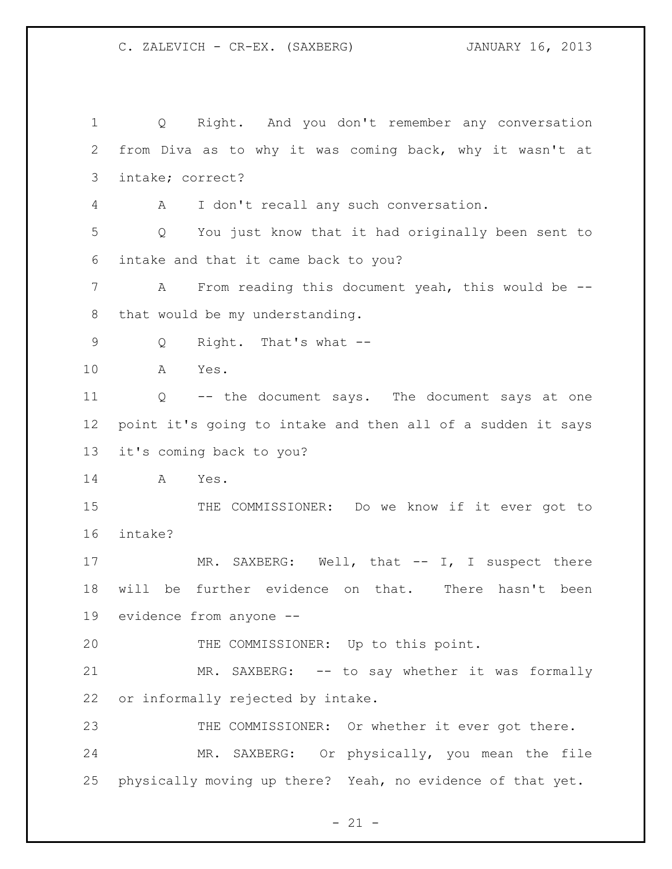Q Right. And you don't remember any conversation from Diva as to why it was coming back, why it wasn't at intake; correct? A I don't recall any such conversation. Q You just know that it had originally been sent to intake and that it came back to you? A From reading this document yeah, this would be -- that would be my understanding. Q Right. That's what -- A Yes. Q -- the document says. The document says at one point it's going to intake and then all of a sudden it says it's coming back to you? A Yes. THE COMMISSIONER: Do we know if it ever got to intake? 17 MR. SAXBERG: Well, that -- I, I suspect there will be further evidence on that. There hasn't been evidence from anyone -- THE COMMISSIONER: Up to this point. MR. SAXBERG: -- to say whether it was formally or informally rejected by intake. 23 THE COMMISSIONER: Or whether it ever got there. MR. SAXBERG: Or physically, you mean the file physically moving up there? Yeah, no evidence of that yet.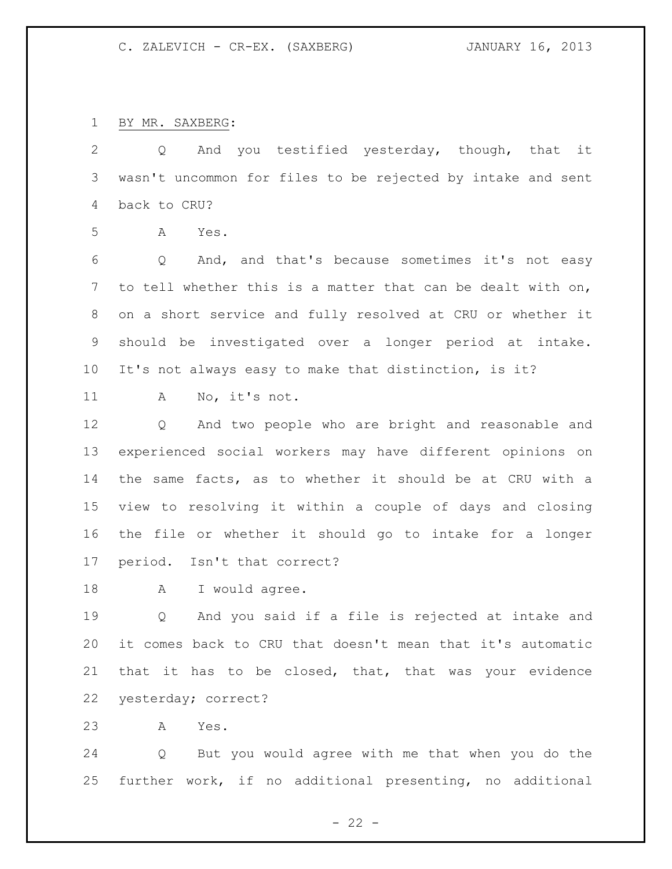BY MR. SAXBERG:

 Q And you testified yesterday, though, that it wasn't uncommon for files to be rejected by intake and sent back to CRU?

A Yes.

 Q And, and that's because sometimes it's not easy to tell whether this is a matter that can be dealt with on, on a short service and fully resolved at CRU or whether it should be investigated over a longer period at intake. It's not always easy to make that distinction, is it?

A No, it's not.

 Q And two people who are bright and reasonable and experienced social workers may have different opinions on the same facts, as to whether it should be at CRU with a view to resolving it within a couple of days and closing the file or whether it should go to intake for a longer period. Isn't that correct?

18 A I would agree.

 Q And you said if a file is rejected at intake and it comes back to CRU that doesn't mean that it's automatic that it has to be closed, that, that was your evidence yesterday; correct?

A Yes.

 Q But you would agree with me that when you do the further work, if no additional presenting, no additional

 $- 22 -$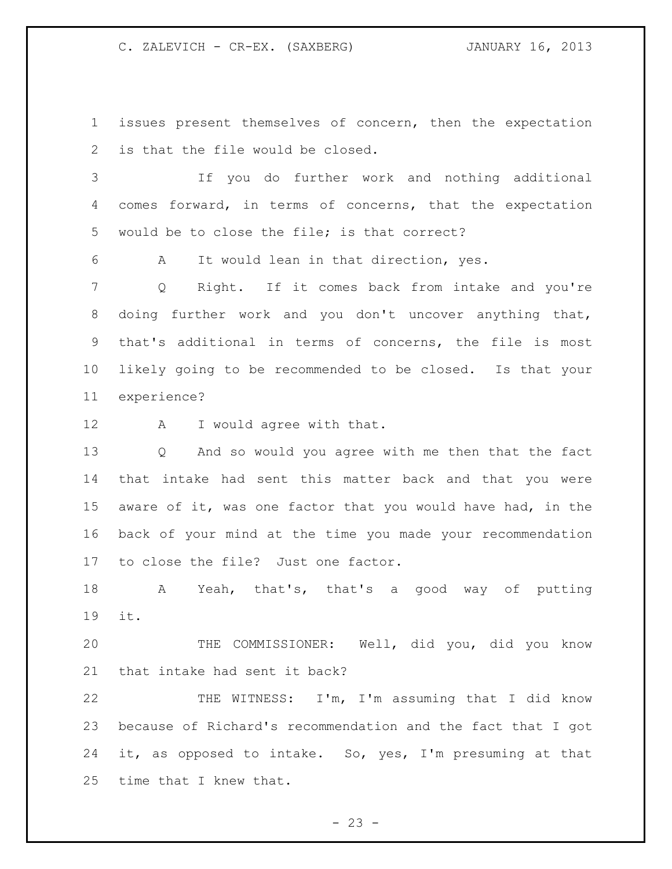issues present themselves of concern, then the expectation is that the file would be closed.

 If you do further work and nothing additional comes forward, in terms of concerns, that the expectation would be to close the file; is that correct?

A It would lean in that direction, yes.

 Q Right. If it comes back from intake and you're doing further work and you don't uncover anything that, that's additional in terms of concerns, the file is most likely going to be recommended to be closed. Is that your experience?

A I would agree with that.

 Q And so would you agree with me then that the fact that intake had sent this matter back and that you were aware of it, was one factor that you would have had, in the back of your mind at the time you made your recommendation to close the file? Just one factor.

 A Yeah, that's, that's a good way of putting it.

 THE COMMISSIONER: Well, did you, did you know that intake had sent it back?

 THE WITNESS: I'm, I'm assuming that I did know because of Richard's recommendation and the fact that I got it, as opposed to intake. So, yes, I'm presuming at that time that I knew that.

 $- 23 -$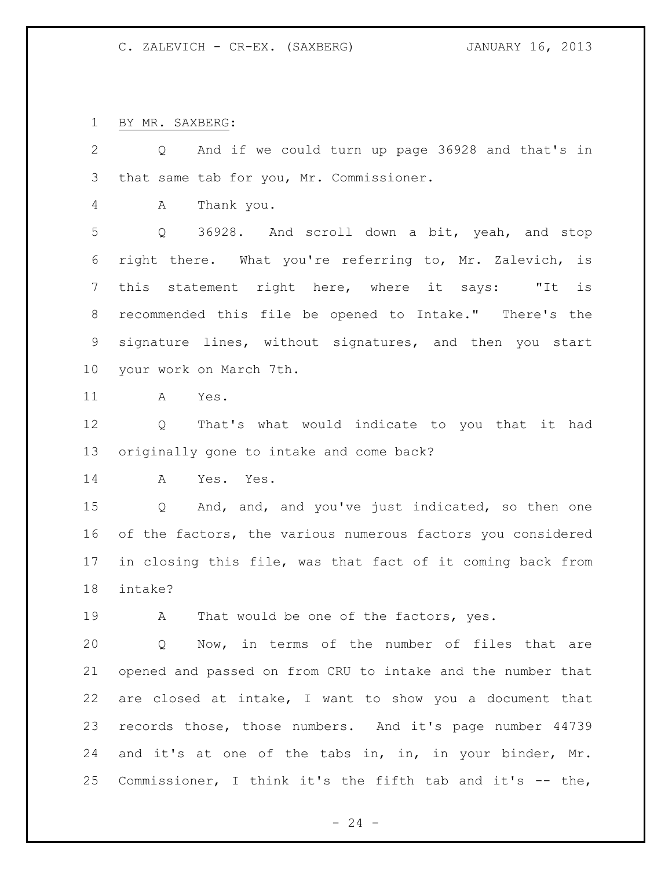BY MR. SAXBERG:

 Q And if we could turn up page 36928 and that's in that same tab for you, Mr. Commissioner. A Thank you. Q 36928. And scroll down a bit, yeah, and stop right there. What you're referring to, Mr. Zalevich, is this statement right here, where it says: "It is recommended this file be opened to Intake." There's the signature lines, without signatures, and then you start your work on March 7th. A Yes. Q That's what would indicate to you that it had originally gone to intake and come back? A Yes. Yes. Q And, and, and you've just indicated, so then one of the factors, the various numerous factors you considered in closing this file, was that fact of it coming back from intake? 19 A That would be one of the factors, yes. Q Now, in terms of the number of files that are opened and passed on from CRU to intake and the number that are closed at intake, I want to show you a document that

 records those, those numbers. And it's page number 44739 and it's at one of the tabs in, in, in your binder, Mr. Commissioner, I think it's the fifth tab and it's -- the,

 $- 24 -$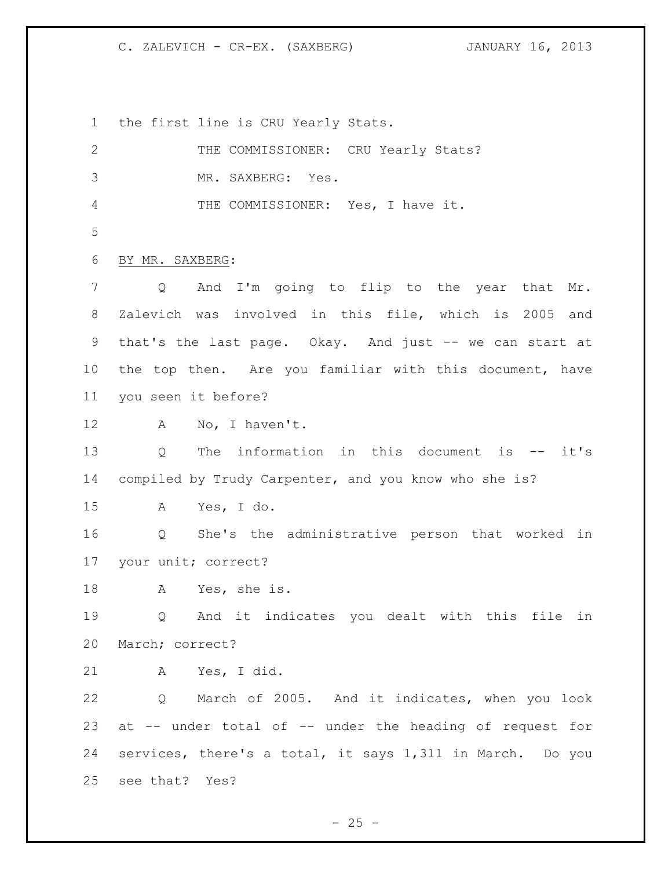the first line is CRU Yearly Stats.

| $\mathbf{2}$ | THE COMMISSIONER: CRU Yearly Stats?                              |
|--------------|------------------------------------------------------------------|
| 3            | MR. SAXBERG: Yes.                                                |
| 4            | THE COMMISSIONER: Yes, I have it.                                |
| 5            |                                                                  |
| 6            | BY MR. SAXBERG:                                                  |
| 7            | And I'm going to flip to the year that Mr.<br>Q                  |
| 8            | Zalevich was involved in this file, which is 2005 and            |
| 9            | that's the last page. Okay. And just -- we can start at          |
| 10           | the top then. Are you familiar with this document, have          |
| 11           | you seen it before?                                              |
| 12           | No, I haven't.<br>A                                              |
| 13           | The information in this document is -- it's<br>$Q \qquad \qquad$ |
| 14           | compiled by Trudy Carpenter, and you know who she is?            |
| 15           | Yes, I do.<br>A                                                  |
| 16           | Q She's the administrative person that worked in                 |
| 17           | your unit; correct?                                              |
| 18           | Yes, she is.<br>A                                                |
| 19           | And it indicates you dealt with this file in<br>Q                |
| 20           | March; correct?                                                  |
| 21           | A Yes, I did.                                                    |
| 22           | Q March of 2005. And it indicates, when you look                 |
| 23           | at -- under total of -- under the heading of request for         |
| 24           | services, there's a total, it says 1,311 in March. Do you        |
| 25           | see that? Yes?                                                   |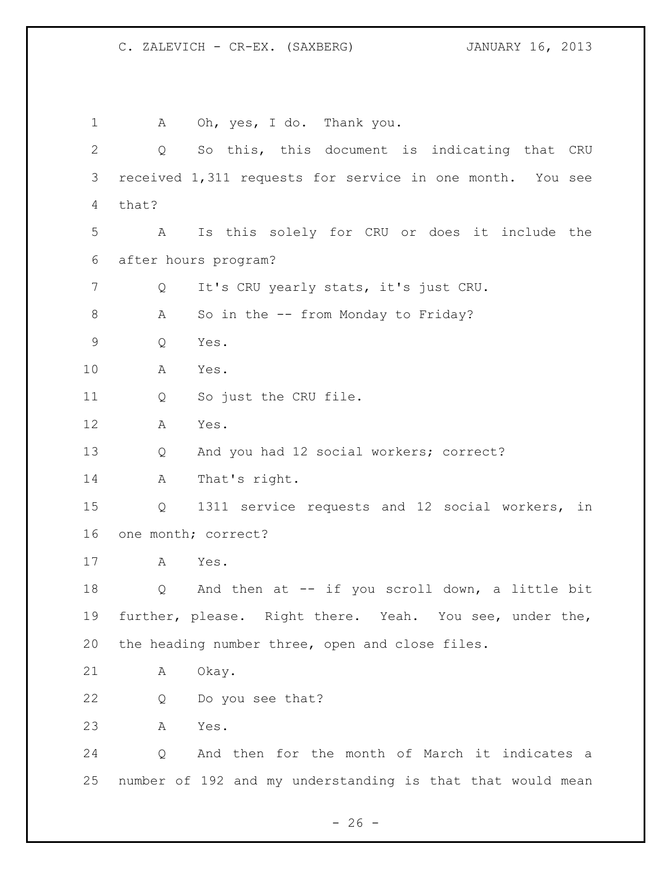A Oh, yes, I do. Thank you. Q So this, this document is indicating that CRU received 1,311 requests for service in one month. You see that? A Is this solely for CRU or does it include the after hours program? Q It's CRU yearly stats, it's just CRU. 8 A So in the -- from Monday to Friday? Q Yes. A Yes. Q So just the CRU file. A Yes. Q And you had 12 social workers; correct? A That's right. Q 1311 service requests and 12 social workers, in one month; correct? A Yes. Q And then at -- if you scroll down, a little bit further, please. Right there. Yeah. You see, under the, the heading number three, open and close files. 21 A Okay. Q Do you see that? A Yes. Q And then for the month of March it indicates a number of 192 and my understanding is that that would mean

 $- 26 -$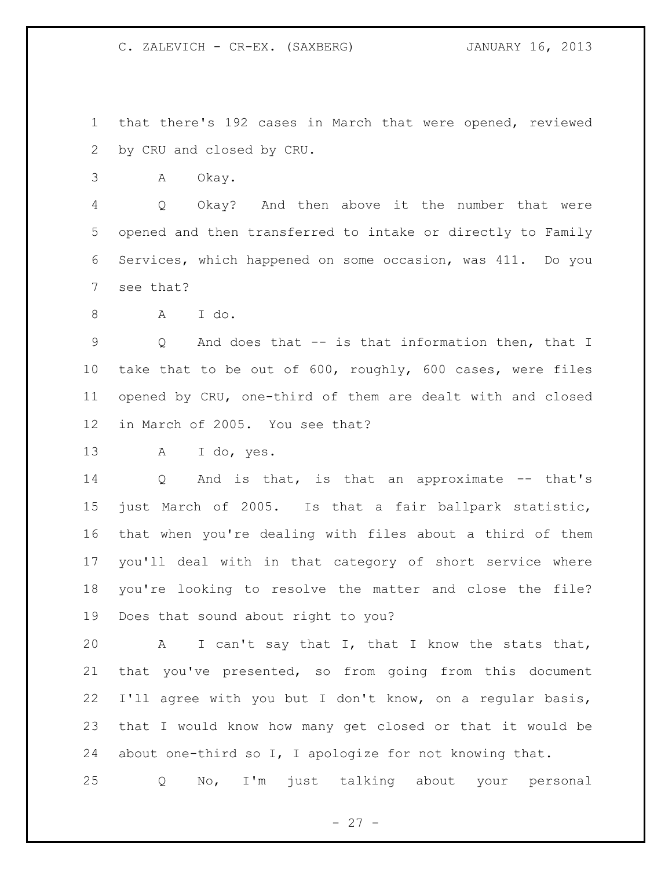that there's 192 cases in March that were opened, reviewed by CRU and closed by CRU.

A Okay.

 Q Okay? And then above it the number that were opened and then transferred to intake or directly to Family Services, which happened on some occasion, was 411. Do you see that?

A I do.

 Q And does that -- is that information then, that I take that to be out of 600, roughly, 600 cases, were files opened by CRU, one-third of them are dealt with and closed in March of 2005. You see that?

A I do, yes.

14 Q And is that, is that an approximate -- that's just March of 2005. Is that a fair ballpark statistic, that when you're dealing with files about a third of them you'll deal with in that category of short service where you're looking to resolve the matter and close the file? Does that sound about right to you?

 A I can't say that I, that I know the stats that, that you've presented, so from going from this document I'll agree with you but I don't know, on a regular basis, that I would know how many get closed or that it would be about one-third so I, I apologize for not knowing that.

Q No, I'm just talking about your personal

 $- 27 -$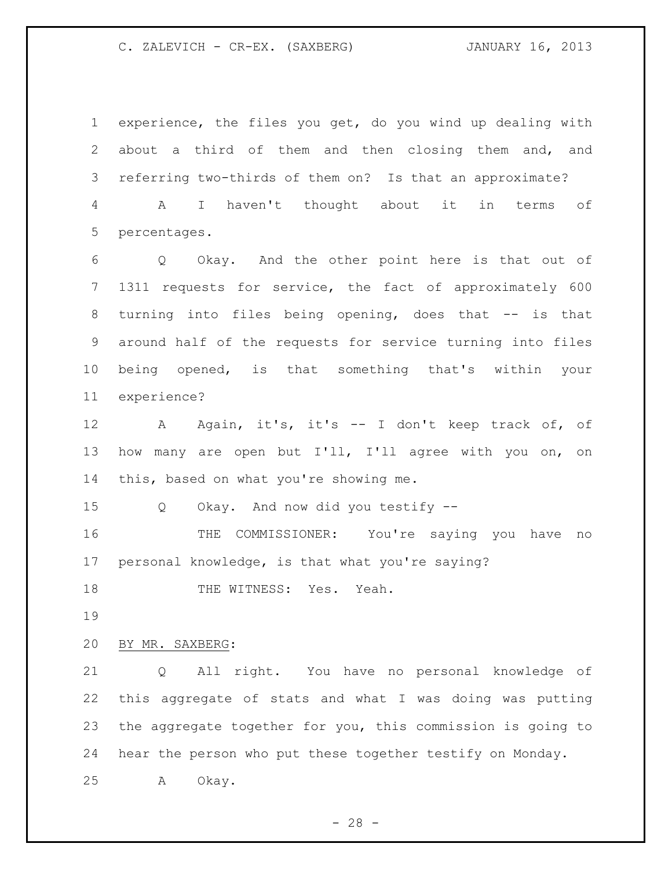experience, the files you get, do you wind up dealing with about a third of them and then closing them and, and referring two-thirds of them on? Is that an approximate? A I haven't thought about it in terms of percentages.

 Q Okay. And the other point here is that out of 1311 requests for service, the fact of approximately 600 8 turning into files being opening, does that -- is that around half of the requests for service turning into files being opened, is that something that's within your experience?

12 A Again, it's, it's -- I don't keep track of, of how many are open but I'll, I'll agree with you on, on this, based on what you're showing me.

Q Okay. And now did you testify --

 THE COMMISSIONER: You're saying you have no personal knowledge, is that what you're saying?

18 THE WITNESS: Yes. Yeah.

### BY MR. SAXBERG:

 Q All right. You have no personal knowledge of this aggregate of stats and what I was doing was putting the aggregate together for you, this commission is going to hear the person who put these together testify on Monday. A Okay.

 $- 28 -$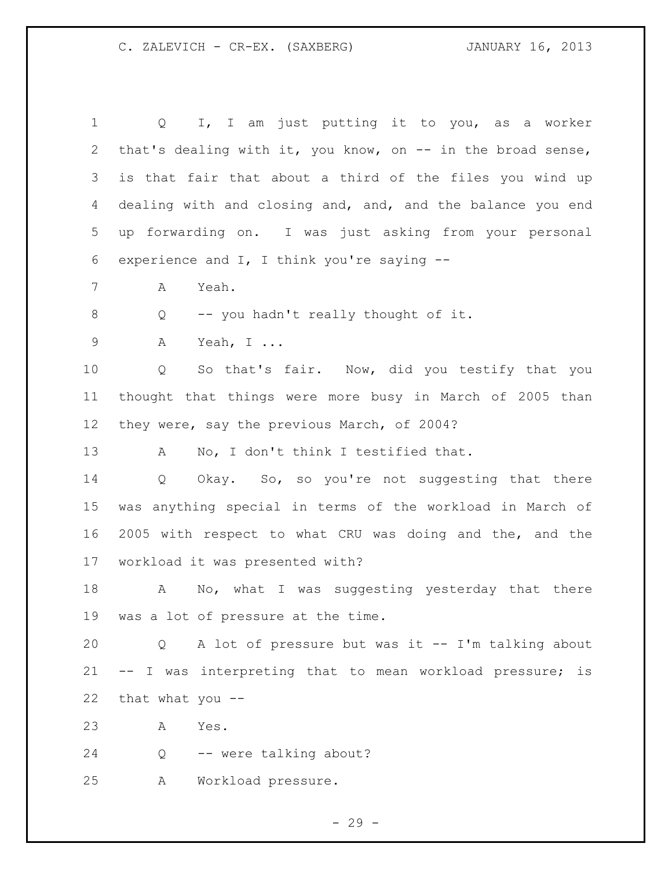| 2<br>3<br>4<br>5<br>experience and $I$ , I think you're saying $-$ -<br>6<br>7<br>Yeah.<br>Α<br>8<br>-- you hadn't really thought of it.<br>Q<br>$\mathsf 9$<br>Α<br>Yeah, $I \ldots$<br>10<br>Q<br>11<br>12<br>they were, say the previous March, of 2004?<br>13<br>No, I don't think I testified that.<br>A<br>14<br>$Q \qquad$<br>15<br>16<br>workload it was presented with?<br>17<br>18<br>$\mathbf{A}$<br>19<br>was a lot of pressure at the time.<br>20<br>Q<br>21<br>22<br>that what you --<br>23<br>Yes.<br>Α<br>24<br>-- were talking about?<br>Q<br>25<br>Workload pressure.<br>Α | $\mathbf 1$ | I, I am just putting it to you, as a worker<br>$Q \qquad \qquad$ |
|----------------------------------------------------------------------------------------------------------------------------------------------------------------------------------------------------------------------------------------------------------------------------------------------------------------------------------------------------------------------------------------------------------------------------------------------------------------------------------------------------------------------------------------------------------------------------------------------|-------------|------------------------------------------------------------------|
|                                                                                                                                                                                                                                                                                                                                                                                                                                                                                                                                                                                              |             | that's dealing with it, you know, on -- in the broad sense,      |
|                                                                                                                                                                                                                                                                                                                                                                                                                                                                                                                                                                                              |             | is that fair that about a third of the files you wind up         |
|                                                                                                                                                                                                                                                                                                                                                                                                                                                                                                                                                                                              |             | dealing with and closing and, and, and the balance you end       |
|                                                                                                                                                                                                                                                                                                                                                                                                                                                                                                                                                                                              |             | up forwarding on. I was just asking from your personal           |
|                                                                                                                                                                                                                                                                                                                                                                                                                                                                                                                                                                                              |             |                                                                  |
|                                                                                                                                                                                                                                                                                                                                                                                                                                                                                                                                                                                              |             |                                                                  |
|                                                                                                                                                                                                                                                                                                                                                                                                                                                                                                                                                                                              |             |                                                                  |
|                                                                                                                                                                                                                                                                                                                                                                                                                                                                                                                                                                                              |             |                                                                  |
|                                                                                                                                                                                                                                                                                                                                                                                                                                                                                                                                                                                              |             | So that's fair. Now, did you testify that you                    |
|                                                                                                                                                                                                                                                                                                                                                                                                                                                                                                                                                                                              |             | thought that things were more busy in March of 2005 than         |
|                                                                                                                                                                                                                                                                                                                                                                                                                                                                                                                                                                                              |             |                                                                  |
|                                                                                                                                                                                                                                                                                                                                                                                                                                                                                                                                                                                              |             |                                                                  |
|                                                                                                                                                                                                                                                                                                                                                                                                                                                                                                                                                                                              |             | Okay. So, so you're not suggesting that there                    |
|                                                                                                                                                                                                                                                                                                                                                                                                                                                                                                                                                                                              |             | was anything special in terms of the workload in March of        |
|                                                                                                                                                                                                                                                                                                                                                                                                                                                                                                                                                                                              |             | 2005 with respect to what CRU was doing and the, and the         |
|                                                                                                                                                                                                                                                                                                                                                                                                                                                                                                                                                                                              |             |                                                                  |
|                                                                                                                                                                                                                                                                                                                                                                                                                                                                                                                                                                                              |             | No, what I was suggesting yesterday that there                   |
|                                                                                                                                                                                                                                                                                                                                                                                                                                                                                                                                                                                              |             |                                                                  |
|                                                                                                                                                                                                                                                                                                                                                                                                                                                                                                                                                                                              |             | A lot of pressure but was it -- I'm talking about                |
|                                                                                                                                                                                                                                                                                                                                                                                                                                                                                                                                                                                              |             | -- I was interpreting that to mean workload pressure; is         |
|                                                                                                                                                                                                                                                                                                                                                                                                                                                                                                                                                                                              |             |                                                                  |
|                                                                                                                                                                                                                                                                                                                                                                                                                                                                                                                                                                                              |             |                                                                  |
|                                                                                                                                                                                                                                                                                                                                                                                                                                                                                                                                                                                              |             |                                                                  |
|                                                                                                                                                                                                                                                                                                                                                                                                                                                                                                                                                                                              |             |                                                                  |

- 29 -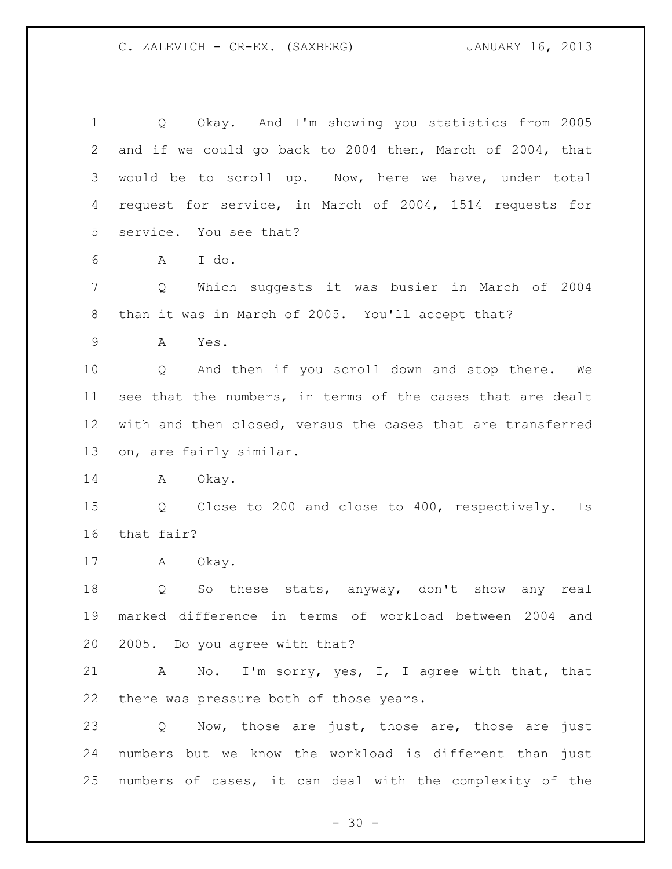Q Okay. And I'm showing you statistics from 2005 and if we could go back to 2004 then, March of 2004, that would be to scroll up. Now, here we have, under total request for service, in March of 2004, 1514 requests for service. You see that? A I do. Q Which suggests it was busier in March of 2004 than it was in March of 2005. You'll accept that? A Yes. Q And then if you scroll down and stop there. We see that the numbers, in terms of the cases that are dealt with and then closed, versus the cases that are transferred on, are fairly similar. 14 A Okay. Q Close to 200 and close to 400, respectively. Is that fair? A Okay. Q So these stats, anyway, don't show any real marked difference in terms of workload between 2004 and 2005. Do you agree with that? A No. I'm sorry, yes, I, I agree with that, that there was pressure both of those years. 23 Q Now, those are just, those are, those are just numbers but we know the workload is different than just numbers of cases, it can deal with the complexity of the

 $- 30 -$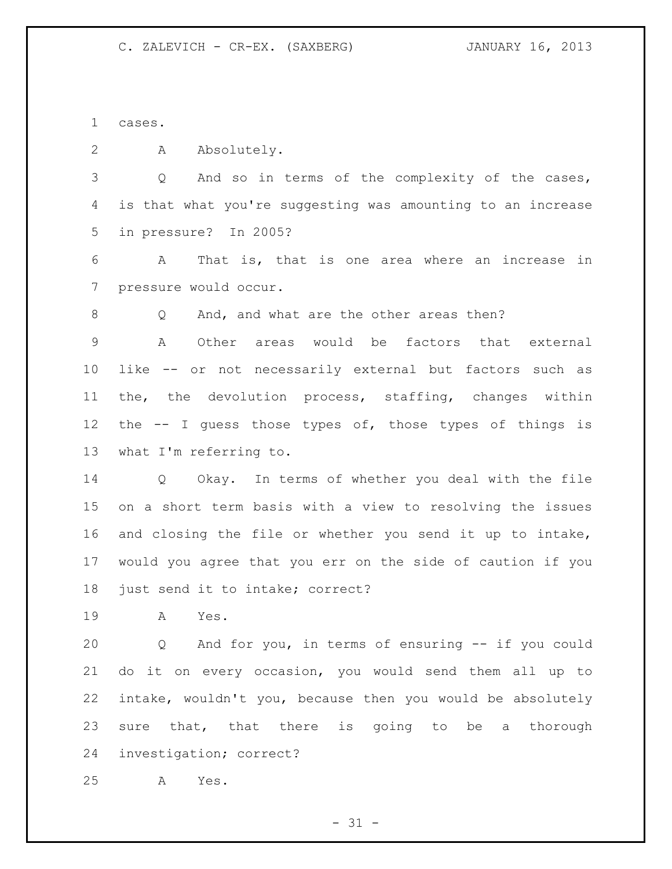cases.

A Absolutely.

 Q And so in terms of the complexity of the cases, is that what you're suggesting was amounting to an increase in pressure? In 2005?

 A That is, that is one area where an increase in pressure would occur.

8 O And, and what are the other areas then?

 A Other areas would be factors that external like -- or not necessarily external but factors such as the, the devolution process, staffing, changes within the -- I guess those types of, those types of things is what I'm referring to.

 Q Okay. In terms of whether you deal with the file on a short term basis with a view to resolving the issues and closing the file or whether you send it up to intake, would you agree that you err on the side of caution if you just send it to intake; correct?

A Yes.

 Q And for you, in terms of ensuring -- if you could do it on every occasion, you would send them all up to intake, wouldn't you, because then you would be absolutely 23 sure that, that there is going to be a thorough investigation; correct?

A Yes.

 $- 31 -$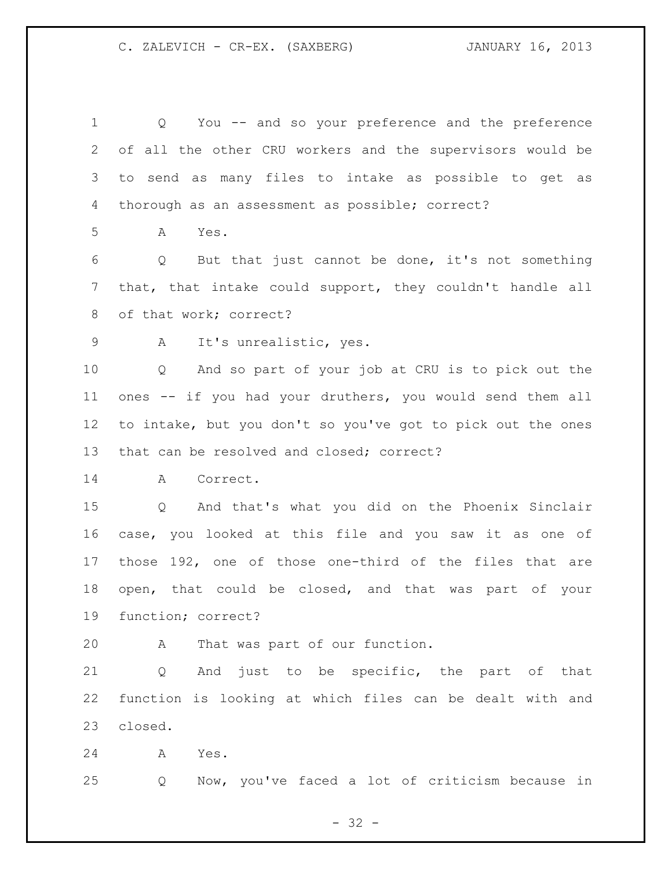Q You -- and so your preference and the preference of all the other CRU workers and the supervisors would be to send as many files to intake as possible to get as thorough as an assessment as possible; correct? A Yes. Q But that just cannot be done, it's not something that, that intake could support, they couldn't handle all 8 of that work; correct? A It's unrealistic, yes. Q And so part of your job at CRU is to pick out the ones -- if you had your druthers, you would send them all to intake, but you don't so you've got to pick out the ones that can be resolved and closed; correct? A Correct. Q And that's what you did on the Phoenix Sinclair case, you looked at this file and you saw it as one of those 192, one of those one-third of the files that are open, that could be closed, and that was part of your function; correct? A That was part of our function. Q And just to be specific, the part of that function is looking at which files can be dealt with and closed. A Yes.

- 32 -

Q Now, you've faced a lot of criticism because in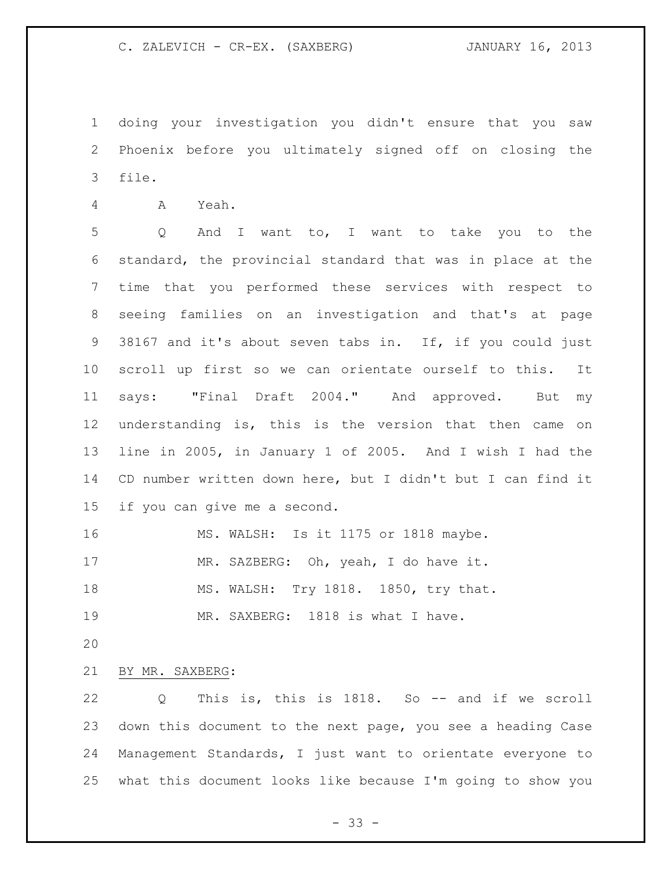doing your investigation you didn't ensure that you saw Phoenix before you ultimately signed off on closing the file.

A Yeah.

 Q And I want to, I want to take you to the standard, the provincial standard that was in place at the time that you performed these services with respect to seeing families on an investigation and that's at page 38167 and it's about seven tabs in. If, if you could just scroll up first so we can orientate ourself to this. It says: "Final Draft 2004." And approved. But my understanding is, this is the version that then came on line in 2005, in January 1 of 2005. And I wish I had the CD number written down here, but I didn't but I can find it if you can give me a second.

 MS. WALSH: Is it 1175 or 1818 maybe. MR. SAZBERG: Oh, yeah, I do have it. MS. WALSH: Try 1818. 1850, try that.

19 MR. SAXBERG: 1818 is what I have.

BY MR. SAXBERG:

 Q This is, this is 1818. So -- and if we scroll down this document to the next page, you see a heading Case Management Standards, I just want to orientate everyone to what this document looks like because I'm going to show you

 $- 33 -$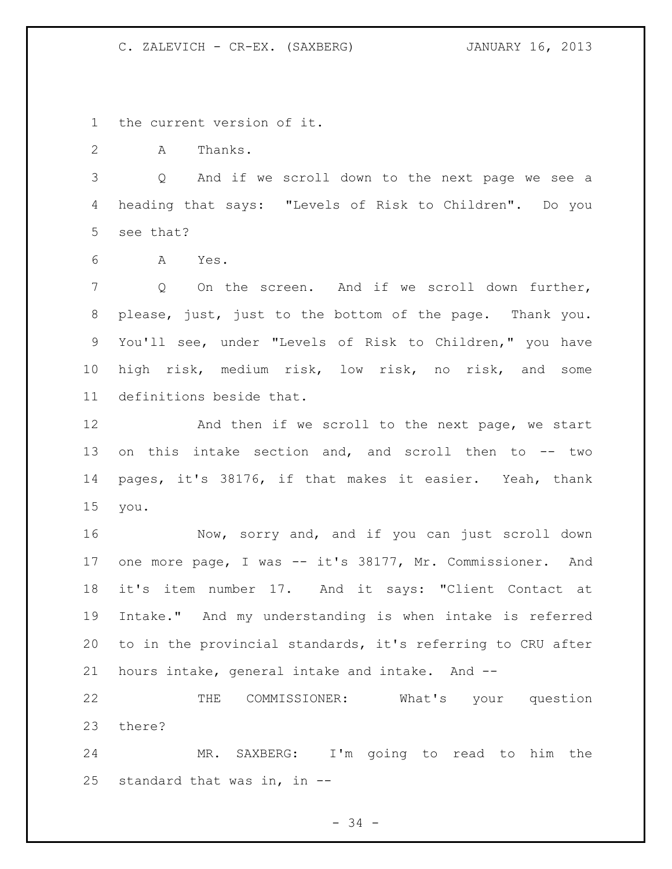the current version of it.

2 A Thanks.

 Q And if we scroll down to the next page we see a heading that says: "Levels of Risk to Children". Do you see that?

A Yes.

 Q On the screen. And if we scroll down further, please, just, just to the bottom of the page. Thank you. You'll see, under "Levels of Risk to Children," you have high risk, medium risk, low risk, no risk, and some definitions beside that.

12 And then if we scroll to the next page, we start on this intake section and, and scroll then to -- two pages, it's 38176, if that makes it easier. Yeah, thank you.

 Now, sorry and, and if you can just scroll down one more page, I was -- it's 38177, Mr. Commissioner. And it's item number 17. And it says: "Client Contact at Intake." And my understanding is when intake is referred to in the provincial standards, it's referring to CRU after hours intake, general intake and intake. And --

 THE COMMISSIONER: What's your question there?

 MR. SAXBERG: I'm going to read to him the standard that was in, in --

- 34 -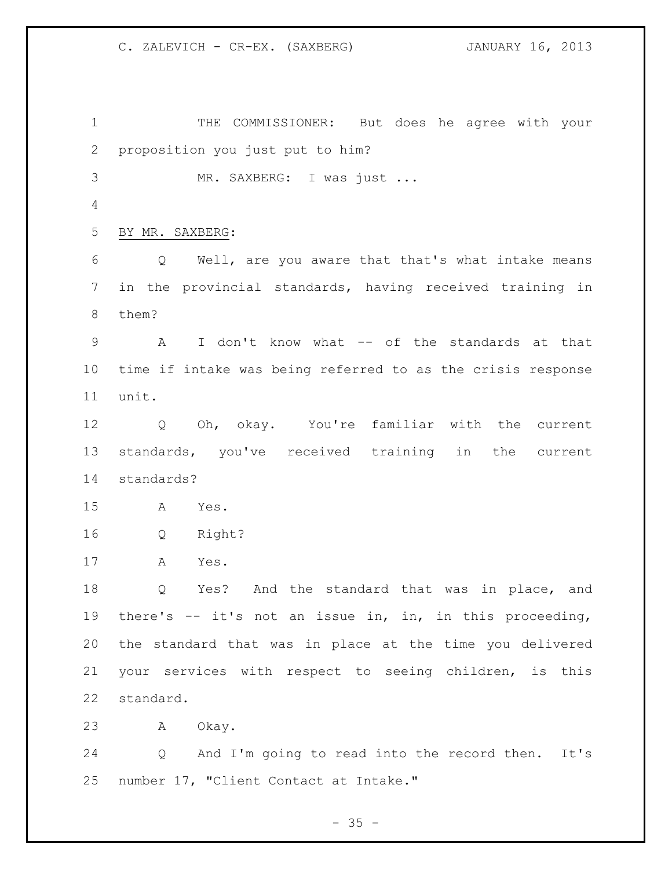THE COMMISSIONER: But does he agree with your proposition you just put to him? MR. SAXBERG: I was just ... BY MR. SAXBERG: Q Well, are you aware that that's what intake means in the provincial standards, having received training in them? A I don't know what -- of the standards at that time if intake was being referred to as the crisis response unit. Q Oh, okay. You're familiar with the current standards, you've received training in the current standards? A Yes. Q Right? A Yes. Q Yes? And the standard that was in place, and there's -- it's not an issue in, in, in this proceeding, the standard that was in place at the time you delivered your services with respect to seeing children, is this standard. A Okay. Q And I'm going to read into the record then. It's number 17, "Client Contact at Intake."

 $- 35 -$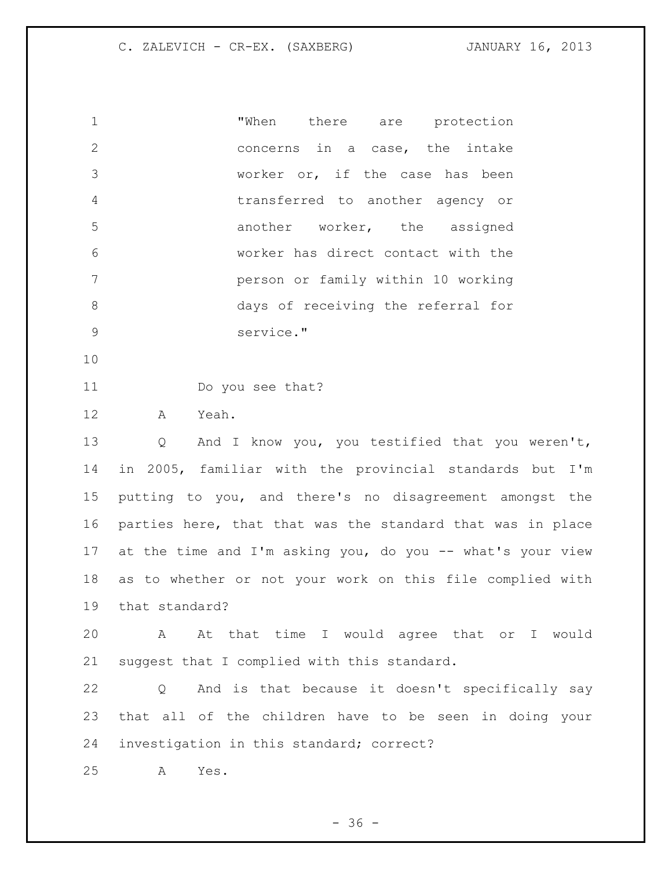| $\mathbf{1}$ |           |  | "When there are protection         |
|--------------|-----------|--|------------------------------------|
| 2            |           |  | concerns in a case, the intake     |
| 3            |           |  | worker or, if the case has been    |
| 4            |           |  | transferred to another agency or   |
| 5            |           |  | another worker, the assigned       |
| 6            |           |  | worker has direct contact with the |
| 7            |           |  | person or family within 10 working |
| 8            |           |  | days of receiving the referral for |
| 9            | service." |  |                                    |

Do you see that?

A Yeah.

 Q And I know you, you testified that you weren't, in 2005, familiar with the provincial standards but I'm putting to you, and there's no disagreement amongst the parties here, that that was the standard that was in place at the time and I'm asking you, do you -- what's your view as to whether or not your work on this file complied with that standard?

 A At that time I would agree that or I would suggest that I complied with this standard.

 Q And is that because it doesn't specifically say that all of the children have to be seen in doing your investigation in this standard; correct?

A Yes.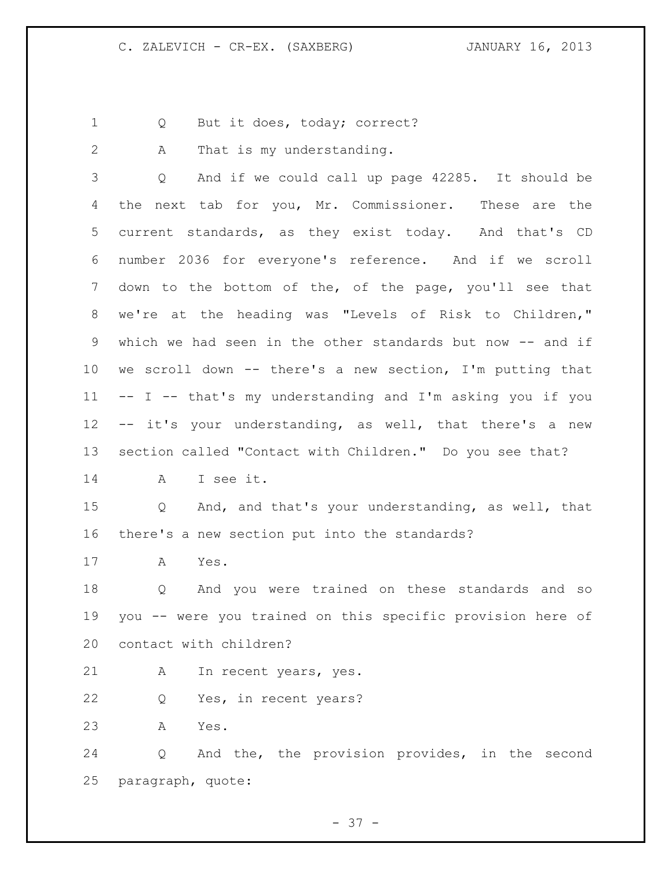- 1 Q But it does, today; correct?
- 

A That is my understanding.

 Q And if we could call up page 42285. It should be the next tab for you, Mr. Commissioner. These are the current standards, as they exist today. And that's CD number 2036 for everyone's reference. And if we scroll down to the bottom of the, of the page, you'll see that we're at the heading was "Levels of Risk to Children," which we had seen in the other standards but now -- and if we scroll down -- there's a new section, I'm putting that -- I -- that's my understanding and I'm asking you if you -- it's your understanding, as well, that there's a new section called "Contact with Children." Do you see that?

A I see it.

 Q And, and that's your understanding, as well, that there's a new section put into the standards?

A Yes.

 Q And you were trained on these standards and so you -- were you trained on this specific provision here of contact with children?

A In recent years, yes.

Q Yes, in recent years?

A Yes.

 Q And the, the provision provides, in the second paragraph, quote: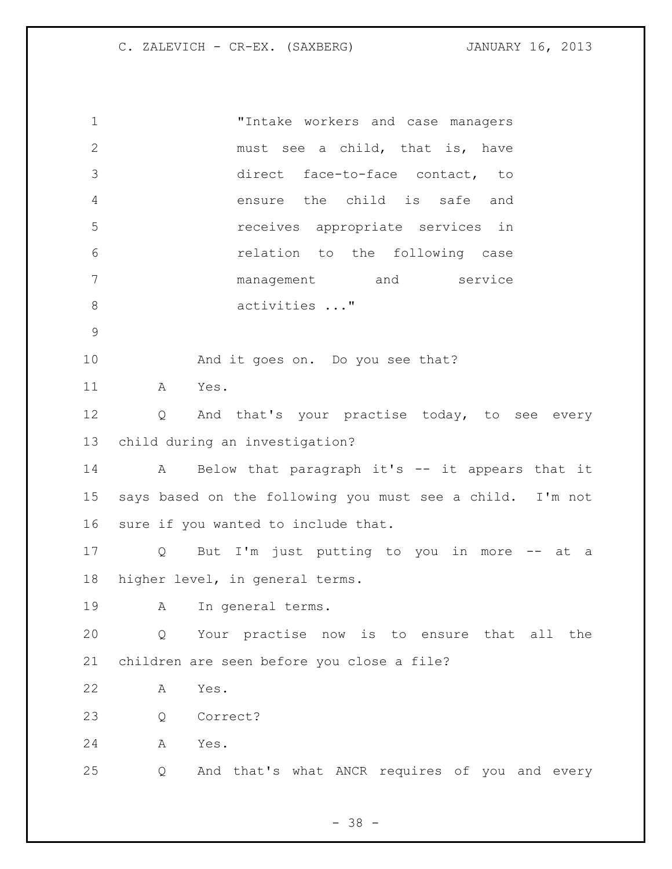"Intake workers and case managers must see a child, that is, have direct face-to-face contact, to ensure the child is safe and receives appropriate services in relation to the following case management and service 8 activities ..." And it goes on. Do you see that? A Yes. Q And that's your practise today, to see every child during an investigation? A Below that paragraph it's -- it appears that it says based on the following you must see a child. I'm not sure if you wanted to include that. Q But I'm just putting to you in more -- at a higher level, in general terms. A In general terms. Q Your practise now is to ensure that all the children are seen before you close a file? A Yes. Q Correct? A Yes. Q And that's what ANCR requires of you and every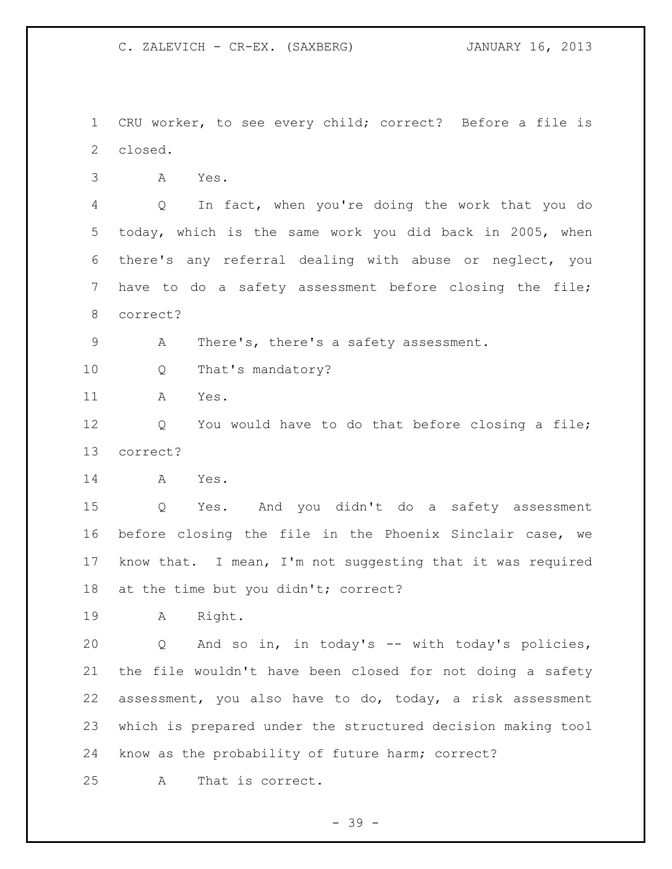CRU worker, to see every child; correct? Before a file is closed.

A Yes.

 Q In fact, when you're doing the work that you do today, which is the same work you did back in 2005, when there's any referral dealing with abuse or neglect, you have to do a safety assessment before closing the file; correct?

A There's, there's a safety assessment.

Q That's mandatory?

A Yes.

 Q You would have to do that before closing a file; correct?

A Yes.

 Q Yes. And you didn't do a safety assessment before closing the file in the Phoenix Sinclair case, we know that. I mean, I'm not suggesting that it was required at the time but you didn't; correct?

A Right.

 Q And so in, in today's -- with today's policies, the file wouldn't have been closed for not doing a safety assessment, you also have to do, today, a risk assessment which is prepared under the structured decision making tool know as the probability of future harm; correct?

A That is correct.

- 39 -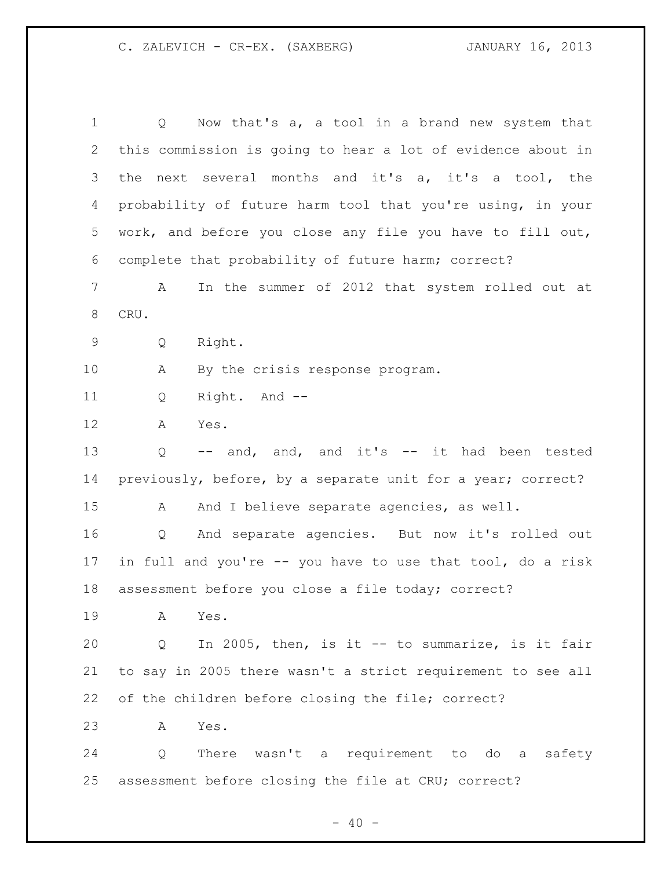Q Now that's a, a tool in a brand new system that this commission is going to hear a lot of evidence about in the next several months and it's a, it's a tool, the probability of future harm tool that you're using, in your work, and before you close any file you have to fill out, complete that probability of future harm; correct? A In the summer of 2012 that system rolled out at CRU. Q Right. A By the crisis response program. Q Right. And -- A Yes. Q -- and, and, and it's -- it had been tested previously, before, by a separate unit for a year; correct? 15 A And I believe separate agencies, as well. Q And separate agencies. But now it's rolled out in full and you're -- you have to use that tool, do a risk assessment before you close a file today; correct? A Yes. Q In 2005, then, is it -- to summarize, is it fair to say in 2005 there wasn't a strict requirement to see all of the children before closing the file; correct? A Yes. Q There wasn't a requirement to do a safety assessment before closing the file at CRU; correct?

 $- 40 -$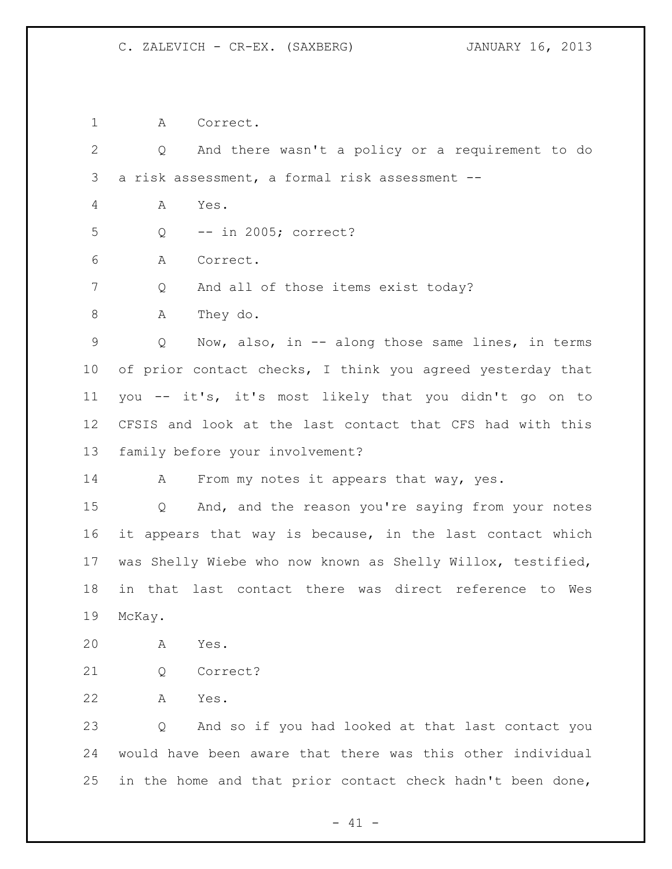A Correct.

 Q And there wasn't a policy or a requirement to do a risk assessment, a formal risk assessment -- A Yes. Q -- in 2005; correct? A Correct. 7 Q And all of those items exist today? 8 A They do. Q Now, also, in -- along those same lines, in terms 10 of prior contact checks, I think you agreed yesterday that you -- it's, it's most likely that you didn't go on to CFSIS and look at the last contact that CFS had with this family before your involvement? 14 A From my notes it appears that way, yes. Q And, and the reason you're saying from your notes it appears that way is because, in the last contact which was Shelly Wiebe who now known as Shelly Willox, testified,

 in that last contact there was direct reference to Wes McKay.

- A Yes.
- Q Correct?
- A Yes.

 Q And so if you had looked at that last contact you would have been aware that there was this other individual 25 in the home and that prior contact check hadn't been done,

 $- 41 -$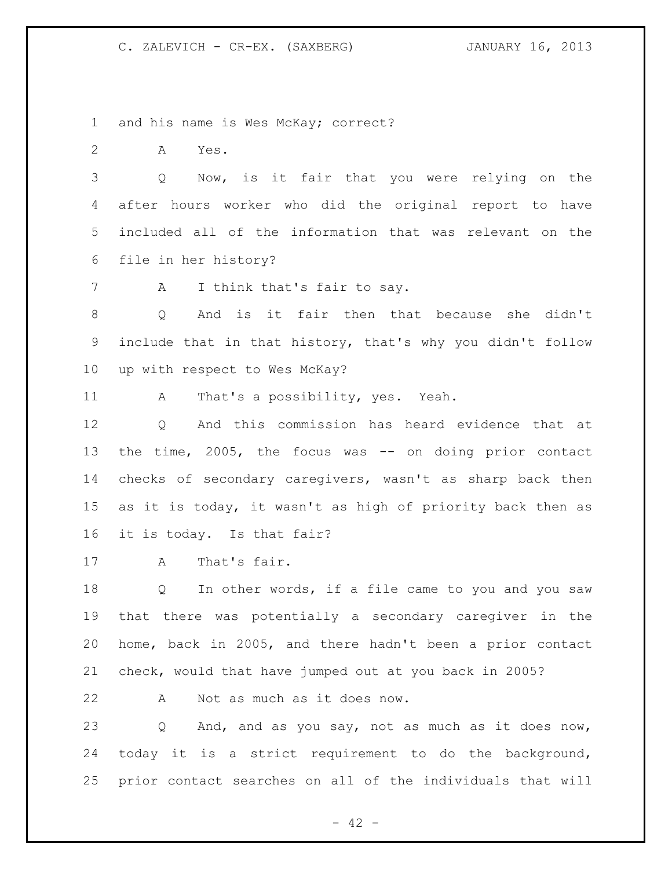and his name is Wes McKay; correct?

A Yes.

 Q Now, is it fair that you were relying on the after hours worker who did the original report to have included all of the information that was relevant on the file in her history?

7 A I think that's fair to say.

 Q And is it fair then that because she didn't include that in that history, that's why you didn't follow up with respect to Wes McKay?

A That's a possibility, yes. Yeah.

 Q And this commission has heard evidence that at the time, 2005, the focus was -- on doing prior contact checks of secondary caregivers, wasn't as sharp back then as it is today, it wasn't as high of priority back then as it is today. Is that fair?

A That's fair.

18 Q In other words, if a file came to you and you saw that there was potentially a secondary caregiver in the home, back in 2005, and there hadn't been a prior contact check, would that have jumped out at you back in 2005?

A Not as much as it does now.

 Q And, and as you say, not as much as it does now, today it is a strict requirement to do the background, prior contact searches on all of the individuals that will

 $- 42 -$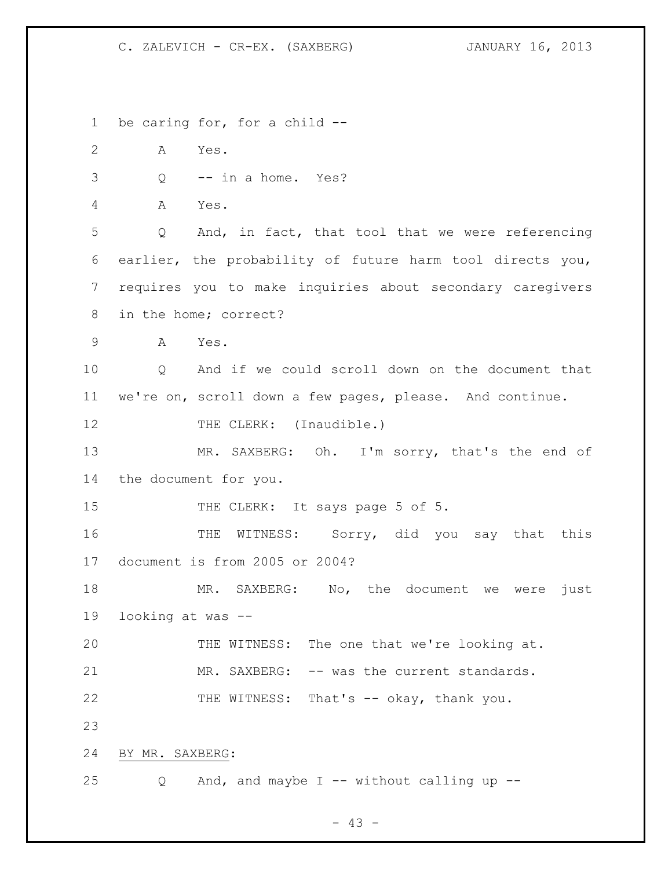be caring for, for a child -- A Yes. Q -- in a home. Yes? A Yes. Q And, in fact, that tool that we were referencing earlier, the probability of future harm tool directs you, requires you to make inquiries about secondary caregivers in the home; correct? A Yes. Q And if we could scroll down on the document that we're on, scroll down a few pages, please. And continue. 12 THE CLERK: (Inaudible.) 13 MR. SAXBERG: Oh. I'm sorry, that's the end of the document for you. 15 THE CLERK: It says page 5 of 5. 16 THE WITNESS: Sorry, did you say that this document is from 2005 or 2004? MR. SAXBERG: No, the document we were just looking at was -- THE WITNESS: The one that we're looking at. 21 MR. SAXBERG: -- was the current standards. THE WITNESS: That's -- okay, thank you. BY MR. SAXBERG: Q And, and maybe I -- without calling up --

 $- 43 -$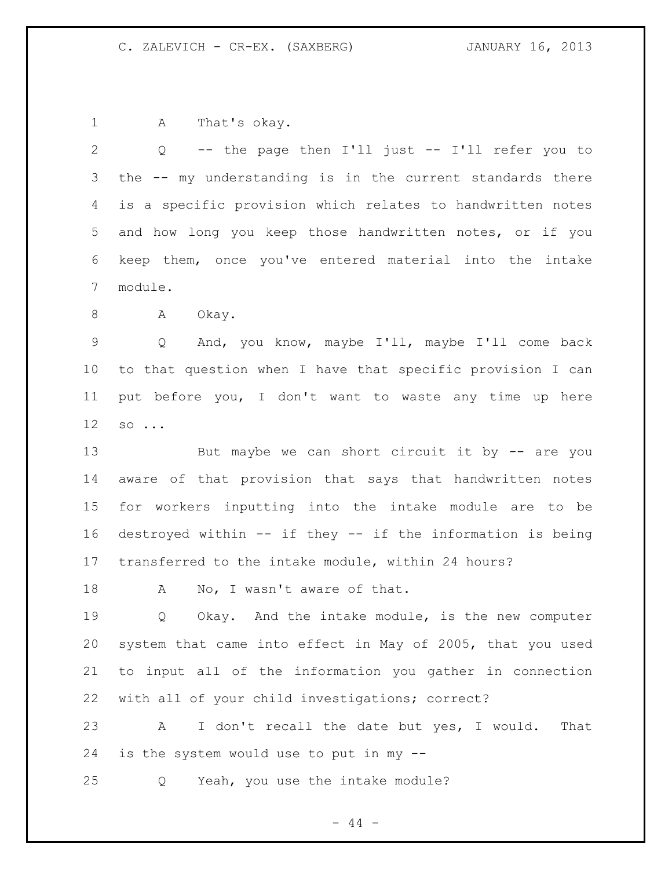A That's okay.

 Q -- the page then I'll just -- I'll refer you to the -- my understanding is in the current standards there is a specific provision which relates to handwritten notes and how long you keep those handwritten notes, or if you keep them, once you've entered material into the intake module.

8 A Okay.

 Q And, you know, maybe I'll, maybe I'll come back to that question when I have that specific provision I can put before you, I don't want to waste any time up here so ...

13 But maybe we can short circuit it by -- are you aware of that provision that says that handwritten notes for workers inputting into the intake module are to be destroyed within -- if they -- if the information is being transferred to the intake module, within 24 hours?

18 A No, I wasn't aware of that.

19 0 Okay. And the intake module, is the new computer system that came into effect in May of 2005, that you used to input all of the information you gather in connection with all of your child investigations; correct?

 A I don't recall the date but yes, I would. That is the system would use to put in my --

Q Yeah, you use the intake module?

 $-44 -$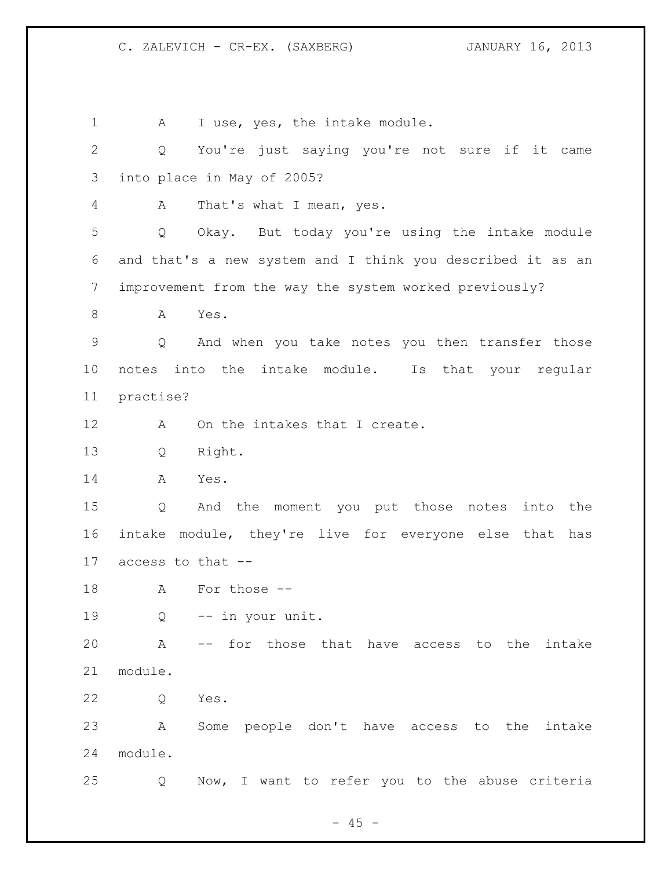1 A I use, yes, the intake module. Q You're just saying you're not sure if it came into place in May of 2005? A That's what I mean, yes. Q Okay. But today you're using the intake module and that's a new system and I think you described it as an improvement from the way the system worked previously? A Yes. Q And when you take notes you then transfer those notes into the intake module. Is that your regular practise? 12 A On the intakes that I create. Q Right. A Yes. Q And the moment you put those notes into the intake module, they're live for everyone else that has access to that -- A For those -- Q -- in your unit. A -- for those that have access to the intake module. Q Yes. A Some people don't have access to the intake module. Q Now, I want to refer you to the abuse criteria

 $- 45 -$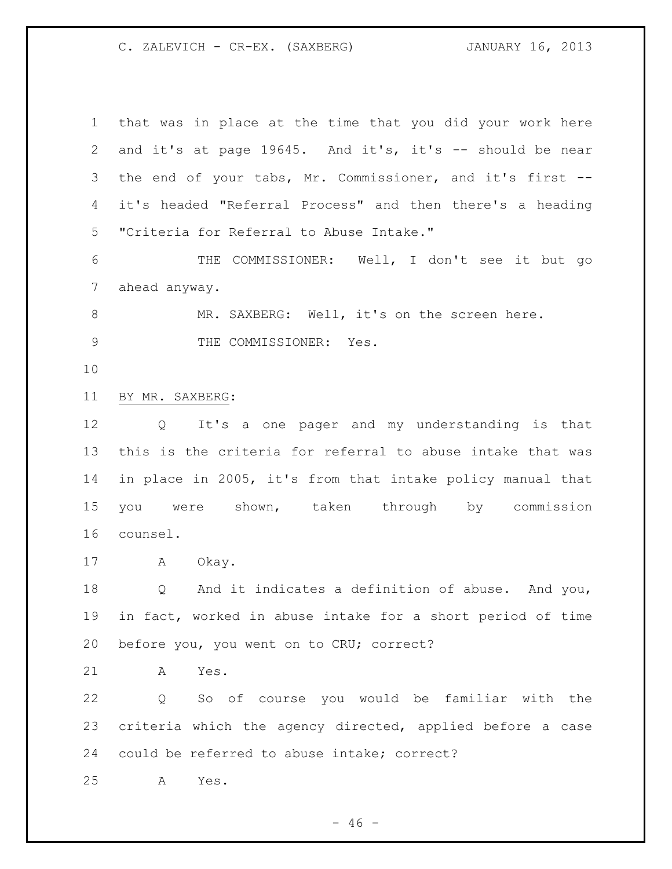that was in place at the time that you did your work here and it's at page 19645. And it's, it's -- should be near the end of your tabs, Mr. Commissioner, and it's first -- it's headed "Referral Process" and then there's a heading "Criteria for Referral to Abuse Intake." THE COMMISSIONER: Well, I don't see it but go ahead anyway. 8 MR. SAXBERG: Well, it's on the screen here. 9 THE COMMISSIONER: Yes. BY MR. SAXBERG: Q It's a one pager and my understanding is that this is the criteria for referral to abuse intake that was in place in 2005, it's from that intake policy manual that you were shown, taken through by commission counsel. A Okay. Q And it indicates a definition of abuse. And you, in fact, worked in abuse intake for a short period of time before you, you went on to CRU; correct? A Yes. Q So of course you would be familiar with the criteria which the agency directed, applied before a case could be referred to abuse intake; correct? A Yes.

 $- 46 -$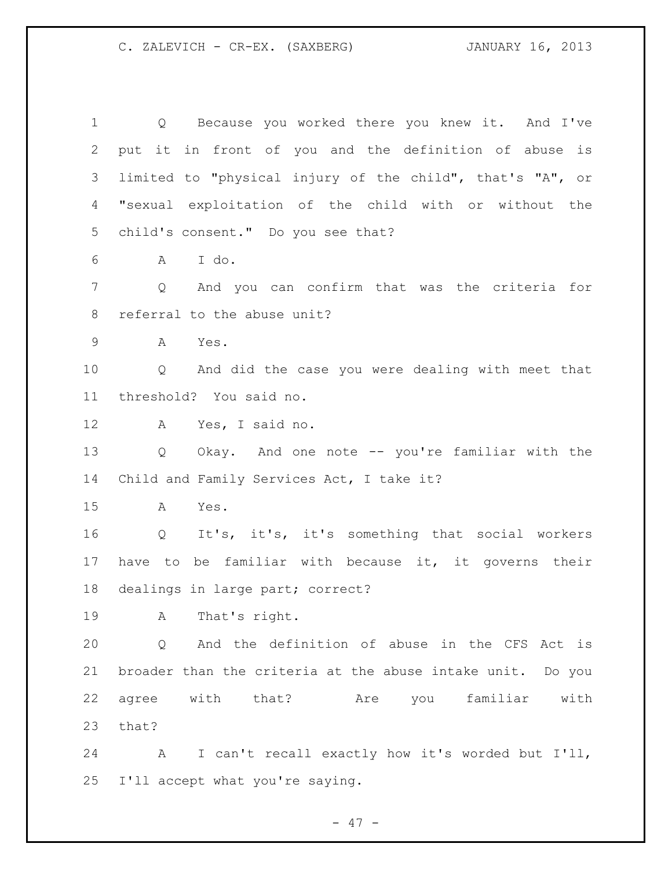Q Because you worked there you knew it. And I've put it in front of you and the definition of abuse is limited to "physical injury of the child", that's "A", or "sexual exploitation of the child with or without the child's consent." Do you see that? A I do. Q And you can confirm that was the criteria for referral to the abuse unit? A Yes. Q And did the case you were dealing with meet that threshold? You said no. A Yes, I said no. Q Okay. And one note -- you're familiar with the Child and Family Services Act, I take it? A Yes. Q It's, it's, it's something that social workers have to be familiar with because it, it governs their dealings in large part; correct? A That's right. Q And the definition of abuse in the CFS Act is broader than the criteria at the abuse intake unit. Do you agree with that? Are you familiar with that? A I can't recall exactly how it's worded but I'll, I'll accept what you're saying.

 $- 47 -$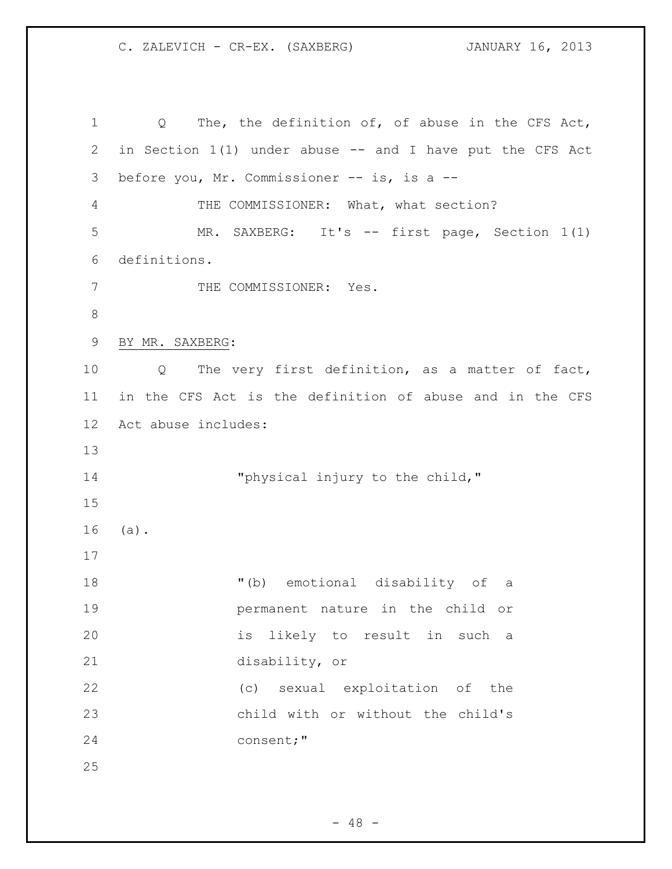Q The, the definition of, of abuse in the CFS Act, in Section 1(1) under abuse -- and I have put the CFS Act before you, Mr. Commissioner -- is, is a -- THE COMMISSIONER: What, what section? MR. SAXBERG: It's -- first page, Section 1(1) definitions. 7 THE COMMISSIONER: Yes. BY MR. SAXBERG: Q The very first definition, as a matter of fact, in the CFS Act is the definition of abuse and in the CFS Act abuse includes: 14 "physical injury to the child," (a). "(b) emotional disability of a permanent nature in the child or is likely to result in such a disability, or (c) sexual exploitation of the child with or without the child's consent;"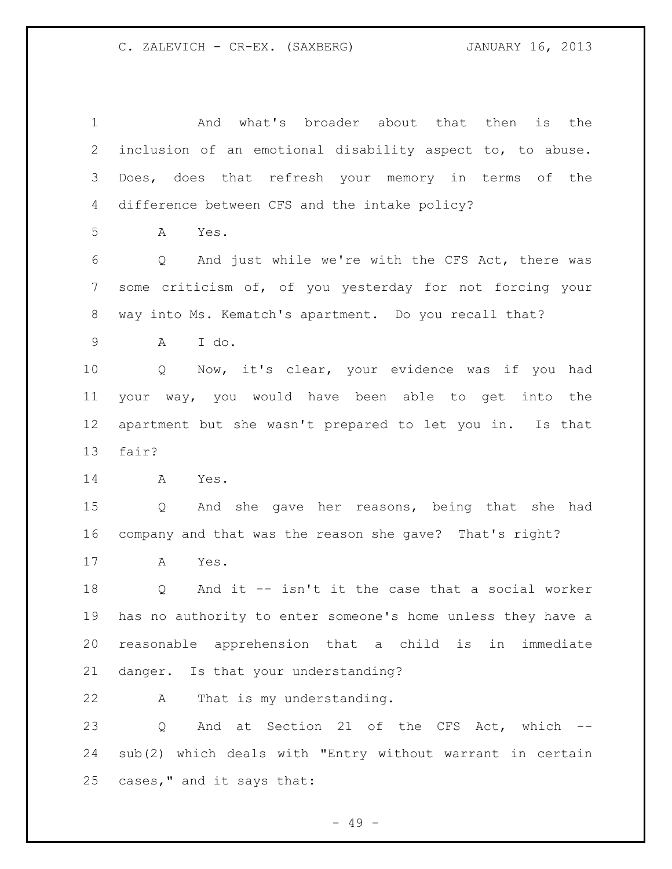And what's broader about that then is the inclusion of an emotional disability aspect to, to abuse. Does, does that refresh your memory in terms of the difference between CFS and the intake policy? A Yes. Q And just while we're with the CFS Act, there was some criticism of, of you yesterday for not forcing your way into Ms. Kematch's apartment. Do you recall that? A I do. Q Now, it's clear, your evidence was if you had your way, you would have been able to get into the apartment but she wasn't prepared to let you in. Is that fair? A Yes. Q And she gave her reasons, being that she had company and that was the reason she gave? That's right? A Yes. Q And it -- isn't it the case that a social worker has no authority to enter someone's home unless they have a reasonable apprehension that a child is in immediate danger. Is that your understanding? A That is my understanding. 23 Q And at Section 21 of the CFS Act, which -- sub(2) which deals with "Entry without warrant in certain cases," and it says that:

- 49 -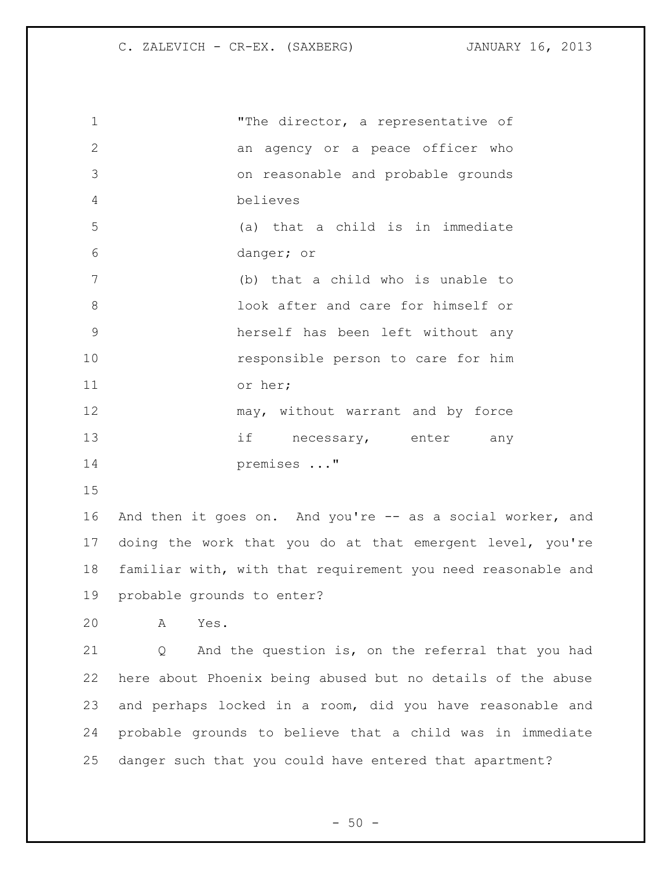| $\mathbf 1$     | "The director, a representative of                           |
|-----------------|--------------------------------------------------------------|
| $\overline{2}$  | an agency or a peace officer who                             |
| 3               | on reasonable and probable grounds                           |
| $\overline{4}$  | believes                                                     |
| 5               | (a) that a child is in immediate                             |
| 6               | danger; or                                                   |
| $7\phantom{.0}$ | (b) that a child who is unable to                            |
| 8               | look after and care for himself or                           |
| $\mathcal{G}$   | herself has been left without any                            |
| 10              | responsible person to care for him                           |
| 11              | or her;                                                      |
| 12              | may, without warrant and by force                            |
| 13              | if<br>necessary, enter<br>any                                |
| 14              | premises "                                                   |
| 15              |                                                              |
| 16              | And then it goes on. And you're -- as a social worker, and   |
| 17              | doing the work that you do at that emergent level, you're    |
| 18              | familiar with, with that requirement you need reasonable and |
| 19              | probable grounds to enter?                                   |
| 20              | A Yes.                                                       |

 Q And the question is, on the referral that you had here about Phoenix being abused but no details of the abuse and perhaps locked in a room, did you have reasonable and probable grounds to believe that a child was in immediate danger such that you could have entered that apartment?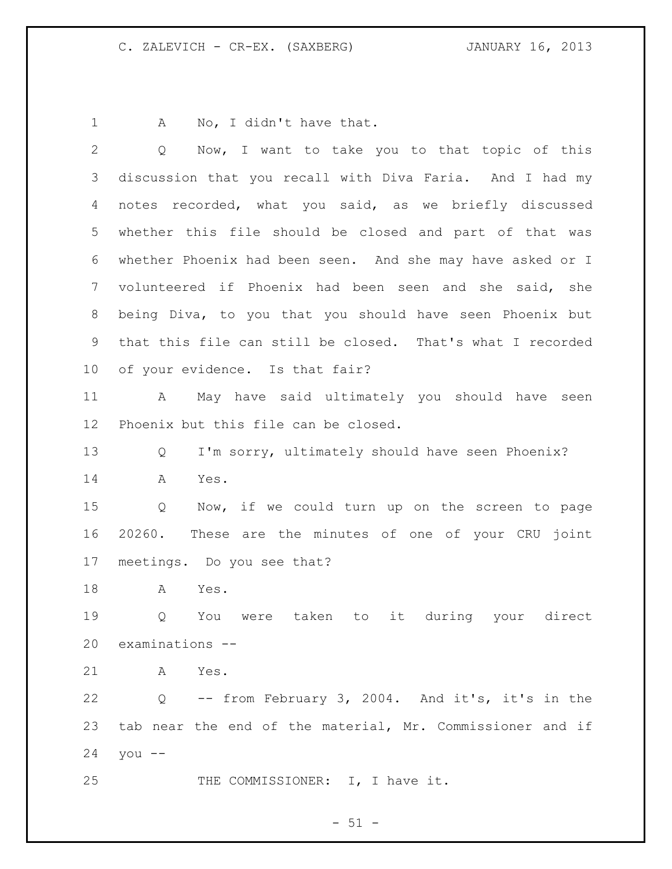1 A No, I didn't have that.

| $\overline{2}$  | Now, I want to take you to that topic of this<br>$Q \qquad \qquad$ |
|-----------------|--------------------------------------------------------------------|
| 3               | discussion that you recall with Diva Faria. And I had my           |
| 4               | notes recorded, what you said, as we briefly discussed             |
| 5               | whether this file should be closed and part of that was            |
| 6               | whether Phoenix had been seen. And she may have asked or I         |
| $7\phantom{.0}$ | volunteered if Phoenix had been seen and she said, she             |
| 8               | being Diva, to you that you should have seen Phoenix but           |
| 9               | that this file can still be closed. That's what I recorded         |
| 10              | of your evidence. Is that fair?                                    |
| 11              | May have said ultimately you should have seen<br>A                 |
| 12 <sup>°</sup> | Phoenix but this file can be closed.                               |
| 13              | I'm sorry, ultimately should have seen Phoenix?<br>Q               |
| 14              | Yes.<br>A                                                          |
| 15              | Q<br>Now, if we could turn up on the screen to page                |
| 16              | 20260. These are the minutes of one of your CRU joint              |
| 17              | meetings. Do you see that?                                         |
| 18              | Yes.<br>A                                                          |
| 19              | it during your direct<br>were taken to<br>Q<br>You                 |
| 20              | examinations --                                                    |
| 21              | Yes.<br>A                                                          |
| 22              | -- from February 3, 2004. And it's, it's in the<br>Q               |
| 23              | tab near the end of the material, Mr. Commissioner and if          |
| 24              | you $--$                                                           |
| 25              | THE COMMISSIONER: I, I have it.                                    |

 $- 51 -$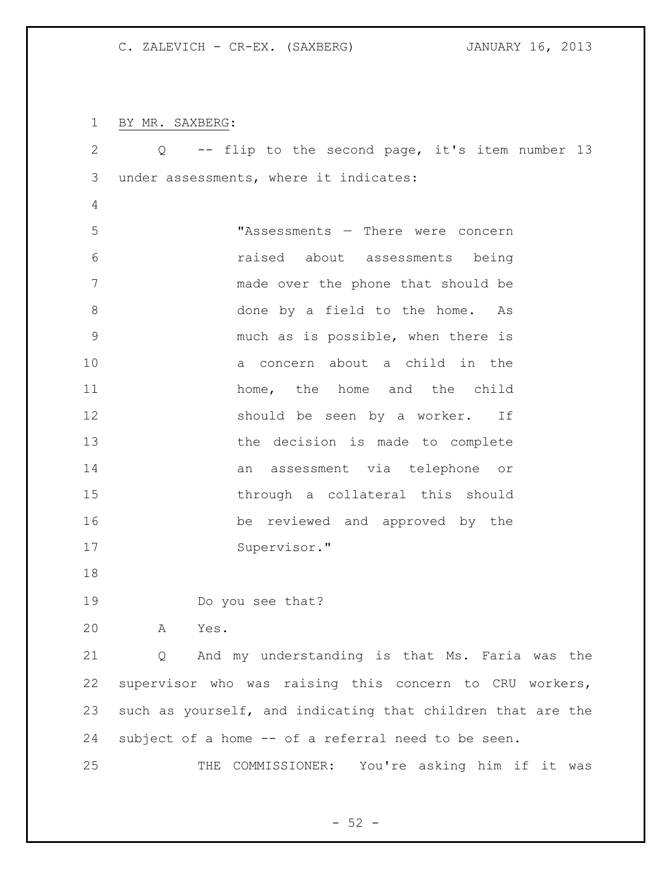BY MR. SAXBERG:

| $\mathbf{2}$   | Q -- flip to the second page, it's item number 13           |
|----------------|-------------------------------------------------------------|
| 3              | under assessments, where it indicates:                      |
| $\overline{4}$ |                                                             |
| 5              | "Assessments - There were concern                           |
| 6              | raised about assessments being                              |
| 7              | made over the phone that should be                          |
| $\,8\,$        | done by a field to the home. As                             |
| $\mathcal{G}$  | much as is possible, when there is                          |
| 10             | a concern about a child in the                              |
| 11             | home, the home and the child                                |
| 12             | should be seen by a worker. If                              |
| 13             | the decision is made to complete                            |
| 14             | an assessment via telephone or                              |
| 15             | through a collateral this should                            |
| 16             | be reviewed and approved by the                             |
| 17             | Supervisor."                                                |
| 18             |                                                             |
| 19             | Do you see that?                                            |
| 20             | Α<br>Yes.                                                   |
| 21             | And my understanding is that Ms. Faria was the<br>$\circ$   |
| 22             | supervisor who was raising this concern to CRU workers,     |
| 23             | such as yourself, and indicating that children that are the |
| 24             | subject of a home -- of a referral need to be seen.         |
| 25             | COMMISSIONER:<br>You're asking him if it was<br>THE         |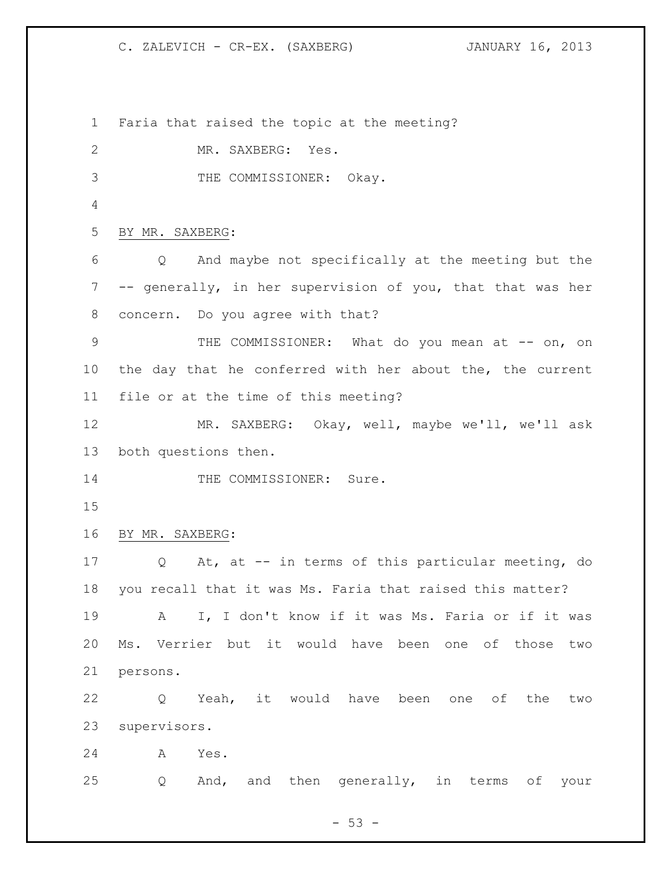Faria that raised the topic at the meeting? MR. SAXBERG: Yes. THE COMMISSIONER: Okay. BY MR. SAXBERG: Q And maybe not specifically at the meeting but the -- generally, in her supervision of you, that that was her concern. Do you agree with that? 9 THE COMMISSIONER: What do you mean at -- on, on the day that he conferred with her about the, the current file or at the time of this meeting? MR. SAXBERG: Okay, well, maybe we'll, we'll ask both questions then. 14 THE COMMISSIONER: Sure. BY MR. SAXBERG: Q At, at -- in terms of this particular meeting, do you recall that it was Ms. Faria that raised this matter? A I, I don't know if it was Ms. Faria or if it was Ms. Verrier but it would have been one of those two persons. Q Yeah, it would have been one of the two supervisors. A Yes. Q And, and then generally, in terms of your

 $-53 -$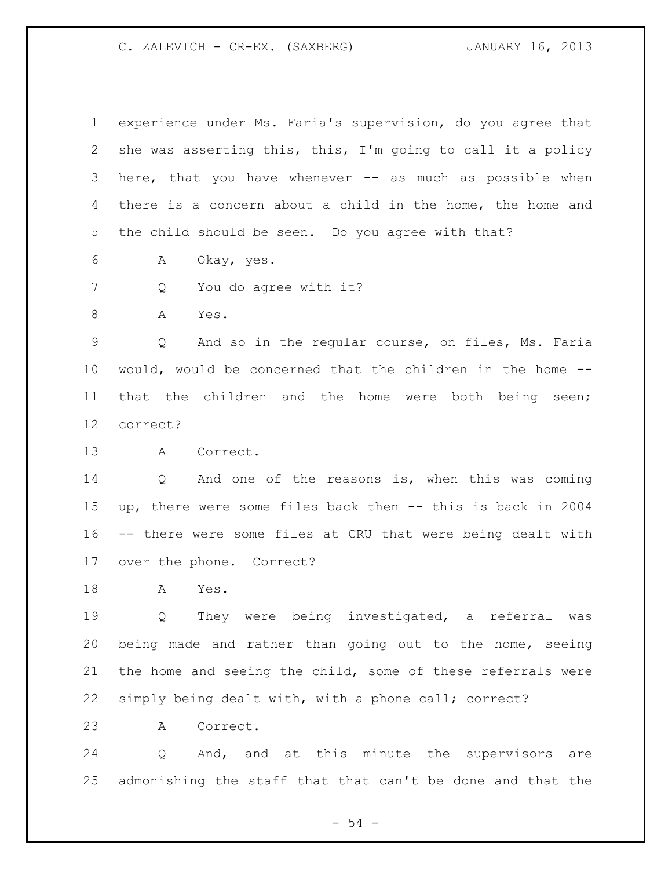experience under Ms. Faria's supervision, do you agree that she was asserting this, this, I'm going to call it a policy 3 here, that you have whenever -- as much as possible when there is a concern about a child in the home, the home and the child should be seen. Do you agree with that? A Okay, yes. 7 Q You do agree with it? 8 A Yes. Q And so in the regular course, on files, Ms. Faria would, would be concerned that the children in the home -- that the children and the home were both being seen; correct? A Correct. Q And one of the reasons is, when this was coming up, there were some files back then -- this is back in 2004 -- there were some files at CRU that were being dealt with over the phone. Correct? A Yes. Q They were being investigated, a referral was being made and rather than going out to the home, seeing the home and seeing the child, some of these referrals were simply being dealt with, with a phone call; correct? A Correct.

 Q And, and at this minute the supervisors are admonishing the staff that that can't be done and that the

 $-54 -$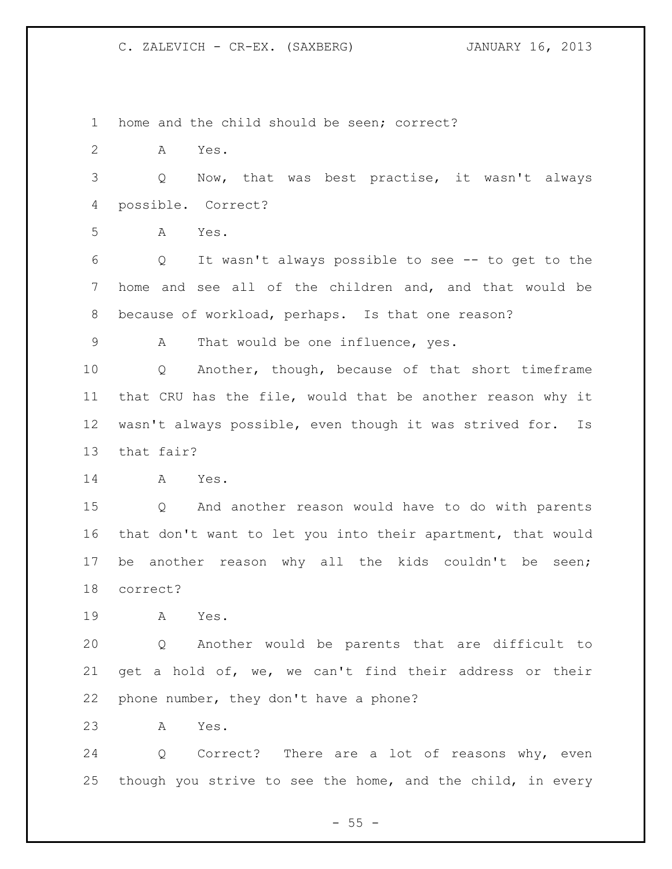home and the child should be seen; correct? A Yes. Q Now, that was best practise, it wasn't always possible. Correct? A Yes. Q It wasn't always possible to see -- to get to the home and see all of the children and, and that would be because of workload, perhaps. Is that one reason? A That would be one influence, yes. Q Another, though, because of that short timeframe that CRU has the file, would that be another reason why it wasn't always possible, even though it was strived for. Is that fair? A Yes. Q And another reason would have to do with parents that don't want to let you into their apartment, that would be another reason why all the kids couldn't be seen; correct? A Yes. Q Another would be parents that are difficult to get a hold of, we, we can't find their address or their phone number, they don't have a phone? A Yes. Q Correct? There are a lot of reasons why, even though you strive to see the home, and the child, in every

 $-55 -$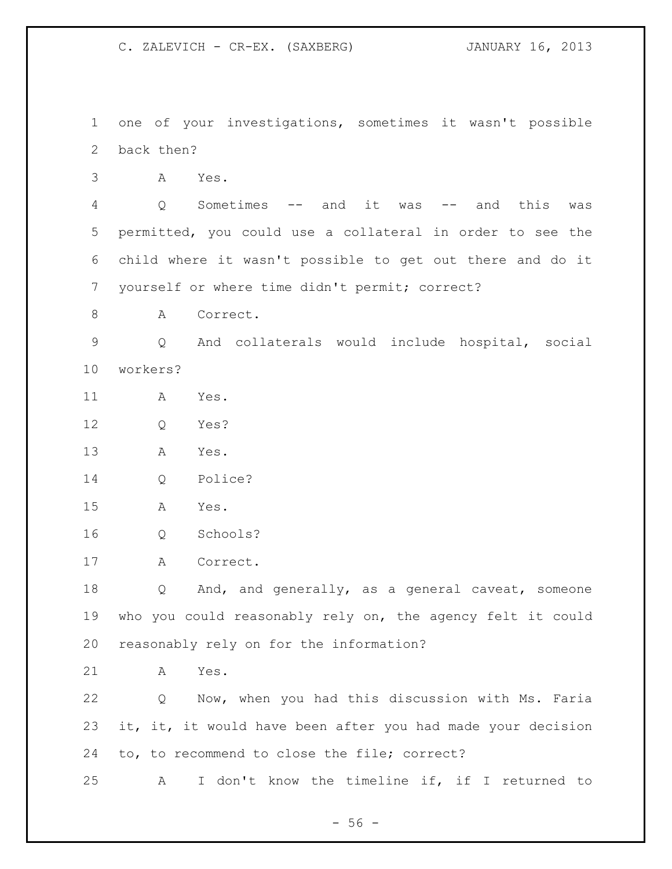one of your investigations, sometimes it wasn't possible back then? A Yes. Q Sometimes -- and it was -- and this was permitted, you could use a collateral in order to see the child where it wasn't possible to get out there and do it yourself or where time didn't permit; correct? 8 A Correct. Q And collaterals would include hospital, social workers? A Yes. Q Yes? A Yes. Q Police? A Yes. Q Schools? A Correct. Q And, and generally, as a general caveat, someone who you could reasonably rely on, the agency felt it could reasonably rely on for the information? A Yes. Q Now, when you had this discussion with Ms. Faria 23 it, it, it would have been after you had made your decision to, to recommend to close the file; correct? A I don't know the timeline if, if I returned to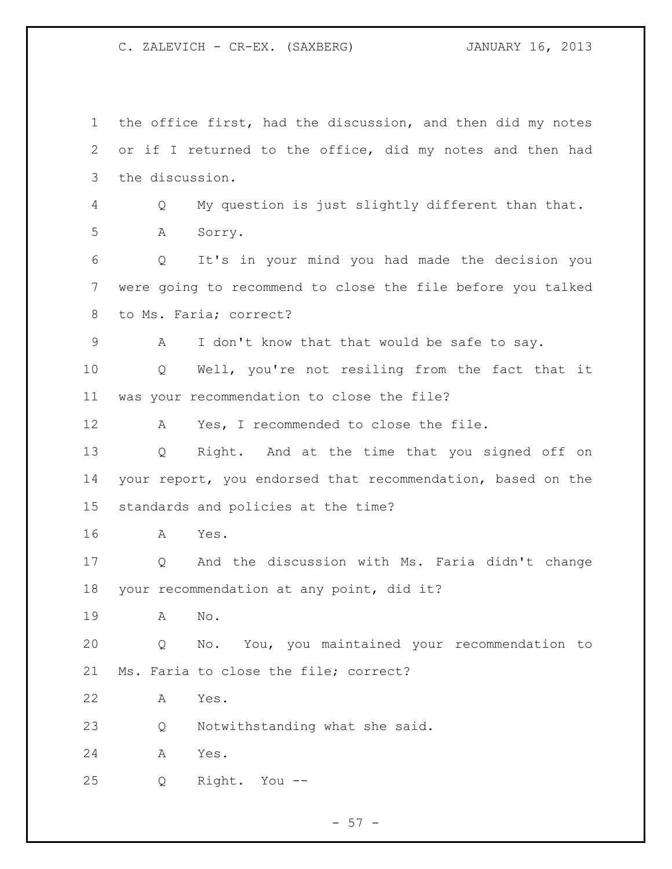the office first, had the discussion, and then did my notes or if I returned to the office, did my notes and then had the discussion. Q My question is just slightly different than that. A Sorry. Q It's in your mind you had made the decision you were going to recommend to close the file before you talked to Ms. Faria; correct? A I don't know that that would be safe to say. Q Well, you're not resiling from the fact that it was your recommendation to close the file? A Yes, I recommended to close the file. Q Right. And at the time that you signed off on your report, you endorsed that recommendation, based on the standards and policies at the time? A Yes. Q And the discussion with Ms. Faria didn't change your recommendation at any point, did it? A No. Q No. You, you maintained your recommendation to Ms. Faria to close the file; correct? A Yes. Q Notwithstanding what she said. A Yes. Q Right. You --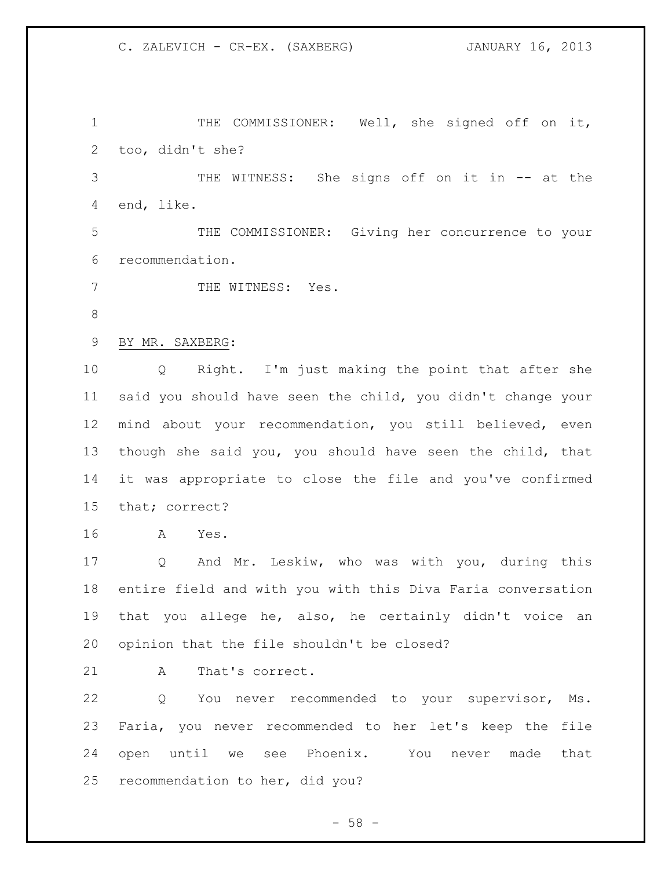THE COMMISSIONER: Well, she signed off on it, too, didn't she?

 THE WITNESS: She signs off on it in -- at the end, like.

 THE COMMISSIONER: Giving her concurrence to your recommendation.

7 THE WITNESS: Yes.

BY MR. SAXBERG:

 Q Right. I'm just making the point that after she said you should have seen the child, you didn't change your mind about your recommendation, you still believed, even though she said you, you should have seen the child, that it was appropriate to close the file and you've confirmed that; correct?

A Yes.

 Q And Mr. Leskiw, who was with you, during this entire field and with you with this Diva Faria conversation that you allege he, also, he certainly didn't voice an opinion that the file shouldn't be closed?

21 A That's correct.

 Q You never recommended to your supervisor, Ms. Faria, you never recommended to her let's keep the file open until we see Phoenix. You never made that recommendation to her, did you?

 $-58 -$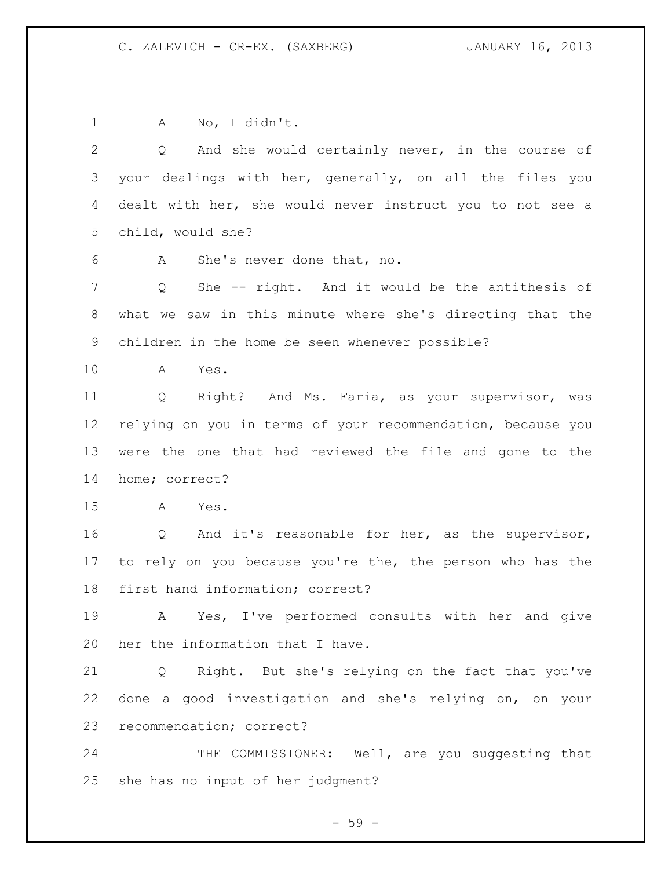A No, I didn't. Q And she would certainly never, in the course of your dealings with her, generally, on all the files you dealt with her, she would never instruct you to not see a child, would she? A She's never done that, no. Q She -- right. And it would be the antithesis of what we saw in this minute where she's directing that the children in the home be seen whenever possible? A Yes. Q Right? And Ms. Faria, as your supervisor, was relying on you in terms of your recommendation, because you were the one that had reviewed the file and gone to the home; correct? A Yes. Q And it's reasonable for her, as the supervisor, to rely on you because you're the, the person who has the first hand information; correct? A Yes, I've performed consults with her and give her the information that I have. Q Right. But she's relying on the fact that you've done a good investigation and she's relying on, on your recommendation; correct? 24 THE COMMISSIONER: Well, are you suggesting that she has no input of her judgment?

 $-59 -$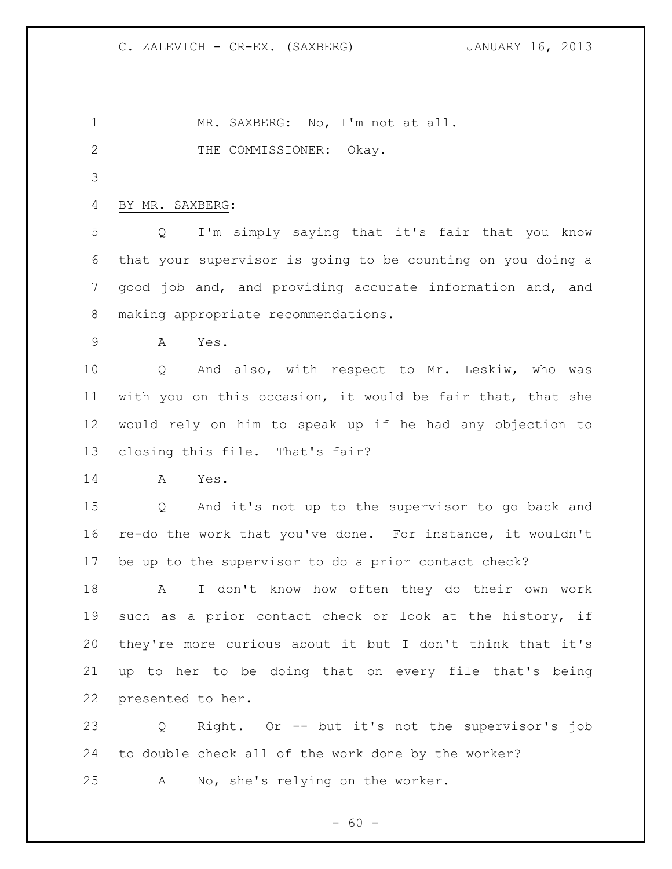1 MR. SAXBERG: No, I'm not at all. 2 THE COMMISSIONER: Okay. BY MR. SAXBERG: Q I'm simply saying that it's fair that you know that your supervisor is going to be counting on you doing a good job and, and providing accurate information and, and making appropriate recommendations. A Yes. Q And also, with respect to Mr. Leskiw, who was with you on this occasion, it would be fair that, that she would rely on him to speak up if he had any objection to closing this file. That's fair? A Yes. Q And it's not up to the supervisor to go back and re-do the work that you've done. For instance, it wouldn't be up to the supervisor to do a prior contact check? A I don't know how often they do their own work such as a prior contact check or look at the history, if they're more curious about it but I don't think that it's up to her to be doing that on every file that's being presented to her. Q Right. Or -- but it's not the supervisor's job to double check all of the work done by the worker? A No, she's relying on the worker.

 $- 60 -$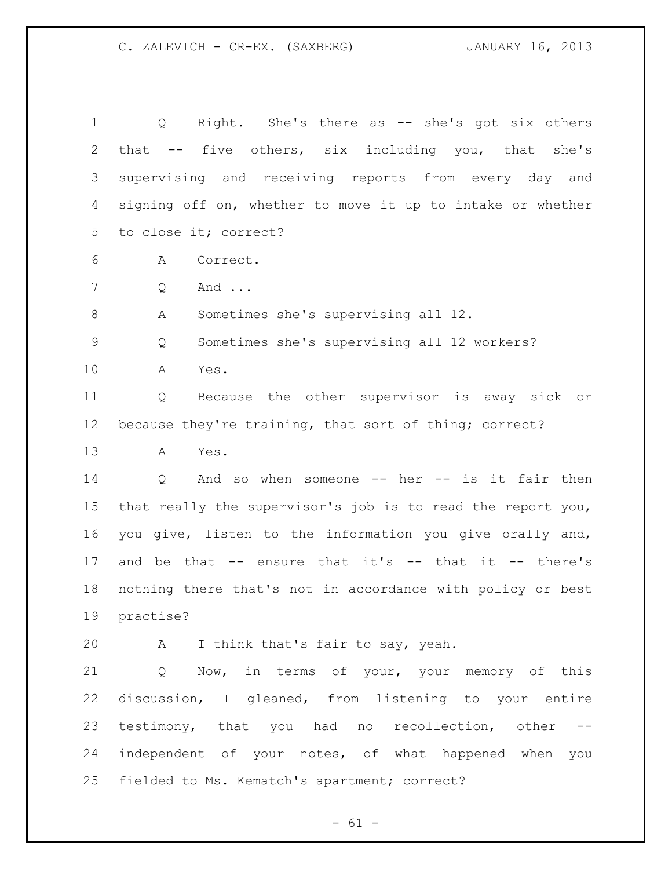| $\mathbf 1$    | Right. She's there as -- she's got six others<br>$Q \qquad \qquad$ |
|----------------|--------------------------------------------------------------------|
| $\overline{2}$ | that -- five others, six including you, that she's                 |
| 3              | supervising and receiving reports from every day and               |
| $\overline{4}$ | signing off on, whether to move it up to intake or whether         |
| 5 <sup>1</sup> | to close it; correct?                                              |
| 6              | Α<br>Correct.                                                      |
| $7\phantom{.}$ | And<br>Q                                                           |
| 8              | Sometimes she's supervising all 12.<br>Α                           |
| $\mathsf 9$    | Sometimes she's supervising all 12 workers?<br>Q                   |
| 10             | A<br>Yes.                                                          |
| 11             | Because the other supervisor is away sick or<br>Q                  |
| 12             | because they're training, that sort of thing; correct?             |
| 13             | A<br>Yes.                                                          |
| 14             | And so when someone -- her -- is it fair then<br>$Q \qquad \qquad$ |
| 15             | that really the supervisor's job is to read the report you,        |
| 16             | you give, listen to the information you give orally and,           |
| 17             | and be that $--$ ensure that it's $--$ that it $--$ there's        |
| 18             | nothing there that's not in accordance with policy or best         |
| 19             | practise?                                                          |
| 20             | A<br>I think that's fair to say, yeah.                             |
| 21             | Now, in terms of your, your memory of this<br>Q                    |
| 22             | discussion, I gleaned, from listening to your entire               |
| 23             | testimony, that you had no recollection, other --                  |
| 24             | independent of your notes, of what happened when you               |
| 25             | fielded to Ms. Kematch's apartment; correct?                       |

- 61 -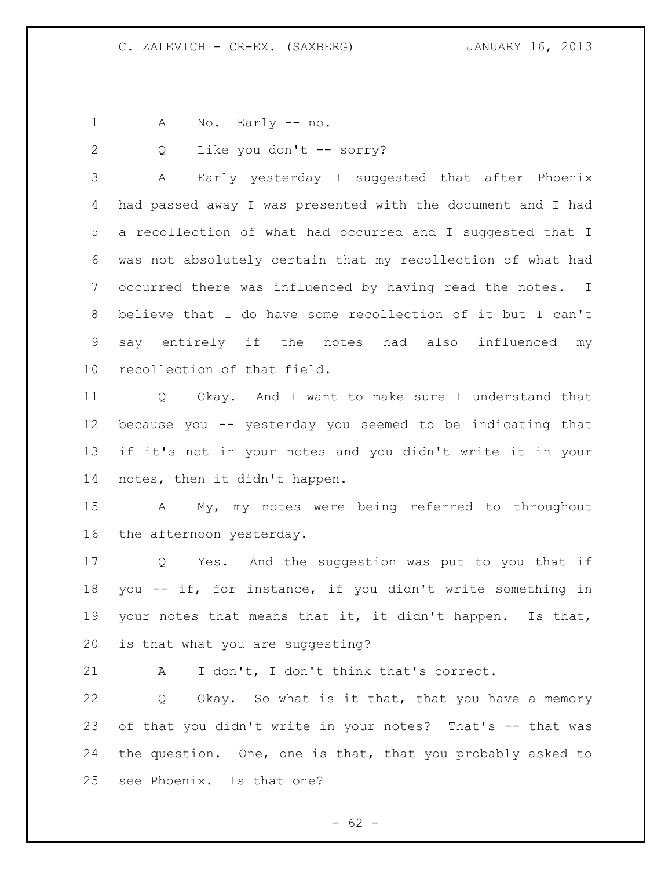A No. Early -- no.

2 Q Like you don't -- sorry?

 A Early yesterday I suggested that after Phoenix had passed away I was presented with the document and I had a recollection of what had occurred and I suggested that I was not absolutely certain that my recollection of what had occurred there was influenced by having read the notes. I believe that I do have some recollection of it but I can't say entirely if the notes had also influenced my recollection of that field.

 Q Okay. And I want to make sure I understand that because you -- yesterday you seemed to be indicating that if it's not in your notes and you didn't write it in your notes, then it didn't happen.

 A My, my notes were being referred to throughout the afternoon yesterday.

 Q Yes. And the suggestion was put to you that if you -- if, for instance, if you didn't write something in your notes that means that it, it didn't happen. Is that, is that what you are suggesting?

A I don't, I don't think that's correct.

 Q Okay. So what is it that, that you have a memory of that you didn't write in your notes? That's -- that was the question. One, one is that, that you probably asked to see Phoenix. Is that one?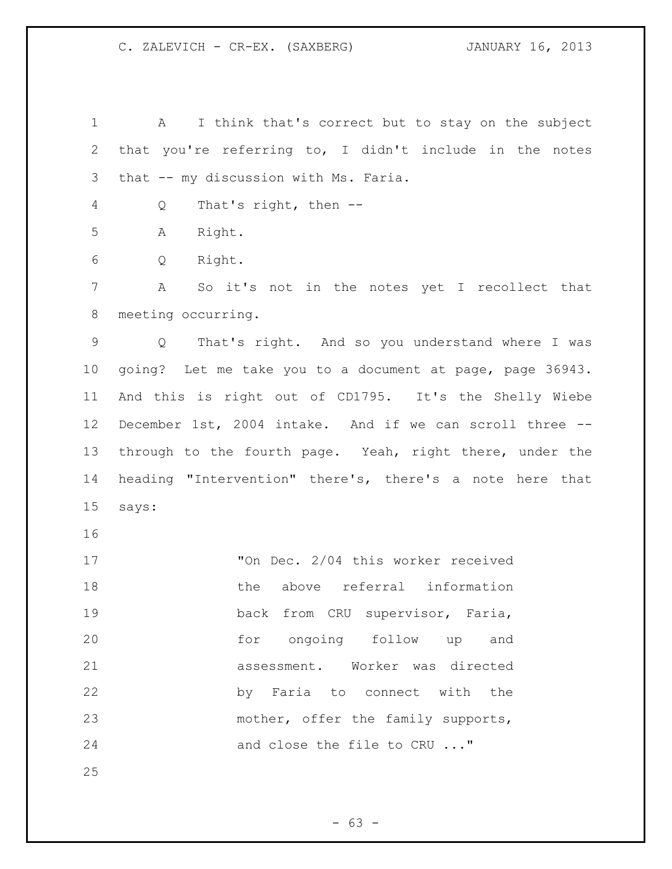1 A I think that's correct but to stay on the subject that you're referring to, I didn't include in the notes that -- my discussion with Ms. Faria. Q That's right, then -- A Right. Q Right. A So it's not in the notes yet I recollect that meeting occurring. Q That's right. And so you understand where I was going? Let me take you to a document at page, page 36943. And this is right out of CD1795. It's the Shelly Wiebe December 1st, 2004 intake. And if we can scroll three -- through to the fourth page. Yeah, right there, under the heading "Intervention" there's, there's a note here that says: "On Dec. 2/04 this worker received the above referral information 19 back from CRU supervisor, Faria, for ongoing follow up and assessment. Worker was directed by Faria to connect with the 23 mother, offer the family supports, 24 and close the file to CRU ..."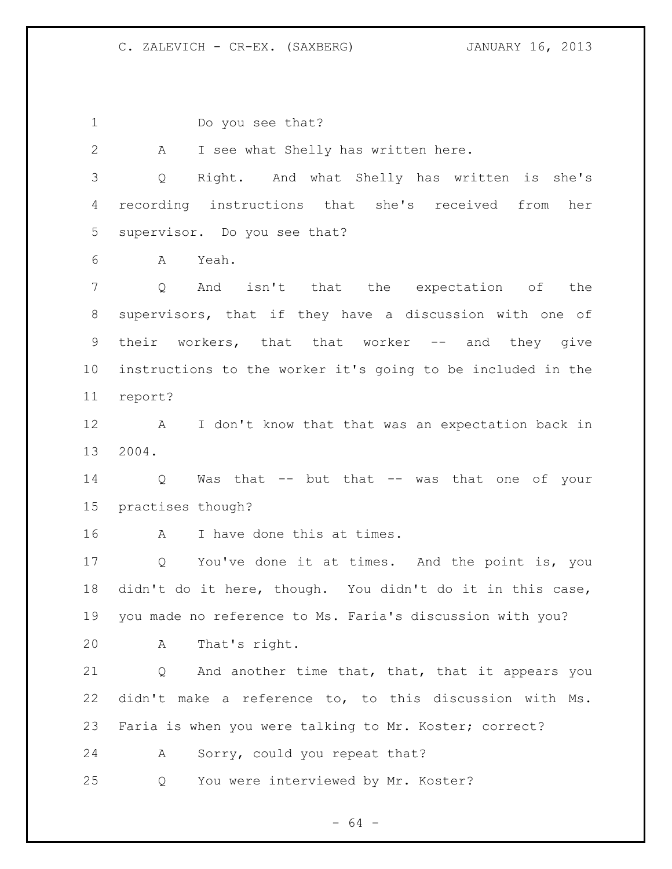Do you see that? A I see what Shelly has written here. Q Right. And what Shelly has written is she's recording instructions that she's received from her supervisor. Do you see that? A Yeah. Q And isn't that the expectation of the supervisors, that if they have a discussion with one of 9 their workers, that that worker -- and they give instructions to the worker it's going to be included in the report? A I don't know that that was an expectation back in 2004. Q Was that -- but that -- was that one of your practises though? A I have done this at times. Q You've done it at times. And the point is, you didn't do it here, though. You didn't do it in this case, you made no reference to Ms. Faria's discussion with you? A That's right. Q And another time that, that, that it appears you didn't make a reference to, to this discussion with Ms. Faria is when you were talking to Mr. Koster; correct? A Sorry, could you repeat that? Q You were interviewed by Mr. Koster?

 $- 64 -$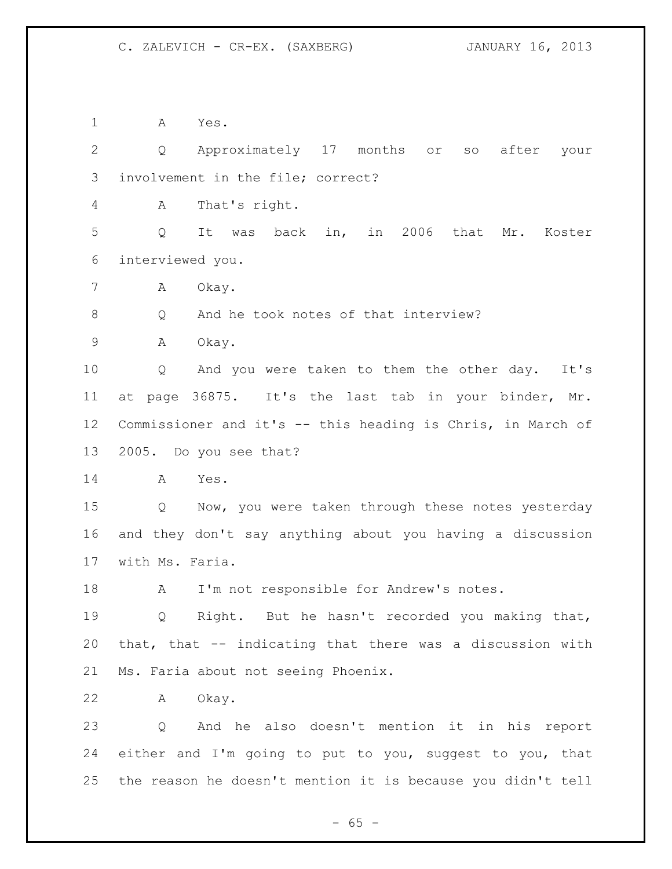A Yes.

 Q Approximately 17 months or so after your involvement in the file; correct?

A That's right.

 Q It was back in, in 2006 that Mr. Koster interviewed you.

7 A Okay.

8 Q And he took notes of that interview?

A Okay.

 Q And you were taken to them the other day. It's at page 36875. It's the last tab in your binder, Mr. Commissioner and it's -- this heading is Chris, in March of 2005. Do you see that?

A Yes.

 Q Now, you were taken through these notes yesterday and they don't say anything about you having a discussion with Ms. Faria.

18 A I'm not responsible for Andrew's notes.

 Q Right. But he hasn't recorded you making that, that, that -- indicating that there was a discussion with Ms. Faria about not seeing Phoenix.

A Okay.

 Q And he also doesn't mention it in his report either and I'm going to put to you, suggest to you, that the reason he doesn't mention it is because you didn't tell

 $- 65 -$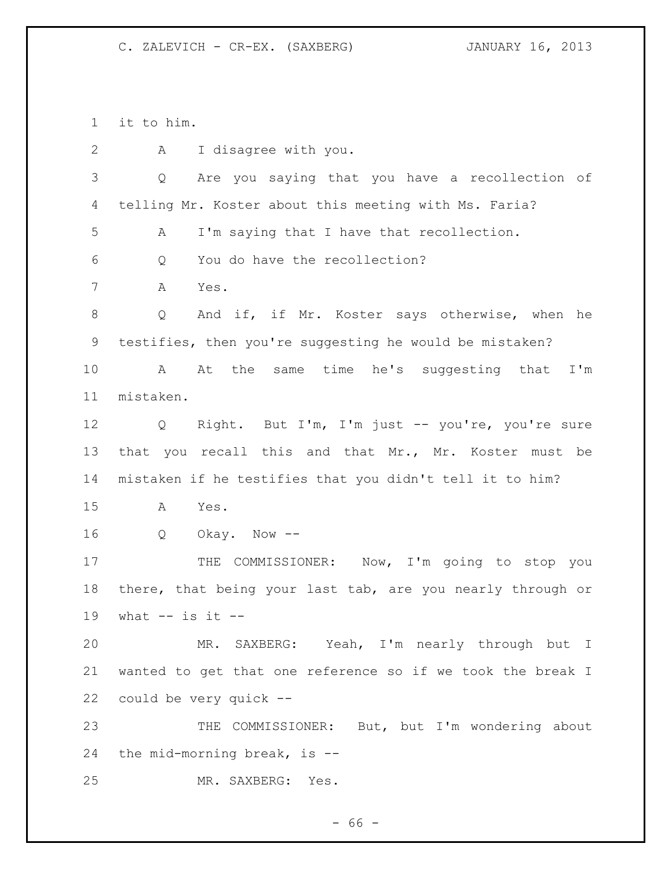it to him.

| $\mathbf{2}$  | I disagree with you.<br>А                                  |
|---------------|------------------------------------------------------------|
| $\mathcal{S}$ | Are you saying that you have a recollection of<br>Q        |
| 4             | telling Mr. Koster about this meeting with Ms. Faria?      |
| 5             | I'm saying that I have that recollection.<br>Α             |
| 6             | You do have the recollection?<br>Q                         |
| 7             | Yes.<br>A                                                  |
| 8             | And if, if Mr. Koster says otherwise, when he<br>Q         |
| 9             | testifies, then you're suggesting he would be mistaken?    |
| 10            | At the same time he's suggesting that I'm<br>A             |
| 11            | mistaken.                                                  |
| 12            | Right. But I'm, I'm just -- you're, you're sure<br>Q       |
| 13            | that you recall this and that Mr., Mr. Koster must be      |
| 14            | mistaken if he testifies that you didn't tell it to him?   |
| 15            | A<br>Yes.                                                  |
| 16            | Q<br>Okay. Now --                                          |
| 17            | THE COMMISSIONER: Now, I'm going to stop you               |
| 18            | there, that being your last tab, are you nearly through or |
| 19            | what $--$ is it $--$                                       |
| 20            | MR. SAXBERG: Yeah, I'm nearly through but I                |
| 21            | wanted to get that one reference so if we took the break I |
| 22            | could be very quick --                                     |
| 23            | THE COMMISSIONER: But, but I'm wondering about             |
| 24            | the mid-morning break, is $-$ -                            |
| 25            | MR. SAXBERG:<br>Yes.                                       |

- 66 -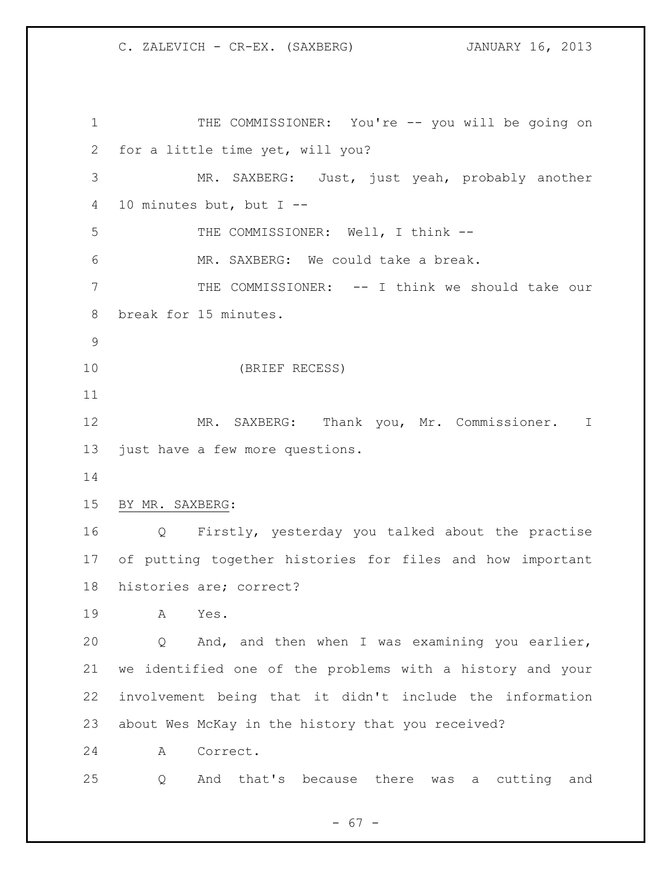1 THE COMMISSIONER: You're -- you will be going on for a little time yet, will you? MR. SAXBERG: Just, just yeah, probably another 10 minutes but, but I -- 5 THE COMMISSIONER: Well, I think -- MR. SAXBERG: We could take a break. THE COMMISSIONER: -- I think we should take our break for 15 minutes. (BRIEF RECESS) MR. SAXBERG: Thank you, Mr. Commissioner. I just have a few more questions. BY MR. SAXBERG: Q Firstly, yesterday you talked about the practise of putting together histories for files and how important histories are; correct? A Yes. Q And, and then when I was examining you earlier, we identified one of the problems with a history and your involvement being that it didn't include the information about Wes McKay in the history that you received? A Correct. Q And that's because there was a cutting and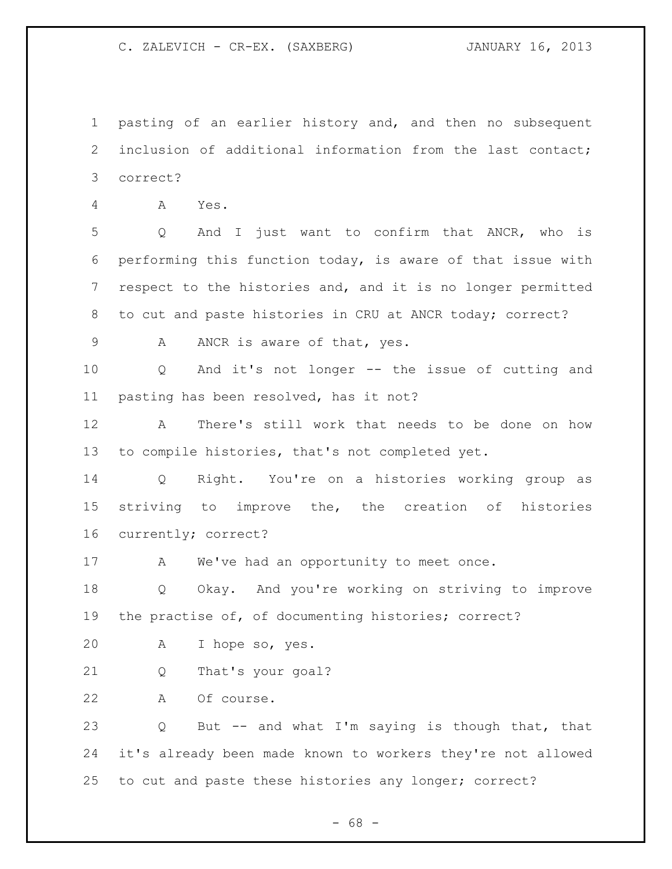pasting of an earlier history and, and then no subsequent inclusion of additional information from the last contact; correct?

A Yes.

 Q And I just want to confirm that ANCR, who is performing this function today, is aware of that issue with respect to the histories and, and it is no longer permitted to cut and paste histories in CRU at ANCR today; correct?

9 A ANCR is aware of that, yes.

 Q And it's not longer -- the issue of cutting and pasting has been resolved, has it not?

 A There's still work that needs to be done on how to compile histories, that's not completed yet.

 Q Right. You're on a histories working group as striving to improve the, the creation of histories currently; correct?

17 A We've had an opportunity to meet once.

 Q Okay. And you're working on striving to improve the practise of, of documenting histories; correct?

A I hope so, yes.

Q That's your goal?

A Of course.

 Q But -- and what I'm saying is though that, that it's already been made known to workers they're not allowed to cut and paste these histories any longer; correct?

- 68 -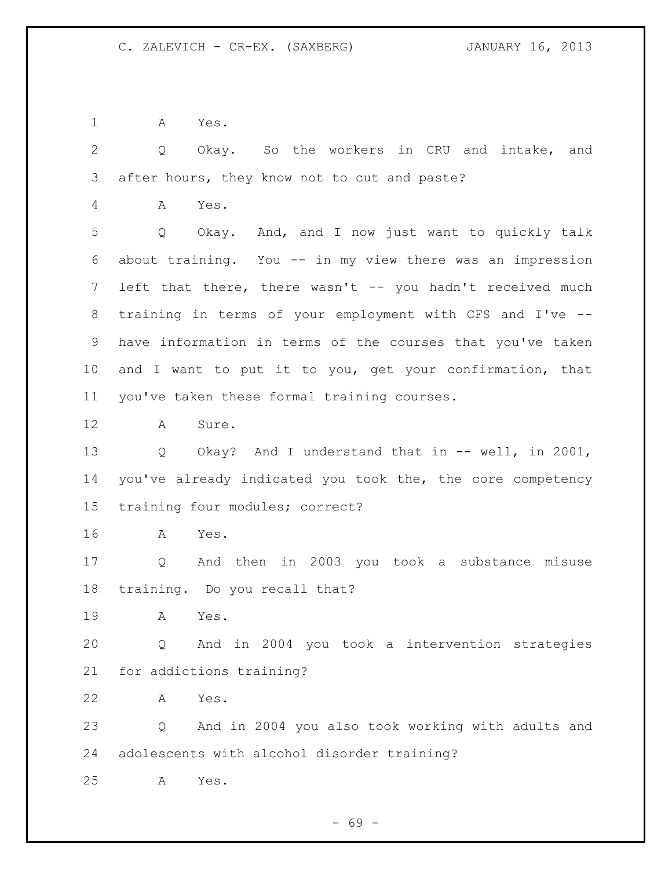A Yes.

 Q Okay. So the workers in CRU and intake, and after hours, they know not to cut and paste?

A Yes.

 Q Okay. And, and I now just want to quickly talk about training. You -- in my view there was an impression 7 left that there, there wasn't -- you hadn't received much training in terms of your employment with CFS and I've -- have information in terms of the courses that you've taken and I want to put it to you, get your confirmation, that you've taken these formal training courses.

A Sure.

 Q Okay? And I understand that in -- well, in 2001, you've already indicated you took the, the core competency training four modules; correct?

A Yes.

 Q And then in 2003 you took a substance misuse training. Do you recall that?

A Yes.

 Q And in 2004 you took a intervention strategies for addictions training?

A Yes.

 Q And in 2004 you also took working with adults and adolescents with alcohol disorder training?

A Yes.

- 69 -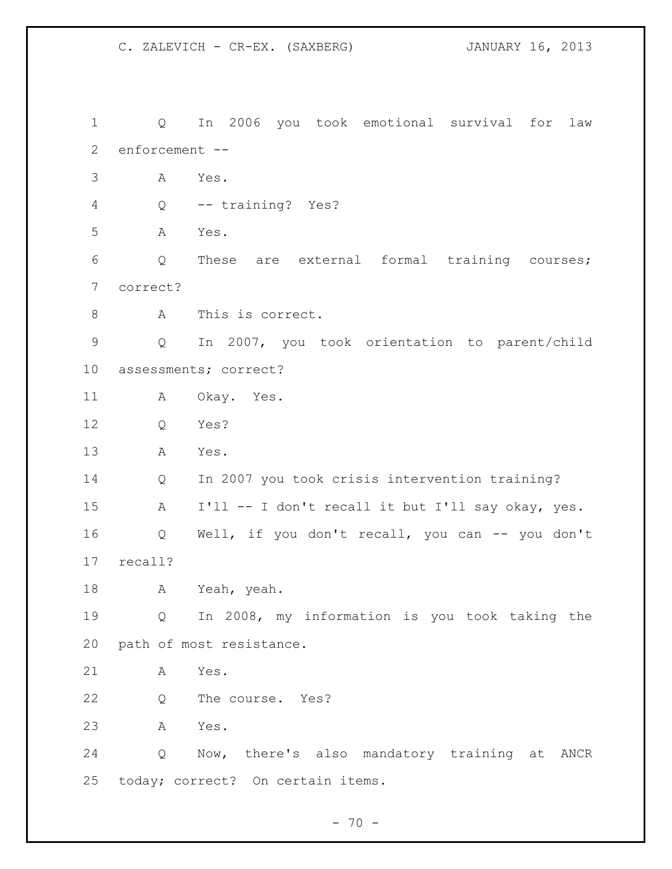C. ZALEVICH - CR-EX. (SAXBERG) JANUARY 16, 2013

 Q In 2006 you took emotional survival for law enforcement -- A Yes. Q -- training? Yes? A Yes. Q These are external formal training courses; correct? A This is correct. Q In 2007, you took orientation to parent/child assessments; correct? A Okay. Yes. Q Yes? A Yes. Q In 2007 you took crisis intervention training? A I'll -- I don't recall it but I'll say okay, yes. Q Well, if you don't recall, you can -- you don't recall? A Yeah, yeah. Q In 2008, my information is you took taking the path of most resistance. A Yes. Q The course. Yes? A Yes. Q Now, there's also mandatory training at ANCR today; correct? On certain items.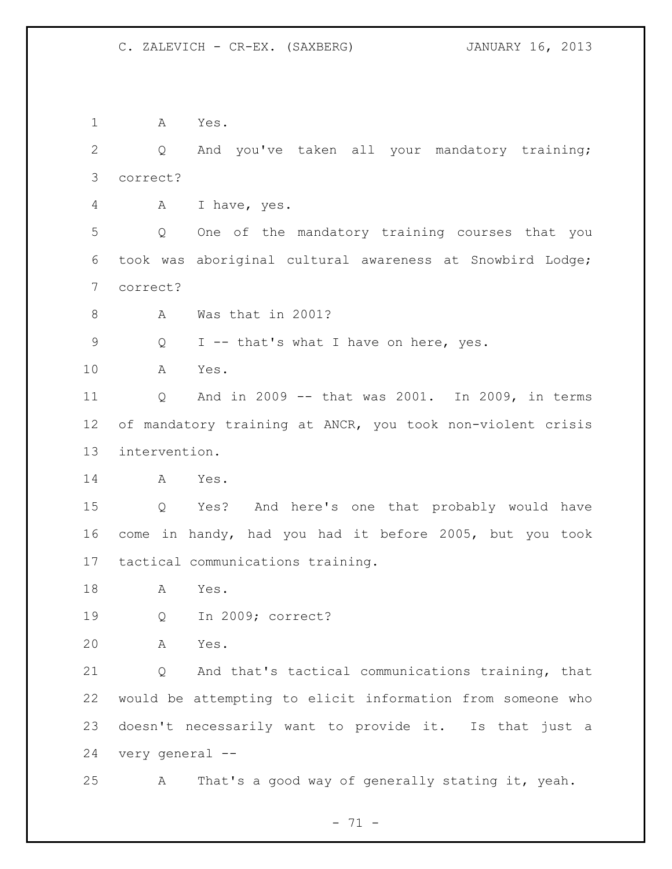A Yes. Q And you've taken all your mandatory training; correct? A I have, yes. Q One of the mandatory training courses that you took was aboriginal cultural awareness at Snowbird Lodge; correct? 8 A Was that in 2001? Q I -- that's what I have on here, yes. A Yes. Q And in 2009 -- that was 2001. In 2009, in terms of mandatory training at ANCR, you took non-violent crisis intervention. A Yes. Q Yes? And here's one that probably would have come in handy, had you had it before 2005, but you took tactical communications training. A Yes. Q In 2009; correct? A Yes. Q And that's tactical communications training, that would be attempting to elicit information from someone who doesn't necessarily want to provide it. Is that just a very general -- A That's a good way of generally stating it, yeah.

- 71 -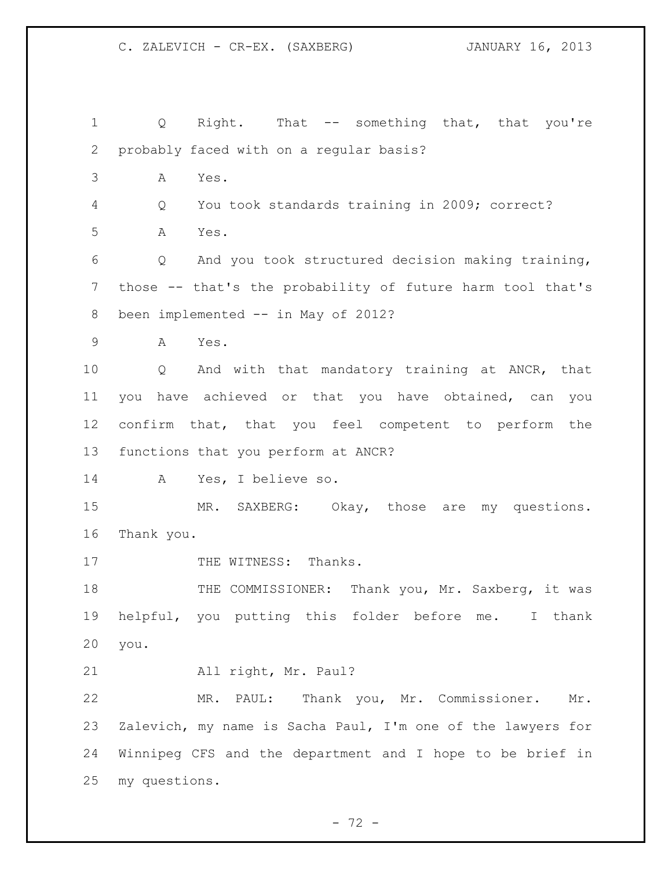Q Right. That -- something that, that you're probably faced with on a regular basis? A Yes. Q You took standards training in 2009; correct? A Yes. Q And you took structured decision making training, those -- that's the probability of future harm tool that's 8 been implemented -- in May of 2012? A Yes. Q And with that mandatory training at ANCR, that you have achieved or that you have obtained, can you confirm that, that you feel competent to perform the functions that you perform at ANCR? A Yes, I believe so. 15 MR. SAXBERG: Okay, those are my questions. Thank you. 17 THE WITNESS: Thanks. 18 THE COMMISSIONER: Thank you, Mr. Saxberg, it was helpful, you putting this folder before me. I thank you. All right, Mr. Paul? MR. PAUL: Thank you, Mr. Commissioner. Mr. Zalevich, my name is Sacha Paul, I'm one of the lawyers for Winnipeg CFS and the department and I hope to be brief in my questions.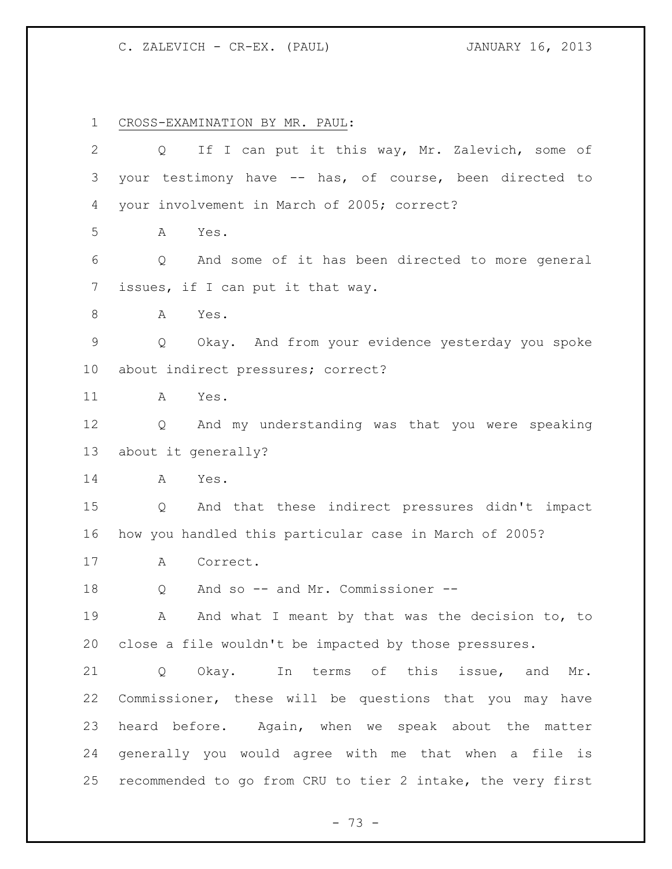CROSS-EXAMINATION BY MR. PAUL:

| $\mathbf{2}$    | If I can put it this way, Mr. Zalevich, some of<br>Q.       |
|-----------------|-------------------------------------------------------------|
| 3               | your testimony have -- has, of course, been directed to     |
| 4               | your involvement in March of 2005; correct?                 |
| 5               | Α<br>Yes.                                                   |
| 6               | And some of it has been directed to more general<br>Q       |
| $\overline{7}$  | issues, if I can put it that way.                           |
| 8               | Α<br>Yes.                                                   |
| $\mathsf 9$     | Okay. And from your evidence yesterday you spoke<br>Q       |
| 10 <sub>o</sub> | about indirect pressures; correct?                          |
| 11              | Yes.<br>A                                                   |
| 12              | And my understanding was that you were speaking<br>Q        |
| 13              | about it generally?                                         |
| 14              | Yes.<br>A                                                   |
| 15              | And that these indirect pressures didn't impact<br>Q        |
| 16              | how you handled this particular case in March of 2005?      |
| 17              | Correct.<br>A                                               |
| 18              | And so -- and Mr. Commissioner --<br>Q                      |
| 19              | And what I meant by that was the decision to, to<br>А       |
| 20              | close a file wouldn't be impacted by those pressures.       |
| 21              | Okay. In terms of this issue, and Mr.<br>Q                  |
| 22              | Commissioner, these will be questions that you may have     |
| 23              | heard before. Again, when we speak about the matter         |
| 24              | generally you would agree with me that when a file is       |
| 25              | recommended to go from CRU to tier 2 intake, the very first |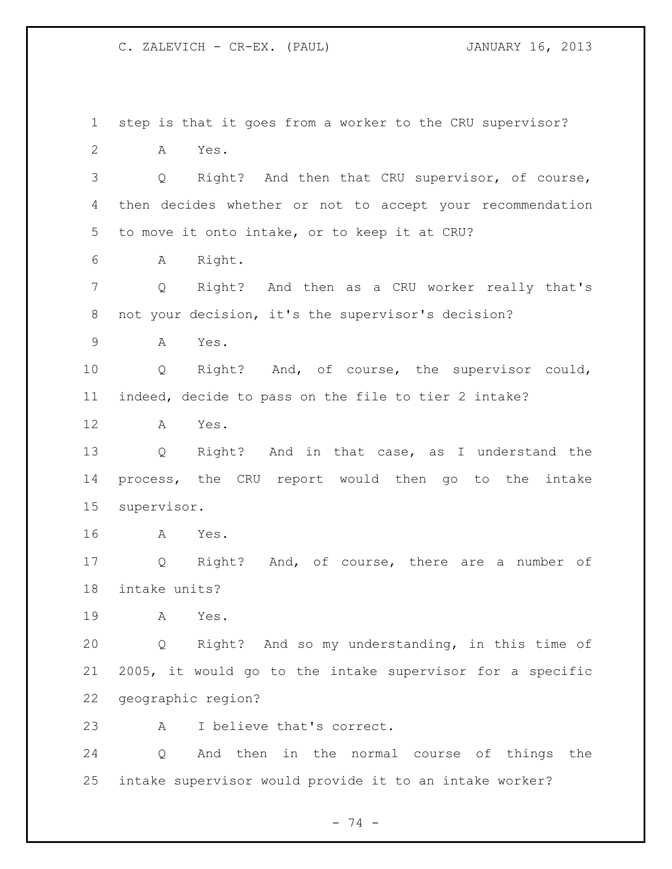step is that it goes from a worker to the CRU supervisor? A Yes. Q Right? And then that CRU supervisor, of course, then decides whether or not to accept your recommendation to move it onto intake, or to keep it at CRU? A Right. Q Right? And then as a CRU worker really that's not your decision, it's the supervisor's decision? A Yes. Q Right? And, of course, the supervisor could, indeed, decide to pass on the file to tier 2 intake? A Yes. Q Right? And in that case, as I understand the process, the CRU report would then go to the intake supervisor. A Yes. Q Right? And, of course, there are a number of intake units? A Yes. Q Right? And so my understanding, in this time of 2005, it would go to the intake supervisor for a specific geographic region? A I believe that's correct. Q And then in the normal course of things the intake supervisor would provide it to an intake worker?

- 74 -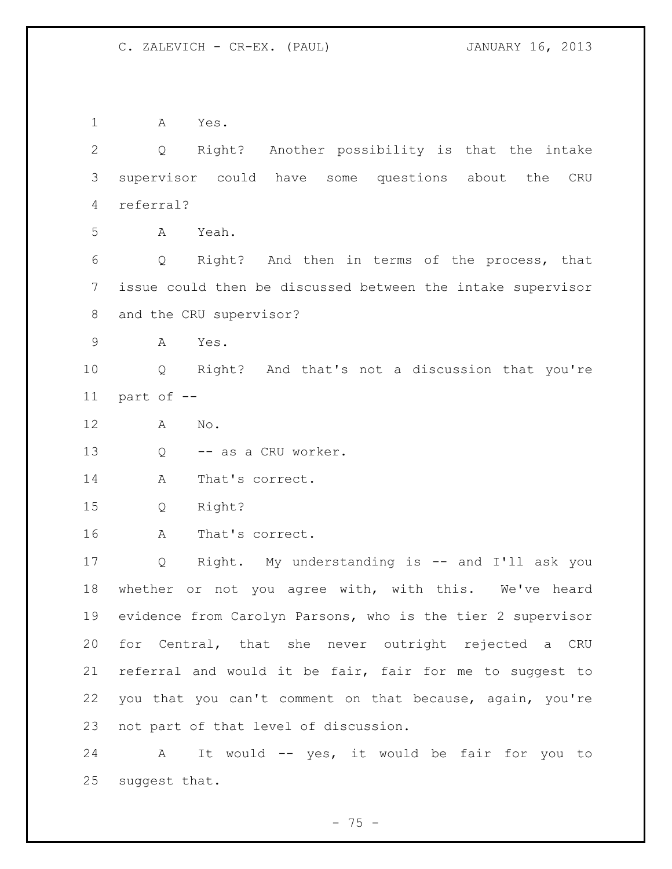A Yes. Q Right? Another possibility is that the intake supervisor could have some questions about the CRU referral? A Yeah. Q Right? And then in terms of the process, that issue could then be discussed between the intake supervisor and the CRU supervisor? A Yes. Q Right? And that's not a discussion that you're part of -- A No. 13 Q -- as a CRU worker. 14 A That's correct. Q Right? A That's correct. Q Right. My understanding is -- and I'll ask you whether or not you agree with, with this. We've heard evidence from Carolyn Parsons, who is the tier 2 supervisor for Central, that she never outright rejected a CRU referral and would it be fair, fair for me to suggest to you that you can't comment on that because, again, you're not part of that level of discussion. A It would -- yes, it would be fair for you to

suggest that.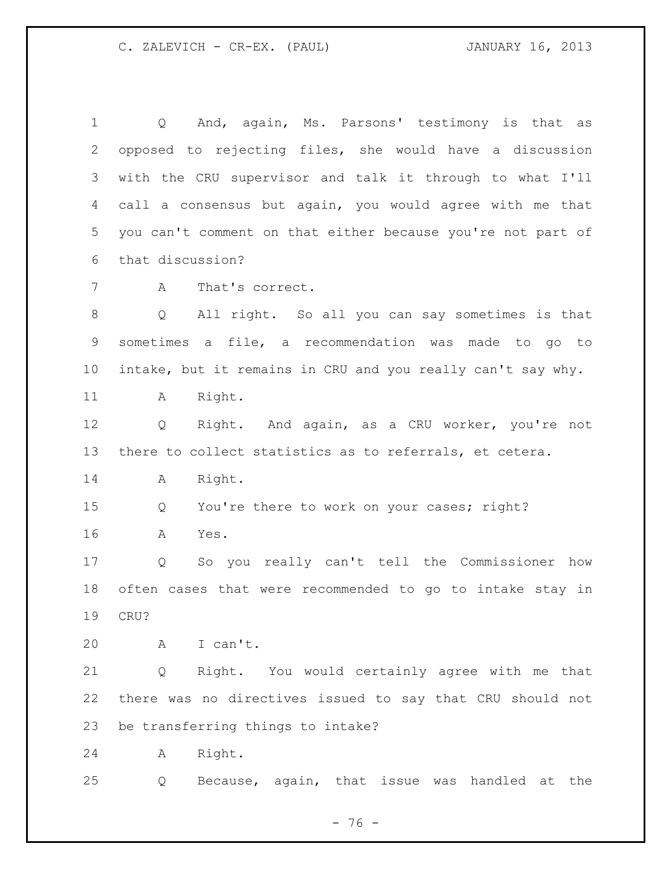Q And, again, Ms. Parsons' testimony is that as opposed to rejecting files, she would have a discussion with the CRU supervisor and talk it through to what I'll call a consensus but again, you would agree with me that you can't comment on that either because you're not part of that discussion? A That's correct. Q All right. So all you can say sometimes is that sometimes a file, a recommendation was made to go to intake, but it remains in CRU and you really can't say why. 11 A Right. Q Right. And again, as a CRU worker, you're not there to collect statistics as to referrals, et cetera. A Right. Q You're there to work on your cases; right? A Yes. Q So you really can't tell the Commissioner how often cases that were recommended to go to intake stay in CRU? A I can't. Q Right. You would certainly agree with me that there was no directives issued to say that CRU should not be transferring things to intake? A Right. Q Because, again, that issue was handled at the

- 76 -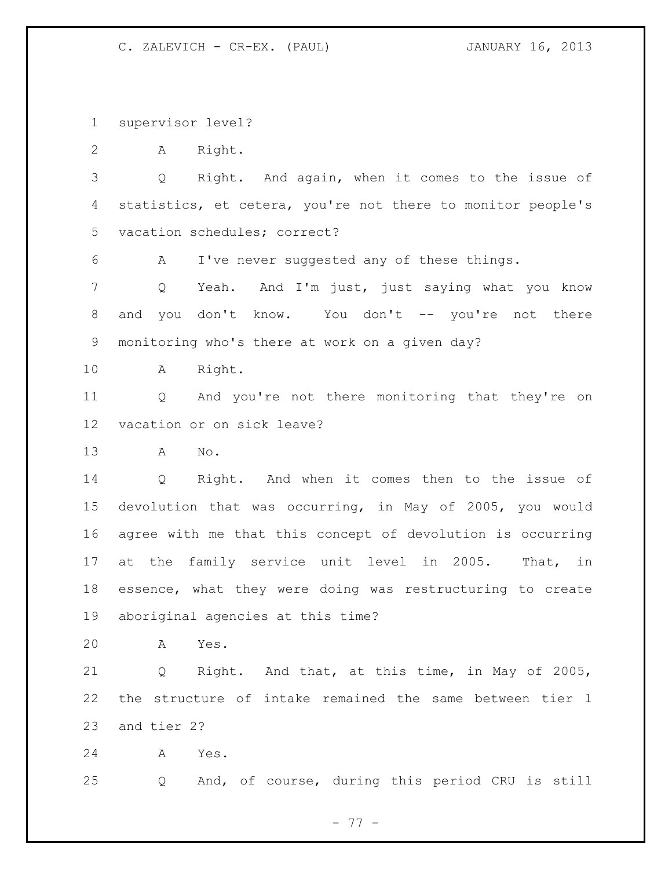supervisor level?

A Right.

 Q Right. And again, when it comes to the issue of statistics, et cetera, you're not there to monitor people's vacation schedules; correct?

A I've never suggested any of these things.

 Q Yeah. And I'm just, just saying what you know and you don't know. You don't -- you're not there monitoring who's there at work on a given day?

A Right.

 Q And you're not there monitoring that they're on vacation or on sick leave?

A No.

 Q Right. And when it comes then to the issue of devolution that was occurring, in May of 2005, you would agree with me that this concept of devolution is occurring at the family service unit level in 2005. That, in essence, what they were doing was restructuring to create aboriginal agencies at this time?

A Yes.

 Q Right. And that, at this time, in May of 2005, the structure of intake remained the same between tier 1 and tier 2?

A Yes.

Q And, of course, during this period CRU is still

- 77 -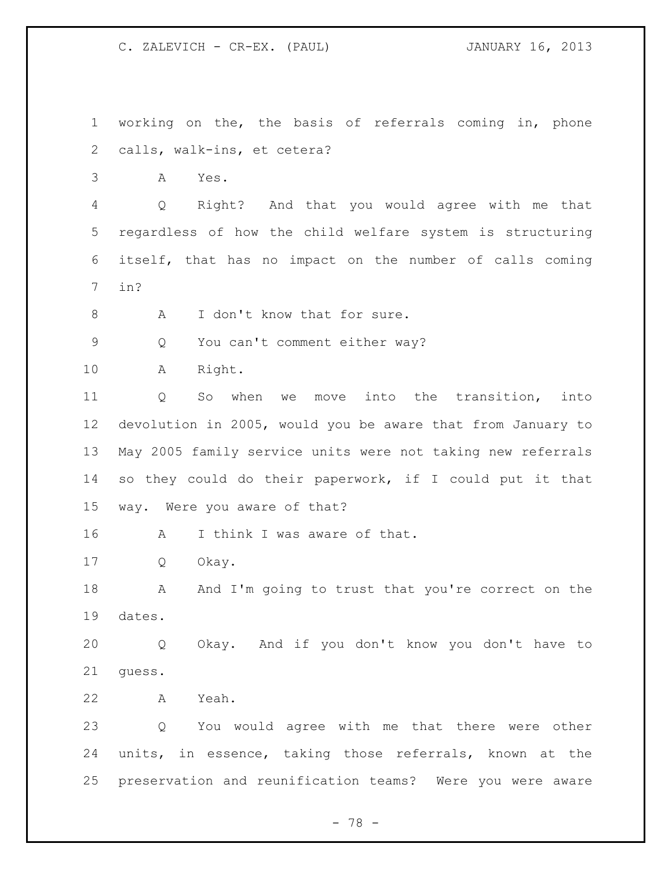working on the, the basis of referrals coming in, phone calls, walk-ins, et cetera? A Yes. Q Right? And that you would agree with me that regardless of how the child welfare system is structuring itself, that has no impact on the number of calls coming in? 8 A I don't know that for sure. Q You can't comment either way? A Right. Q So when we move into the transition, into devolution in 2005, would you be aware that from January to May 2005 family service units were not taking new referrals so they could do their paperwork, if I could put it that way. Were you aware of that? 16 A I think I was aware of that. Q Okay. 18 A And I'm going to trust that you're correct on the dates. Q Okay. And if you don't know you don't have to guess. A Yeah. Q You would agree with me that there were other units, in essence, taking those referrals, known at the preservation and reunification teams? Were you were aware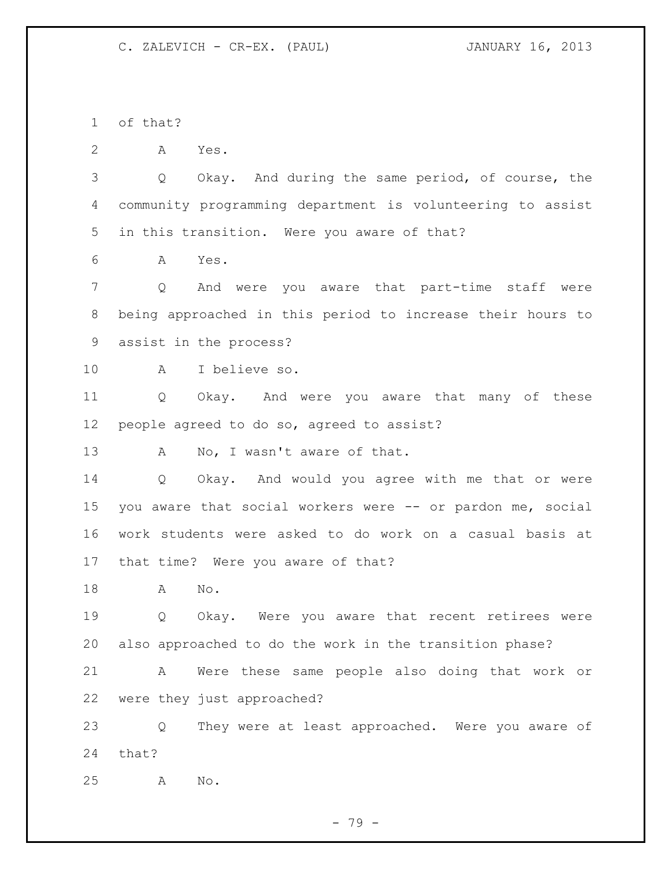of that?

A Yes.

 Q Okay. And during the same period, of course, the community programming department is volunteering to assist in this transition. Were you aware of that?

A Yes.

 Q And were you aware that part-time staff were being approached in this period to increase their hours to assist in the process?

A I believe so.

 Q Okay. And were you aware that many of these people agreed to do so, agreed to assist?

13 A No, I wasn't aware of that.

 Q Okay. And would you agree with me that or were you aware that social workers were -- or pardon me, social work students were asked to do work on a casual basis at that time? Were you aware of that?

A No.

 Q Okay. Were you aware that recent retirees were also approached to do the work in the transition phase?

 A Were these same people also doing that work or were they just approached?

 Q They were at least approached. Were you aware of that?

A No.

- 79 -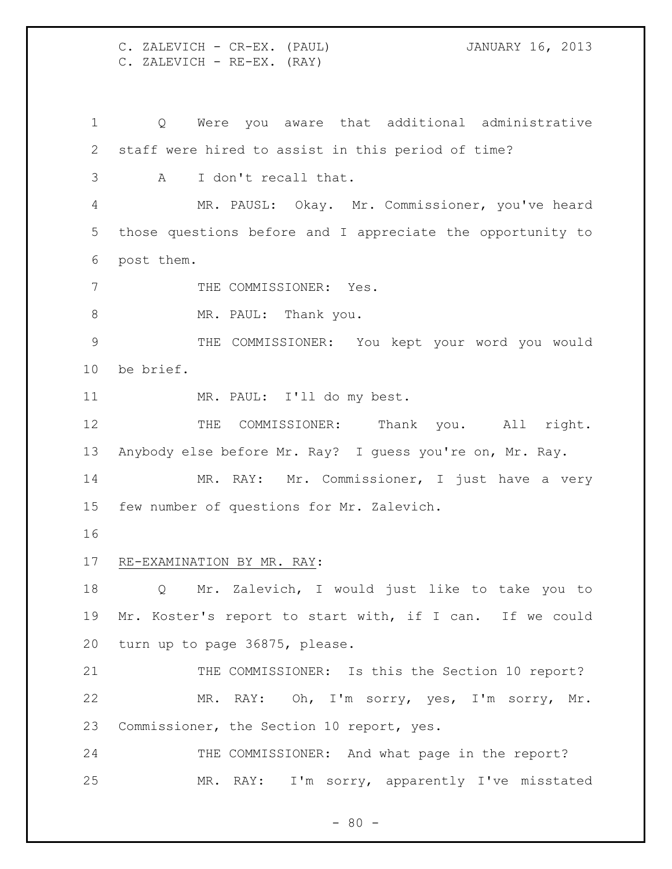C. ZALEVICH - CR-EX. (PAUL) JANUARY 16, 2013 C. ZALEVICH - RE-EX. (RAY)

 Q Were you aware that additional administrative staff were hired to assist in this period of time? A I don't recall that. MR. PAUSL: Okay. Mr. Commissioner, you've heard those questions before and I appreciate the opportunity to post them. 7 THE COMMISSIONER: Yes. 8 MR. PAUL: Thank you. THE COMMISSIONER: You kept your word you would be brief. MR. PAUL: I'll do my best. 12 THE COMMISSIONER: Thank you. All right. Anybody else before Mr. Ray? I guess you're on, Mr. Ray. MR. RAY: Mr. Commissioner, I just have a very few number of questions for Mr. Zalevich. RE-EXAMINATION BY MR. RAY: Q Mr. Zalevich, I would just like to take you to Mr. Koster's report to start with, if I can. If we could turn up to page 36875, please. 21 THE COMMISSIONER: Is this the Section 10 report? MR. RAY: Oh, I'm sorry, yes, I'm sorry, Mr. Commissioner, the Section 10 report, yes. 24 THE COMMISSIONER: And what page in the report? MR. RAY: I'm sorry, apparently I've misstated

 $- 80 -$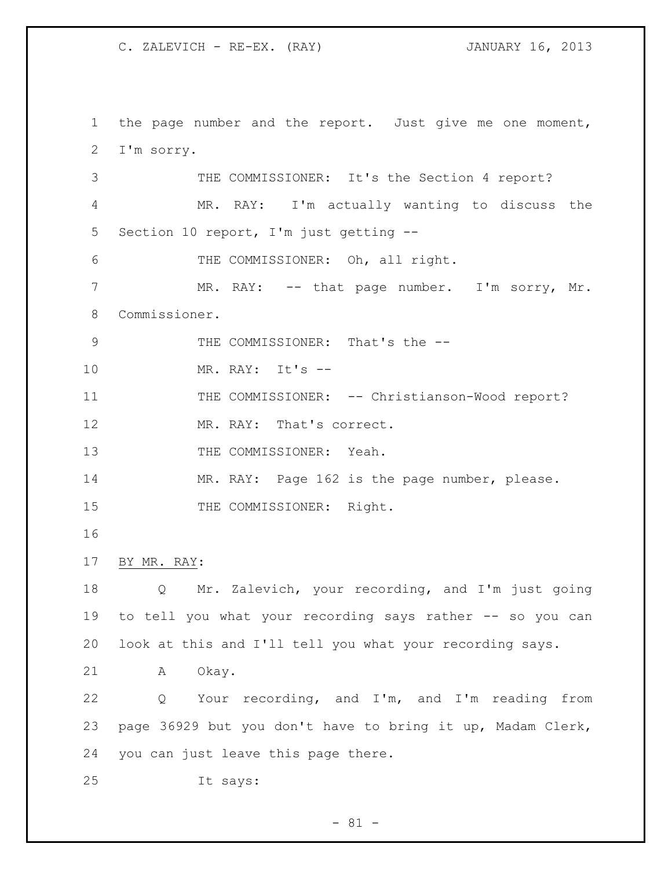the page number and the report. Just give me one moment, I'm sorry. THE COMMISSIONER: It's the Section 4 report? MR. RAY: I'm actually wanting to discuss the Section 10 report, I'm just getting -- THE COMMISSIONER: Oh, all right. MR. RAY: -- that page number. I'm sorry, Mr. Commissioner. 9 THE COMMISSIONER: That's the -- MR. RAY: It's -- 11 THE COMMISSIONER: -- Christianson-Wood report? MR. RAY: That's correct. 13 THE COMMISSIONER: Yeah. 14 MR. RAY: Page 162 is the page number, please. 15 THE COMMISSIONER: Right. BY MR. RAY: Q Mr. Zalevich, your recording, and I'm just going to tell you what your recording says rather -- so you can look at this and I'll tell you what your recording says. A Okay. Q Your recording, and I'm, and I'm reading from page 36929 but you don't have to bring it up, Madam Clerk, you can just leave this page there. It says:

 $- 81 -$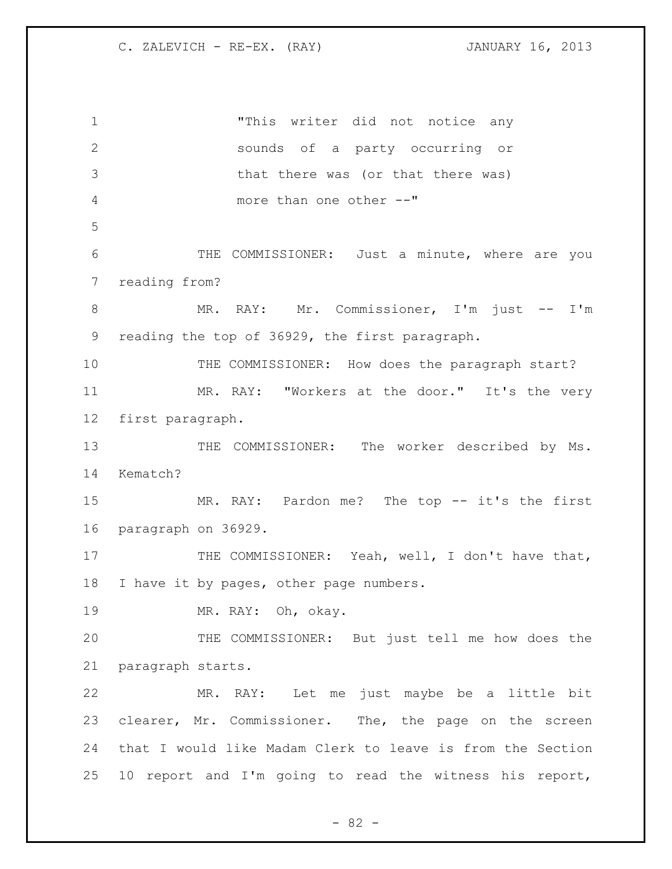"This writer did not notice any sounds of a party occurring or that there was (or that there was) more than one other --" THE COMMISSIONER: Just a minute, where are you reading from? 8 MR. RAY: Mr. Commissioner, I'm just -- I'm reading the top of 36929, the first paragraph. 10 THE COMMISSIONER: How does the paragraph start? 11 MR. RAY: "Workers at the door." It's the very first paragraph. 13 THE COMMISSIONER: The worker described by Ms. Kematch? 15 MR. RAY: Pardon me? The top -- it's the first paragraph on 36929. 17 THE COMMISSIONER: Yeah, well, I don't have that, 18 I have it by pages, other page numbers. MR. RAY: Oh, okay. THE COMMISSIONER: But just tell me how does the paragraph starts. MR. RAY: Let me just maybe be a little bit clearer, Mr. Commissioner. The, the page on the screen that I would like Madam Clerk to leave is from the Section 10 report and I'm going to read the witness his report,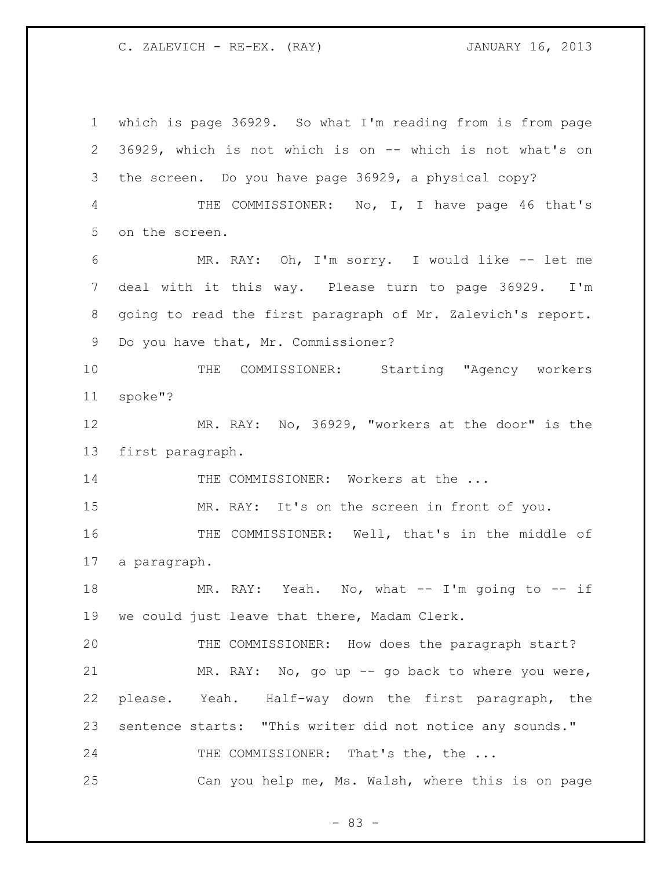which is page 36929. So what I'm reading from is from page 36929, which is not which is on -- which is not what's on the screen. Do you have page 36929, a physical copy? THE COMMISSIONER: No, I, I have page 46 that's on the screen. MR. RAY: Oh, I'm sorry. I would like -- let me deal with it this way. Please turn to page 36929. I'm going to read the first paragraph of Mr. Zalevich's report. Do you have that, Mr. Commissioner? THE COMMISSIONER: Starting "Agency workers spoke"? MR. RAY: No, 36929, "workers at the door" is the first paragraph. 14 THE COMMISSIONER: Workers at the ... MR. RAY: It's on the screen in front of you. THE COMMISSIONER: Well, that's in the middle of a paragraph. MR. RAY: Yeah. No, what -- I'm going to -- if we could just leave that there, Madam Clerk. THE COMMISSIONER: How does the paragraph start? MR. RAY: No, go up -- go back to where you were, please. Yeah. Half-way down the first paragraph, the sentence starts: "This writer did not notice any sounds." 24 THE COMMISSIONER: That's the, the ... Can you help me, Ms. Walsh, where this is on page

- 83 -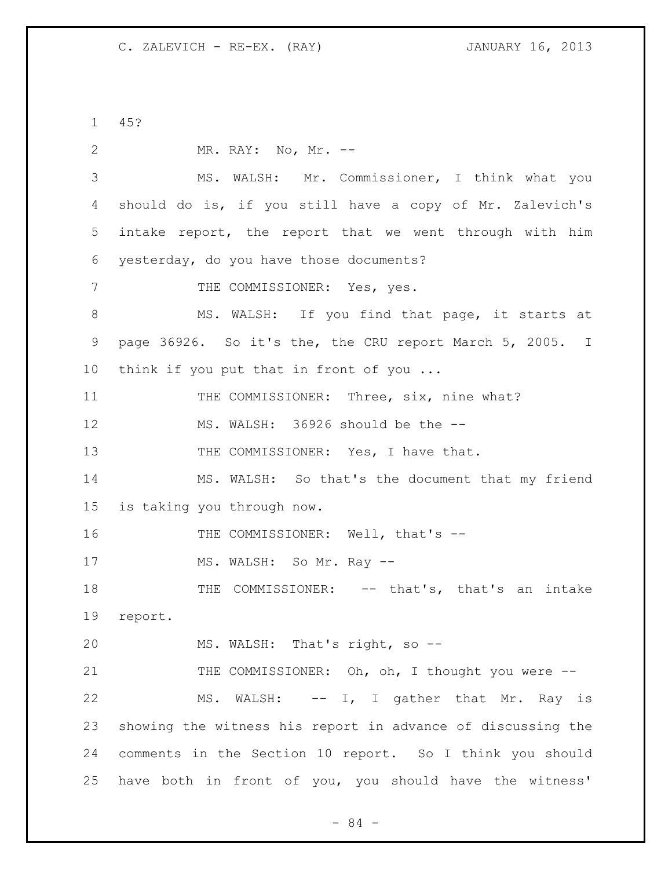1 45? 2 MR. RAY: No, Mr. -- 3 MS. WALSH: Mr. Commissioner, I think what you 4 should do is, if you still have a copy of Mr. Zalevich's 5 intake report, the report that we went through with him 6 yesterday, do you have those documents? 7 THE COMMISSIONER: Yes, yes. 8 MS. WALSH: If you find that page, it starts at 9 page 36926. So it's the, the CRU report March 5, 2005. I 10 think if you put that in front of you ... 11 THE COMMISSIONER: Three, six, nine what? 12 MS. WALSH: 36926 should be the -- 13 THE COMMISSIONER: Yes, I have that. 14 MS. WALSH: So that's the document that my friend 15 is taking you through now. 16 THE COMMISSIONER: Well, that's --17 MS. WALSH: So Mr. Ray --18 THE COMMISSIONER: -- that's, that's an intake 19 report. 20 MS. WALSH: That's right, so -- 21 THE COMMISSIONER: Oh, oh, I thought you were --22 MS. WALSH: -- I, I gather that Mr. Ray is 23 showing the witness his report in advance of discussing the 24 comments in the Section 10 report. So I think you should 25 have both in front of you, you should have the witness'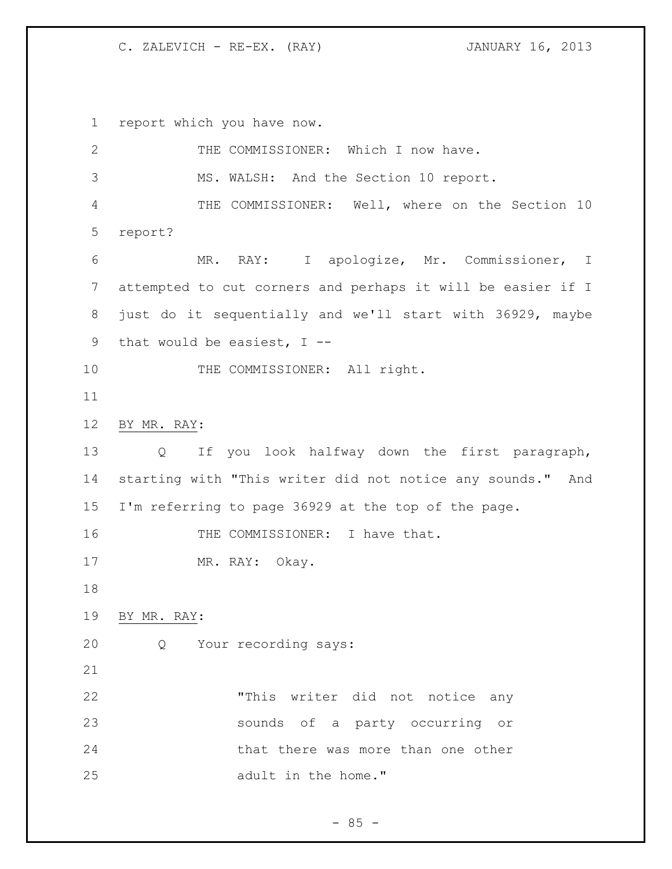report which you have now. 2 THE COMMISSIONER: Which I now have. MS. WALSH: And the Section 10 report. THE COMMISSIONER: Well, where on the Section 10 report? MR. RAY: I apologize, Mr. Commissioner, I attempted to cut corners and perhaps it will be easier if I just do it sequentially and we'll start with 36929, maybe that would be easiest, I -- 10 THE COMMISSIONER: All right. BY MR. RAY: Q If you look halfway down the first paragraph, starting with "This writer did not notice any sounds." And I'm referring to page 36929 at the top of the page. 16 THE COMMISSIONER: I have that. 17 MR. RAY: Okay. BY MR. RAY: Q Your recording says: "This writer did not notice any sounds of a party occurring or 24 that there was more than one other adult in the home."

 $- 85 -$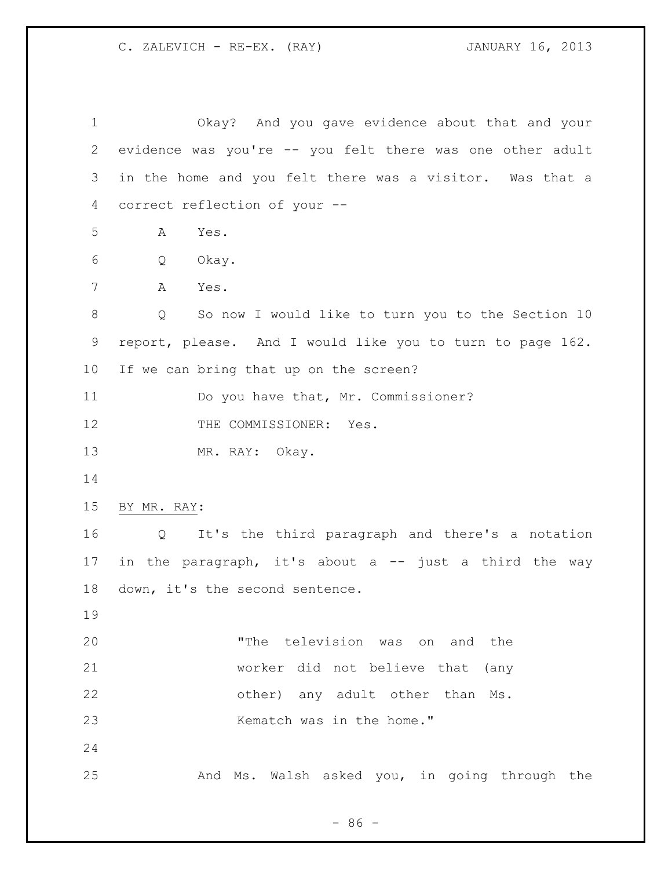| $\mathbf 1$ | Okay? And you gave evidence about that and your                      |
|-------------|----------------------------------------------------------------------|
| 2           | evidence was you're -- you felt there was one other adult            |
| 3           | in the home and you felt there was a visitor. Was that a             |
| 4           | correct reflection of your --                                        |
| 5           | Yes.<br>A                                                            |
| 6           | Q<br>Okay.                                                           |
| 7           | A<br>Yes.                                                            |
| $\,8\,$     | So now I would like to turn you to the Section 10<br>$\circ$         |
| 9           | report, please. And I would like you to turn to page 162.            |
| 10          | If we can bring that up on the screen?                               |
| 11          | Do you have that, Mr. Commissioner?                                  |
| 12          | THE COMMISSIONER: Yes.                                               |
| 13          | MR. RAY: Okay.                                                       |
| 14          |                                                                      |
| 15          | BY MR. RAY:                                                          |
| 16          | It's the third paragraph and there's a notation<br>$Q \qquad \qquad$ |
| 17          | in the paragraph, it's about a -- just a third the way               |
| 18          | down, it's the second sentence.                                      |
| 19          |                                                                      |
| 20          | "The television was on and the                                       |
| 21          | worker did not believe that (any                                     |
| 22          | other) any adult other than Ms.                                      |
| 23          | Kematch was in the home."                                            |
| 24          |                                                                      |
| 25          | And Ms. Walsh asked you, in going through the                        |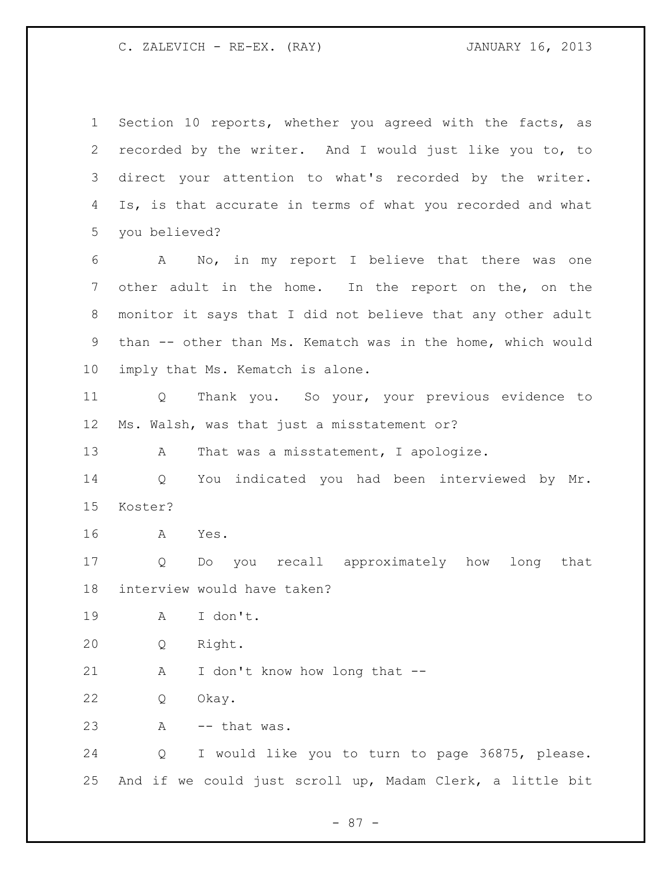Section 10 reports, whether you agreed with the facts, as recorded by the writer. And I would just like you to, to direct your attention to what's recorded by the writer. Is, is that accurate in terms of what you recorded and what you believed? A No, in my report I believe that there was one other adult in the home. In the report on the, on the monitor it says that I did not believe that any other adult than -- other than Ms. Kematch was in the home, which would imply that Ms. Kematch is alone. Q Thank you. So your, your previous evidence to Ms. Walsh, was that just a misstatement or? 13 A That was a misstatement, I apologize. Q You indicated you had been interviewed by Mr. Koster? A Yes. Q Do you recall approximately how long that interview would have taken? A I don't. Q Right. 21 A I don't know how long that -- Q Okay. A -- that was. Q I would like you to turn to page 36875, please. And if we could just scroll up, Madam Clerk, a little bit

- 87 -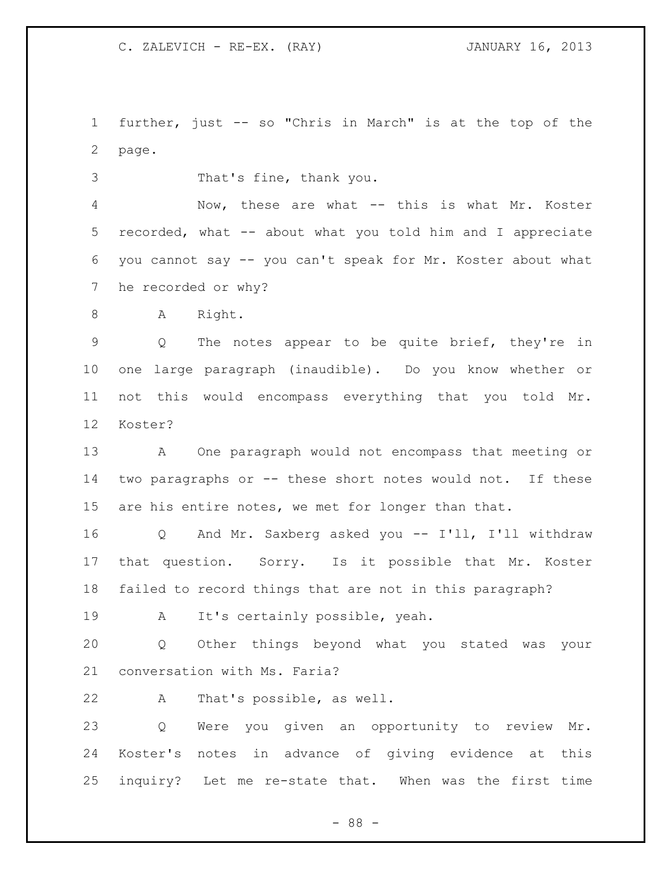further, just -- so "Chris in March" is at the top of the page.

That's fine, thank you.

 Now, these are what -- this is what Mr. Koster recorded, what -- about what you told him and I appreciate you cannot say -- you can't speak for Mr. Koster about what he recorded or why?

8 A Right.

 Q The notes appear to be quite brief, they're in one large paragraph (inaudible). Do you know whether or not this would encompass everything that you told Mr. Koster?

 A One paragraph would not encompass that meeting or two paragraphs or -- these short notes would not. If these are his entire notes, we met for longer than that.

 Q And Mr. Saxberg asked you -- I'll, I'll withdraw that question. Sorry. Is it possible that Mr. Koster failed to record things that are not in this paragraph?

A It's certainly possible, yeah.

 Q Other things beyond what you stated was your conversation with Ms. Faria?

A That's possible, as well.

 Q Were you given an opportunity to review Mr. Koster's notes in advance of giving evidence at this inquiry? Let me re-state that. When was the first time

- 88 -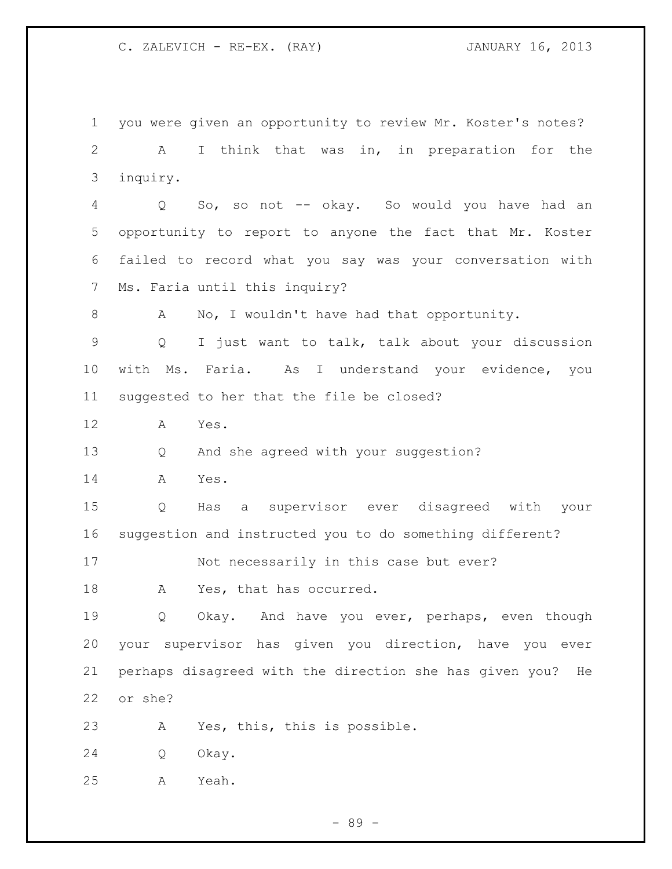you were given an opportunity to review Mr. Koster's notes? A I think that was in, in preparation for the inquiry. Q So, so not -- okay. So would you have had an opportunity to report to anyone the fact that Mr. Koster failed to record what you say was your conversation with Ms. Faria until this inquiry? 8 A No, I wouldn't have had that opportunity. Q I just want to talk, talk about your discussion with Ms. Faria. As I understand your evidence, you suggested to her that the file be closed? A Yes. Q And she agreed with your suggestion? A Yes. Q Has a supervisor ever disagreed with your suggestion and instructed you to do something different? Not necessarily in this case but ever? 18 A Yes, that has occurred. Q Okay. And have you ever, perhaps, even though your supervisor has given you direction, have you ever perhaps disagreed with the direction she has given you? He or she? A Yes, this, this is possible. Q Okay. A Yeah.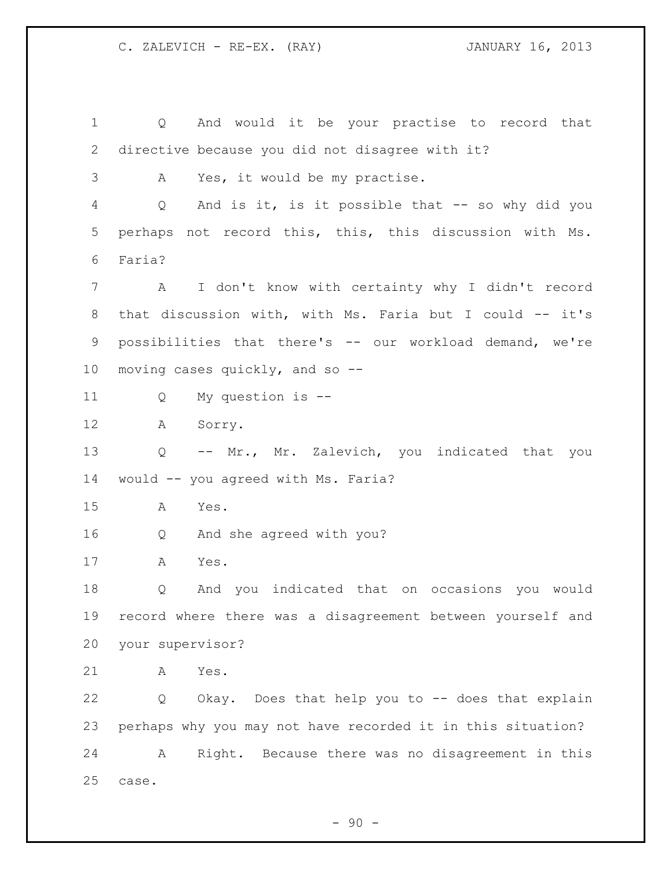Q And would it be your practise to record that directive because you did not disagree with it? A Yes, it would be my practise. Q And is it, is it possible that -- so why did you perhaps not record this, this, this discussion with Ms. Faria? A I don't know with certainty why I didn't record that discussion with, with Ms. Faria but I could -- it's possibilities that there's -- our workload demand, we're moving cases quickly, and so -- Q My question is -- A Sorry. Q -- Mr., Mr. Zalevich, you indicated that you would -- you agreed with Ms. Faria? A Yes. Q And she agreed with you? A Yes. Q And you indicated that on occasions you would record where there was a disagreement between yourself and your supervisor? A Yes. Q Okay. Does that help you to -- does that explain perhaps why you may not have recorded it in this situation? A Right. Because there was no disagreement in this case.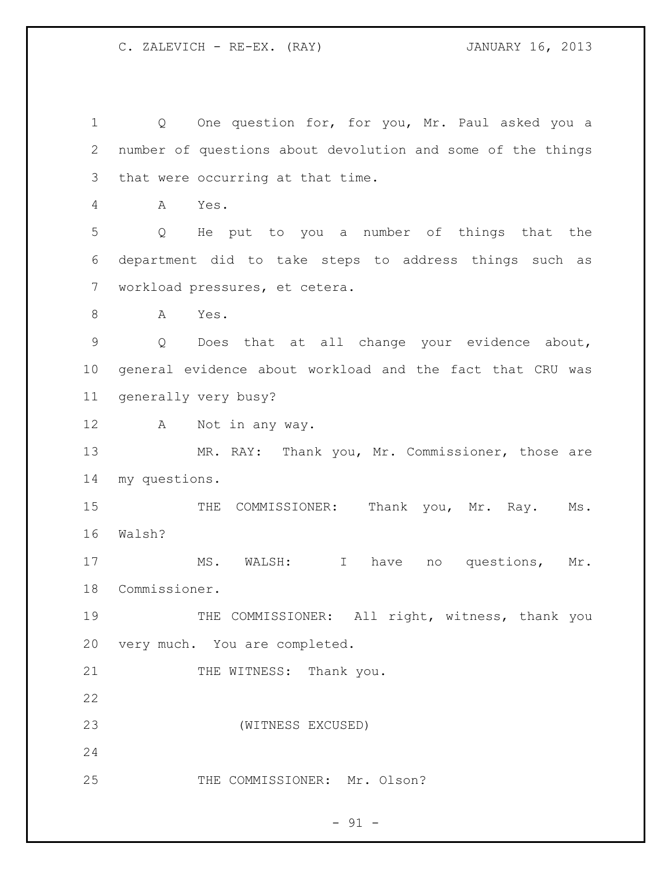1 Q One question for, for you, Mr. Paul asked you a number of questions about devolution and some of the things that were occurring at that time. A Yes. Q He put to you a number of things that the department did to take steps to address things such as workload pressures, et cetera. A Yes. Q Does that at all change your evidence about, general evidence about workload and the fact that CRU was generally very busy? A Not in any way. 13 MR. RAY: Thank you, Mr. Commissioner, those are my questions. 15 THE COMMISSIONER: Thank you, Mr. Ray. Ms. Walsh? 17 MS. WALSH: I have no questions, Mr. Commissioner. 19 THE COMMISSIONER: All right, witness, thank you very much. You are completed. 21 THE WITNESS: Thank you. (WITNESS EXCUSED) 25 THE COMMISSIONER: Mr. Olson?

 $- 91 -$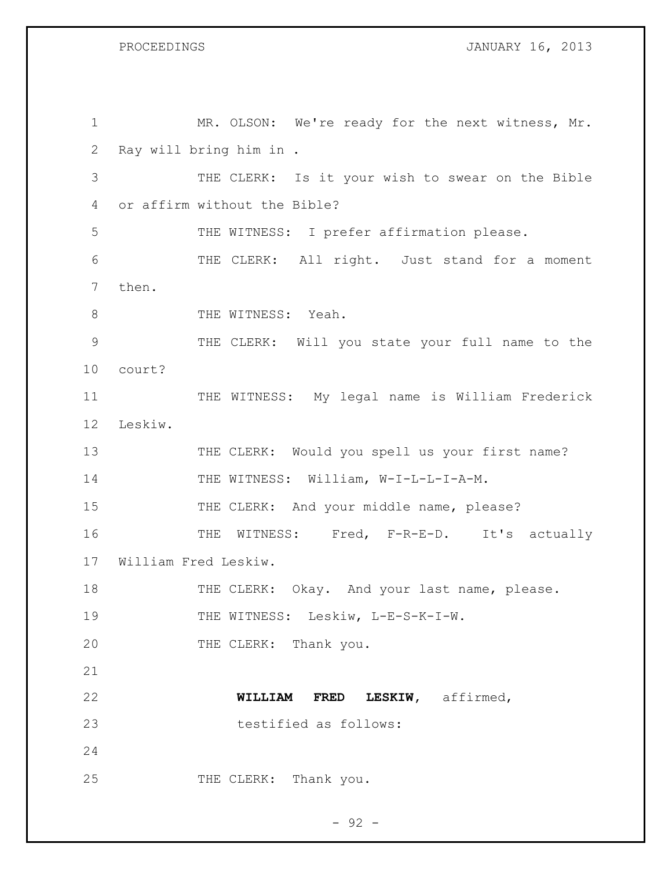PROCEEDINGS **DROCEEDINGS JANUARY 16, 2013** 

| $\mathbf{1}$ | MR. OLSON: We're ready for the next witness, Mr. |
|--------------|--------------------------------------------------|
| 2            | Ray will bring him in .                          |
| 3            | THE CLERK: Is it your wish to swear on the Bible |
| 4            | or affirm without the Bible?                     |
| 5            | THE WITNESS: I prefer affirmation please.        |
| 6            | THE CLERK: All right. Just stand for a moment    |
| 7            | then.                                            |
| 8            | THE WITNESS: Yeah.                               |
| 9            | THE CLERK: Will you state your full name to the  |
| 10           | court?                                           |
| 11           | THE WITNESS: My legal name is William Frederick  |
| 12           | Leskiw.                                          |
| 13           | THE CLERK: Would you spell us your first name?   |
| 14           | THE WITNESS: William, W-I-L-L-I-A-M.             |
| 15           | THE CLERK: And your middle name, please?         |
| 16           | THE WITNESS: Fred, F-R-E-D. It's actually        |
| 17           | William Fred Leskiw.                             |
| 18           | THE CLERK: Okay. And your last name, please.     |
| 19           | THE WITNESS: Leskiw, L-E-S-K-I-W.                |
| 20           | THE CLERK: Thank you.                            |
| 21           |                                                  |
| 22           | LESKIW, affirmed,<br>WILLIAM<br><b>FRED</b>      |
| 23           | testified as follows:                            |
| 24           |                                                  |
| 25           | THE CLERK: Thank you.                            |

- 92 -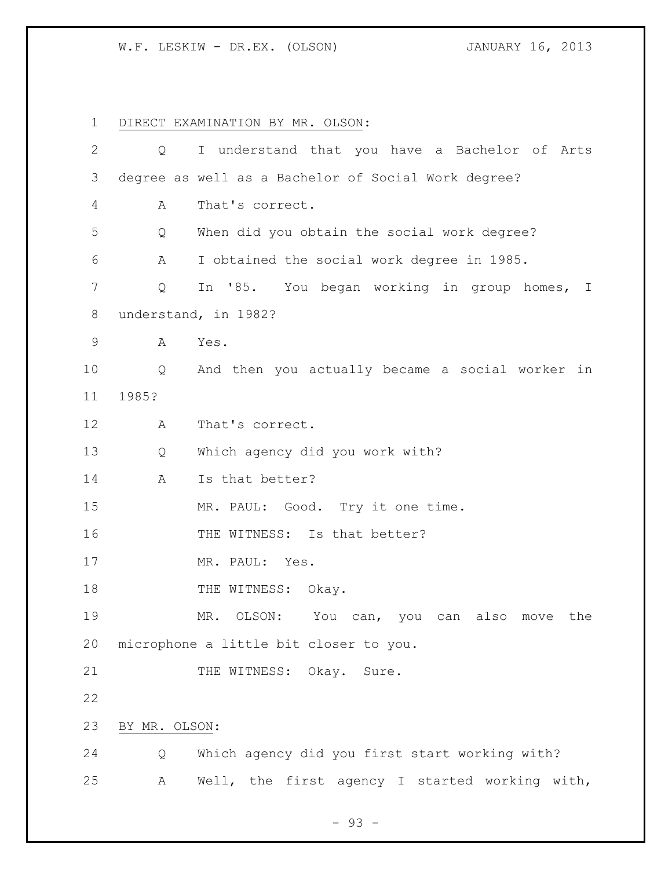W.F. LESKIW - DR.EX. (OLSON) JANUARY 16, 2013

 DIRECT EXAMINATION BY MR. OLSON: Q I understand that you have a Bachelor of Arts degree as well as a Bachelor of Social Work degree? A That's correct. Q When did you obtain the social work degree? A I obtained the social work degree in 1985. Q In '85. You began working in group homes, I understand, in 1982? A Yes. Q And then you actually became a social worker in 1985? A That's correct. Q Which agency did you work with? 14 A Is that better? 15 MR. PAUL: Good. Try it one time. 16 THE WITNESS: Is that better? 17 MR. PAUL: Yes. 18 THE WITNESS: Okay. MR. OLSON: You can, you can also move the microphone a little bit closer to you. 21 THE WITNESS: Okay. Sure. BY MR. OLSON: Q Which agency did you first start working with? A Well, the first agency I started working with,

 $-93 -$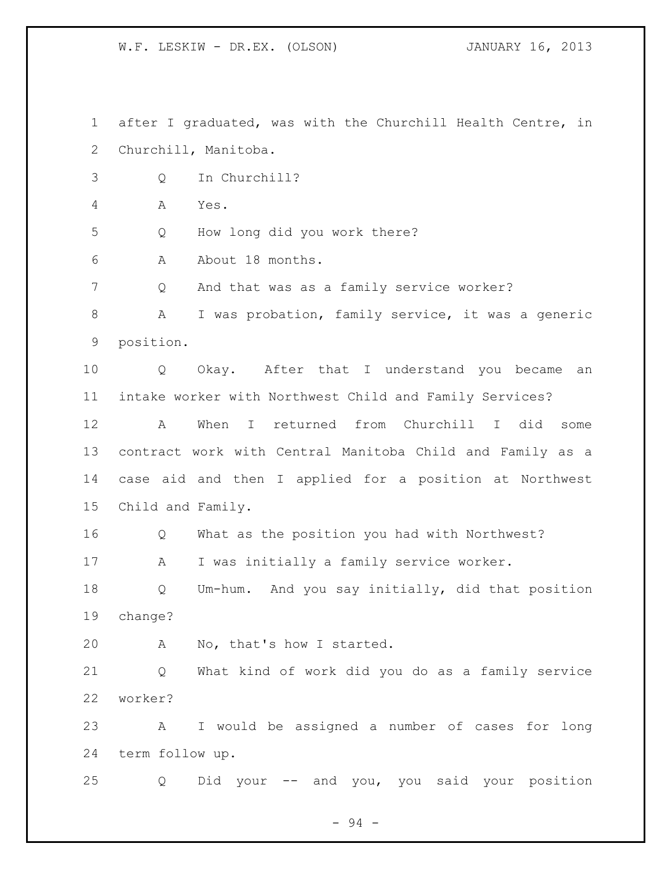W.F. LESKIW - DR.EX. (OLSON) JANUARY 16, 2013

 after I graduated, was with the Churchill Health Centre, in Churchill, Manitoba. Q In Churchill? A Yes. Q How long did you work there? A About 18 months. Q And that was as a family service worker? A I was probation, family service, it was a generic position. Q Okay. After that I understand you became an intake worker with Northwest Child and Family Services? A When I returned from Churchill I did some contract work with Central Manitoba Child and Family as a case aid and then I applied for a position at Northwest Child and Family. Q What as the position you had with Northwest? 17 A I was initially a family service worker. Q Um-hum. And you say initially, did that position change? A No, that's how I started. Q What kind of work did you do as a family service worker? A I would be assigned a number of cases for long term follow up. Q Did your -- and you, you said your position

- 94 -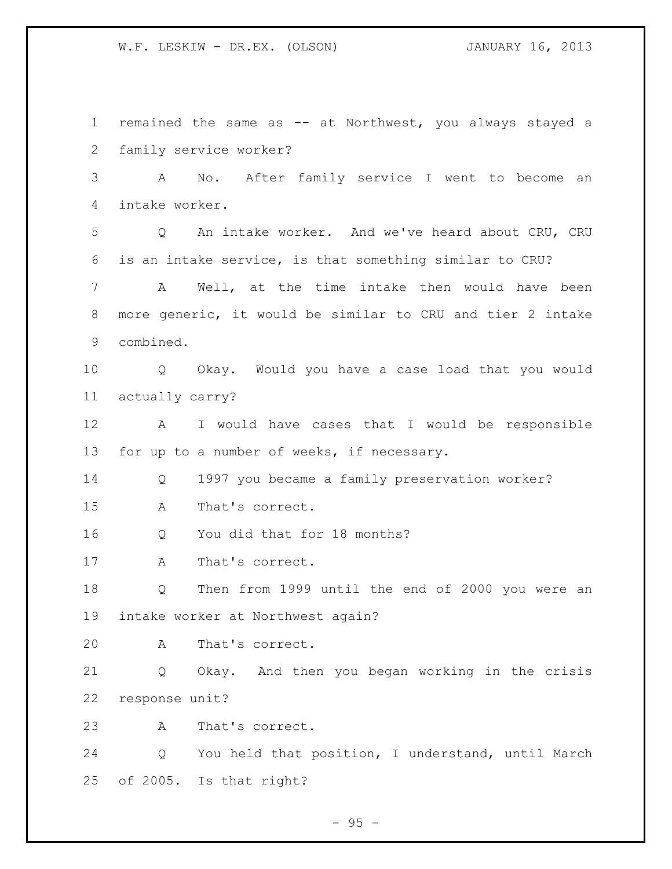W.F. LESKIW - DR.EX. (OLSON) JANUARY 16, 2013

 remained the same as -- at Northwest, you always stayed a family service worker? A No. After family service I went to become an intake worker. Q An intake worker. And we've heard about CRU, CRU is an intake service, is that something similar to CRU? A Well, at the time intake then would have been more generic, it would be similar to CRU and tier 2 intake combined. Q Okay. Would you have a case load that you would actually carry? A I would have cases that I would be responsible for up to a number of weeks, if necessary. Q 1997 you became a family preservation worker? A That's correct. Q You did that for 18 months? A That's correct. Q Then from 1999 until the end of 2000 you were an intake worker at Northwest again? A That's correct. Q Okay. And then you began working in the crisis response unit? A That's correct. Q You held that position, I understand, until March of 2005. Is that right?

 $-95 -$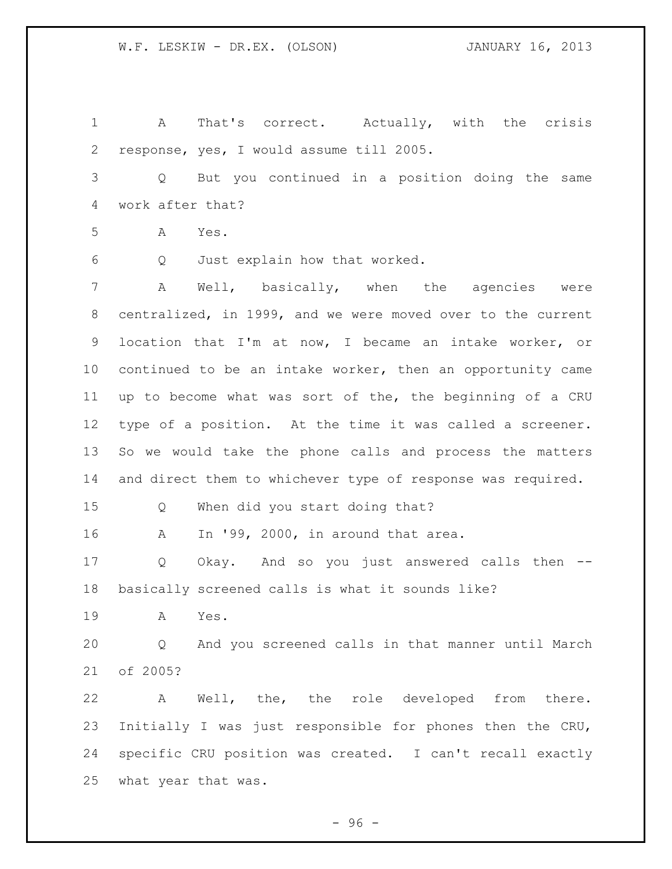A That's correct. Actually, with the crisis response, yes, I would assume till 2005. Q But you continued in a position doing the same work after that? A Yes. Q Just explain how that worked. A Well, basically, when the agencies were centralized, in 1999, and we were moved over to the current location that I'm at now, I became an intake worker, or continued to be an intake worker, then an opportunity came up to become what was sort of the, the beginning of a CRU type of a position. At the time it was called a screener. So we would take the phone calls and process the matters and direct them to whichever type of response was required. Q When did you start doing that? A In '99, 2000, in around that area. Q Okay. And so you just answered calls then -- basically screened calls is what it sounds like? A Yes. Q And you screened calls in that manner until March of 2005? A Well, the, the role developed from there. Initially I was just responsible for phones then the CRU, specific CRU position was created. I can't recall exactly what year that was.

 $-96 -$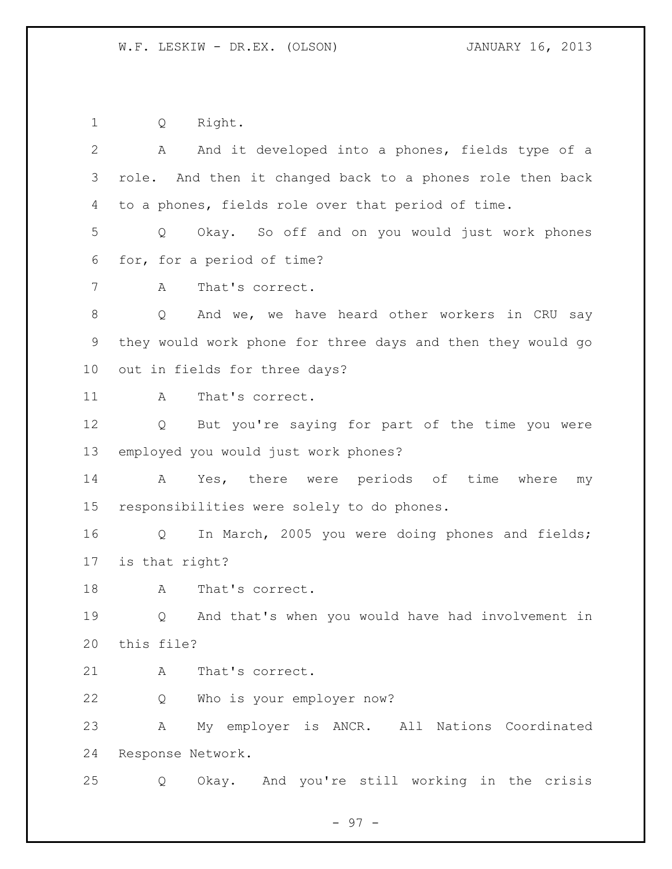Q Right.

| $\overline{2}$ | And it developed into a phones, fields type of a<br>A                |
|----------------|----------------------------------------------------------------------|
| 3              | role. And then it changed back to a phones role then back            |
| 4              | to a phones, fields role over that period of time.                   |
| 5              | Okay. So off and on you would just work phones<br>Q                  |
| 6              | for, for a period of time?                                           |
| 7              | That's correct.<br>A                                                 |
| $\,8\,$        | And we, we have heard other workers in CRU say<br>Q                  |
| 9              | they would work phone for three days and then they would go          |
| 10             | out in fields for three days?                                        |
| 11             | That's correct.<br>A                                                 |
| 12             | But you're saying for part of the time you were<br>$Q \qquad \qquad$ |
| 13             | employed you would just work phones?                                 |
| 14             | Yes, there were periods of time where<br>A<br>my                     |
| 15             | responsibilities were solely to do phones.                           |
| 16             | In March, 2005 you were doing phones and fields;<br>Q                |
| 17             | is that right?                                                       |
| 18             | That's correct.<br>A                                                 |
| 19             | And that's when you would have had involvement in<br>Q               |
| 20             | this file?                                                           |
| 21             | That's correct.<br>Α                                                 |
| 22             | Who is your employer now?<br>Q                                       |
| 23             | My employer is ANCR. All Nations Coordinated<br>Α                    |
| 24             | Response Network.                                                    |
| 25             | Okay. And you're still working in the crisis<br>Q                    |

- 97 -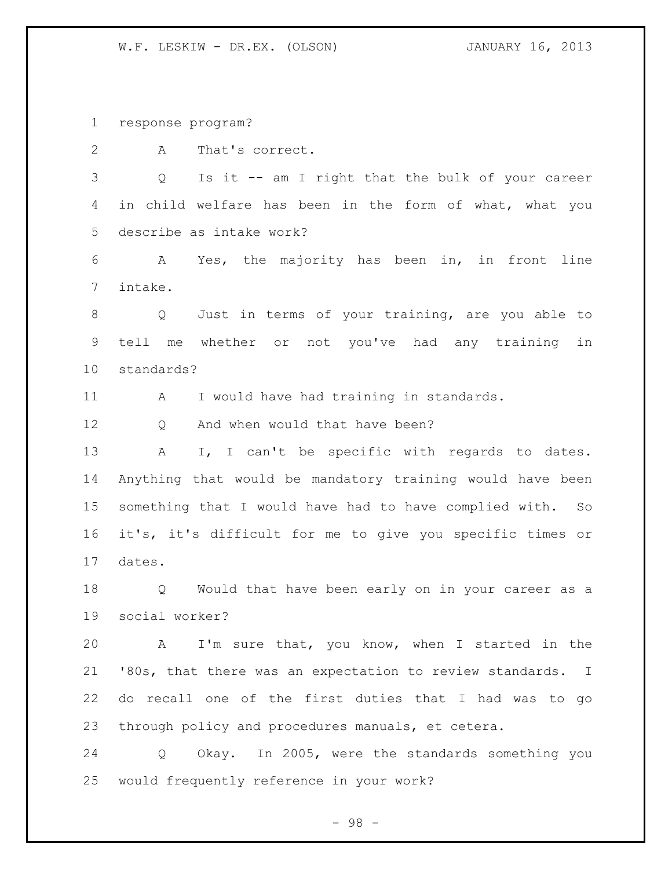response program?

A That's correct.

 Q Is it -- am I right that the bulk of your career in child welfare has been in the form of what, what you describe as intake work?

 A Yes, the majority has been in, in front line intake.

 Q Just in terms of your training, are you able to tell me whether or not you've had any training in standards?

11 A I would have had training in standards.

12 O And when would that have been?

13 A I, I can't be specific with regards to dates. Anything that would be mandatory training would have been something that I would have had to have complied with. So it's, it's difficult for me to give you specific times or dates.

 Q Would that have been early on in your career as a social worker?

 A I'm sure that, you know, when I started in the '80s, that there was an expectation to review standards. I do recall one of the first duties that I had was to go through policy and procedures manuals, et cetera.

 Q Okay. In 2005, were the standards something you would frequently reference in your work?

- 98 -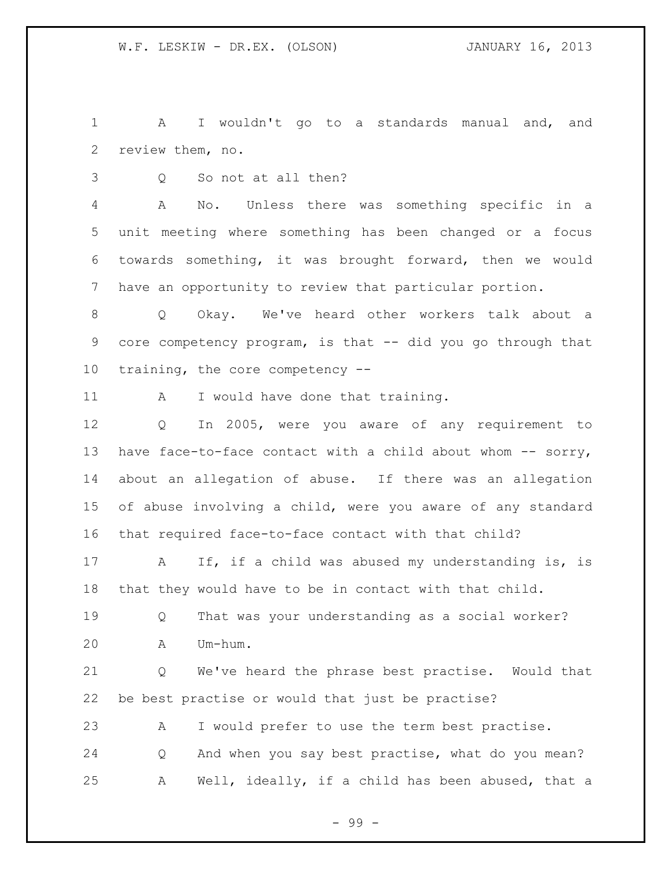A I wouldn't go to a standards manual and, and review them, no.

Q So not at all then?

 A No. Unless there was something specific in a unit meeting where something has been changed or a focus towards something, it was brought forward, then we would have an opportunity to review that particular portion.

 Q Okay. We've heard other workers talk about a core competency program, is that -- did you go through that training, the core competency --

11 A I would have done that training.

 Q In 2005, were you aware of any requirement to 13 have face-to-face contact with a child about whom -- sorry, about an allegation of abuse. If there was an allegation of abuse involving a child, were you aware of any standard that required face-to-face contact with that child?

 A If, if a child was abused my understanding is, is that they would have to be in contact with that child.

 Q That was your understanding as a social worker? A Um-hum.

 Q We've heard the phrase best practise. Would that be best practise or would that just be practise?

 A I would prefer to use the term best practise. Q And when you say best practise, what do you mean? A Well, ideally, if a child has been abused, that a

- 99 -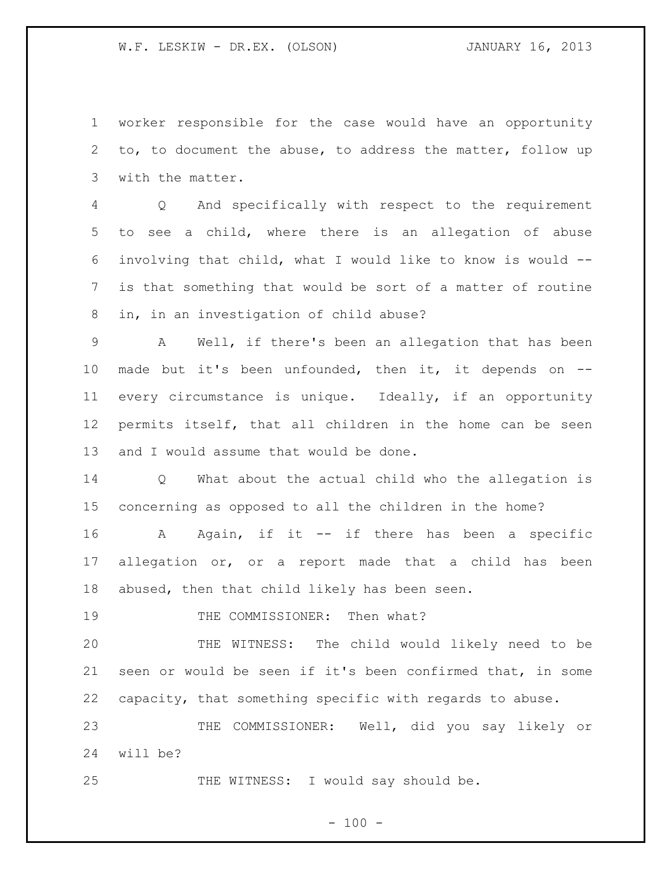worker responsible for the case would have an opportunity to, to document the abuse, to address the matter, follow up with the matter.

 Q And specifically with respect to the requirement to see a child, where there is an allegation of abuse involving that child, what I would like to know is would -- is that something that would be sort of a matter of routine in, in an investigation of child abuse?

 A Well, if there's been an allegation that has been made but it's been unfounded, then it, it depends on -- every circumstance is unique. Ideally, if an opportunity permits itself, that all children in the home can be seen and I would assume that would be done.

 Q What about the actual child who the allegation is concerning as opposed to all the children in the home?

 A Again, if it -- if there has been a specific allegation or, or a report made that a child has been abused, then that child likely has been seen.

19 THE COMMISSIONER: Then what?

 THE WITNESS: The child would likely need to be seen or would be seen if it's been confirmed that, in some capacity, that something specific with regards to abuse.

 THE COMMISSIONER: Well, did you say likely or will be?

25 THE WITNESS: I would say should be.

 $- 100 -$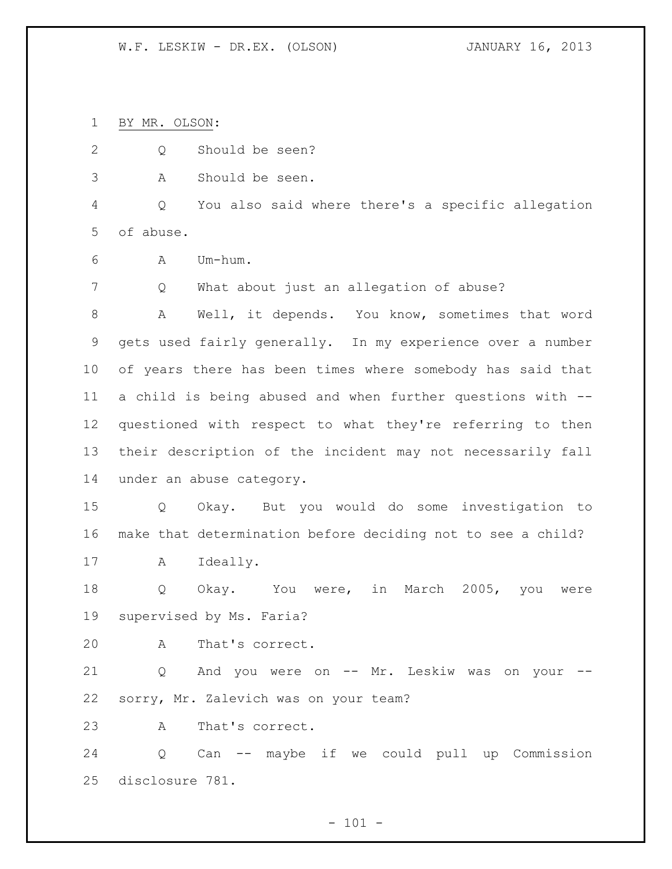BY MR. OLSON:

- Q Should be seen?
- A Should be seen.

 Q You also said where there's a specific allegation of abuse.

A Um-hum.

Q What about just an allegation of abuse?

 A Well, it depends. You know, sometimes that word gets used fairly generally. In my experience over a number of years there has been times where somebody has said that a child is being abused and when further questions with -- questioned with respect to what they're referring to then their description of the incident may not necessarily fall under an abuse category.

 Q Okay. But you would do some investigation to make that determination before deciding not to see a child?

A Ideally.

18 Q Okay. You were, in March 2005, you were supervised by Ms. Faria?

A That's correct.

 Q And you were on -- Mr. Leskiw was on your -- sorry, Mr. Zalevich was on your team?

A That's correct.

 Q Can -- maybe if we could pull up Commission disclosure 781.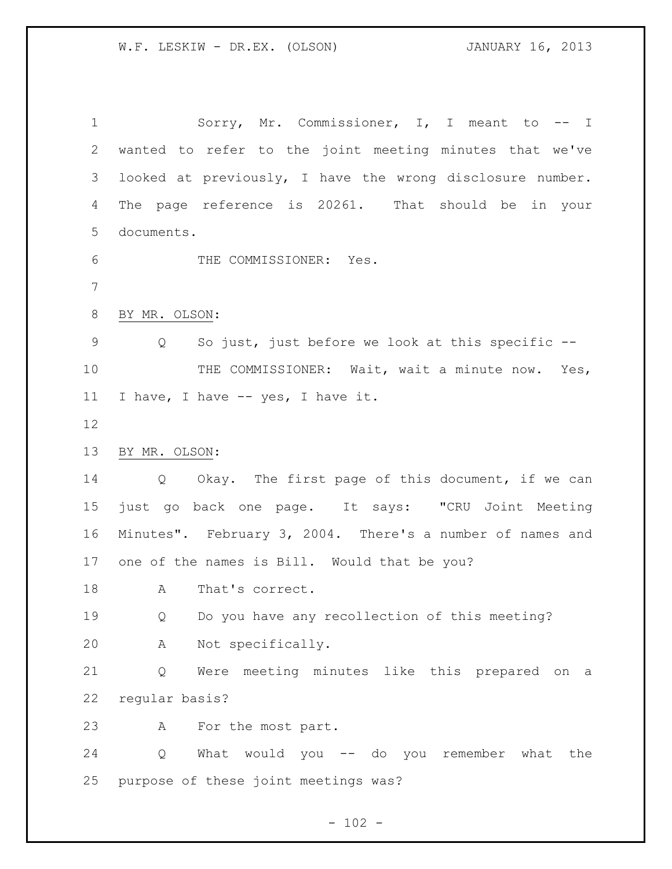1 Sorry, Mr. Commissioner, I, I meant to -- I wanted to refer to the joint meeting minutes that we've looked at previously, I have the wrong disclosure number. The page reference is 20261. That should be in your documents. THE COMMISSIONER: Yes. BY MR. OLSON: Q So just, just before we look at this specific -- 10 THE COMMISSIONER: Wait, wait a minute now. Yes, I have, I have -- yes, I have it. BY MR. OLSON: Q Okay. The first page of this document, if we can just go back one page. It says: "CRU Joint Meeting Minutes". February 3, 2004. There's a number of names and one of the names is Bill. Would that be you? 18 A That's correct. Q Do you have any recollection of this meeting? A Not specifically. Q Were meeting minutes like this prepared on a regular basis? A For the most part. Q What would you -- do you remember what the purpose of these joint meetings was?

 $- 102 -$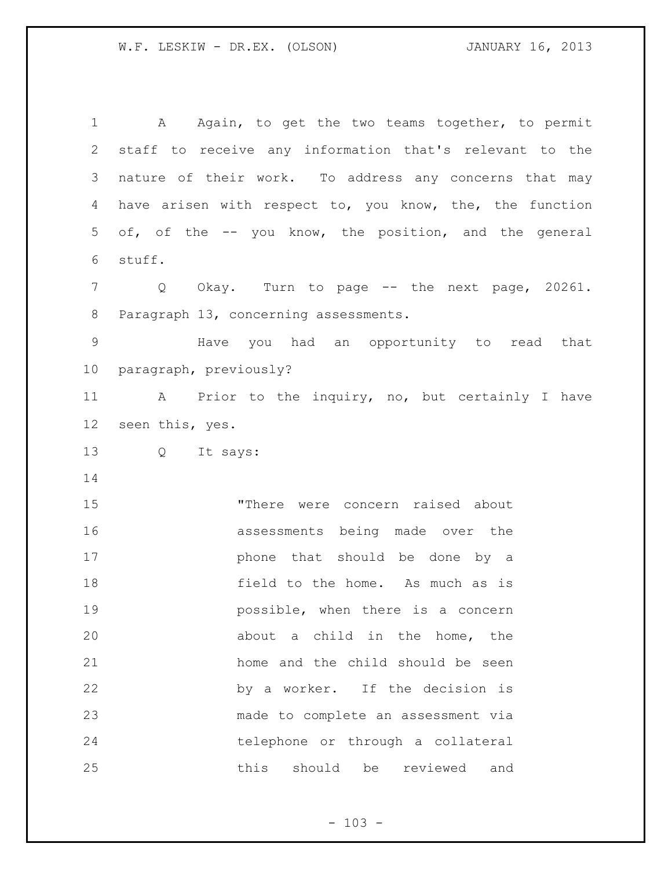1 A Again, to get the two teams together, to permit staff to receive any information that's relevant to the nature of their work. To address any concerns that may have arisen with respect to, you know, the, the function of, of the -- you know, the position, and the general stuff. Q Okay. Turn to page -- the next page, 20261. Paragraph 13, concerning assessments. Have you had an opportunity to read that paragraph, previously? A Prior to the inquiry, no, but certainly I have seen this, yes. Q It says: "There were concern raised about assessments being made over the 17 bhone that should be done by a 18 field to the home. As much as is possible, when there is a concern about a child in the home, the home and the child should be seen by a worker. If the decision is made to complete an assessment via telephone or through a collateral this should be reviewed and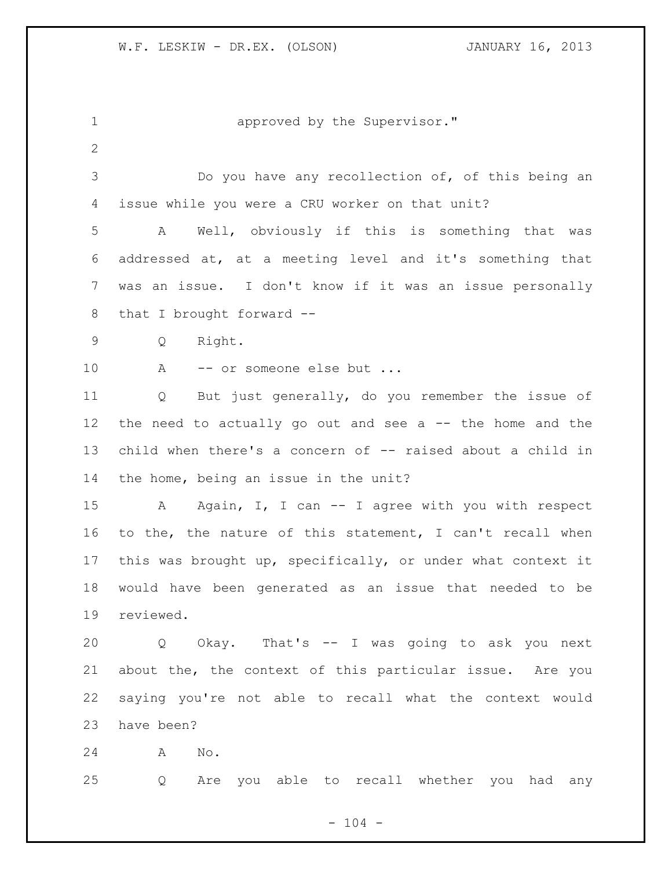1 approved by the Supervisor." Do you have any recollection of, of this being an issue while you were a CRU worker on that unit? A Well, obviously if this is something that was addressed at, at a meeting level and it's something that was an issue. I don't know if it was an issue personally that I brought forward -- Q Right. 10 A -- or someone else but ... Q But just generally, do you remember the issue of the need to actually go out and see a -- the home and the child when there's a concern of -- raised about a child in the home, being an issue in the unit? A Again, I, I can -- I agree with you with respect to the, the nature of this statement, I can't recall when this was brought up, specifically, or under what context it would have been generated as an issue that needed to be reviewed. Q Okay. That's -- I was going to ask you next about the, the context of this particular issue. Are you saying you're not able to recall what the context would have been? A No. Q Are you able to recall whether you had any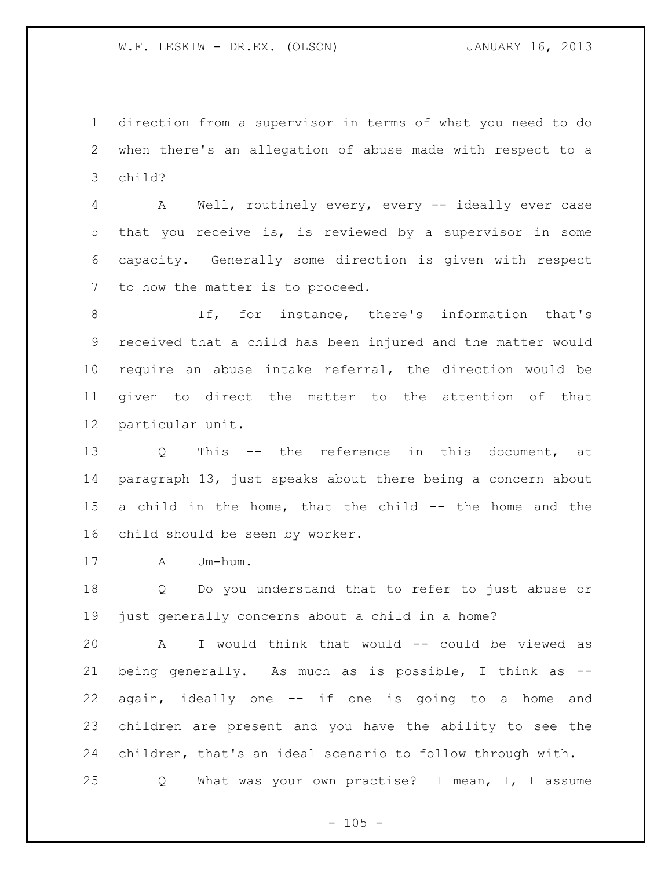direction from a supervisor in terms of what you need to do when there's an allegation of abuse made with respect to a child?

 A Well, routinely every, every -- ideally ever case that you receive is, is reviewed by a supervisor in some capacity. Generally some direction is given with respect to how the matter is to proceed.

 If, for instance, there's information that's received that a child has been injured and the matter would require an abuse intake referral, the direction would be given to direct the matter to the attention of that particular unit.

 Q This -- the reference in this document, at paragraph 13, just speaks about there being a concern about a child in the home, that the child -- the home and the child should be seen by worker.

A Um-hum.

 Q Do you understand that to refer to just abuse or just generally concerns about a child in a home?

 A I would think that would -- could be viewed as being generally. As much as is possible, I think as -- again, ideally one -- if one is going to a home and children are present and you have the ability to see the children, that's an ideal scenario to follow through with. Q What was your own practise? I mean, I, I assume

 $- 105 -$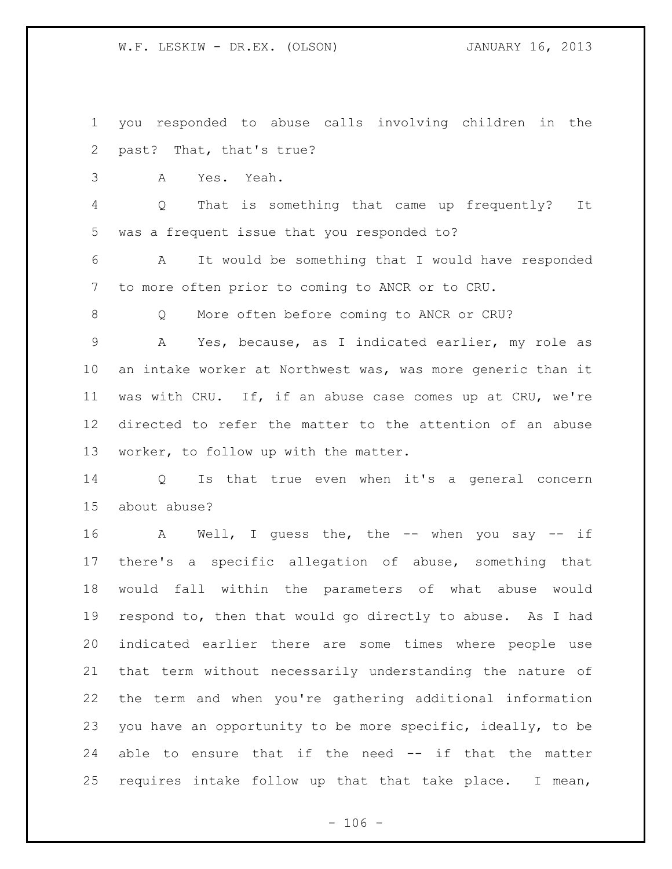you responded to abuse calls involving children in the past? That, that's true?

A Yes. Yeah.

 Q That is something that came up frequently? It was a frequent issue that you responded to?

 A It would be something that I would have responded to more often prior to coming to ANCR or to CRU.

8 O More often before coming to ANCR or CRU?

 A Yes, because, as I indicated earlier, my role as an intake worker at Northwest was, was more generic than it was with CRU. If, if an abuse case comes up at CRU, we're directed to refer the matter to the attention of an abuse worker, to follow up with the matter.

 Q Is that true even when it's a general concern about abuse?

 A Well, I guess the, the -- when you say -- if there's a specific allegation of abuse, something that would fall within the parameters of what abuse would respond to, then that would go directly to abuse. As I had indicated earlier there are some times where people use that term without necessarily understanding the nature of the term and when you're gathering additional information you have an opportunity to be more specific, ideally, to be able to ensure that if the need -- if that the matter requires intake follow up that that take place. I mean,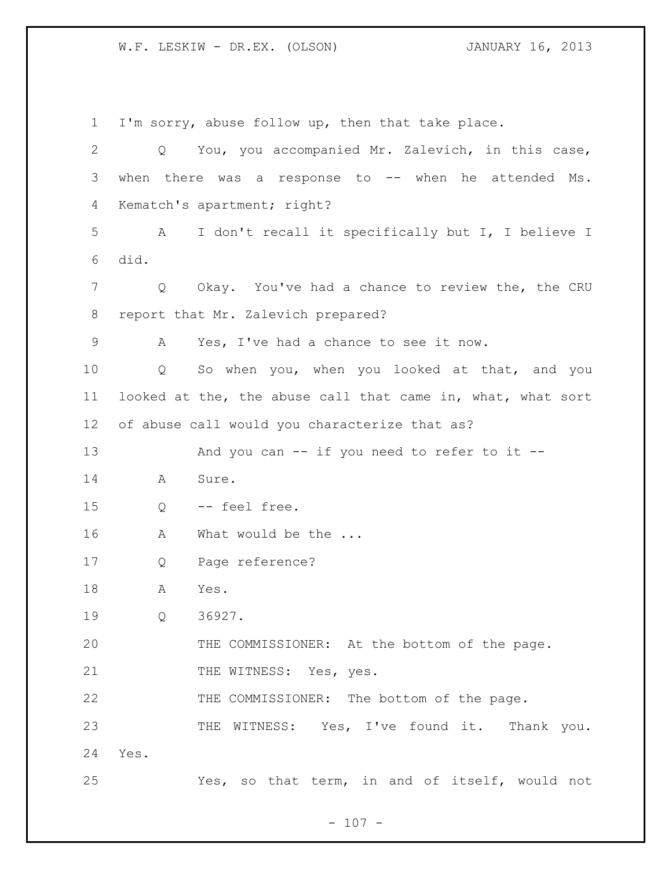I'm sorry, abuse follow up, then that take place. Q You, you accompanied Mr. Zalevich, in this case, when there was a response to -- when he attended Ms. Kematch's apartment; right? A I don't recall it specifically but I, I believe I did. Q Okay. You've had a chance to review the, the CRU report that Mr. Zalevich prepared? A Yes, I've had a chance to see it now. Q So when you, when you looked at that, and you looked at the, the abuse call that came in, what, what sort of abuse call would you characterize that as? 13 And you can -- if you need to refer to it -- A Sure. Q -- feel free. 16 A What would be the ... Q Page reference? A Yes. Q 36927. THE COMMISSIONER: At the bottom of the page. 21 THE WITNESS: Yes, yes. THE COMMISSIONER: The bottom of the page. 23 THE WITNESS: Yes, I've found it. Thank you. Yes. Yes, so that term, in and of itself, would not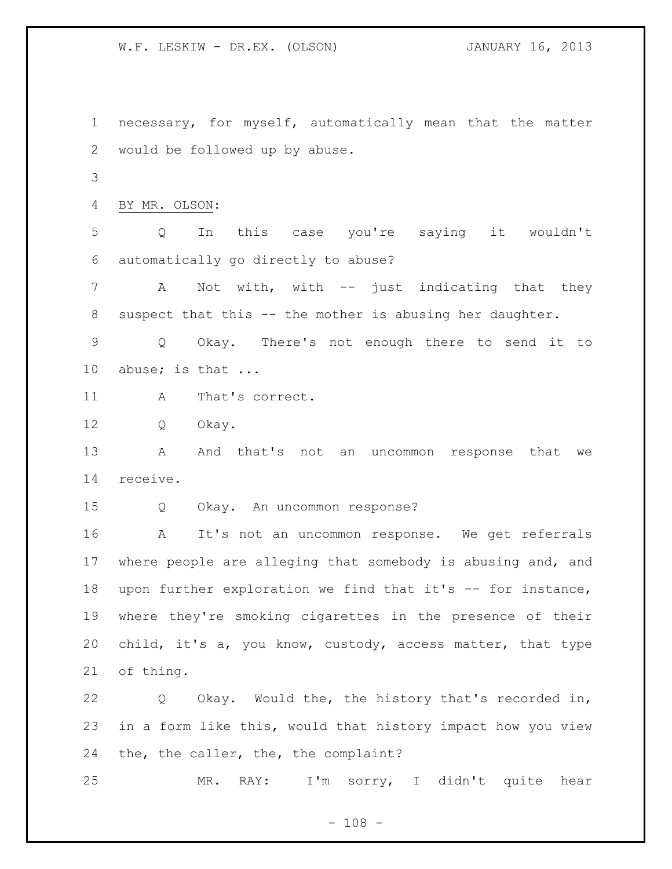necessary, for myself, automatically mean that the matter would be followed up by abuse.

BY MR. OLSON:

 Q In this case you're saying it wouldn't automatically go directly to abuse?

 A Not with, with -- just indicating that they suspect that this -- the mother is abusing her daughter.

 Q Okay. There's not enough there to send it to 10 abuse; is that ...

11 A That's correct.

Q Okay.

13 A And that's not an uncommon response that we receive.

Q Okay. An uncommon response?

 A It's not an uncommon response. We get referrals where people are alleging that somebody is abusing and, and upon further exploration we find that it's -- for instance, where they're smoking cigarettes in the presence of their child, it's a, you know, custody, access matter, that type of thing.

 Q Okay. Would the, the history that's recorded in, in a form like this, would that history impact how you view the, the caller, the, the complaint?

MR. RAY: I'm sorry, I didn't quite hear

 $- 108 -$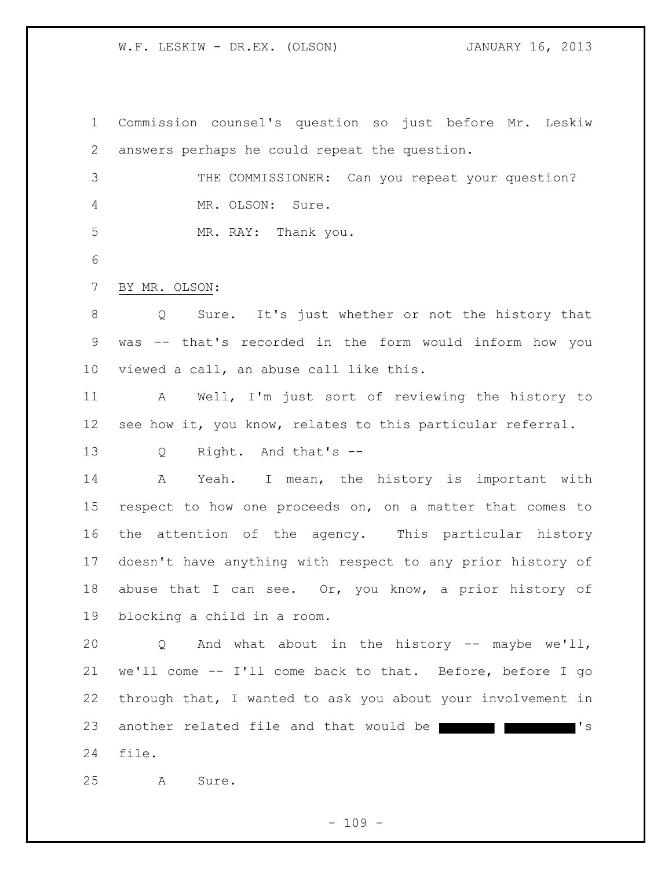Commission counsel's question so just before Mr. Leskiw answers perhaps he could repeat the question. 3 THE COMMISSIONER: Can you repeat your question? 4 MR. OLSON: Sure. 5 MR. RAY: Thank you. BY MR. OLSON: Q Sure. It's just whether or not the history that was -- that's recorded in the form would inform how you viewed a call, an abuse call like this. A Well, I'm just sort of reviewing the history to see how it, you know, relates to this particular referral. Q Right. And that's -- A Yeah. I mean, the history is important with respect to how one proceeds on, on a matter that comes to the attention of the agency. This particular history doesn't have anything with respect to any prior history of 18 abuse that I can see. Or, you know, a prior history of blocking a child in a room. Q And what about in the history -- maybe we'll, we'll come -- I'll come back to that. Before, before I go through that, I wanted to ask you about your involvement in 23 another related file and that would be  $\blacksquare$ file.

A Sure.

 $- 109 -$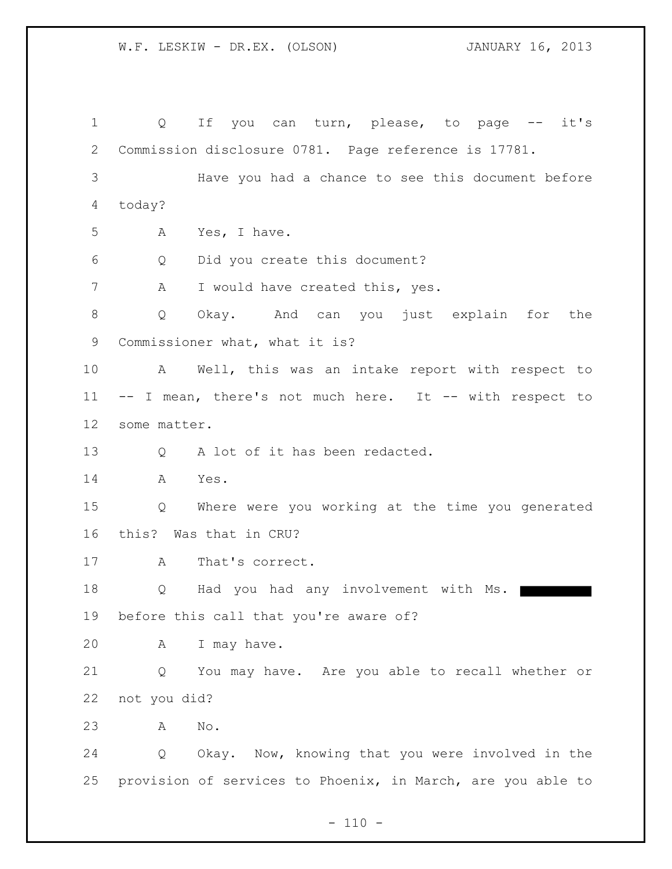1 Q If you can turn, please, to page -- it's Commission disclosure 0781. Page reference is 17781. 3 Have you had a chance to see this document before today? A Yes, I have. Q Did you create this document? 7 A I would have created this, yes. Q Okay. And can you just explain for the Commissioner what, what it is? A Well, this was an intake report with respect to -- I mean, there's not much here. It -- with respect to some matter. 13 Q A lot of it has been redacted. A Yes. Q Where were you working at the time you generated this? Was that in CRU? A That's correct. 18 Q Had you had any involvement with Ms. before this call that you're aware of? A I may have. Q You may have. Are you able to recall whether or not you did? A No. Q Okay. Now, knowing that you were involved in the provision of services to Phoenix, in March, are you able to

 $- 110 -$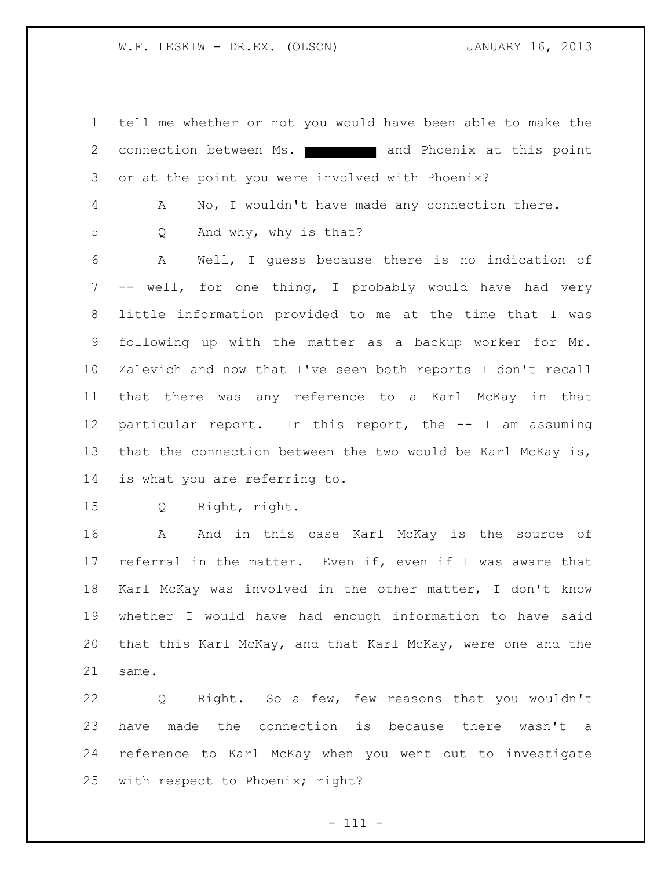tell me whether or not you would have been able to make the 2 connection between Ms. **All and Phoenix at this point** or at the point you were involved with Phoenix?

A No, I wouldn't have made any connection there.

Q And why, why is that?

 A Well, I guess because there is no indication of -- well, for one thing, I probably would have had very little information provided to me at the time that I was following up with the matter as a backup worker for Mr. Zalevich and now that I've seen both reports I don't recall that there was any reference to a Karl McKay in that particular report. In this report, the -- I am assuming that the connection between the two would be Karl McKay is, is what you are referring to.

Q Right, right.

 A And in this case Karl McKay is the source of referral in the matter. Even if, even if I was aware that Karl McKay was involved in the other matter, I don't know whether I would have had enough information to have said that this Karl McKay, and that Karl McKay, were one and the same.

 Q Right. So a few, few reasons that you wouldn't have made the connection is because there wasn't a reference to Karl McKay when you went out to investigate with respect to Phoenix; right?

 $- 111 -$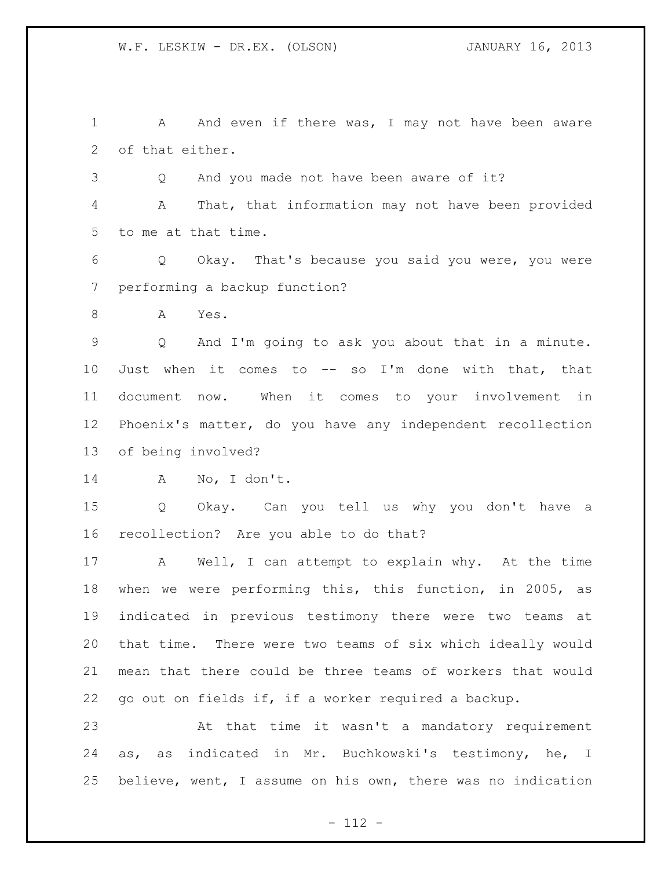1 A And even if there was, I may not have been aware of that either.

Q And you made not have been aware of it?

 A That, that information may not have been provided to me at that time.

 Q Okay. That's because you said you were, you were performing a backup function?

A Yes.

 Q And I'm going to ask you about that in a minute. Just when it comes to -- so I'm done with that, that document now. When it comes to your involvement in Phoenix's matter, do you have any independent recollection of being involved?

```
14 A No, I don't.
```
 Q Okay. Can you tell us why you don't have a recollection? Are you able to do that?

 A Well, I can attempt to explain why. At the time when we were performing this, this function, in 2005, as indicated in previous testimony there were two teams at that time. There were two teams of six which ideally would mean that there could be three teams of workers that would go out on fields if, if a worker required a backup.

 At that time it wasn't a mandatory requirement as, as indicated in Mr. Buchkowski's testimony, he, I believe, went, I assume on his own, there was no indication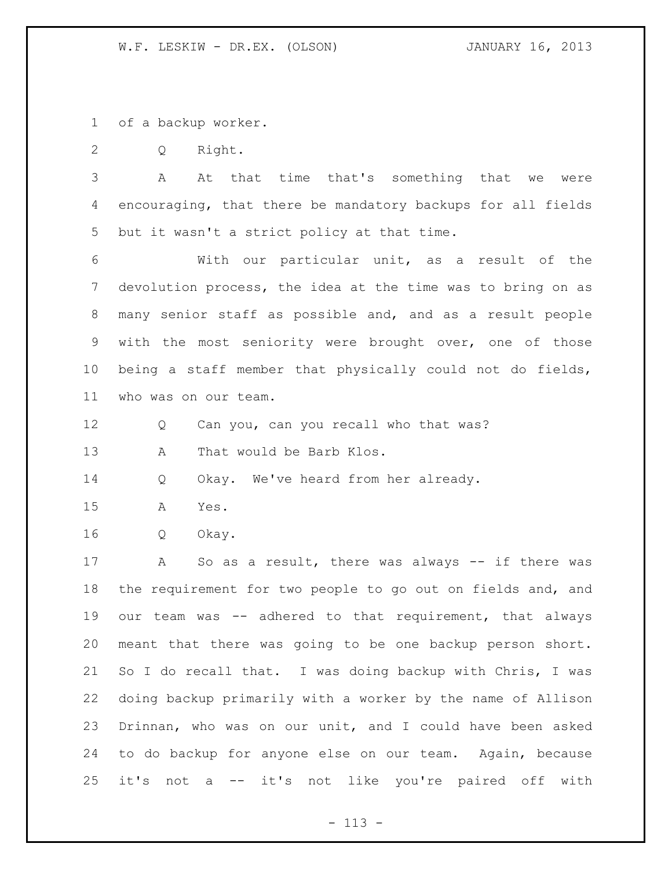of a backup worker.

Q Right.

 A At that time that's something that we were encouraging, that there be mandatory backups for all fields but it wasn't a strict policy at that time.

 With our particular unit, as a result of the devolution process, the idea at the time was to bring on as many senior staff as possible and, and as a result people with the most seniority were brought over, one of those being a staff member that physically could not do fields, who was on our team.

Q Can you, can you recall who that was?

13 A That would be Barb Klos.

Q Okay. We've heard from her already.

A Yes.

Q Okay.

 A So as a result, there was always -- if there was the requirement for two people to go out on fields and, and our team was -- adhered to that requirement, that always meant that there was going to be one backup person short. So I do recall that. I was doing backup with Chris, I was doing backup primarily with a worker by the name of Allison Drinnan, who was on our unit, and I could have been asked to do backup for anyone else on our team. Again, because it's not a -- it's not like you're paired off with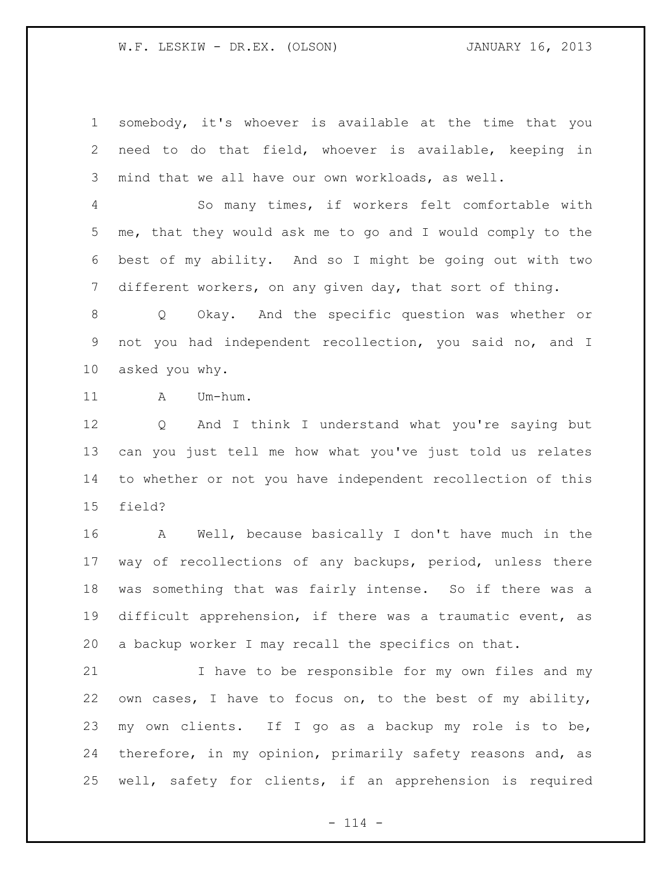somebody, it's whoever is available at the time that you need to do that field, whoever is available, keeping in mind that we all have our own workloads, as well.

 So many times, if workers felt comfortable with me, that they would ask me to go and I would comply to the best of my ability. And so I might be going out with two different workers, on any given day, that sort of thing.

 Q Okay. And the specific question was whether or not you had independent recollection, you said no, and I asked you why.

11 A Um-hum.

 Q And I think I understand what you're saying but can you just tell me how what you've just told us relates to whether or not you have independent recollection of this field?

 A Well, because basically I don't have much in the way of recollections of any backups, period, unless there was something that was fairly intense. So if there was a difficult apprehension, if there was a traumatic event, as a backup worker I may recall the specifics on that.

 I have to be responsible for my own files and my own cases, I have to focus on, to the best of my ability, my own clients. If I go as a backup my role is to be, therefore, in my opinion, primarily safety reasons and, as well, safety for clients, if an apprehension is required

 $- 114 -$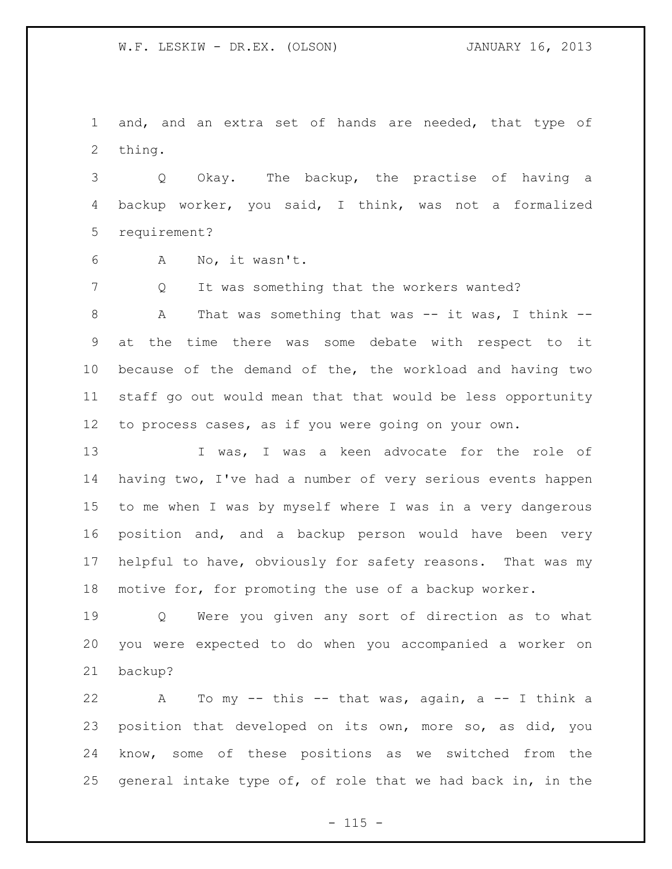and, and an extra set of hands are needed, that type of thing.

 Q Okay. The backup, the practise of having a backup worker, you said, I think, was not a formalized requirement?

A No, it wasn't.

7 Q It was something that the workers wanted?

 A That was something that was -- it was, I think -- at the time there was some debate with respect to it because of the demand of the, the workload and having two staff go out would mean that that would be less opportunity to process cases, as if you were going on your own.

13 I was, I was a keen advocate for the role of having two, I've had a number of very serious events happen to me when I was by myself where I was in a very dangerous position and, and a backup person would have been very helpful to have, obviously for safety reasons. That was my motive for, for promoting the use of a backup worker.

 Q Were you given any sort of direction as to what you were expected to do when you accompanied a worker on backup?

 A To my -- this -- that was, again, a -- I think a position that developed on its own, more so, as did, you know, some of these positions as we switched from the general intake type of, of role that we had back in, in the

 $- 115 -$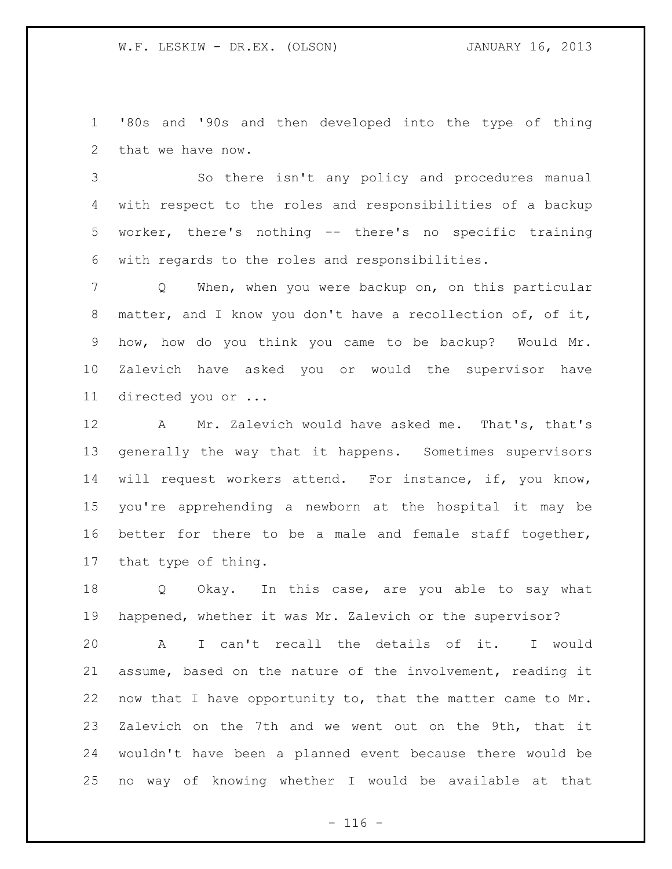'80s and '90s and then developed into the type of thing that we have now.

 So there isn't any policy and procedures manual with respect to the roles and responsibilities of a backup worker, there's nothing -- there's no specific training with regards to the roles and responsibilities.

 Q When, when you were backup on, on this particular matter, and I know you don't have a recollection of, of it, how, how do you think you came to be backup? Would Mr. Zalevich have asked you or would the supervisor have directed you or ...

 A Mr. Zalevich would have asked me. That's, that's generally the way that it happens. Sometimes supervisors will request workers attend. For instance, if, you know, you're apprehending a newborn at the hospital it may be better for there to be a male and female staff together, that type of thing.

18 Q Okay. In this case, are you able to say what happened, whether it was Mr. Zalevich or the supervisor?

 A I can't recall the details of it. I would assume, based on the nature of the involvement, reading it now that I have opportunity to, that the matter came to Mr. Zalevich on the 7th and we went out on the 9th, that it wouldn't have been a planned event because there would be no way of knowing whether I would be available at that

 $- 116 -$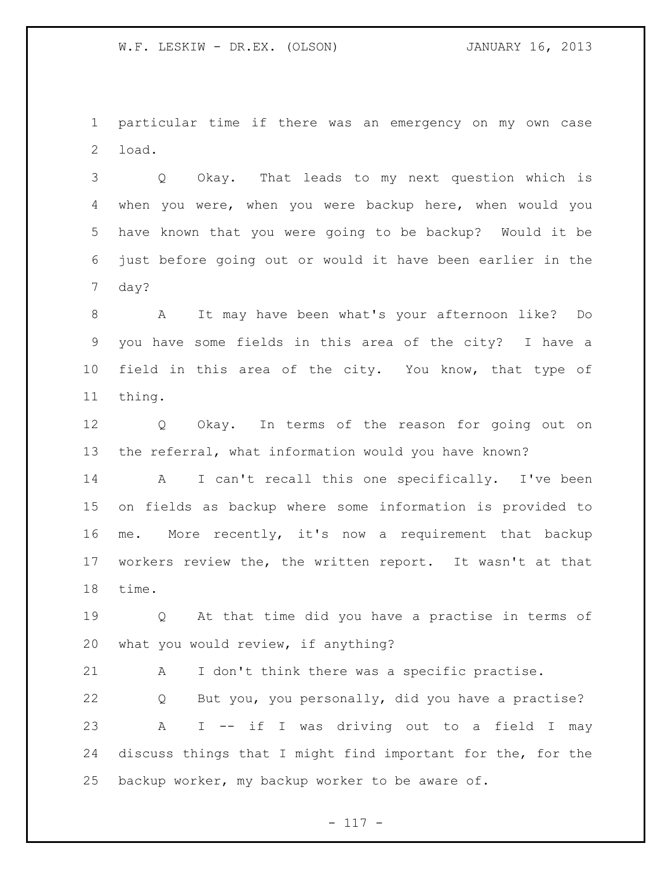particular time if there was an emergency on my own case load.

 Q Okay. That leads to my next question which is when you were, when you were backup here, when would you have known that you were going to be backup? Would it be just before going out or would it have been earlier in the day?

 A It may have been what's your afternoon like? Do you have some fields in this area of the city? I have a field in this area of the city. You know, that type of thing.

 Q Okay. In terms of the reason for going out on the referral, what information would you have known?

 A I can't recall this one specifically. I've been on fields as backup where some information is provided to me. More recently, it's now a requirement that backup workers review the, the written report. It wasn't at that time.

 Q At that time did you have a practise in terms of what you would review, if anything?

 A I don't think there was a specific practise. Q But you, you personally, did you have a practise? A I -- if I was driving out to a field I may discuss things that I might find important for the, for the backup worker, my backup worker to be aware of.

- 117 -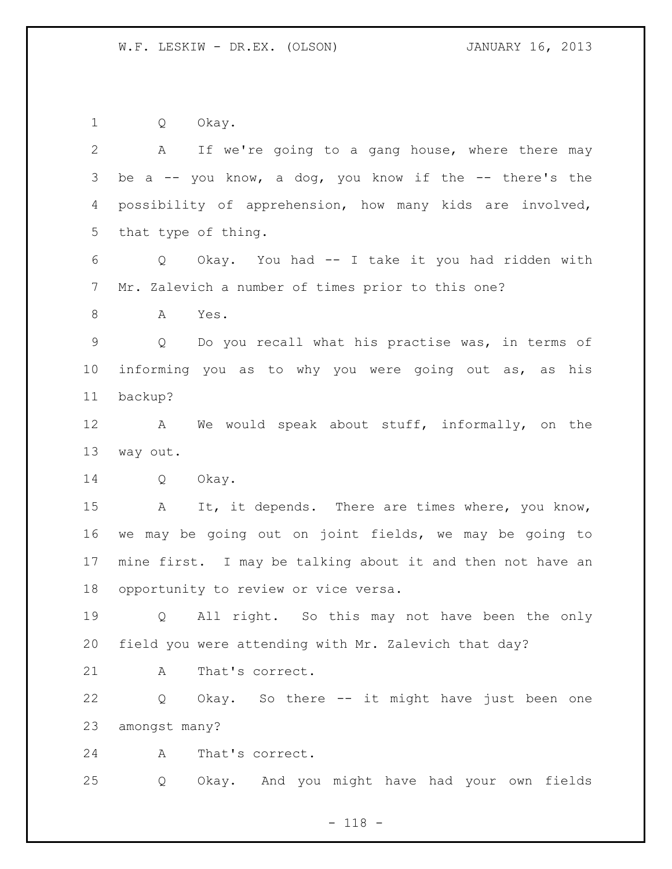Q Okay. A If we're going to a gang house, where there may be a -- you know, a dog, you know if the -- there's the possibility of apprehension, how many kids are involved, that type of thing. Q Okay. You had -- I take it you had ridden with Mr. Zalevich a number of times prior to this one? A Yes. Q Do you recall what his practise was, in terms of informing you as to why you were going out as, as his backup? A We would speak about stuff, informally, on the way out. Q Okay. 15 A It, it depends. There are times where, you know, we may be going out on joint fields, we may be going to mine first. I may be talking about it and then not have an opportunity to review or vice versa. Q All right. So this may not have been the only field you were attending with Mr. Zalevich that day? 21 A That's correct. Q Okay. So there -- it might have just been one amongst many? A That's correct. Q Okay. And you might have had your own fields

- 118 -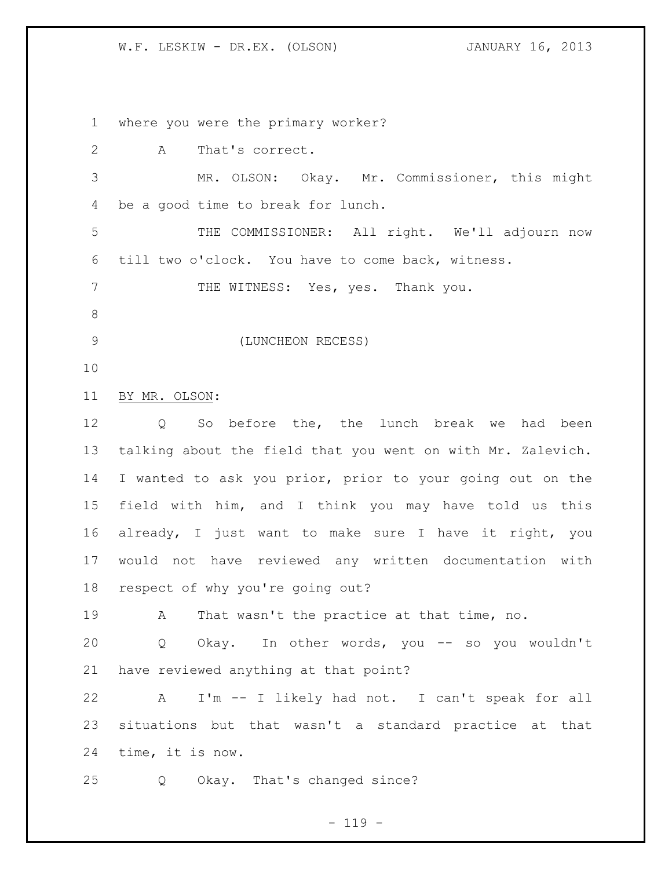where you were the primary worker? A That's correct. MR. OLSON: Okay. Mr. Commissioner, this might be a good time to break for lunch. THE COMMISSIONER: All right. We'll adjourn now till two o'clock. You have to come back, witness. 7 THE WITNESS: Yes, yes. Thank you. (LUNCHEON RECESS) BY MR. OLSON: Q So before the, the lunch break we had been talking about the field that you went on with Mr. Zalevich. I wanted to ask you prior, prior to your going out on the field with him, and I think you may have told us this already, I just want to make sure I have it right, you would not have reviewed any written documentation with respect of why you're going out? A That wasn't the practice at that time, no. Q Okay. In other words, you -- so you wouldn't have reviewed anything at that point? A I'm -- I likely had not. I can't speak for all situations but that wasn't a standard practice at that time, it is now. Q Okay. That's changed since?

 $- 119 -$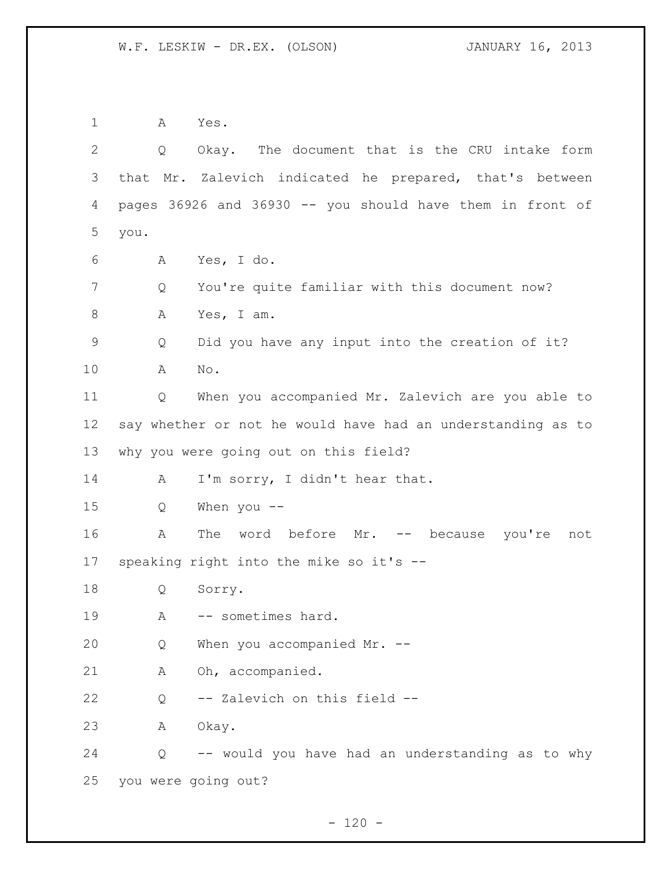A Yes. Q Okay. The document that is the CRU intake form that Mr. Zalevich indicated he prepared, that's between pages 36926 and 36930 -- you should have them in front of you. A Yes, I do. Q You're quite familiar with this document now? A Yes, I am. Q Did you have any input into the creation of it? A No. Q When you accompanied Mr. Zalevich are you able to say whether or not he would have had an understanding as to why you were going out on this field? 14 A I'm sorry, I didn't hear that. Q When you -- 16 A The word before Mr. -- because you're not speaking right into the mike so it's -- Q Sorry. A -- sometimes hard. Q When you accompanied Mr. -- A Oh, accompanied. Q -- Zalevich on this field -- A Okay. Q -- would you have had an understanding as to why you were going out?

 $- 120 -$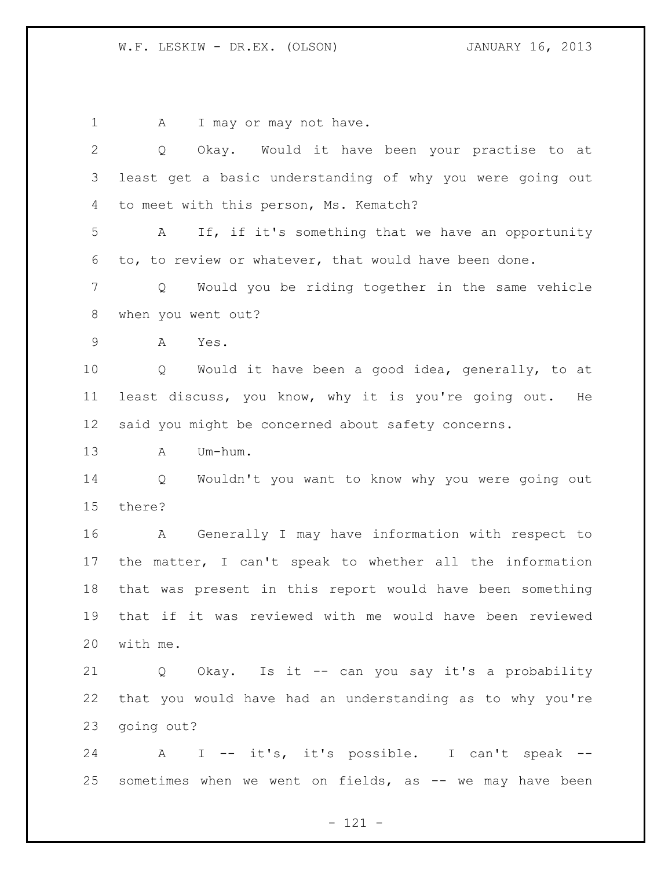1 A I may or may not have. Q Okay. Would it have been your practise to at least get a basic understanding of why you were going out to meet with this person, Ms. Kematch? A If, if it's something that we have an opportunity to, to review or whatever, that would have been done. Q Would you be riding together in the same vehicle when you went out? A Yes. Q Would it have been a good idea, generally, to at least discuss, you know, why it is you're going out. He said you might be concerned about safety concerns. A Um-hum. Q Wouldn't you want to know why you were going out there? A Generally I may have information with respect to the matter, I can't speak to whether all the information that was present in this report would have been something that if it was reviewed with me would have been reviewed with me. Q Okay. Is it -- can you say it's a probability that you would have had an understanding as to why you're going out? A I -- it's, it's possible. I can't speak -- 25 sometimes when we went on fields, as -- we may have been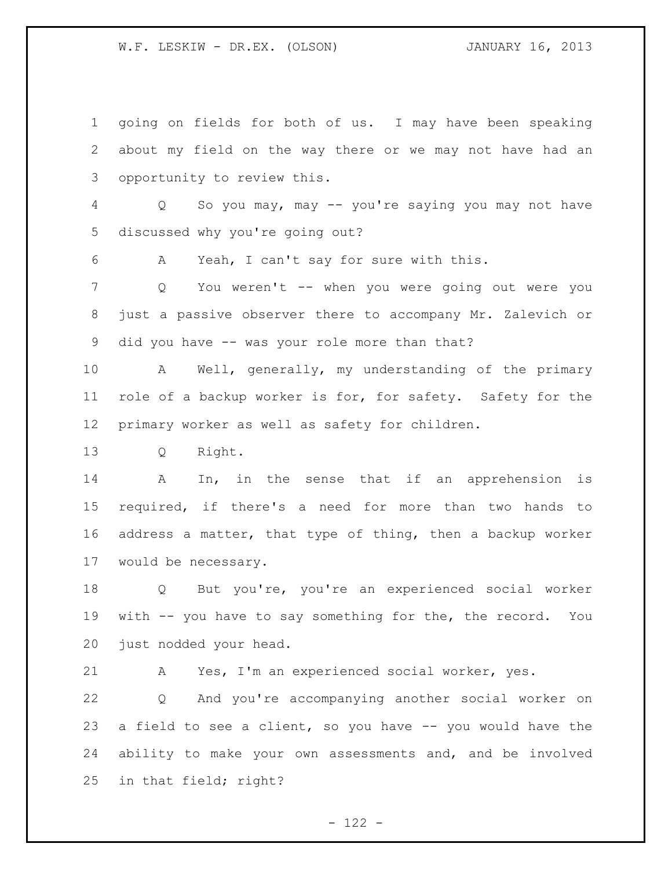going on fields for both of us. I may have been speaking about my field on the way there or we may not have had an opportunity to review this. Q So you may, may -- you're saying you may not have discussed why you're going out? A Yeah, I can't say for sure with this. Q You weren't -- when you were going out were you just a passive observer there to accompany Mr. Zalevich or did you have -- was your role more than that? A Well, generally, my understanding of the primary role of a backup worker is for, for safety. Safety for the primary worker as well as safety for children. Q Right. A In, in the sense that if an apprehension is required, if there's a need for more than two hands to address a matter, that type of thing, then a backup worker would be necessary. Q But you're, you're an experienced social worker with -- you have to say something for the, the record. You just nodded your head. A Yes, I'm an experienced social worker, yes. Q And you're accompanying another social worker on a field to see a client, so you have -- you would have the ability to make your own assessments and, and be involved

in that field; right?

 $- 122 -$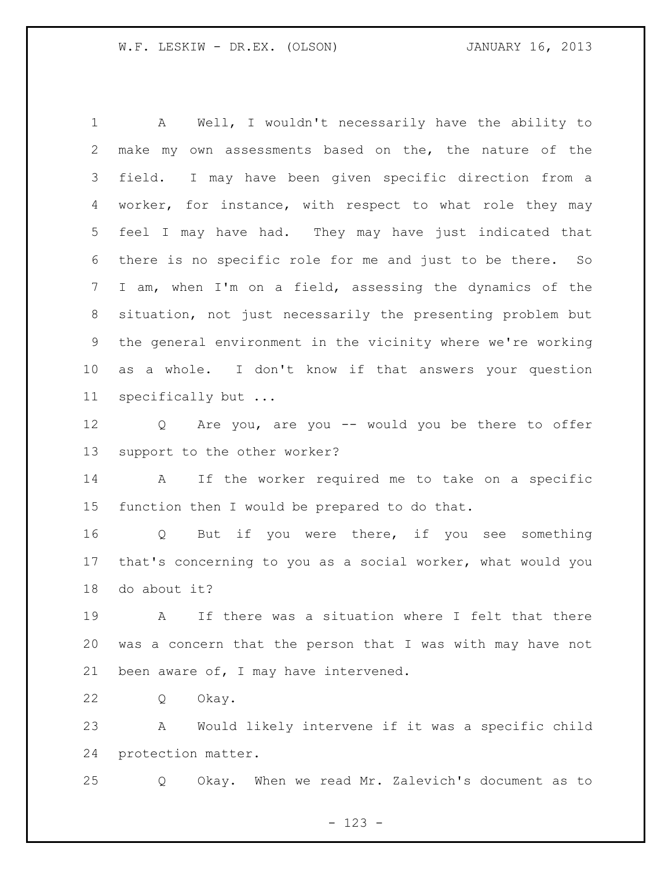A Well, I wouldn't necessarily have the ability to make my own assessments based on the, the nature of the field. I may have been given specific direction from a worker, for instance, with respect to what role they may feel I may have had. They may have just indicated that there is no specific role for me and just to be there. So I am, when I'm on a field, assessing the dynamics of the situation, not just necessarily the presenting problem but the general environment in the vicinity where we're working as a whole. I don't know if that answers your question specifically but ...

 Q Are you, are you -- would you be there to offer support to the other worker?

 A If the worker required me to take on a specific function then I would be prepared to do that.

 Q But if you were there, if you see something that's concerning to you as a social worker, what would you do about it?

 A If there was a situation where I felt that there was a concern that the person that I was with may have not been aware of, I may have intervened.

Q Okay.

 A Would likely intervene if it was a specific child protection matter.

Q Okay. When we read Mr. Zalevich's document as to

- 123 -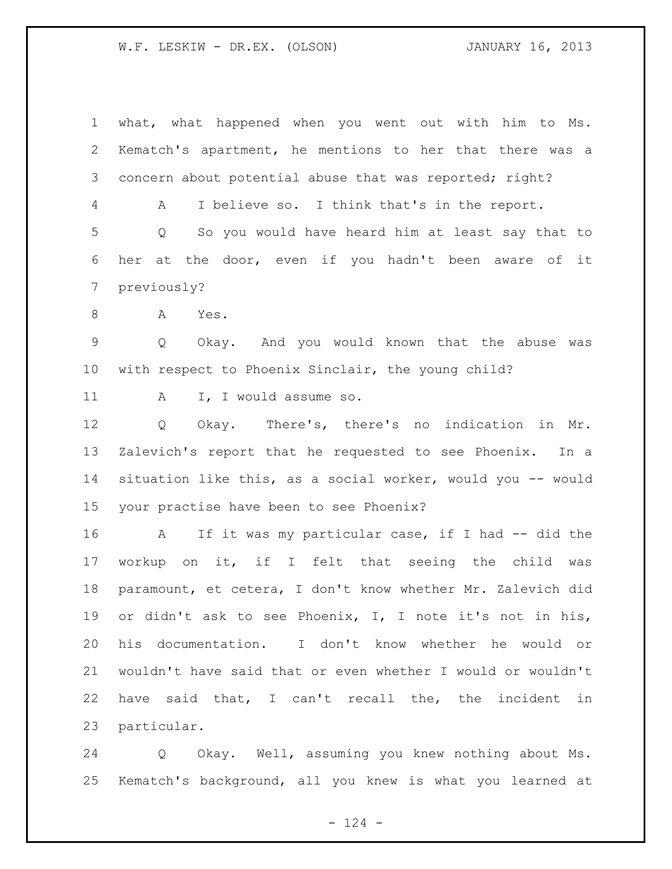what, what happened when you went out with him to Ms. Kematch's apartment, he mentions to her that there was a concern about potential abuse that was reported; right? A I believe so. I think that's in the report. Q So you would have heard him at least say that to her at the door, even if you hadn't been aware of it previously? A Yes. Q Okay. And you would known that the abuse was with respect to Phoenix Sinclair, the young child? 11 A I, I would assume so. Q Okay. There's, there's no indication in Mr. Zalevich's report that he requested to see Phoenix. In a situation like this, as a social worker, would you -- would your practise have been to see Phoenix? 16 A If it was my particular case, if I had -- did the workup on it, if I felt that seeing the child was paramount, et cetera, I don't know whether Mr. Zalevich did or didn't ask to see Phoenix, I, I note it's not in his, his documentation. I don't know whether he would or wouldn't have said that or even whether I would or wouldn't have said that, I can't recall the, the incident in particular.

 Q Okay. Well, assuming you knew nothing about Ms. Kematch's background, all you knew is what you learned at

 $- 124 -$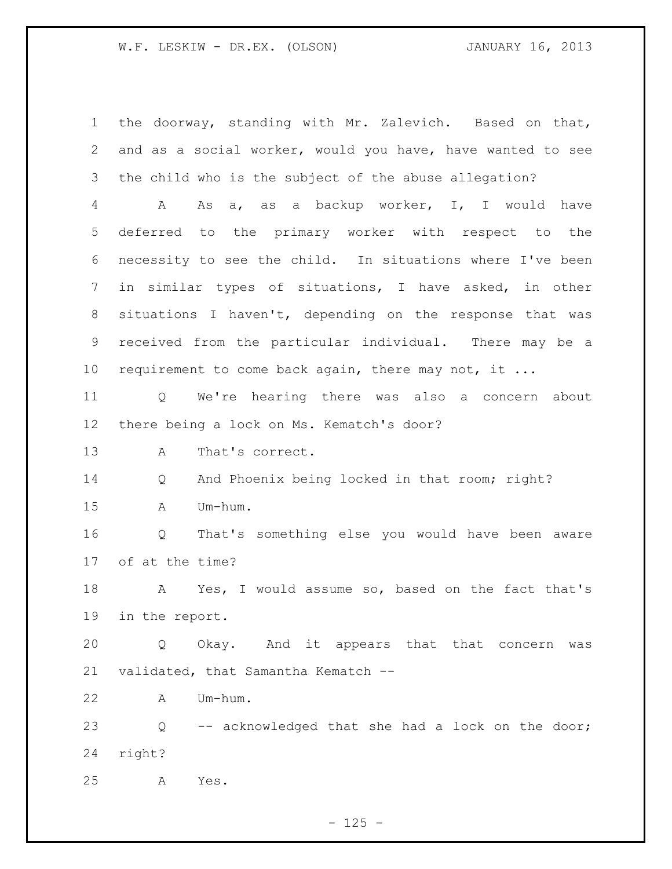the doorway, standing with Mr. Zalevich. Based on that, and as a social worker, would you have, have wanted to see the child who is the subject of the abuse allegation? A As a, as a backup worker, I, I would have deferred to the primary worker with respect to the necessity to see the child. In situations where I've been in similar types of situations, I have asked, in other situations I haven't, depending on the response that was received from the particular individual. There may be a 10 requirement to come back again, there may not, it ... Q We're hearing there was also a concern about there being a lock on Ms. Kematch's door? A That's correct. Q And Phoenix being locked in that room; right? A Um-hum. Q That's something else you would have been aware of at the time? A Yes, I would assume so, based on the fact that's in the report. Q Okay. And it appears that that concern was validated, that Samantha Kematch -- A Um-hum. Q -- acknowledged that she had a lock on the door; right? A Yes.

 $- 125 -$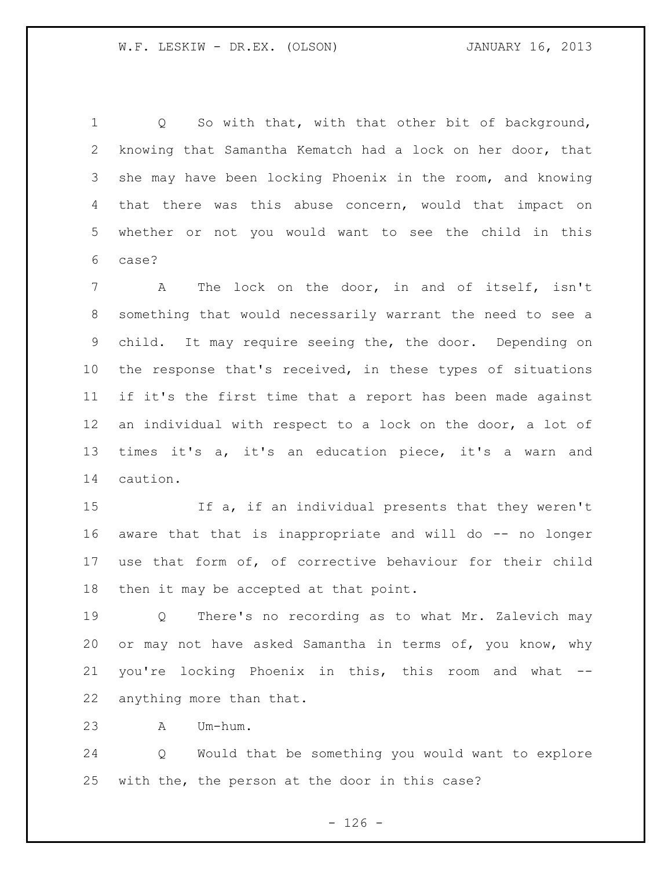Q So with that, with that other bit of background, knowing that Samantha Kematch had a lock on her door, that she may have been locking Phoenix in the room, and knowing that there was this abuse concern, would that impact on whether or not you would want to see the child in this case?

 A The lock on the door, in and of itself, isn't something that would necessarily warrant the need to see a child. It may require seeing the, the door. Depending on the response that's received, in these types of situations if it's the first time that a report has been made against an individual with respect to a lock on the door, a lot of times it's a, it's an education piece, it's a warn and caution.

 If a, if an individual presents that they weren't aware that that is inappropriate and will do -- no longer use that form of, of corrective behaviour for their child then it may be accepted at that point.

 Q There's no recording as to what Mr. Zalevich may or may not have asked Samantha in terms of, you know, why you're locking Phoenix in this, this room and what -- anything more than that.

A Um-hum.

 Q Would that be something you would want to explore with the, the person at the door in this case?

 $- 126 -$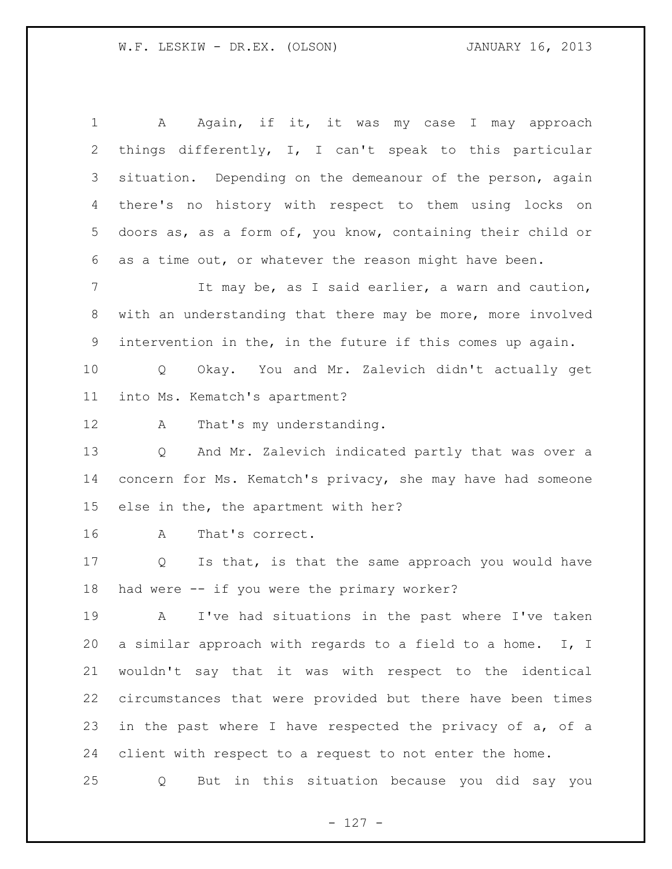1 A Again, if it, it was my case I may approach things differently, I, I can't speak to this particular situation. Depending on the demeanour of the person, again there's no history with respect to them using locks on doors as, as a form of, you know, containing their child or as a time out, or whatever the reason might have been. It may be, as I said earlier, a warn and caution, with an understanding that there may be more, more involved intervention in the, in the future if this comes up again. Q Okay. You and Mr. Zalevich didn't actually get into Ms. Kematch's apartment? 12 A That's my understanding. Q And Mr. Zalevich indicated partly that was over a concern for Ms. Kematch's privacy, she may have had someone else in the, the apartment with her? A That's correct. Q Is that, is that the same approach you would have had were -- if you were the primary worker? A I've had situations in the past where I've taken a similar approach with regards to a field to a home. I, I wouldn't say that it was with respect to the identical circumstances that were provided but there have been times in the past where I have respected the privacy of a, of a client with respect to a request to not enter the home. Q But in this situation because you did say you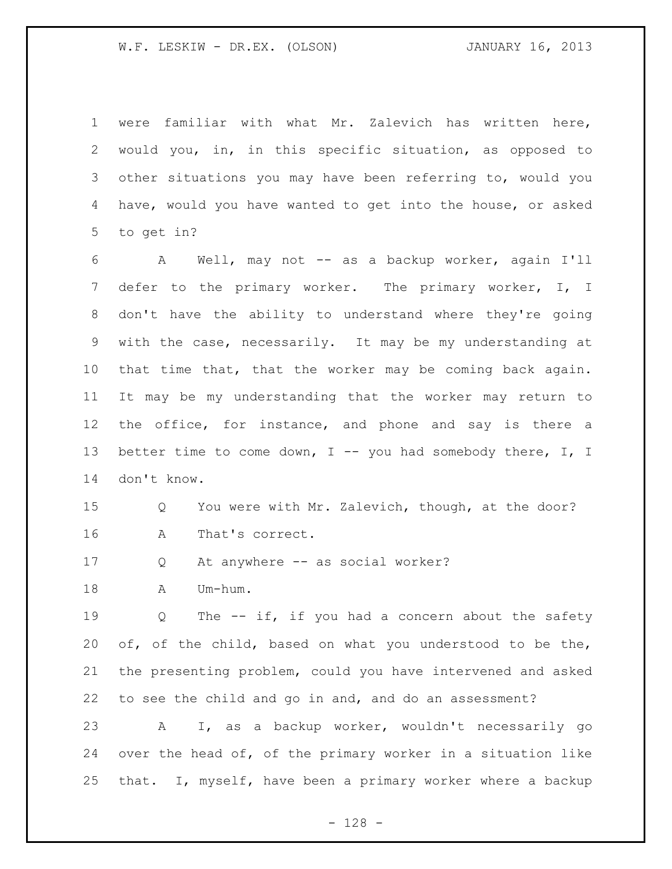were familiar with what Mr. Zalevich has written here, would you, in, in this specific situation, as opposed to other situations you may have been referring to, would you have, would you have wanted to get into the house, or asked to get in?

6 A Well, may not -- as a backup worker, again I'll 7 defer to the primary worker. The primary worker, I, I don't have the ability to understand where they're going with the case, necessarily. It may be my understanding at that time that, that the worker may be coming back again. It may be my understanding that the worker may return to 12 the office, for instance, and phone and say is there a 13 better time to come down, I -- you had somebody there, I, I don't know.

## Q You were with Mr. Zalevich, though, at the door? A That's correct.

Q At anywhere -- as social worker?

18 A Um-hum.

19 0 The -- if, if you had a concern about the safety of, of the child, based on what you understood to be the, the presenting problem, could you have intervened and asked to see the child and go in and, and do an assessment?

 A I, as a backup worker, wouldn't necessarily go over the head of, of the primary worker in a situation like that. I, myself, have been a primary worker where a backup

- 128 -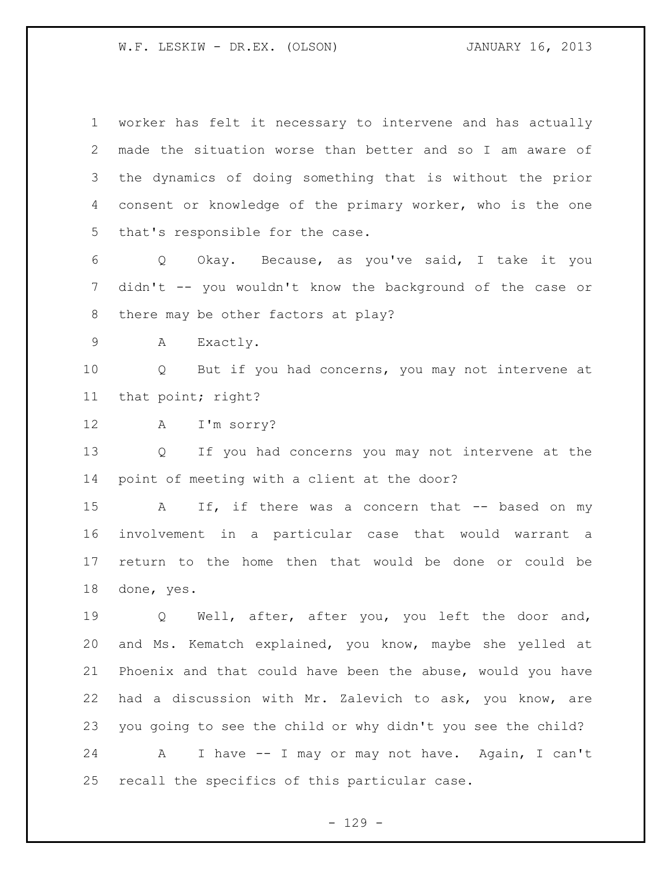worker has felt it necessary to intervene and has actually made the situation worse than better and so I am aware of the dynamics of doing something that is without the prior consent or knowledge of the primary worker, who is the one that's responsible for the case.

 Q Okay. Because, as you've said, I take it you didn't -- you wouldn't know the background of the case or there may be other factors at play?

A Exactly.

 Q But if you had concerns, you may not intervene at that point; right?

A I'm sorry?

 Q If you had concerns you may not intervene at the point of meeting with a client at the door?

15 A If, if there was a concern that -- based on my involvement in a particular case that would warrant a return to the home then that would be done or could be done, yes.

 Q Well, after, after you, you left the door and, and Ms. Kematch explained, you know, maybe she yelled at Phoenix and that could have been the abuse, would you have had a discussion with Mr. Zalevich to ask, you know, are you going to see the child or why didn't you see the child? A I have -- I may or may not have. Again, I can't

recall the specifics of this particular case.

- 129 -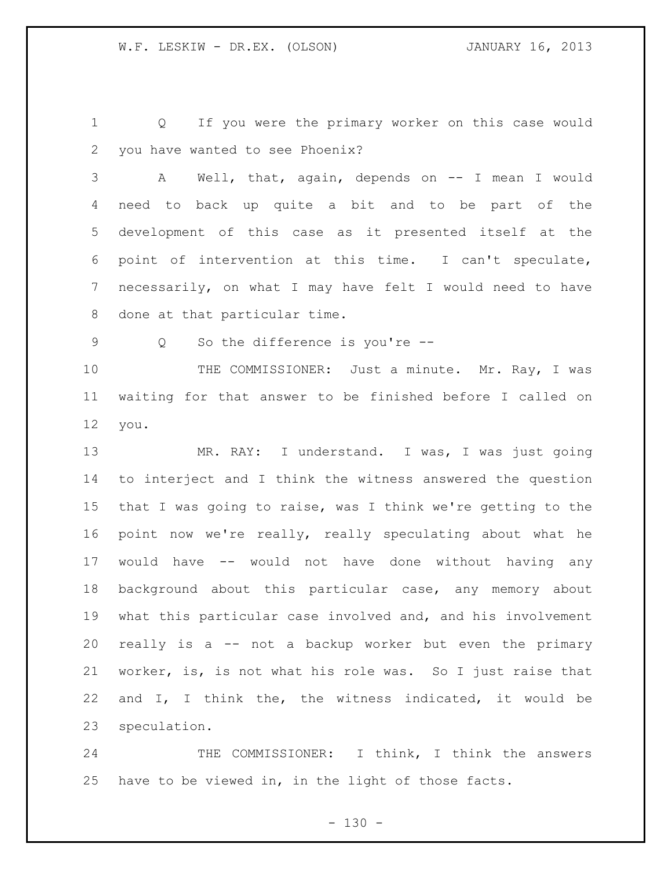Q If you were the primary worker on this case would you have wanted to see Phoenix?

 A Well, that, again, depends on -- I mean I would need to back up quite a bit and to be part of the development of this case as it presented itself at the point of intervention at this time. I can't speculate, necessarily, on what I may have felt I would need to have done at that particular time.

Q So the difference is you're --

10 THE COMMISSIONER: Just a minute. Mr. Ray, I was waiting for that answer to be finished before I called on you.

 MR. RAY: I understand. I was, I was just going to interject and I think the witness answered the question that I was going to raise, was I think we're getting to the point now we're really, really speculating about what he would have -- would not have done without having any background about this particular case, any memory about what this particular case involved and, and his involvement really is a -- not a backup worker but even the primary worker, is, is not what his role was. So I just raise that and I, I think the, the witness indicated, it would be speculation.

24 THE COMMISSIONER: I think, I think the answers have to be viewed in, in the light of those facts.

 $- 130 -$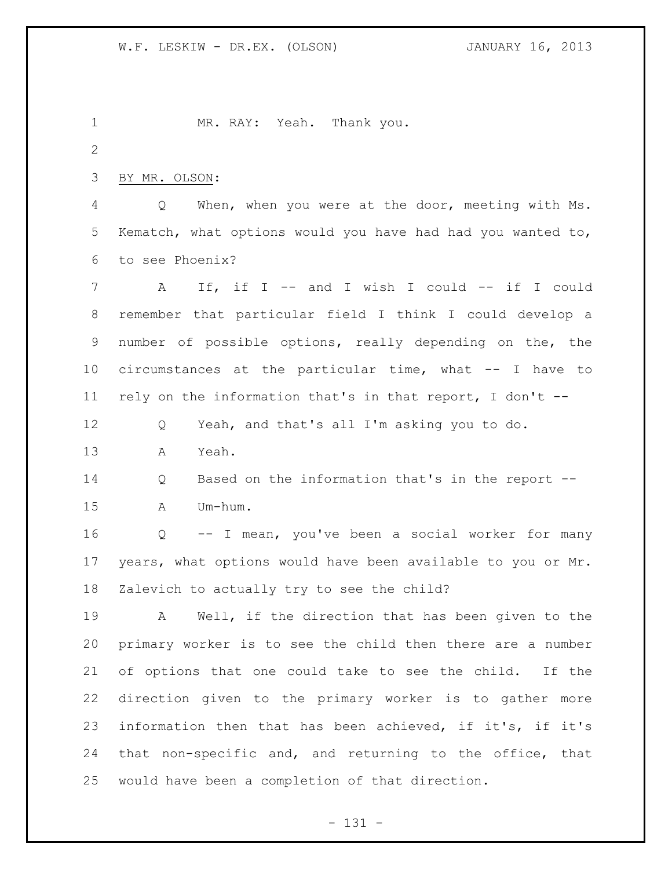MR. RAY: Yeah. Thank you. BY MR. OLSON: Q When, when you were at the door, meeting with Ms. Kematch, what options would you have had had you wanted to, to see Phoenix? 7 A If, if I -- and I wish I could -- if I could remember that particular field I think I could develop a number of possible options, really depending on the, the circumstances at the particular time, what -- I have to rely on the information that's in that report, I don't -- Q Yeah, and that's all I'm asking you to do. A Yeah. Q Based on the information that's in the report -- A Um-hum. Q -- I mean, you've been a social worker for many years, what options would have been available to you or Mr. Zalevich to actually try to see the child? A Well, if the direction that has been given to the primary worker is to see the child then there are a number of options that one could take to see the child. If the direction given to the primary worker is to gather more information then that has been achieved, if it's, if it's that non-specific and, and returning to the office, that would have been a completion of that direction.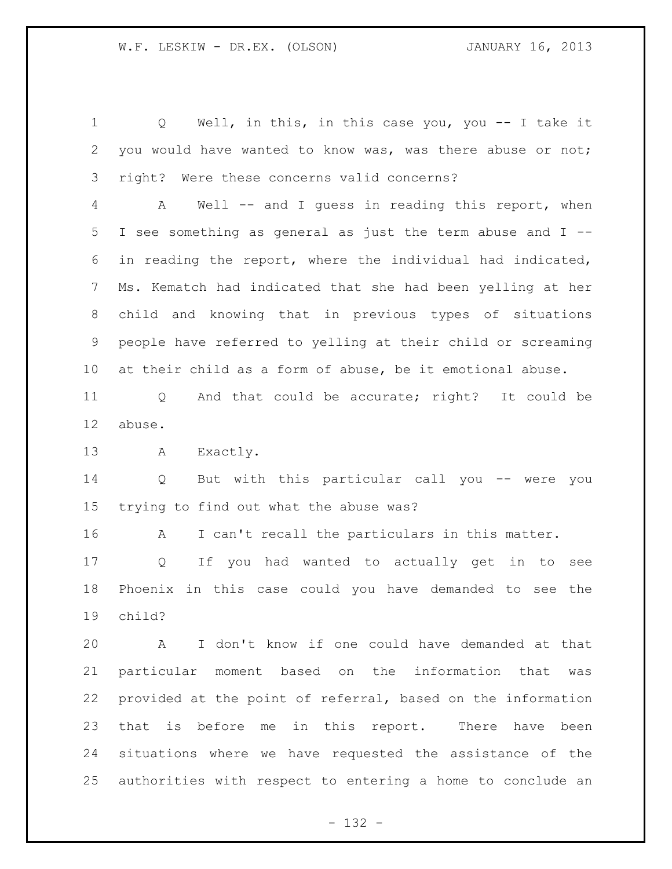Q Well, in this, in this case you, you -- I take it you would have wanted to know was, was there abuse or not; right? Were these concerns valid concerns?

 A Well -- and I guess in reading this report, when I see something as general as just the term abuse and I -- in reading the report, where the individual had indicated, Ms. Kematch had indicated that she had been yelling at her child and knowing that in previous types of situations people have referred to yelling at their child or screaming at their child as a form of abuse, be it emotional abuse.

 Q And that could be accurate; right? It could be abuse.

A Exactly.

 Q But with this particular call you -- were you trying to find out what the abuse was?

A I can't recall the particulars in this matter.

 Q If you had wanted to actually get in to see Phoenix in this case could you have demanded to see the child?

 A I don't know if one could have demanded at that particular moment based on the information that was provided at the point of referral, based on the information that is before me in this report. There have been situations where we have requested the assistance of the authorities with respect to entering a home to conclude an

- 132 -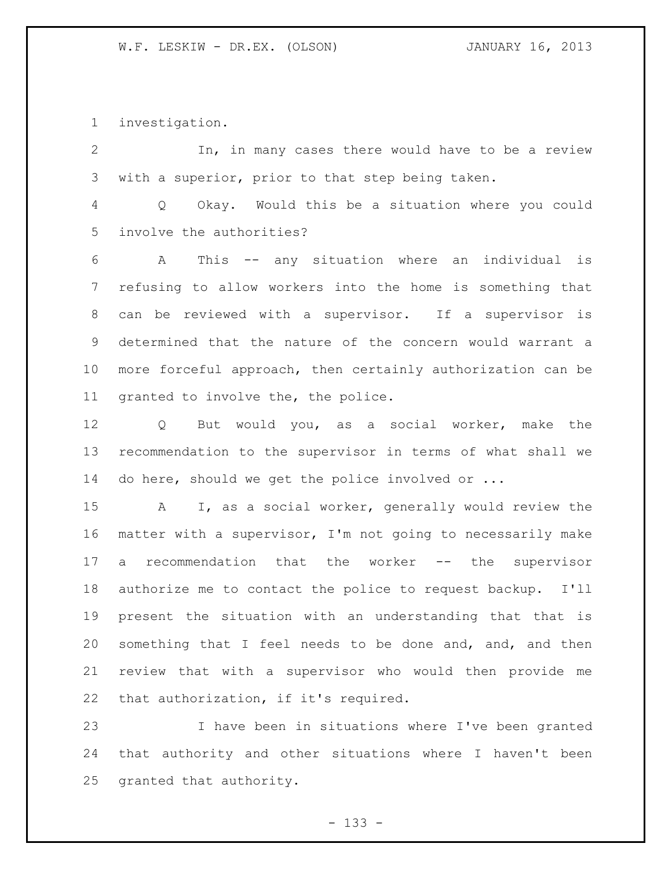investigation.

 In, in many cases there would have to be a review with a superior, prior to that step being taken. Q Okay. Would this be a situation where you could

involve the authorities?

 A This -- any situation where an individual is refusing to allow workers into the home is something that can be reviewed with a supervisor. If a supervisor is determined that the nature of the concern would warrant a more forceful approach, then certainly authorization can be granted to involve the, the police.

 Q But would you, as a social worker, make the recommendation to the supervisor in terms of what shall we 14 do here, should we get the police involved or ...

 A I, as a social worker, generally would review the matter with a supervisor, I'm not going to necessarily make a recommendation that the worker -- the supervisor authorize me to contact the police to request backup. I'll present the situation with an understanding that that is something that I feel needs to be done and, and, and then review that with a supervisor who would then provide me that authorization, if it's required.

 I have been in situations where I've been granted that authority and other situations where I haven't been granted that authority.

- 133 -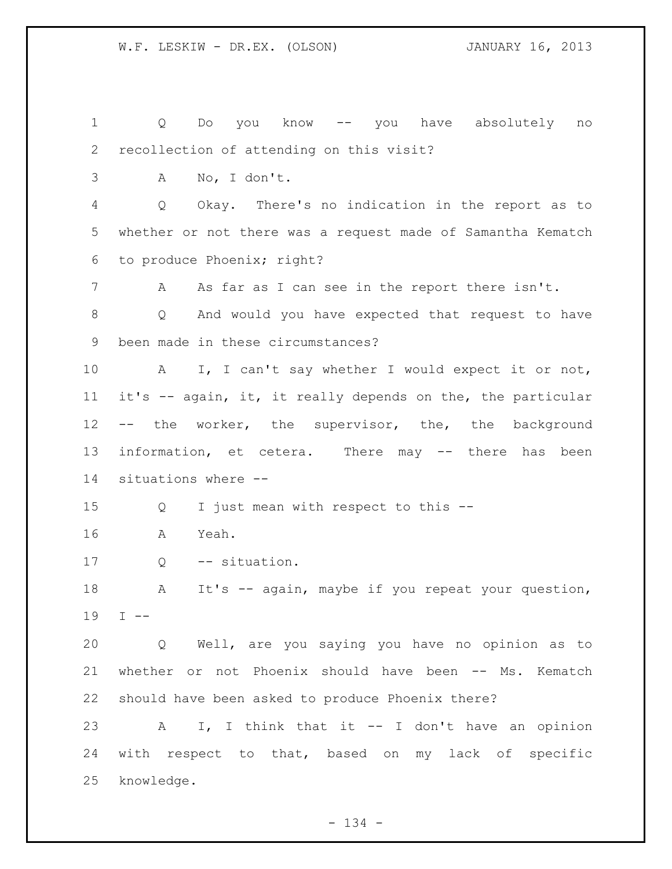Q Do you know -- you have absolutely no recollection of attending on this visit? A No, I don't. Q Okay. There's no indication in the report as to whether or not there was a request made of Samantha Kematch to produce Phoenix; right? 7 A As far as I can see in the report there isn't. Q And would you have expected that request to have been made in these circumstances? A I, I can't say whether I would expect it or not, it's -- again, it, it really depends on the, the particular -- the worker, the supervisor, the, the background 13 information, et cetera. There may -- there has been situations where -- Q I just mean with respect to this -- A Yeah. 17 Q -- situation. 18 A It's -- again, maybe if you repeat your question, I -- Q Well, are you saying you have no opinion as to whether or not Phoenix should have been -- Ms. Kematch should have been asked to produce Phoenix there? A I, I think that it -- I don't have an opinion with respect to that, based on my lack of specific knowledge.

 $- 134 -$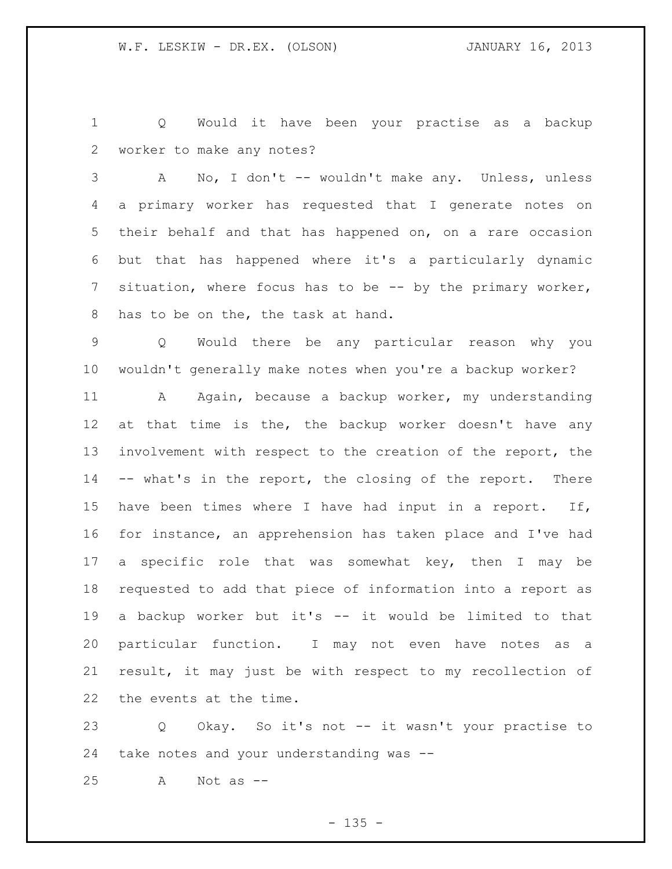Q Would it have been your practise as a backup worker to make any notes?

 A No, I don't -- wouldn't make any. Unless, unless a primary worker has requested that I generate notes on their behalf and that has happened on, on a rare occasion but that has happened where it's a particularly dynamic situation, where focus has to be -- by the primary worker, has to be on the, the task at hand.

 Q Would there be any particular reason why you wouldn't generally make notes when you're a backup worker?

11 A Again, because a backup worker, my understanding 12 at that time is the, the backup worker doesn't have any involvement with respect to the creation of the report, the -- what's in the report, the closing of the report. There have been times where I have had input in a report. If, for instance, an apprehension has taken place and I've had a specific role that was somewhat key, then I may be requested to add that piece of information into a report as a backup worker but it's -- it would be limited to that particular function. I may not even have notes as a result, it may just be with respect to my recollection of the events at the time.

 Q Okay. So it's not -- it wasn't your practise to take notes and your understanding was --

A Not as --

 $- 135 -$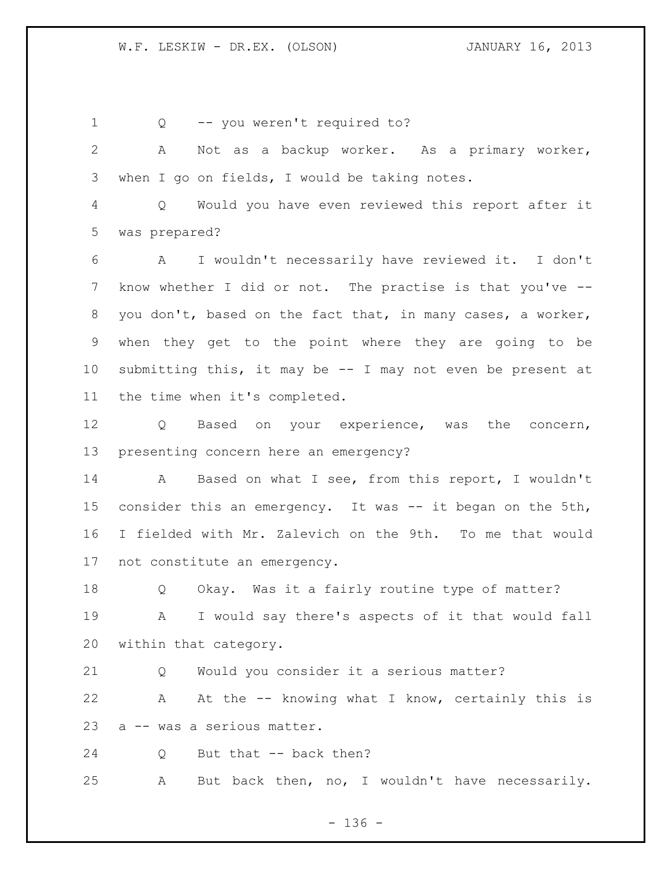1 Q -- you weren't required to? A Not as a backup worker. As a primary worker, when I go on fields, I would be taking notes. Q Would you have even reviewed this report after it was prepared? A I wouldn't necessarily have reviewed it. I don't know whether I did or not. The practise is that you've -- you don't, based on the fact that, in many cases, a worker, when they get to the point where they are going to be submitting this, it may be -- I may not even be present at the time when it's completed. Q Based on your experience, was the concern, presenting concern here an emergency? A Based on what I see, from this report, I wouldn't 15 consider this an emergency. It was -- it began on the 5th, I fielded with Mr. Zalevich on the 9th. To me that would not constitute an emergency. Q Okay. Was it a fairly routine type of matter? A I would say there's aspects of it that would fall within that category. Q Would you consider it a serious matter? A At the -- knowing what I know, certainly this is a -- was a serious matter. 24 Q But that -- back then? A But back then, no, I wouldn't have necessarily.

 $- 136 -$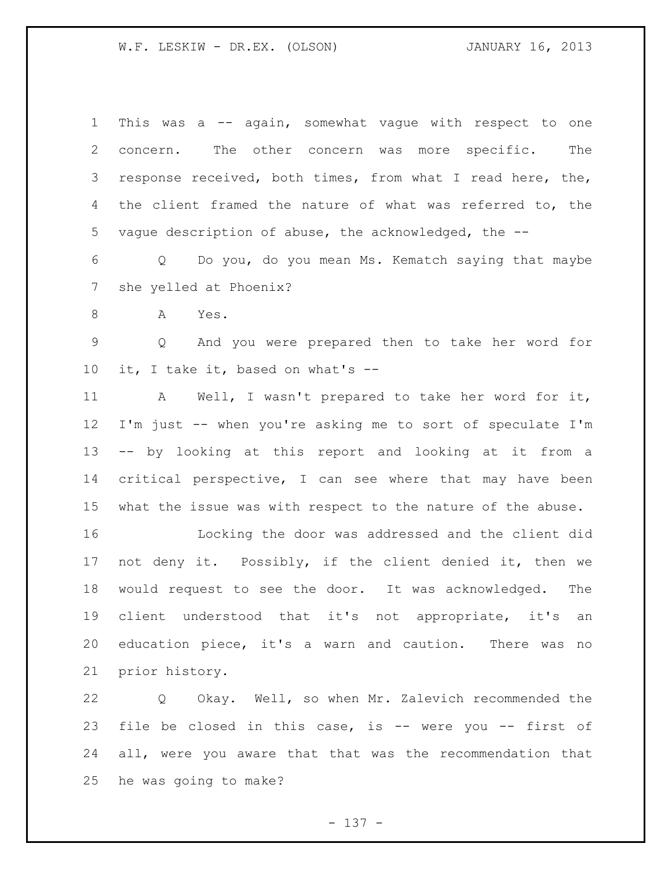| $\mathbf 1$     | This was a -- again, somewhat vague with respect to one     |
|-----------------|-------------------------------------------------------------|
| 2               | concern. The other concern was more specific.<br>The        |
| 3               | response received, both times, from what I read here, the,  |
| 4               | the client framed the nature of what was referred to, the   |
| 5               | vaque description of abuse, the acknowledged, the --        |
| 6               | Q Do you, do you mean Ms. Kematch saying that maybe         |
| $7\phantom{.0}$ | she yelled at Phoenix?                                      |
| 8               | Α<br>Yes.                                                   |
| 9               | And you were prepared then to take her word for<br>Q        |
| 10              | it, I take it, based on what's --                           |
| 11              | A Well, I wasn't prepared to take her word for it,          |
| 12              | I'm just -- when you're asking me to sort of speculate I'm  |
| 13              | -- by looking at this report and looking at it from a       |
| 14              | critical perspective, I can see where that may have been    |
| 15              | what the issue was with respect to the nature of the abuse. |
| 16              | Locking the door was addressed and the client did           |
| 17 <sub>2</sub> | not deny it. Possibly, if the client denied it, then we     |
| 18              | would request to see the door. It was acknowledged. The     |
| 19              | client understood that it's not appropriate, it's an        |
| 20              | education piece, it's a warn and caution. There was<br>no   |
| 21              | prior history.                                              |
|                 |                                                             |

 Q Okay. Well, so when Mr. Zalevich recommended the file be closed in this case, is -- were you -- first of all, were you aware that that was the recommendation that he was going to make?

- 137 -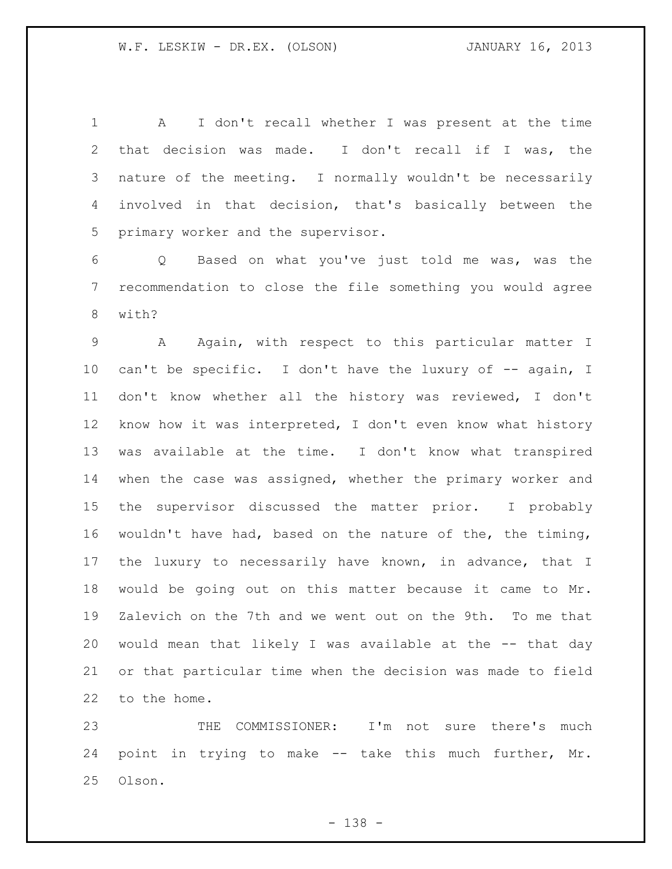A I don't recall whether I was present at the time that decision was made. I don't recall if I was, the nature of the meeting. I normally wouldn't be necessarily involved in that decision, that's basically between the primary worker and the supervisor.

 Q Based on what you've just told me was, was the recommendation to close the file something you would agree with?

 A Again, with respect to this particular matter I 10 can't be specific. I don't have the luxury of -- again, I don't know whether all the history was reviewed, I don't know how it was interpreted, I don't even know what history was available at the time. I don't know what transpired when the case was assigned, whether the primary worker and the supervisor discussed the matter prior. I probably wouldn't have had, based on the nature of the, the timing, the luxury to necessarily have known, in advance, that I would be going out on this matter because it came to Mr. Zalevich on the 7th and we went out on the 9th. To me that would mean that likely I was available at the -- that day or that particular time when the decision was made to field to the home.

 THE COMMISSIONER: I'm not sure there's much point in trying to make -- take this much further, Mr. Olson.

- 138 -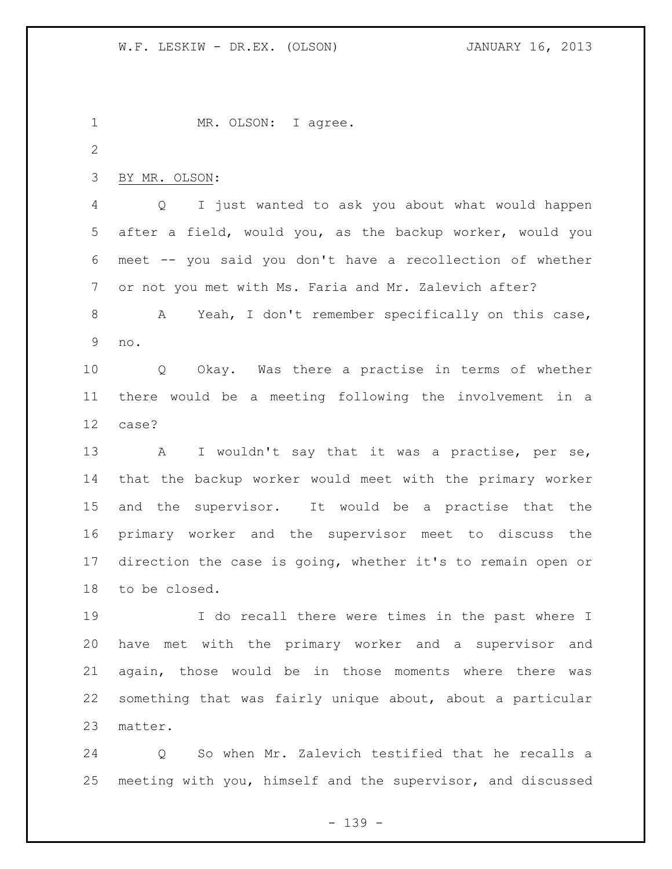1 MR. OLSON: I agree. BY MR. OLSON: Q I just wanted to ask you about what would happen after a field, would you, as the backup worker, would you meet -- you said you don't have a recollection of whether or not you met with Ms. Faria and Mr. Zalevich after? A Yeah, I don't remember specifically on this case, no. Q Okay. Was there a practise in terms of whether there would be a meeting following the involvement in a case? 13 A I wouldn't say that it was a practise, per se, that the backup worker would meet with the primary worker and the supervisor. It would be a practise that the primary worker and the supervisor meet to discuss the direction the case is going, whether it's to remain open or to be closed. I do recall there were times in the past where I have met with the primary worker and a supervisor and again, those would be in those moments where there was something that was fairly unique about, about a particular matter.

 Q So when Mr. Zalevich testified that he recalls a meeting with you, himself and the supervisor, and discussed

- 139 -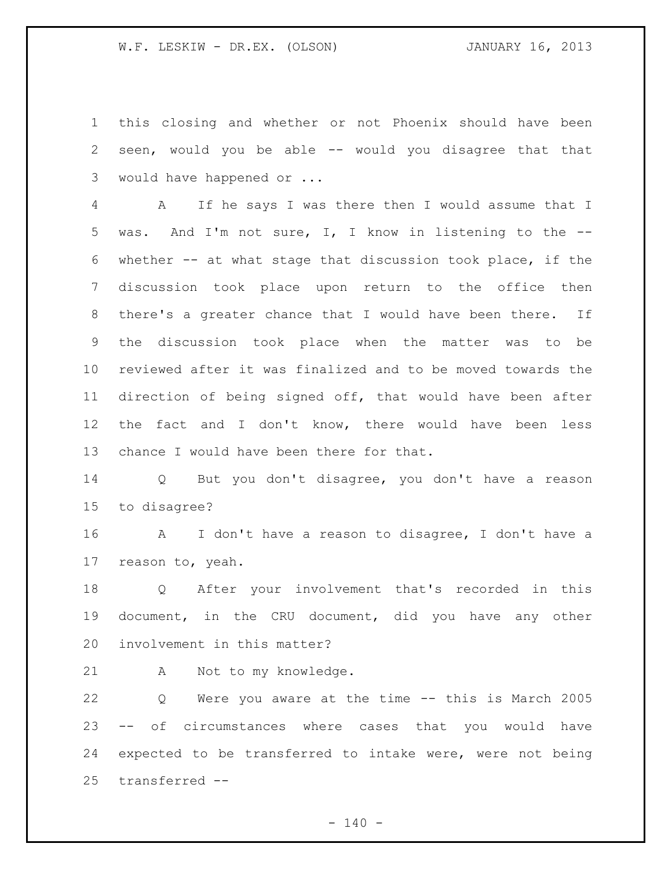this closing and whether or not Phoenix should have been seen, would you be able -- would you disagree that that would have happened or ...

 A If he says I was there then I would assume that I was. And I'm not sure, I, I know in listening to the -- whether -- at what stage that discussion took place, if the discussion took place upon return to the office then there's a greater chance that I would have been there. If the discussion took place when the matter was to be reviewed after it was finalized and to be moved towards the direction of being signed off, that would have been after the fact and I don't know, there would have been less chance I would have been there for that.

 Q But you don't disagree, you don't have a reason to disagree?

 A I don't have a reason to disagree, I don't have a reason to, yeah.

 Q After your involvement that's recorded in this document, in the CRU document, did you have any other involvement in this matter?

A Not to my knowledge.

 Q Were you aware at the time -- this is March 2005 -- of circumstances where cases that you would have expected to be transferred to intake were, were not being transferred --

 $- 140 -$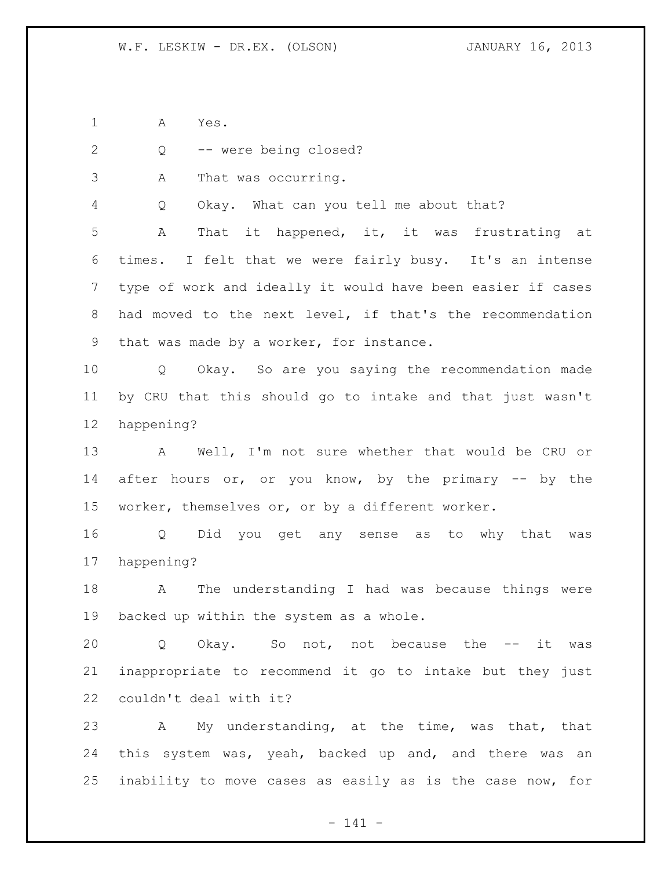A Yes.

Q -- were being closed?

A That was occurring.

Q Okay. What can you tell me about that?

 A That it happened, it, it was frustrating at times. I felt that we were fairly busy. It's an intense type of work and ideally it would have been easier if cases had moved to the next level, if that's the recommendation that was made by a worker, for instance.

 Q Okay. So are you saying the recommendation made by CRU that this should go to intake and that just wasn't happening?

 A Well, I'm not sure whether that would be CRU or 14 after hours or, or you know, by the primary -- by the worker, themselves or, or by a different worker.

 Q Did you get any sense as to why that was happening?

 A The understanding I had was because things were backed up within the system as a whole.

 Q Okay. So not, not because the -- it was inappropriate to recommend it go to intake but they just couldn't deal with it?

 A My understanding, at the time, was that, that 24 this system was, yeah, backed up and, and there was an inability to move cases as easily as is the case now, for

- 141 -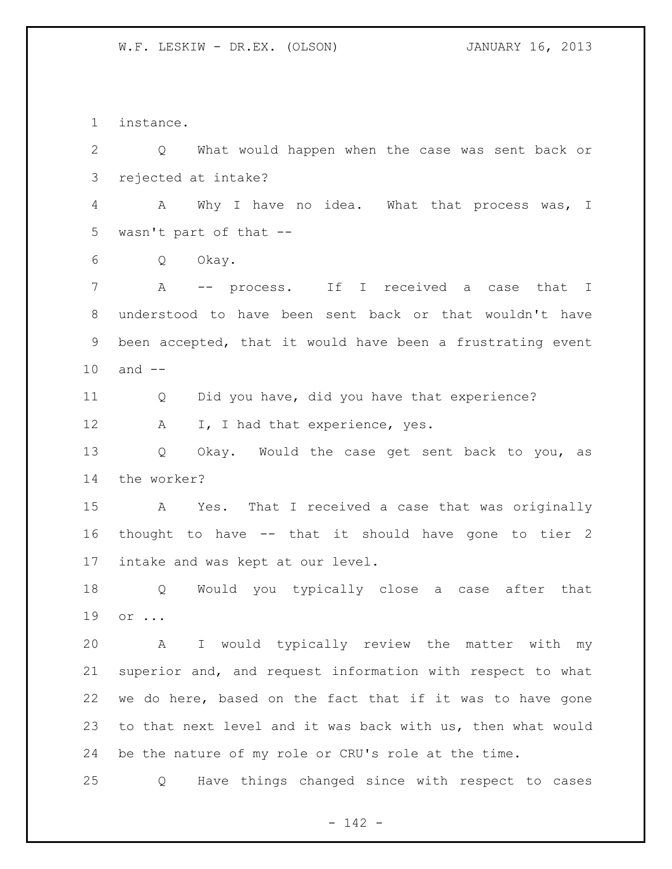instance. Q What would happen when the case was sent back or rejected at intake? A Why I have no idea. What that process was, I wasn't part of that -- Q Okay. A -- process. If I received a case that I understood to have been sent back or that wouldn't have been accepted, that it would have been a frustrating event and -- Q Did you have, did you have that experience? 12 A I, I had that experience, yes. Q Okay. Would the case get sent back to you, as the worker? A Yes. That I received a case that was originally thought to have -- that it should have gone to tier 2 intake and was kept at our level. Q Would you typically close a case after that or ... A I would typically review the matter with my superior and, and request information with respect to what we do here, based on the fact that if it was to have gone to that next level and it was back with us, then what would be the nature of my role or CRU's role at the time. Q Have things changed since with respect to cases

- 142 -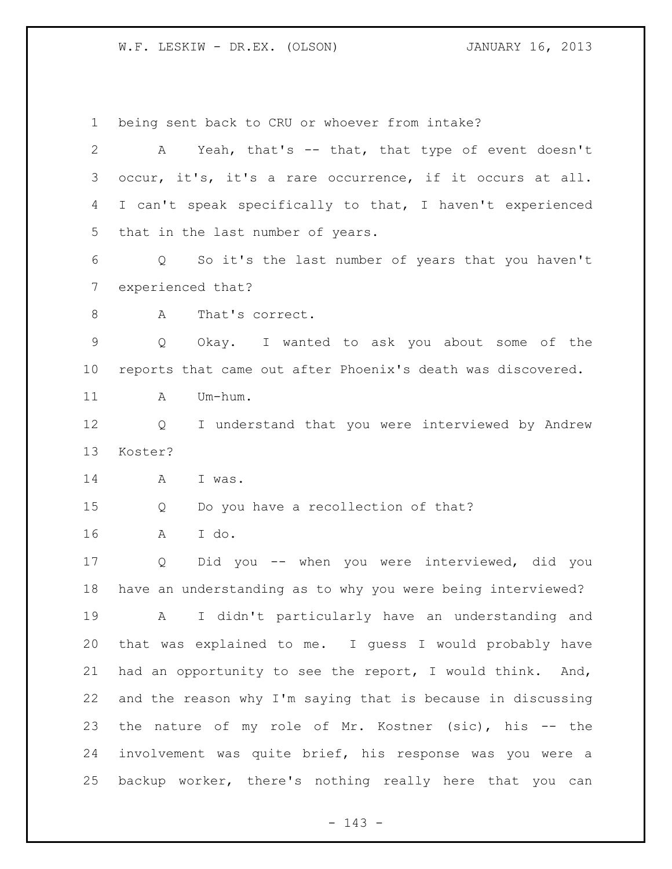being sent back to CRU or whoever from intake? 2 A Yeah, that's -- that, that type of event doesn't occur, it's, it's a rare occurrence, if it occurs at all. I can't speak specifically to that, I haven't experienced that in the last number of years. Q So it's the last number of years that you haven't experienced that? 8 A That's correct. Q Okay. I wanted to ask you about some of the reports that came out after Phoenix's death was discovered. 11 A Um-hum. Q I understand that you were interviewed by Andrew Koster? A I was. Q Do you have a recollection of that? A I do. Q Did you -- when you were interviewed, did you have an understanding as to why you were being interviewed? A I didn't particularly have an understanding and that was explained to me. I guess I would probably have had an opportunity to see the report, I would think. And, and the reason why I'm saying that is because in discussing the nature of my role of Mr. Kostner (sic), his -- the involvement was quite brief, his response was you were a backup worker, there's nothing really here that you can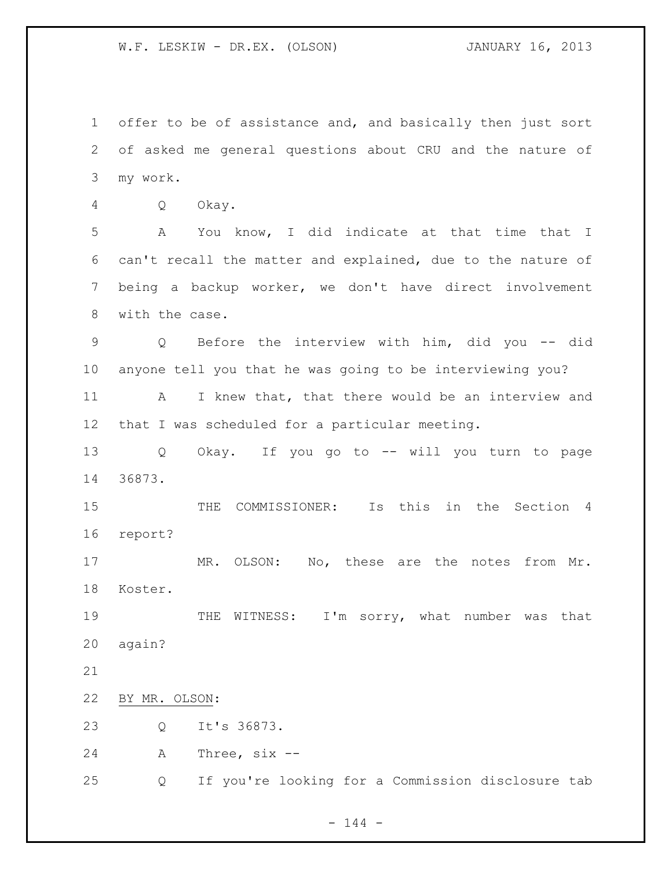offer to be of assistance and, and basically then just sort of asked me general questions about CRU and the nature of my work.

Q Okay.

 A You know, I did indicate at that time that I can't recall the matter and explained, due to the nature of being a backup worker, we don't have direct involvement with the case.

 Q Before the interview with him, did you -- did anyone tell you that he was going to be interviewing you?

11 A I knew that, that there would be an interview and that I was scheduled for a particular meeting.

 Q Okay. If you go to -- will you turn to page 36873.

 THE COMMISSIONER: Is this in the Section 4 report?

 MR. OLSON: No, these are the notes from Mr. Koster.

19 THE WITNESS: I'm sorry, what number was that again?

BY MR. OLSON:

Q It's 36873.

A Three, six --

Q If you're looking for a Commission disclosure tab

 $- 144 -$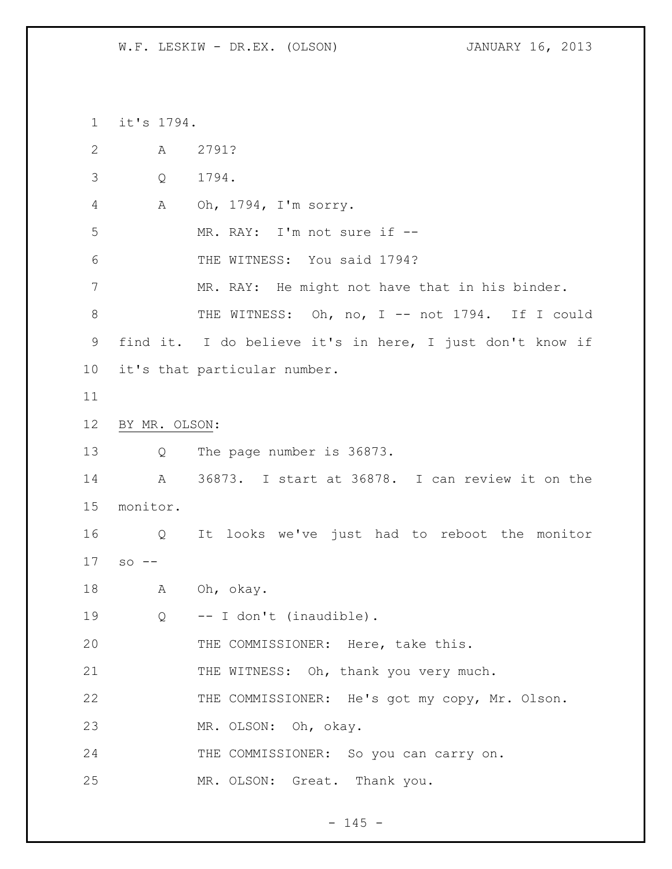it's 1794. A 2791? Q 1794. A Oh, 1794, I'm sorry. MR. RAY: I'm not sure if -- THE WITNESS: You said 1794? MR. RAY: He might not have that in his binder. 8 THE WITNESS: Oh, no, I -- not 1794. If I could find it. I do believe it's in here, I just don't know if it's that particular number. BY MR. OLSON: Q The page number is 36873. A 36873. I start at 36878. I can review it on the monitor. Q It looks we've just had to reboot the monitor so -- A Oh, okay. Q -- I don't (inaudible). 20 THE COMMISSIONER: Here, take this. 21 THE WITNESS: Oh, thank you very much. 22 THE COMMISSIONER: He's got my copy, Mr. Olson. MR. OLSON: Oh, okay. THE COMMISSIONER: So you can carry on. MR. OLSON: Great. Thank you.

 $- 145 -$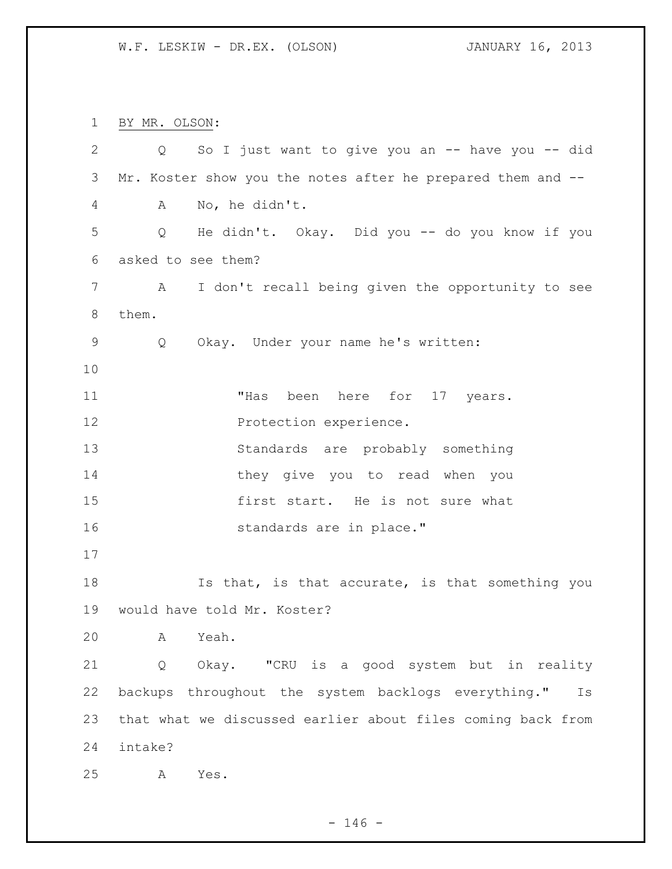BY MR. OLSON: Q So I just want to give you an -- have you -- did Mr. Koster show you the notes after he prepared them and -- A No, he didn't. Q He didn't. Okay. Did you -- do you know if you asked to see them? A I don't recall being given the opportunity to see them. Q Okay. Under your name he's written: 11 Thas been here for 17 years. 12 Protection experience. Standards are probably something they give you to read when you first start. He is not sure what **Standards** are in place." 18 18 Is that, is that accurate, is that something you would have told Mr. Koster? A Yeah. Q Okay. "CRU is a good system but in reality backups throughout the system backlogs everything." Is that what we discussed earlier about files coming back from intake? A Yes.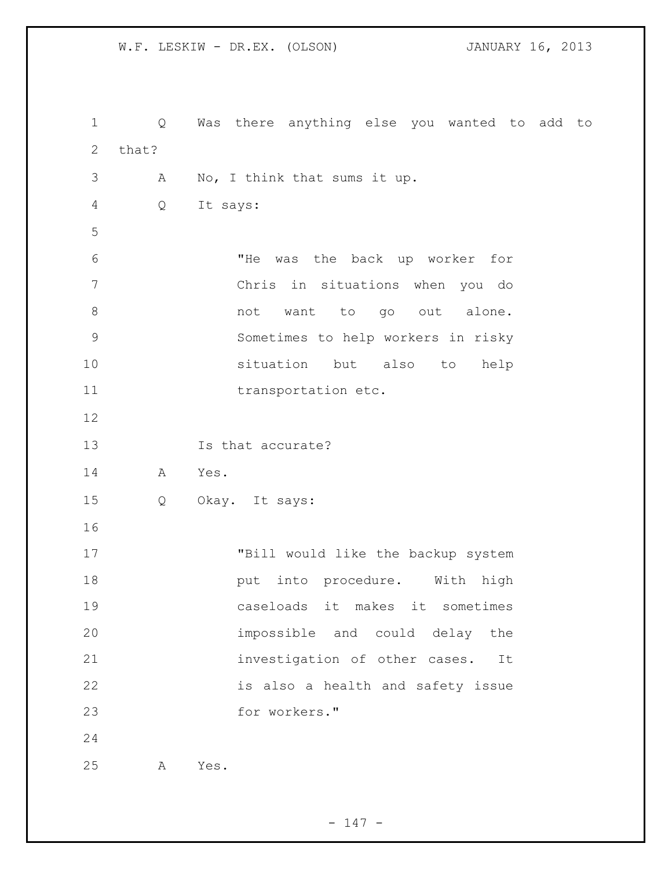Q Was there anything else you wanted to add to that? A No, I think that sums it up. Q It says: "He was the back up worker for Chris in situations when you do 8 and to go out alone. Sometimes to help workers in risky situation but also to help 11 transportation etc. Is that accurate? A Yes. Q Okay. It says: "Bill would like the backup system **put** into procedure. With high caseloads it makes it sometimes impossible and could delay the investigation of other cases. It is also a health and safety issue for workers." A Yes.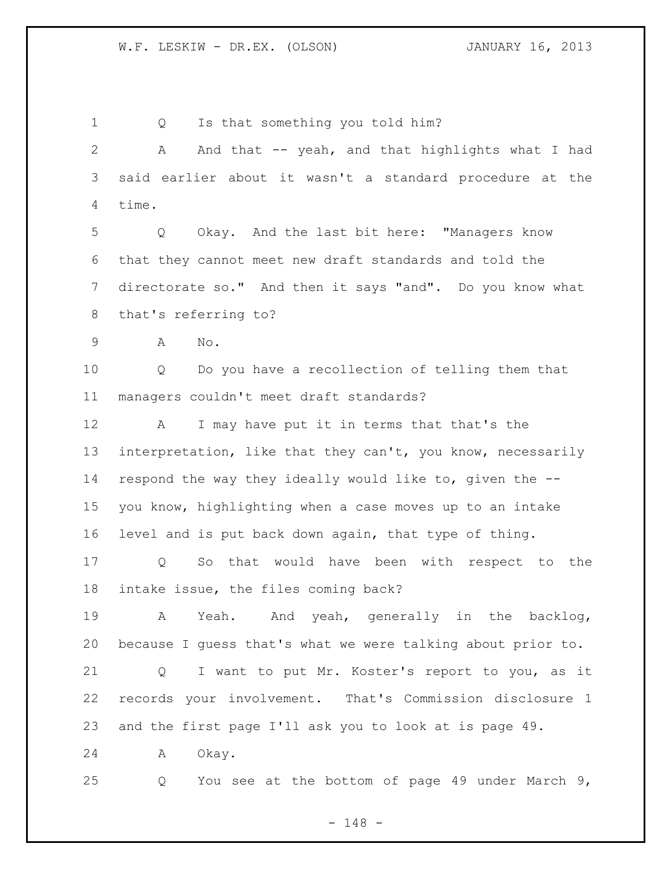1 Q Is that something you told him? A And that -- yeah, and that highlights what I had said earlier about it wasn't a standard procedure at the time. Q Okay. And the last bit here: "Managers know that they cannot meet new draft standards and told the directorate so." And then it says "and". Do you know what that's referring to? A No. Q Do you have a recollection of telling them that managers couldn't meet draft standards? A I may have put it in terms that that's the interpretation, like that they can't, you know, necessarily respond the way they ideally would like to, given the -- you know, highlighting when a case moves up to an intake level and is put back down again, that type of thing. Q So that would have been with respect to the intake issue, the files coming back? A Yeah. And yeah, generally in the backlog, because I guess that's what we were talking about prior to. Q I want to put Mr. Koster's report to you, as it records your involvement. That's Commission disclosure 1 and the first page I'll ask you to look at is page 49. A Okay. Q You see at the bottom of page 49 under March 9,

- 148 -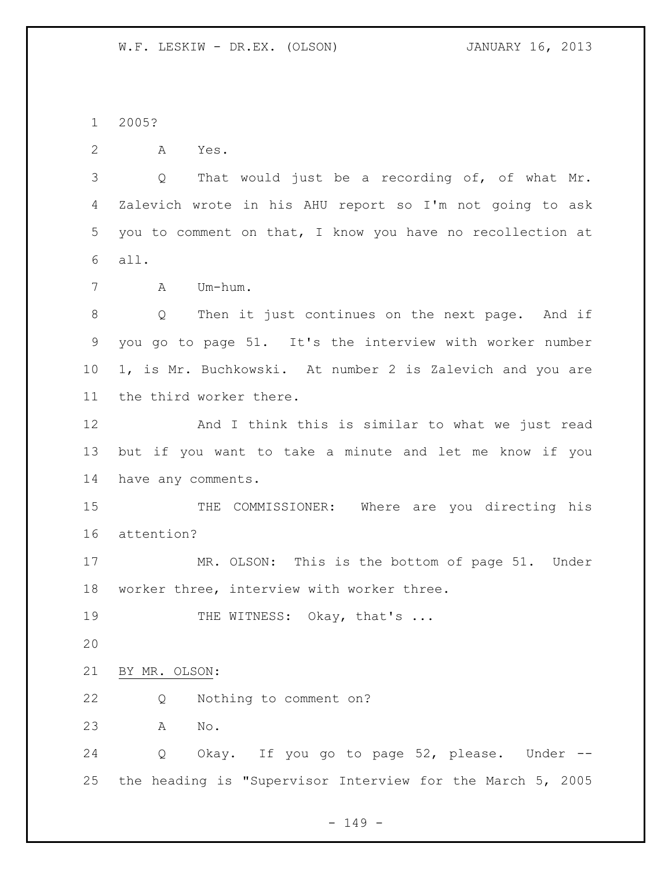2005?

A Yes.

 Q That would just be a recording of, of what Mr. Zalevich wrote in his AHU report so I'm not going to ask you to comment on that, I know you have no recollection at all.

A Um-hum.

 Q Then it just continues on the next page. And if you go to page 51. It's the interview with worker number 1, is Mr. Buchkowski. At number 2 is Zalevich and you are the third worker there.

 And I think this is similar to what we just read but if you want to take a minute and let me know if you have any comments.

 THE COMMISSIONER: Where are you directing his attention?

 MR. OLSON: This is the bottom of page 51. Under worker three, interview with worker three.

19 THE WITNESS: Okay, that's ...

BY MR. OLSON:

Q Nothing to comment on?

A No.

 Q Okay. If you go to page 52, please. Under -- the heading is "Supervisor Interview for the March 5, 2005

 $- 149 -$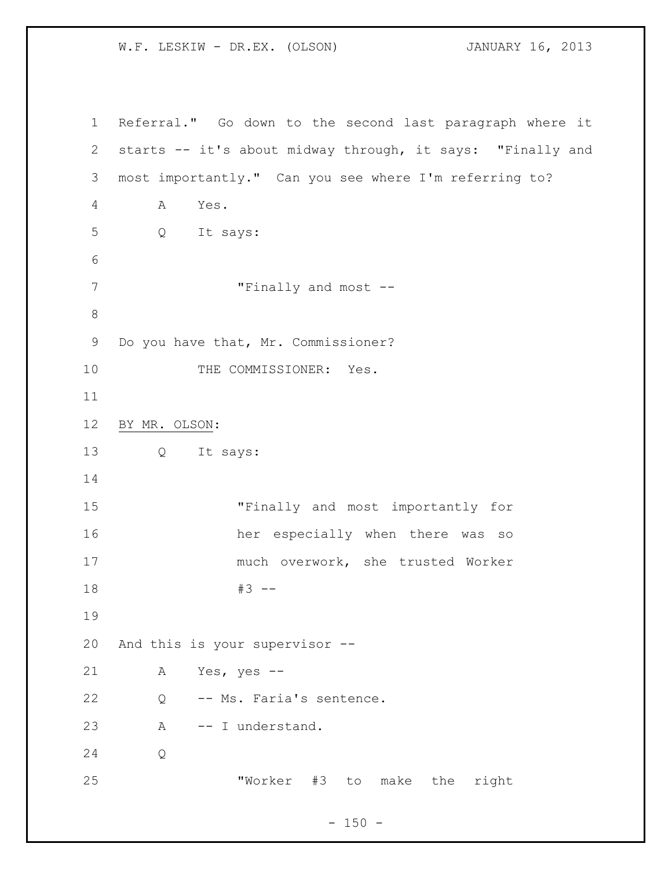Referral." Go down to the second last paragraph where it starts -- it's about midway through, it says: "Finally and most importantly." Can you see where I'm referring to? A Yes. Q It says: 7 Trinally and most  $-$  Do you have that, Mr. Commissioner? 10 THE COMMISSIONER: Yes. BY MR. OLSON: Q It says: "Finally and most importantly for her especially when there was so much overwork, she trusted Worker #3 -- And this is your supervisor -- A Yes, yes -- Q -- Ms. Faria's sentence. A -- I understand. Q "Worker #3 to make the right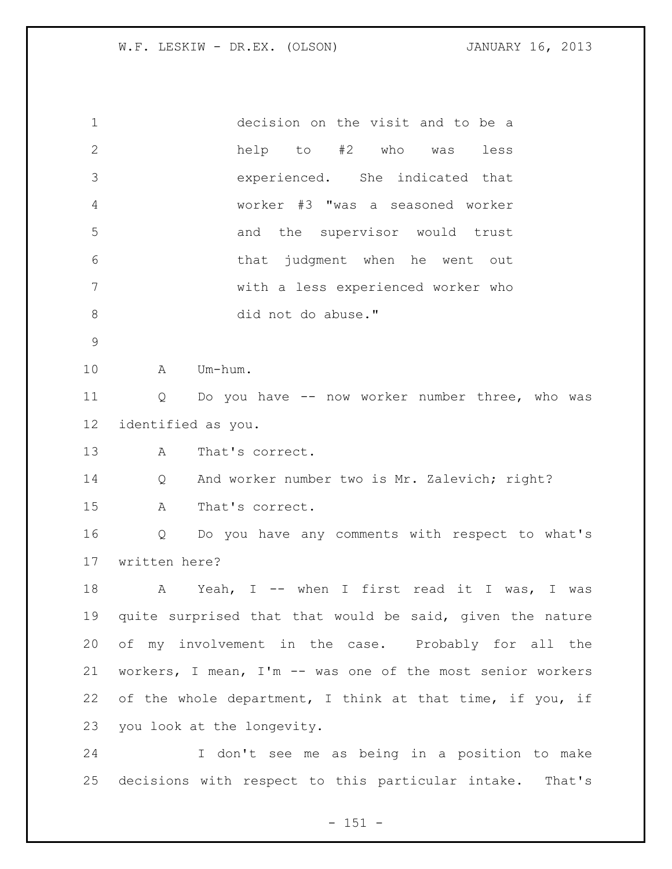| $\mathbf 1$     | decision on the visit and to be a                                    |
|-----------------|----------------------------------------------------------------------|
| $\mathbf{2}$    | help to #2 who was<br>less                                           |
| 3               | experienced. She indicated that                                      |
| 4               | worker #3 "was a seasoned worker                                     |
| 5               | and the supervisor would trust                                       |
| 6               | that judgment when he went out                                       |
| 7               | with a less experienced worker who                                   |
| $8\,$           | did not do abuse."                                                   |
| $\mathsf 9$     |                                                                      |
| 10              | Um-hum.<br>A                                                         |
| 11              | Do you have -- now worker number three, who was<br>$Q \qquad \qquad$ |
| 12 <sup>°</sup> | identified as you.                                                   |
| 13              | That's correct.<br>A                                                 |
| 14              | And worker number two is Mr. Zalevich; right?<br>Q                   |
| 15              | $\mathbb A$<br>That's correct.                                       |
| 16              | Do you have any comments with respect to what's<br>Q                 |
| 17              | written here?                                                        |
| 18              | A Yeah, I -- when I first read it I was, I was                       |
| 19              | quite surprised that that would be said, given the nature            |
| 20              | of my involvement in the case. Probably for all the                  |
| 21              | workers, I mean, I'm -- was one of the most senior workers           |
| 22              | of the whole department, I think at that time, if you, if            |
| 23              | you look at the longevity.                                           |
| 24              | I don't see me as being in a position to make                        |
| 25              | decisions with respect to this particular intake. That's             |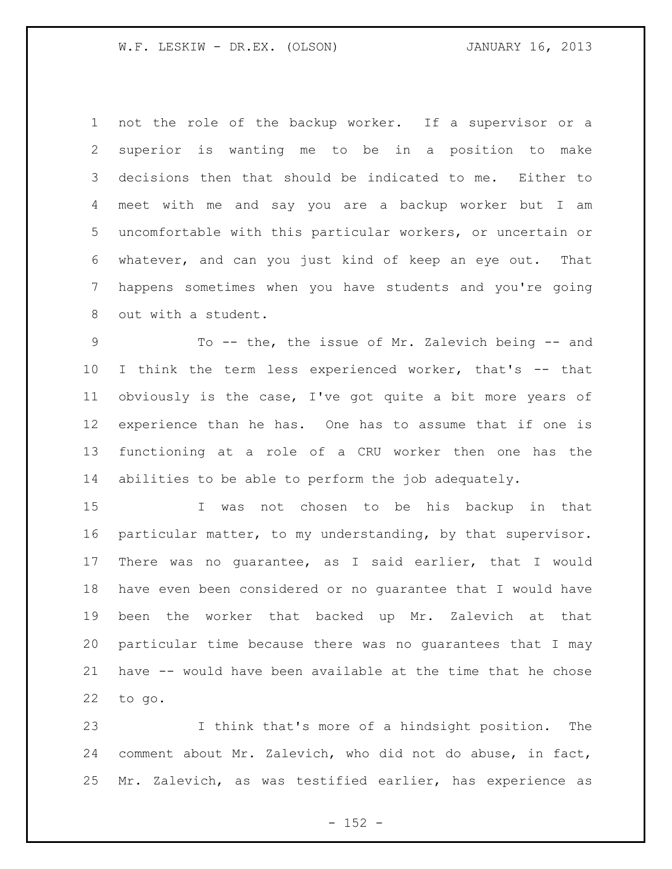not the role of the backup worker. If a supervisor or a superior is wanting me to be in a position to make decisions then that should be indicated to me. Either to meet with me and say you are a backup worker but I am uncomfortable with this particular workers, or uncertain or whatever, and can you just kind of keep an eye out. That happens sometimes when you have students and you're going out with a student.

9 To -- the, the issue of Mr. Zalevich being -- and I think the term less experienced worker, that's -- that obviously is the case, I've got quite a bit more years of experience than he has. One has to assume that if one is functioning at a role of a CRU worker then one has the abilities to be able to perform the job adequately.

 I was not chosen to be his backup in that particular matter, to my understanding, by that supervisor. There was no guarantee, as I said earlier, that I would have even been considered or no guarantee that I would have been the worker that backed up Mr. Zalevich at that particular time because there was no guarantees that I may have -- would have been available at the time that he chose to go.

 I think that's more of a hindsight position. The comment about Mr. Zalevich, who did not do abuse, in fact, Mr. Zalevich, as was testified earlier, has experience as

 $- 152 -$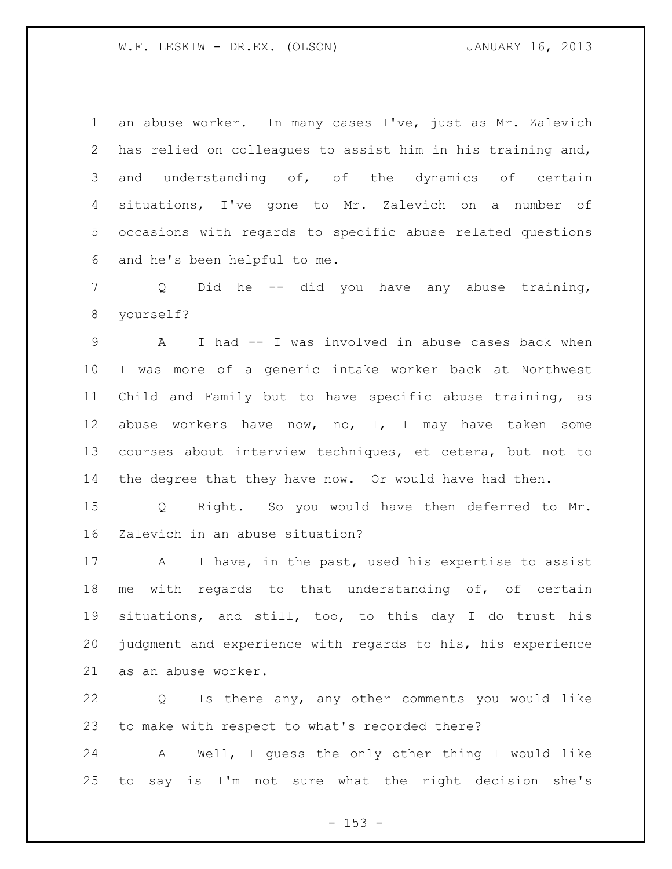an abuse worker. In many cases I've, just as Mr. Zalevich has relied on colleagues to assist him in his training and, and understanding of, of the dynamics of certain situations, I've gone to Mr. Zalevich on a number of occasions with regards to specific abuse related questions and he's been helpful to me.

 Q Did he -- did you have any abuse training, yourself?

 A I had -- I was involved in abuse cases back when I was more of a generic intake worker back at Northwest Child and Family but to have specific abuse training, as abuse workers have now, no, I, I may have taken some courses about interview techniques, et cetera, but not to the degree that they have now. Or would have had then.

 Q Right. So you would have then deferred to Mr. Zalevich in an abuse situation?

17 A I have, in the past, used his expertise to assist 18 me with regards to that understanding of, of certain situations, and still, too, to this day I do trust his judgment and experience with regards to his, his experience as an abuse worker.

 Q Is there any, any other comments you would like to make with respect to what's recorded there?

 A Well, I guess the only other thing I would like to say is I'm not sure what the right decision she's

 $- 153 -$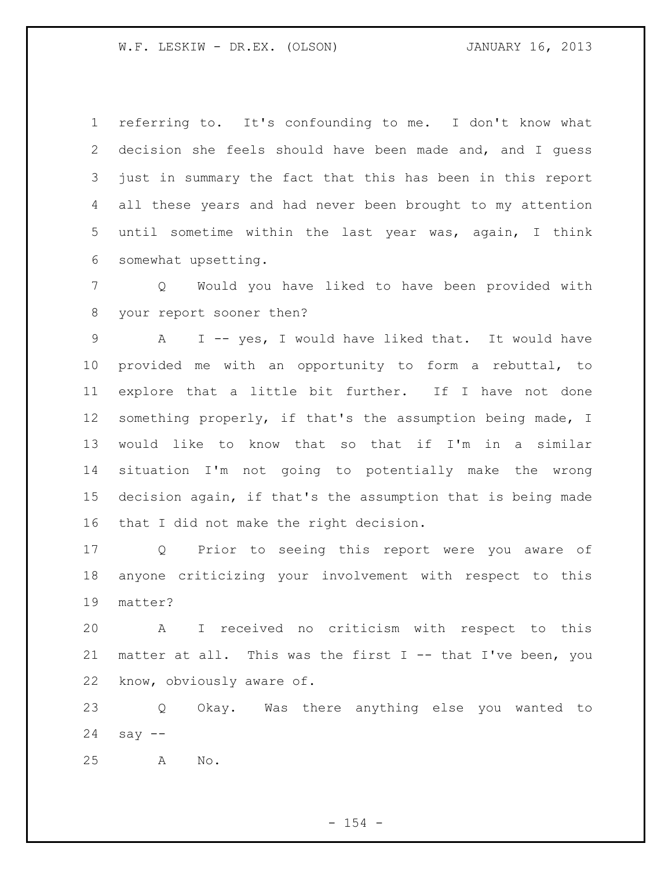referring to. It's confounding to me. I don't know what decision she feels should have been made and, and I guess just in summary the fact that this has been in this report all these years and had never been brought to my attention until sometime within the last year was, again, I think somewhat upsetting.

 Q Would you have liked to have been provided with your report sooner then?

 A I -- yes, I would have liked that. It would have provided me with an opportunity to form a rebuttal, to explore that a little bit further. If I have not done something properly, if that's the assumption being made, I would like to know that so that if I'm in a similar situation I'm not going to potentially make the wrong decision again, if that's the assumption that is being made that I did not make the right decision.

 Q Prior to seeing this report were you aware of anyone criticizing your involvement with respect to this matter?

 A I received no criticism with respect to this matter at all. This was the first I -- that I've been, you know, obviously aware of.

 Q Okay. Was there anything else you wanted to say --

A No.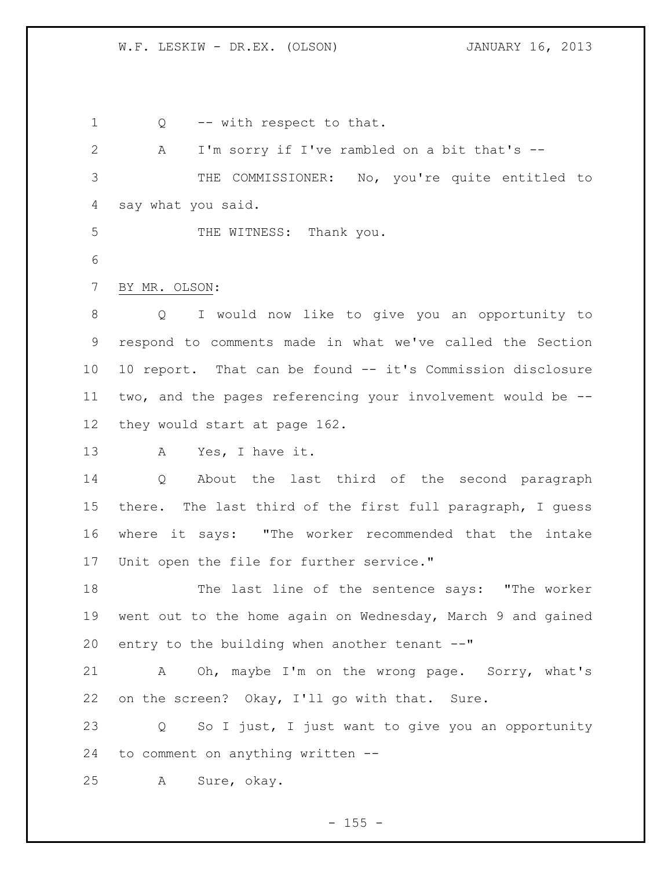Q -- with respect to that. A I'm sorry if I've rambled on a bit that's -- THE COMMISSIONER: No, you're quite entitled to say what you said. 5 THE WITNESS: Thank you. BY MR. OLSON: Q I would now like to give you an opportunity to respond to comments made in what we've called the Section 10 report. That can be found -- it's Commission disclosure two, and the pages referencing your involvement would be -- they would start at page 162. A Yes, I have it. Q About the last third of the second paragraph there. The last third of the first full paragraph, I guess where it says: "The worker recommended that the intake Unit open the file for further service." The last line of the sentence says: "The worker went out to the home again on Wednesday, March 9 and gained entry to the building when another tenant --" A Oh, maybe I'm on the wrong page. Sorry, what's on the screen? Okay, I'll go with that. Sure. Q So I just, I just want to give you an opportunity to comment on anything written -- A Sure, okay.

 $- 155 -$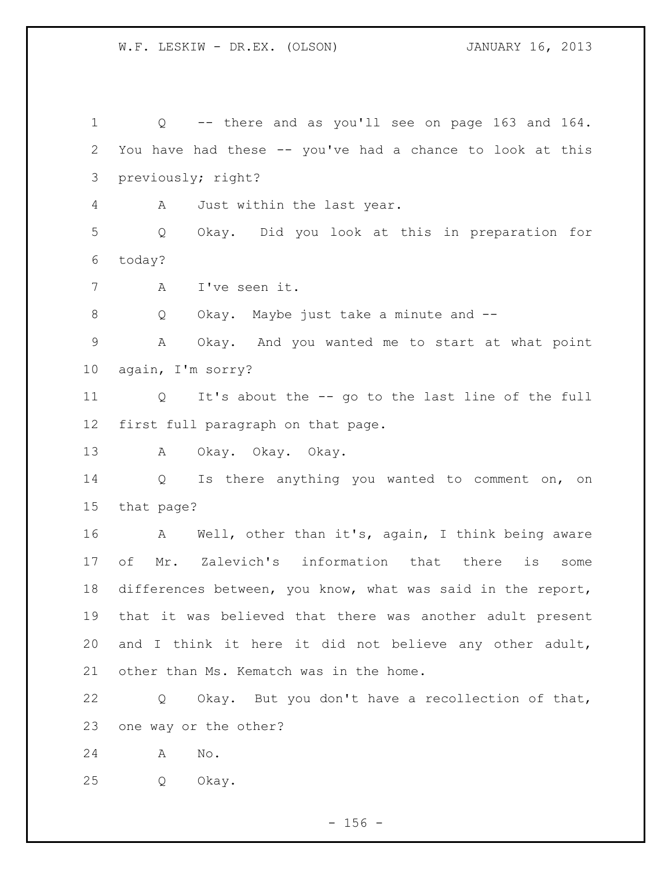Q -- there and as you'll see on page 163 and 164. You have had these -- you've had a chance to look at this previously; right? A Just within the last year. Q Okay. Did you look at this in preparation for today? A I've seen it. Q Okay. Maybe just take a minute and -- A Okay. And you wanted me to start at what point again, I'm sorry? Q It's about the -- go to the last line of the full first full paragraph on that page. A Okay. Okay. Okay. 14 Q Is there anything you wanted to comment on, on that page? A Well, other than it's, again, I think being aware of Mr. Zalevich's information that there is some differences between, you know, what was said in the report, that it was believed that there was another adult present and I think it here it did not believe any other adult, 21 other than Ms. Kematch was in the home. Q Okay. But you don't have a recollection of that, one way or the other? A No. Q Okay.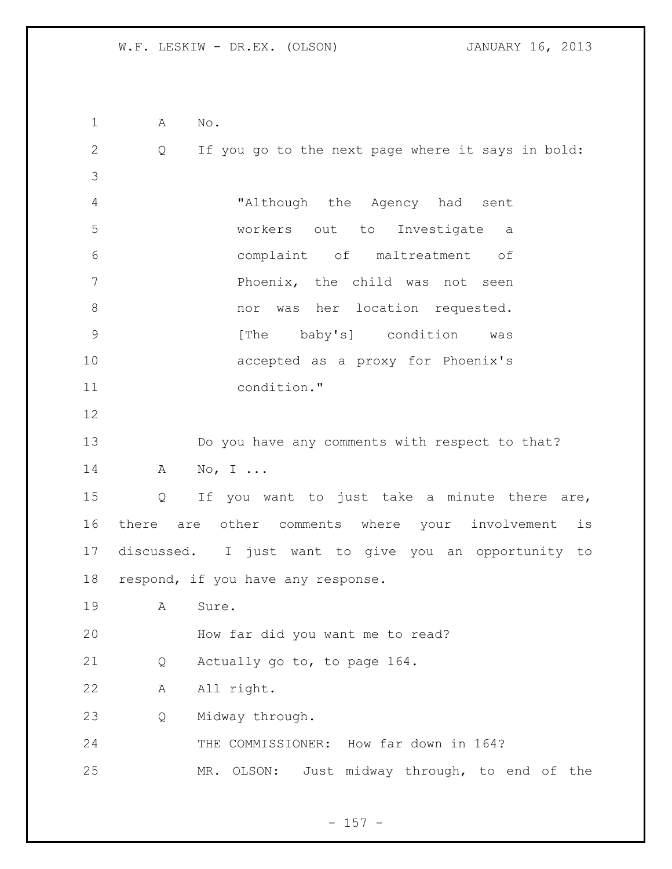A No. Q If you go to the next page where it says in bold: "Although the Agency had sent workers out to Investigate a complaint of maltreatment of **Phoenix**, the child was not seen nor was her location requested. 9 [The baby's] condition was accepted as a proxy for Phoenix's condition." Do you have any comments with respect to that? 14 A No, I ... Q If you want to just take a minute there are, there are other comments where your involvement is discussed. I just want to give you an opportunity to 18 respond, if you have any response. A Sure. How far did you want me to read? Q Actually go to, to page 164. A All right. Q Midway through. THE COMMISSIONER: How far down in 164? MR. OLSON: Just midway through, to end of the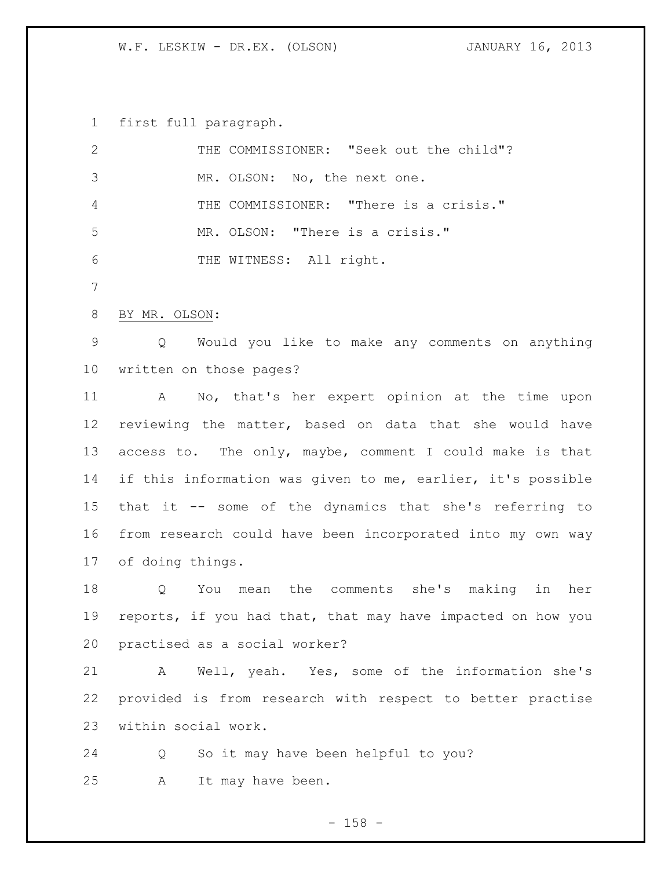first full paragraph.

| 2               | THE COMMISSIONER: "Seek out the child"?                     |
|-----------------|-------------------------------------------------------------|
| 3               | MR. OLSON: No, the next one.                                |
| 4               | THE COMMISSIONER: "There is a crisis."                      |
| 5               | MR. OLSON: "There is a crisis."                             |
| 6               | THE WITNESS: All right.                                     |
| 7               |                                                             |
| 8               | BY MR. OLSON:                                               |
| $\overline{9}$  | Would you like to make any comments on anything<br>Q        |
| 10 <sub>o</sub> | written on those pages?                                     |
| 11              | No, that's her expert opinion at the time upon<br>A         |
| 12              | reviewing the matter, based on data that she would have     |
| 13              | access to. The only, maybe, comment I could make is that    |
| 14              | if this information was given to me, earlier, it's possible |
| 15 <sub>1</sub> | that it -- some of the dynamics that she's referring to     |
| 16              | from research could have been incorporated into my own way  |
| 17              | of doing things.                                            |
| 18              | You mean the comments she's making<br>her<br>Q<br>in        |
| 19              | reports, if you had that, that may have impacted on how you |
|                 | 20 practised as a social worker?                            |
| 21              | Well, yeah. Yes, some of the information she's<br>A         |
| 22              | provided is from research with respect to better practise   |
| 23              | within social work.                                         |
| 24              | So it may have been helpful to you?<br>Q                    |
|                 |                                                             |

A It may have been.

- 158 -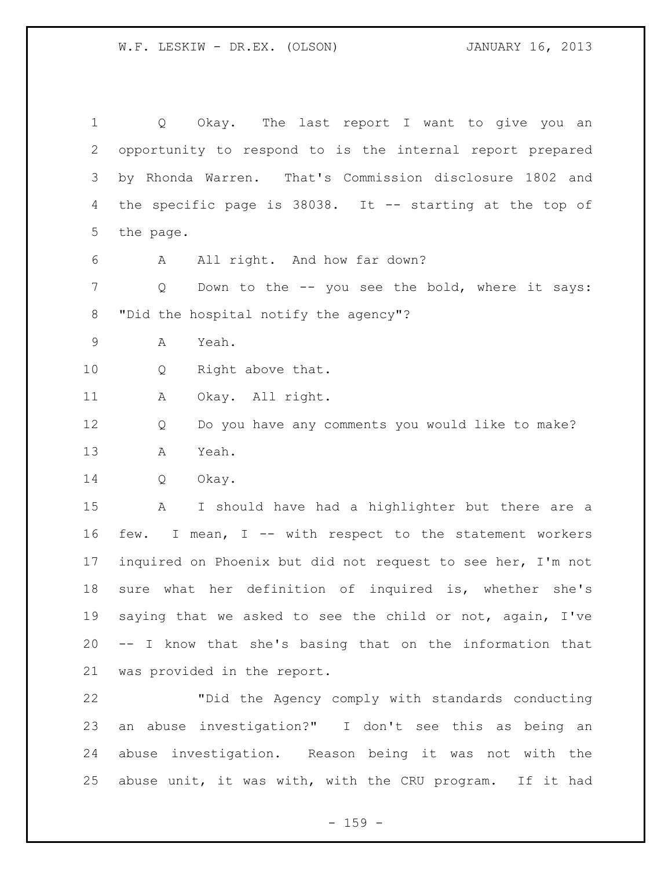Q Okay. The last report I want to give you an opportunity to respond to is the internal report prepared by Rhonda Warren. That's Commission disclosure 1802 and the specific page is 38038. It -- starting at the top of the page. A All right. And how far down? Q Down to the -- you see the bold, where it says: "Did the hospital notify the agency"? A Yeah. Q Right above that. A Okay. All right. Q Do you have any comments you would like to make? A Yeah. Q Okay. A I should have had a highlighter but there are a few. I mean, I -- with respect to the statement workers inquired on Phoenix but did not request to see her, I'm not sure what her definition of inquired is, whether she's saying that we asked to see the child or not, again, I've -- I know that she's basing that on the information that was provided in the report.

 "Did the Agency comply with standards conducting an abuse investigation?" I don't see this as being an abuse investigation. Reason being it was not with the abuse unit, it was with, with the CRU program. If it had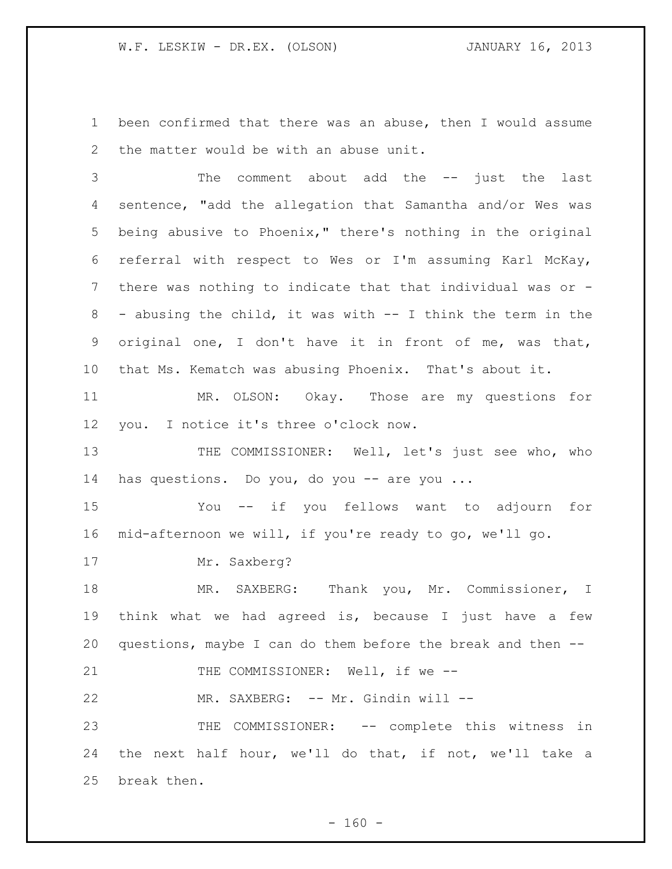been confirmed that there was an abuse, then I would assume the matter would be with an abuse unit.

 The comment about add the -- just the last sentence, "add the allegation that Samantha and/or Wes was being abusive to Phoenix," there's nothing in the original referral with respect to Wes or I'm assuming Karl McKay, there was nothing to indicate that that individual was or - - abusing the child, it was with -- I think the term in the original one, I don't have it in front of me, was that, that Ms. Kematch was abusing Phoenix. That's about it.

 MR. OLSON: Okay. Those are my questions for you. I notice it's three o'clock now.

13 THE COMMISSIONER: Well, let's just see who, who has questions. Do you, do you -- are you ...

 You -- if you fellows want to adjourn for mid-afternoon we will, if you're ready to go, we'll go.

17 Mr. Saxberg?

 MR. SAXBERG: Thank you, Mr. Commissioner, I think what we had agreed is, because I just have a few questions, maybe I can do them before the break and then --

21 THE COMMISSIONER: Well, if we --

22 MR. SAXBERG: -- Mr. Gindin will --

 THE COMMISSIONER: -- complete this witness in the next half hour, we'll do that, if not, we'll take a break then.

 $- 160 -$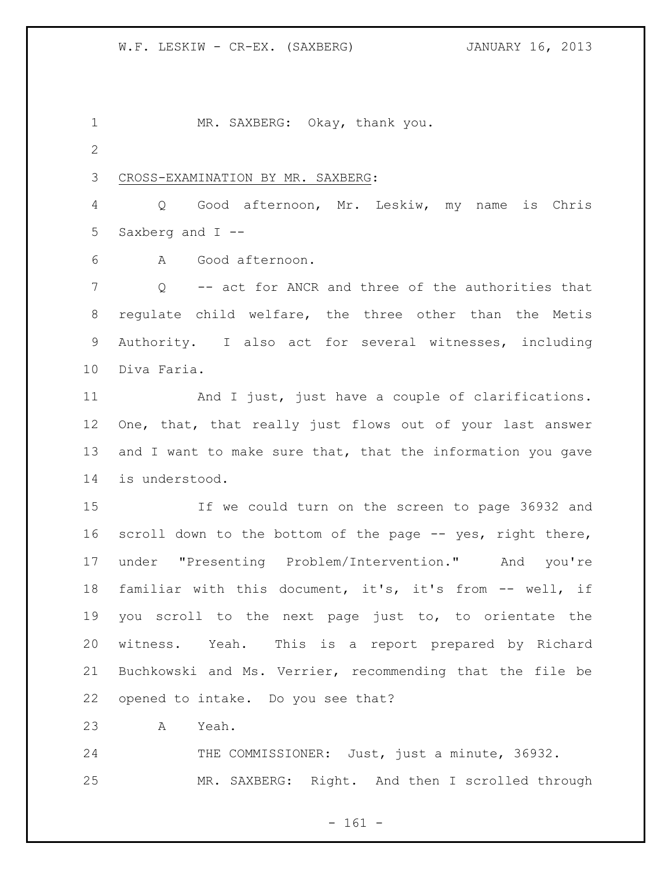1 MR. SAXBERG: Okay, thank you.

CROSS-EXAMINATION BY MR. SAXBERG:

 Q Good afternoon, Mr. Leskiw, my name is Chris Saxberg and I --

A Good afternoon.

 Q -- act for ANCR and three of the authorities that regulate child welfare, the three other than the Metis Authority. I also act for several witnesses, including Diva Faria.

 And I just, just have a couple of clarifications. One, that, that really just flows out of your last answer 13 and I want to make sure that, that the information you gave is understood.

 If we could turn on the screen to page 36932 and 16 scroll down to the bottom of the page -- yes, right there, under "Presenting Problem/Intervention." And you're familiar with this document, it's, it's from -- well, if you scroll to the next page just to, to orientate the witness. Yeah. This is a report prepared by Richard Buchkowski and Ms. Verrier, recommending that the file be opened to intake. Do you see that?

A Yeah.

24 THE COMMISSIONER: Just, just a minute, 36932. MR. SAXBERG: Right. And then I scrolled through

- 161 -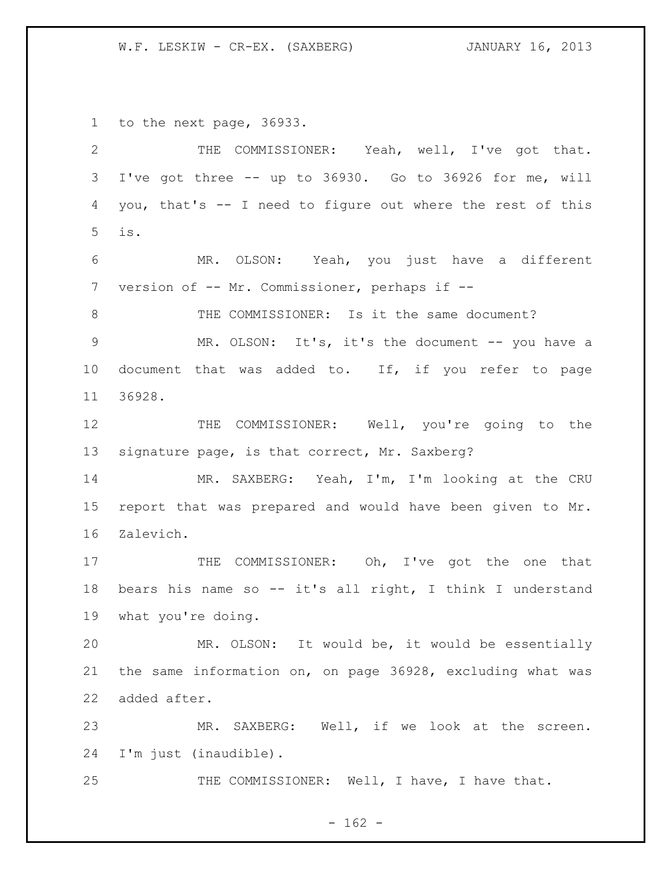W.F. LESKIW - CR-EX. (SAXBERG) **JANUARY 16, 2013** 

to the next page, 36933.

| $\overline{2}$ | THE COMMISSIONER: Yeah, well, I've got that.               |
|----------------|------------------------------------------------------------|
| 3              | I've got three -- up to 36930. Go to 36926 for me, will    |
| 4              | you, that's -- I need to figure out where the rest of this |
| 5              | is.                                                        |
| 6              | MR. OLSON: Yeah, you just have a different                 |
| 7              | version of -- Mr. Commissioner, perhaps if --              |
| 8              | THE COMMISSIONER: Is it the same document?                 |
| $\mathsf 9$    | MR. OLSON: It's, it's the document -- you have a           |
| 10             | document that was added to. If, if you refer to page       |
| 11             | 36928.                                                     |
| 12             | THE COMMISSIONER: Well, you're going to the                |
| 13             | signature page, is that correct, Mr. Saxberg?              |
| 14             | MR. SAXBERG: Yeah, I'm, I'm looking at the CRU             |
| 15             | report that was prepared and would have been given to Mr.  |
| 16             | Zalevich.                                                  |
| 17             | THE COMMISSIONER: Oh, I've got the one that                |
| 18             | bears his name so -- it's all right, I think I understand  |
| 19             | what you're doing.                                         |
| 20             | MR. OLSON: It would be, it would be essentially            |
| 21             | the same information on, on page 36928, excluding what was |
| 22             | added after.                                               |
| 23             | SAXBERG: Well, if we look at the screen.<br>MR.            |
| 24             | I'm just (inaudible).                                      |
| 25             | THE COMMISSIONER: Well, I have, I have that.               |

- 162 -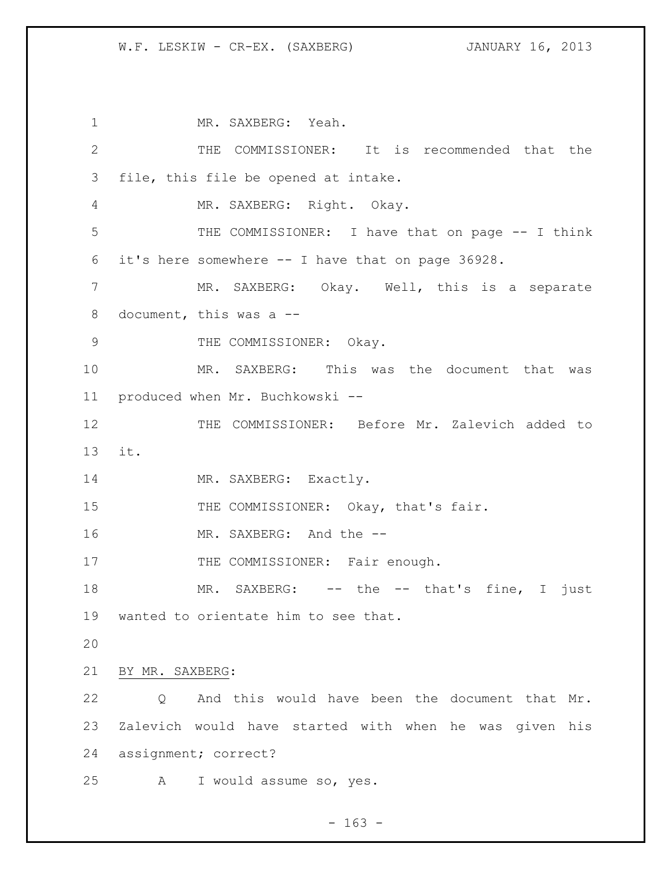MR. SAXBERG: Yeah. THE COMMISSIONER: It is recommended that the file, this file be opened at intake. MR. SAXBERG: Right. Okay. THE COMMISSIONER: I have that on page -- I think it's here somewhere -- I have that on page 36928. MR. SAXBERG: Okay. Well, this is a separate document, this was a -- 9 THE COMMISSIONER: Okay. MR. SAXBERG: This was the document that was produced when Mr. Buchkowski -- THE COMMISSIONER: Before Mr. Zalevich added to it. 14 MR. SAXBERG: Exactly. 15 THE COMMISSIONER: Okay, that's fair. 16 MR. SAXBERG: And the --17 THE COMMISSIONER: Fair enough. 18 MR. SAXBERG: -- the -- that's fine, I just wanted to orientate him to see that. BY MR. SAXBERG: Q And this would have been the document that Mr. Zalevich would have started with when he was given his assignment; correct? A I would assume so, yes.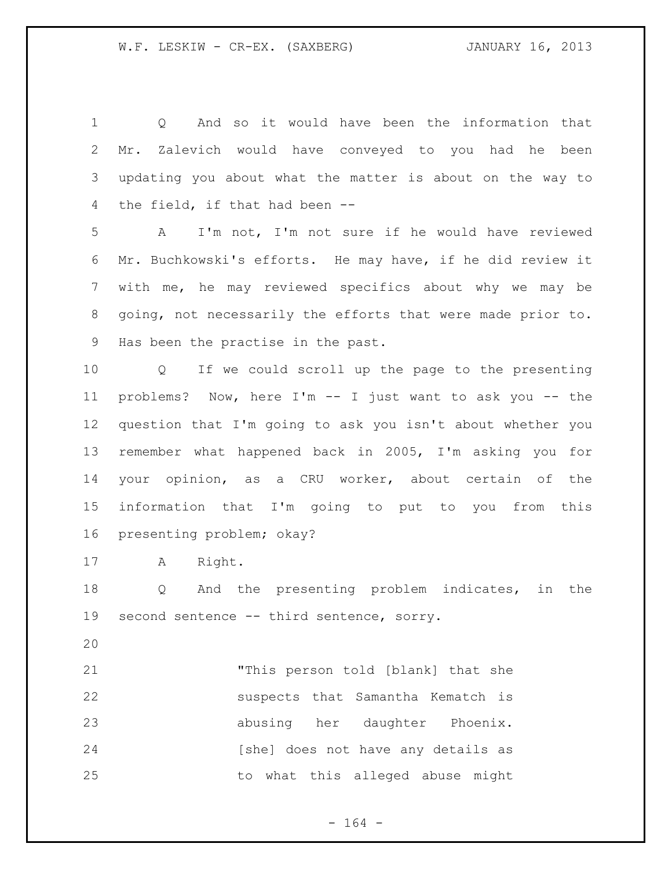Q And so it would have been the information that Mr. Zalevich would have conveyed to you had he been updating you about what the matter is about on the way to the field, if that had been --

 A I'm not, I'm not sure if he would have reviewed Mr. Buchkowski's efforts. He may have, if he did review it with me, he may reviewed specifics about why we may be going, not necessarily the efforts that were made prior to. Has been the practise in the past.

 Q If we could scroll up the page to the presenting problems? Now, here I'm -- I just want to ask you -- the question that I'm going to ask you isn't about whether you remember what happened back in 2005, I'm asking you for your opinion, as a CRU worker, about certain of the information that I'm going to put to you from this presenting problem; okay?

A Right.

 Q And the presenting problem indicates, in the 19 second sentence -- third sentence, sorry.

 "This person told [blank] that she 22 suspects that Samantha Kematch is abusing her daughter Phoenix. 24 [she] does not have any details as to what this alleged abuse might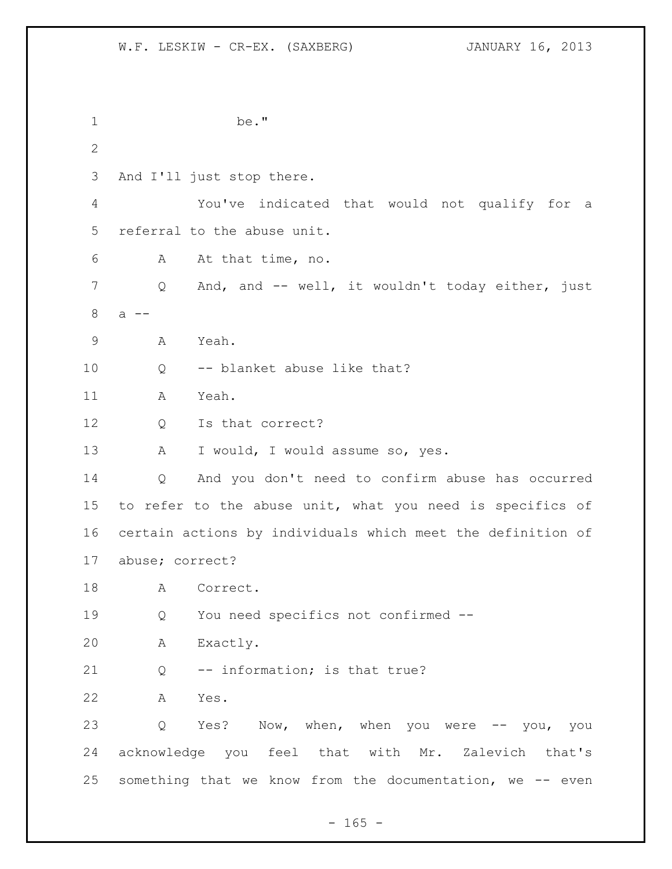be." And I'll just stop there. You've indicated that would not qualify for a referral to the abuse unit. A At that time, no. Q And, and -- well, it wouldn't today either, just a -- A Yeah. Q -- blanket abuse like that? A Yeah. 12 Q Is that correct? 13 A I would, I would assume so, yes. Q And you don't need to confirm abuse has occurred to refer to the abuse unit, what you need is specifics of certain actions by individuals which meet the definition of abuse; correct? 18 A Correct. Q You need specifics not confirmed -- A Exactly. Q -- information; is that true? A Yes. Q Yes? Now, when, when you were -- you, you acknowledge you feel that with Mr. Zalevich that's something that we know from the documentation, we -- even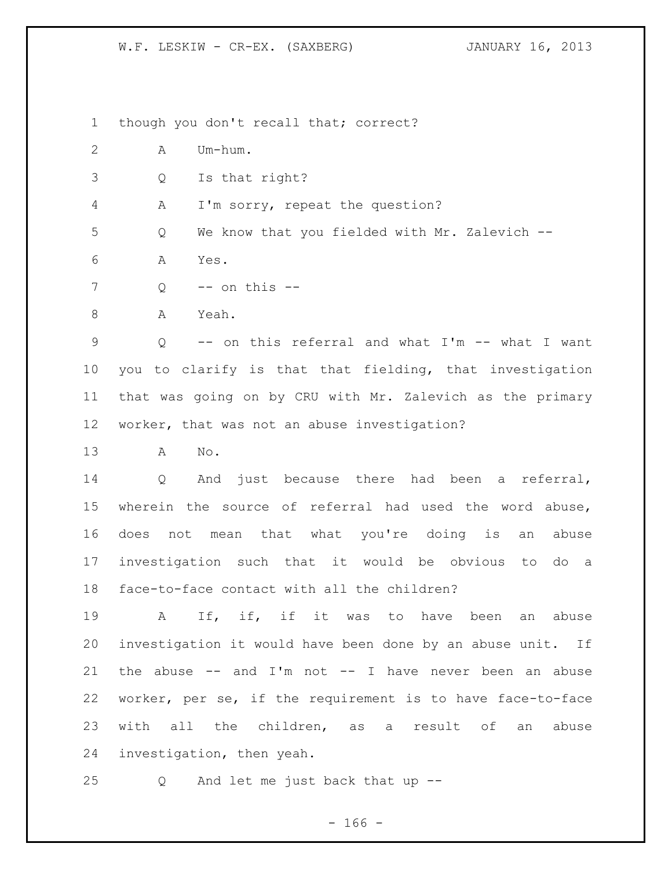W.F. LESKIW - CR-EX. (SAXBERG) **JANUARY 16, 2013** 

though you don't recall that; correct?

- A Um-hum.
- Q Is that right?
- A I'm sorry, repeat the question?

Q We know that you fielded with Mr. Zalevich --

- A Yes.
- Q -- on this --
- 8 A Yeah.

 Q -- on this referral and what I'm -- what I want you to clarify is that that fielding, that investigation that was going on by CRU with Mr. Zalevich as the primary worker, that was not an abuse investigation?

A No.

 Q And just because there had been a referral, wherein the source of referral had used the word abuse, does not mean that what you're doing is an abuse investigation such that it would be obvious to do a face-to-face contact with all the children?

19 a If, if, if it was to have been an abuse investigation it would have been done by an abuse unit. If 21 the abuse  $-$  and I'm not  $-$  I have never been an abuse worker, per se, if the requirement is to have face-to-face with all the children, as a result of an abuse investigation, then yeah.

Q And let me just back that up --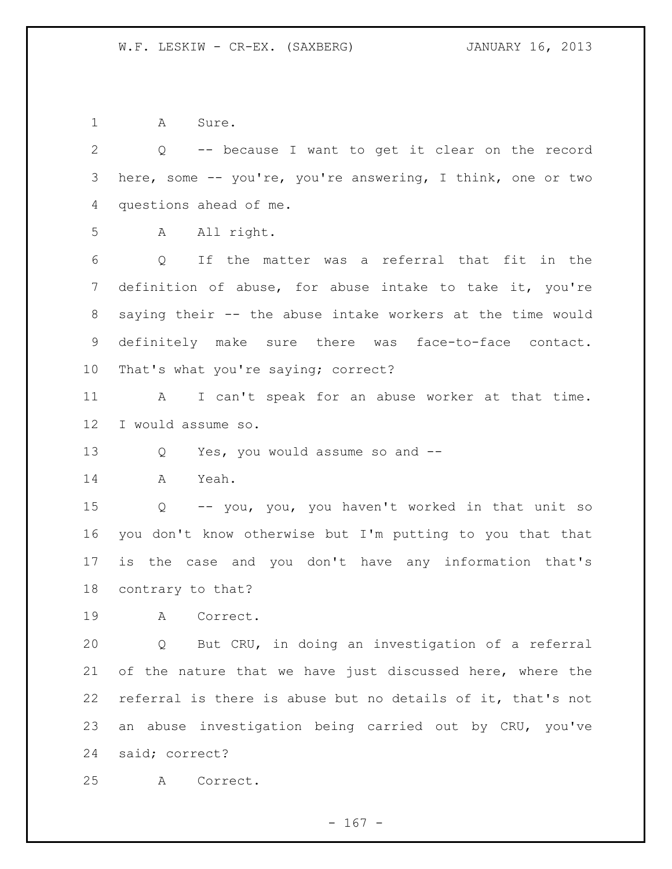1 A Sure.

 Q -- because I want to get it clear on the record here, some -- you're, you're answering, I think, one or two questions ahead of me.

A All right.

 Q If the matter was a referral that fit in the definition of abuse, for abuse intake to take it, you're saying their -- the abuse intake workers at the time would definitely make sure there was face-to-face contact. That's what you're saying; correct?

 A I can't speak for an abuse worker at that time. I would assume so.

Q Yes, you would assume so and --

A Yeah.

 Q -- you, you, you haven't worked in that unit so you don't know otherwise but I'm putting to you that that is the case and you don't have any information that's contrary to that?

A Correct.

 Q But CRU, in doing an investigation of a referral 21 of the nature that we have just discussed here, where the referral is there is abuse but no details of it, that's not an abuse investigation being carried out by CRU, you've said; correct?

A Correct.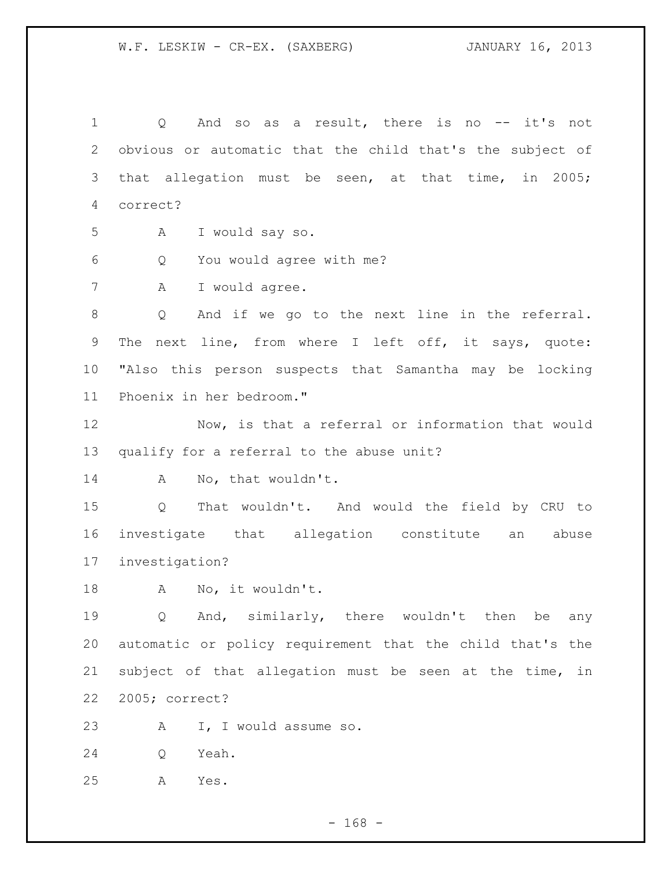1 0 And so as a result, there is no -- it's not obvious or automatic that the child that's the subject of that allegation must be seen, at that time, in 2005; correct? A I would say so. Q You would agree with me? A I would agree. Q And if we go to the next line in the referral. The next line, from where I left off, it says, quote: "Also this person suspects that Samantha may be locking Phoenix in her bedroom." Now, is that a referral or information that would qualify for a referral to the abuse unit? 14 A No, that wouldn't. Q That wouldn't. And would the field by CRU to investigate that allegation constitute an abuse investigation? A No, it wouldn't. Q And, similarly, there wouldn't then be any automatic or policy requirement that the child that's the subject of that allegation must be seen at the time, in 2005; correct? A I, I would assume so. Q Yeah. A Yes.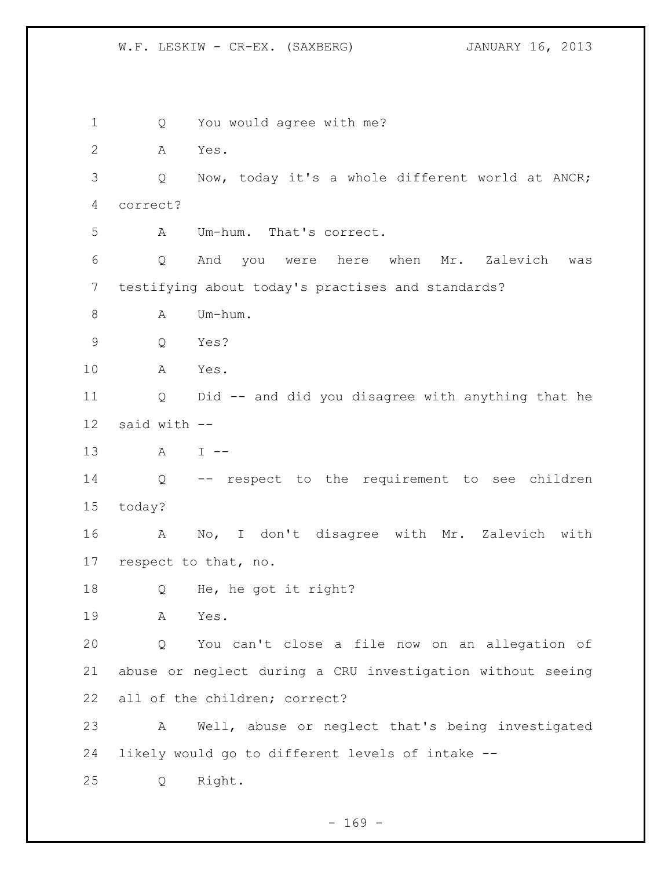W.F. LESKIW - CR-EX. (SAXBERG) JANUARY 16, 2013

 Q You would agree with me? A Yes. Q Now, today it's a whole different world at ANCR; correct? A Um-hum. That's correct. Q And you were here when Mr. Zalevich was testifying about today's practises and standards? 8 A Um-hum. Q Yes? A Yes. Q Did -- and did you disagree with anything that he said with -- A I -- Q -- respect to the requirement to see children today? A No, I don't disagree with Mr. Zalevich with respect to that, no. Q He, he got it right? A Yes. Q You can't close a file now on an allegation of abuse or neglect during a CRU investigation without seeing all of the children; correct? A Well, abuse or neglect that's being investigated likely would go to different levels of intake -- Q Right.

 $- 169 -$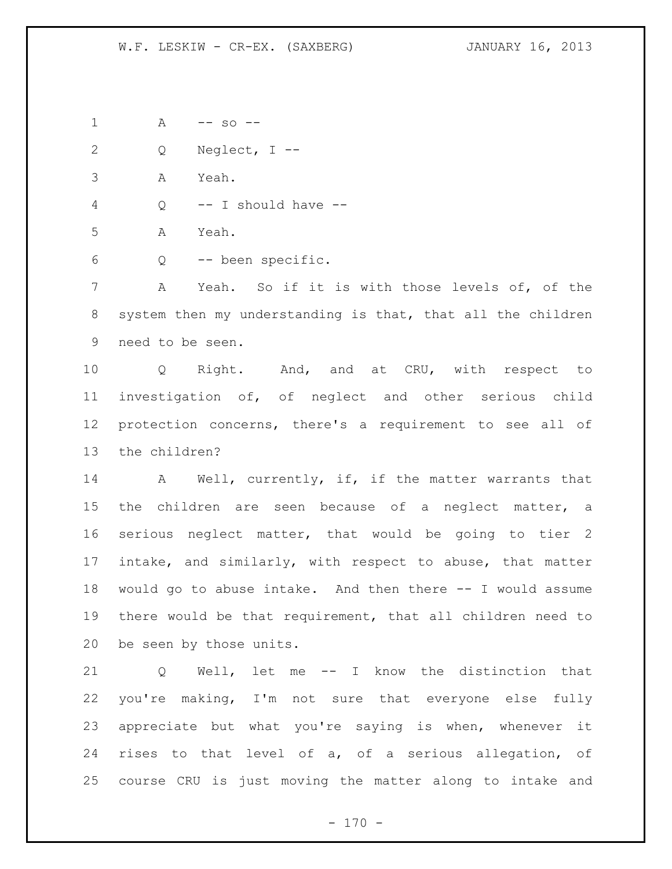A -- so --

Q Neglect, I --

A Yeah.

Q -- I should have --

A Yeah.

Q -- been specific.

 A Yeah. So if it is with those levels of, of the system then my understanding is that, that all the children need to be seen.

 Q Right. And, and at CRU, with respect to investigation of, of neglect and other serious child protection concerns, there's a requirement to see all of the children?

14 A Well, currently, if, if the matter warrants that 15 the children are seen because of a neglect matter, a serious neglect matter, that would be going to tier 2 intake, and similarly, with respect to abuse, that matter would go to abuse intake. And then there -- I would assume there would be that requirement, that all children need to be seen by those units.

 Q Well, let me -- I know the distinction that you're making, I'm not sure that everyone else fully appreciate but what you're saying is when, whenever it rises to that level of a, of a serious allegation, of course CRU is just moving the matter along to intake and

 $- 170 -$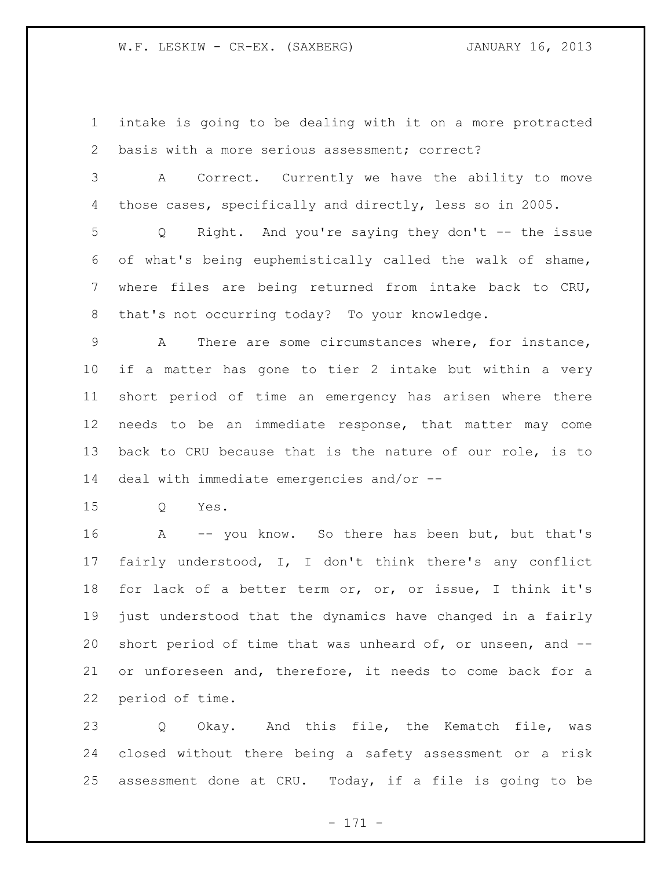intake is going to be dealing with it on a more protracted basis with a more serious assessment; correct?

 A Correct. Currently we have the ability to move those cases, specifically and directly, less so in 2005.

 Q Right. And you're saying they don't -- the issue of what's being euphemistically called the walk of shame, where files are being returned from intake back to CRU, that's not occurring today? To your knowledge.

 A There are some circumstances where, for instance, if a matter has gone to tier 2 intake but within a very short period of time an emergency has arisen where there needs to be an immediate response, that matter may come back to CRU because that is the nature of our role, is to deal with immediate emergencies and/or --

Q Yes.

 A -- you know. So there has been but, but that's fairly understood, I, I don't think there's any conflict for lack of a better term or, or, or issue, I think it's just understood that the dynamics have changed in a fairly short period of time that was unheard of, or unseen, and -- or unforeseen and, therefore, it needs to come back for a period of time.

23 Q Okay. And this file, the Kematch file, was closed without there being a safety assessment or a risk assessment done at CRU. Today, if a file is going to be

- 171 -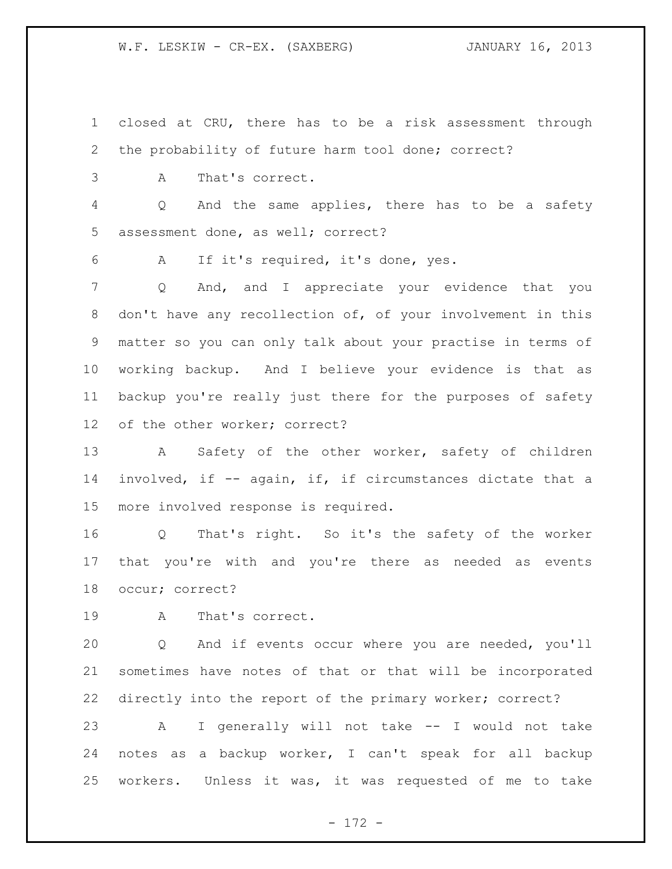W.F. LESKIW - CR-EX. (SAXBERG) **JANUARY 16, 2013** 

 closed at CRU, there has to be a risk assessment through the probability of future harm tool done; correct?

A That's correct.

 Q And the same applies, there has to be a safety assessment done, as well; correct?

A If it's required, it's done, yes.

 Q And, and I appreciate your evidence that you don't have any recollection of, of your involvement in this matter so you can only talk about your practise in terms of working backup. And I believe your evidence is that as backup you're really just there for the purposes of safety of the other worker; correct?

13 A Safety of the other worker, safety of children involved, if -- again, if, if circumstances dictate that a more involved response is required.

 Q That's right. So it's the safety of the worker that you're with and you're there as needed as events occur; correct?

A That's correct.

 Q And if events occur where you are needed, you'll sometimes have notes of that or that will be incorporated directly into the report of the primary worker; correct?

 A I generally will not take -- I would not take notes as a backup worker, I can't speak for all backup workers. Unless it was, it was requested of me to take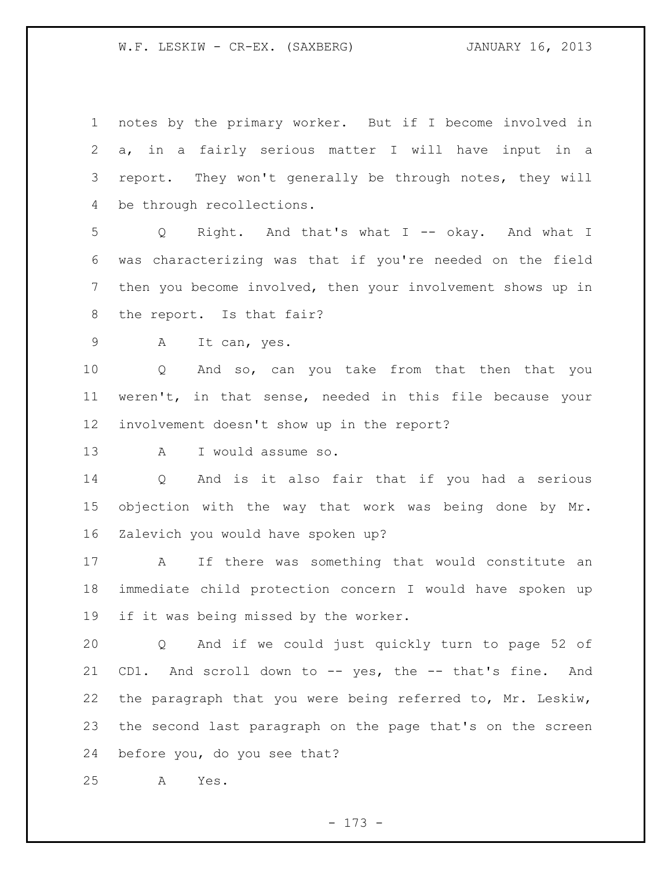W.F. LESKIW - CR-EX. (SAXBERG) JANUARY 16, 2013

 notes by the primary worker. But if I become involved in a, in a fairly serious matter I will have input in a report. They won't generally be through notes, they will be through recollections.

 Q Right. And that's what I -- okay. And what I was characterizing was that if you're needed on the field then you become involved, then your involvement shows up in the report. Is that fair?

A It can, yes.

 Q And so, can you take from that then that you weren't, in that sense, needed in this file because your involvement doesn't show up in the report?

A I would assume so.

 Q And is it also fair that if you had a serious objection with the way that work was being done by Mr. Zalevich you would have spoken up?

 A If there was something that would constitute an immediate child protection concern I would have spoken up if it was being missed by the worker.

 Q And if we could just quickly turn to page 52 of CD1. And scroll down to -- yes, the -- that's fine. And the paragraph that you were being referred to, Mr. Leskiw, the second last paragraph on the page that's on the screen before you, do you see that?

A Yes.

- 173 -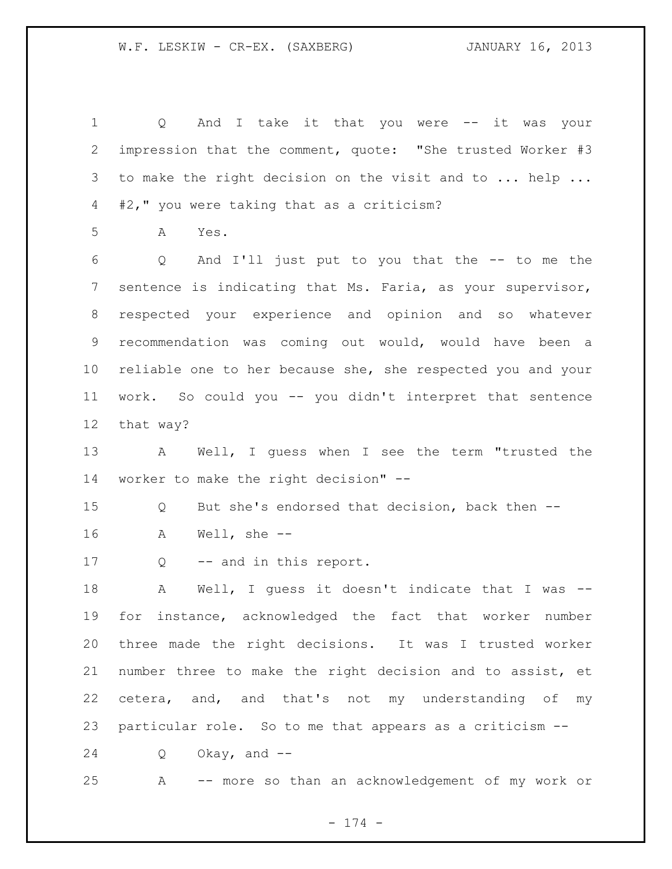Q And I take it that you were -- it was your impression that the comment, quote: "She trusted Worker #3 3 to make the right decision on the visit and to ... help ... #2," you were taking that as a criticism? A Yes. Q And I'll just put to you that the -- to me the sentence is indicating that Ms. Faria, as your supervisor, respected your experience and opinion and so whatever recommendation was coming out would, would have been a reliable one to her because she, she respected you and your work. So could you -- you didn't interpret that sentence that way? A Well, I guess when I see the term "trusted the worker to make the right decision" -- Q But she's endorsed that decision, back then -- A Well, she -- Q -- and in this report. A Well, I guess it doesn't indicate that I was -- for instance, acknowledged the fact that worker number three made the right decisions. It was I trusted worker number three to make the right decision and to assist, et cetera, and, and that's not my understanding of my particular role. So to me that appears as a criticism -- Q Okay, and -- A -- more so than an acknowledgement of my work or

- 174 -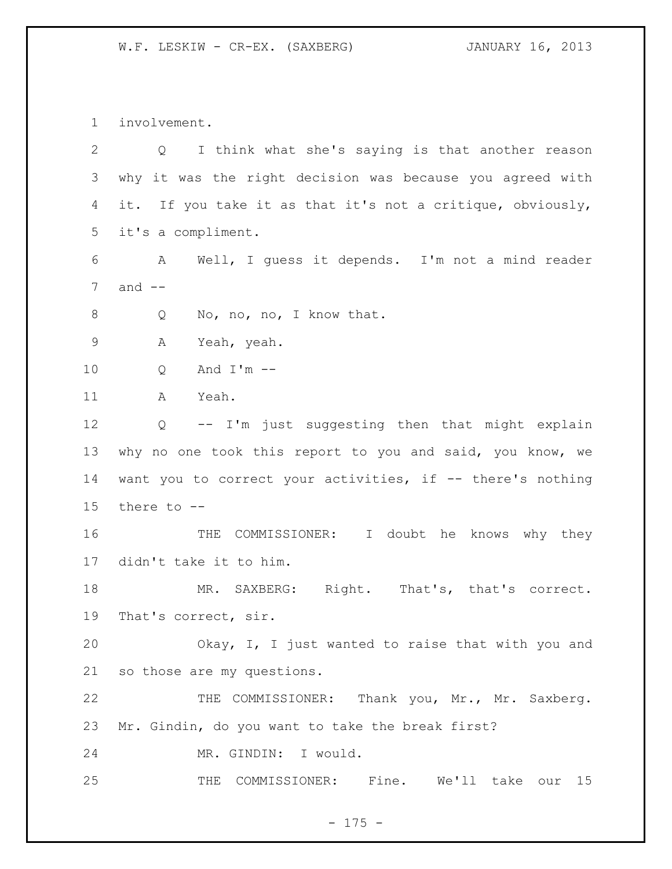W.F. LESKIW - CR-EX. (SAXBERG) JANUARY 16, 2013

involvement.

| $\overline{2}$ | Q I think what she's saying is that another reason         |
|----------------|------------------------------------------------------------|
| 3              | why it was the right decision was because you agreed with  |
| 4              | it. If you take it as that it's not a critique, obviously, |
| 5              | it's a compliment.                                         |
| 6              | Well, I quess it depends. I'm not a mind reader<br>A       |
| 7              | and $--$                                                   |
| 8              | No, no, no, I know that.<br>Q                              |
| $\mathsf 9$    | Α<br>Yeah, yeah.                                           |
| 10             | And $I'm$ --<br>Q                                          |
| 11             | Yeah.<br>A                                                 |
| 12             | -- I'm just suggesting then that might explain<br>Q        |
| 13             | why no one took this report to you and said, you know, we  |
| 14             | want you to correct your activities, if -- there's nothing |
| 15             | there to $-$ -                                             |
| 16             | THE COMMISSIONER: I doubt he knows why they                |
| 17             | didn't take it to him.                                     |
| 18             | MR. SAXBERG: Right. That's, that's correct.                |
| 19             | That's correct, sir.                                       |
| 20             | Okay, I, I just wanted to raise that with you and          |
| 21             | so those are my questions.                                 |
| 22             | THE COMMISSIONER: Thank you, Mr., Mr. Saxberg.             |
| 23             | Mr. Gindin, do you want to take the break first?           |
| 24             | MR. GINDIN: I would.                                       |
| 25             | COMMISSIONER: Fine.<br>THE<br>We'll take<br>15<br>our      |

- 175 -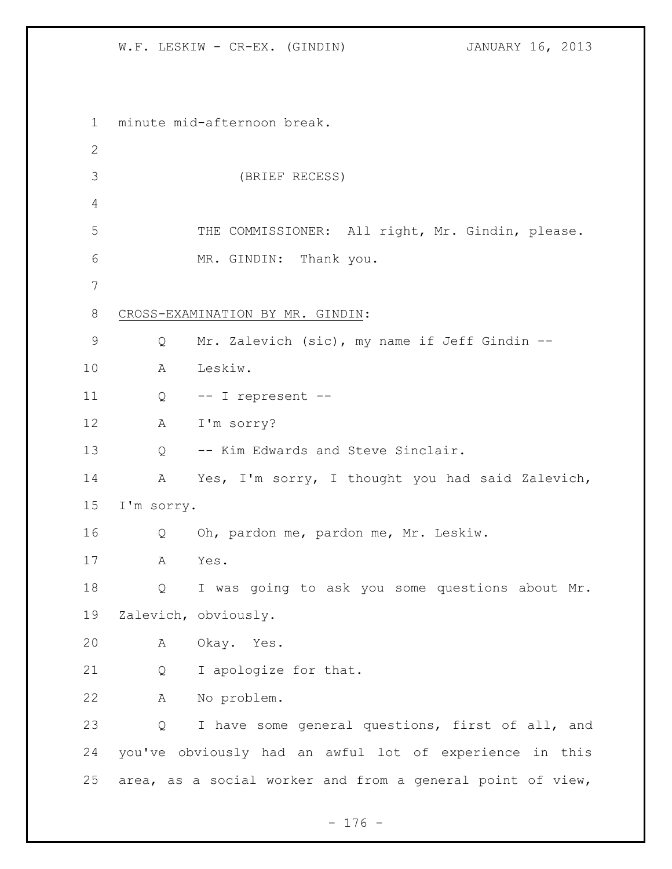W.F. LESKIW - CR-EX. (GINDIN) **JANUARY 16, 2013** 

 minute mid-afternoon break. (BRIEF RECESS) 5 THE COMMISSIONER: All right, Mr. Gindin, please. MR. GINDIN: Thank you. CROSS-EXAMINATION BY MR. GINDIN: Q Mr. Zalevich (sic), my name if Jeff Gindin -- A Leskiw. Q -- I represent -- A I'm sorry? Q -- Kim Edwards and Steve Sinclair. A Yes, I'm sorry, I thought you had said Zalevich, I'm sorry. Q Oh, pardon me, pardon me, Mr. Leskiw. A Yes. Q I was going to ask you some questions about Mr. Zalevich, obviously. A Okay. Yes. Q I apologize for that. A No problem. Q I have some general questions, first of all, and you've obviously had an awful lot of experience in this area, as a social worker and from a general point of view,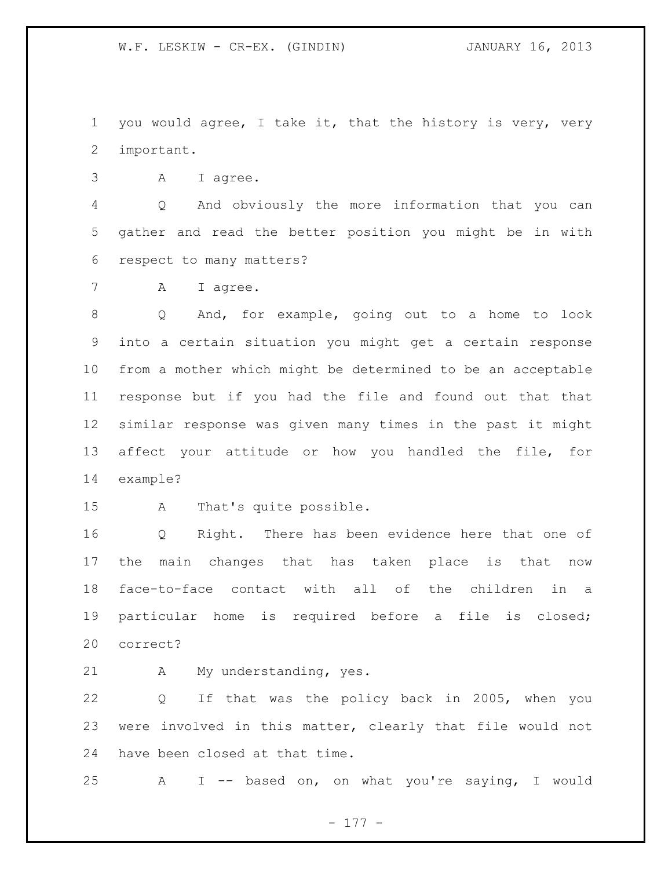you would agree, I take it, that the history is very, very important.

A I agree.

 Q And obviously the more information that you can gather and read the better position you might be in with respect to many matters?

7 A I agree.

 Q And, for example, going out to a home to look into a certain situation you might get a certain response from a mother which might be determined to be an acceptable response but if you had the file and found out that that similar response was given many times in the past it might affect your attitude or how you handled the file, for example?

A That's quite possible.

 Q Right. There has been evidence here that one of the main changes that has taken place is that now face-to-face contact with all of the children in a particular home is required before a file is closed; correct?

21 A My understanding, yes.

 Q If that was the policy back in 2005, when you were involved in this matter, clearly that file would not have been closed at that time.

A I -- based on, on what you're saying, I would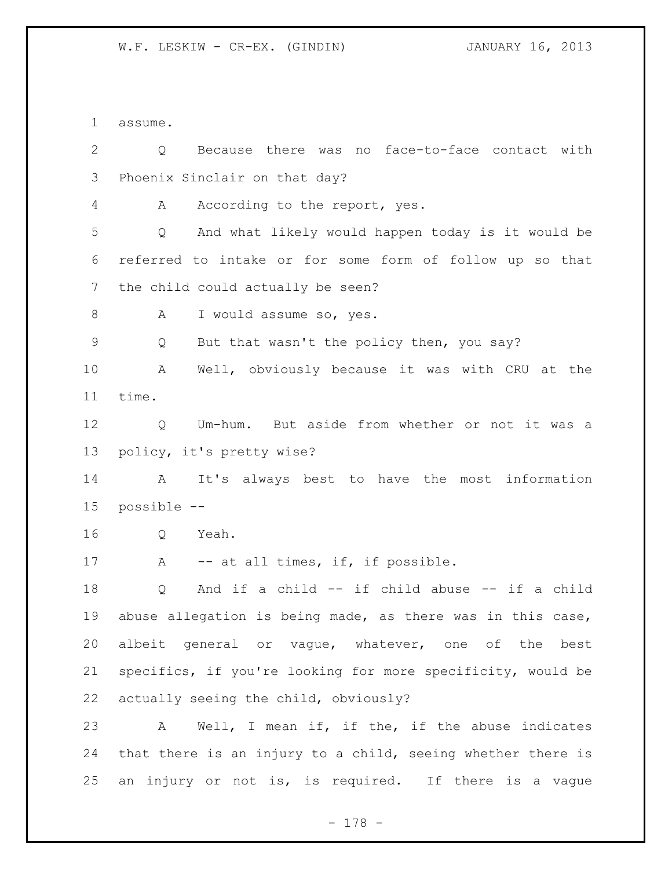assume.

 Q Because there was no face-to-face contact with Phoenix Sinclair on that day? 4 A According to the report, yes. Q And what likely would happen today is it would be referred to intake or for some form of follow up so that the child could actually be seen? 8 A I would assume so, yes. Q But that wasn't the policy then, you say? A Well, obviously because it was with CRU at the time. Q Um-hum. But aside from whether or not it was a policy, it's pretty wise? A It's always best to have the most information possible -- Q Yeah. 17 A -- at all times, if, if possible. Q And if a child -- if child abuse -- if a child abuse allegation is being made, as there was in this case, albeit general or vague, whatever, one of the best specifics, if you're looking for more specificity, would be actually seeing the child, obviously? A Well, I mean if, if the, if the abuse indicates that there is an injury to a child, seeing whether there is an injury or not is, is required. If there is a vague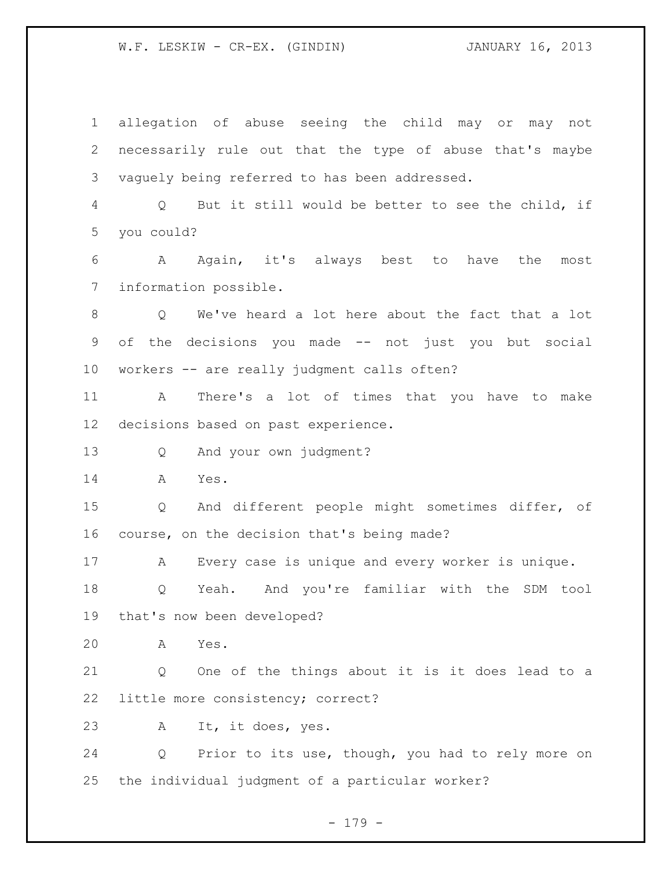allegation of abuse seeing the child may or may not necessarily rule out that the type of abuse that's maybe vaguely being referred to has been addressed. Q But it still would be better to see the child, if you could? A Again, it's always best to have the most information possible. Q We've heard a lot here about the fact that a lot of the decisions you made -- not just you but social workers -- are really judgment calls often? A There's a lot of times that you have to make decisions based on past experience. Q And your own judgment? A Yes. Q And different people might sometimes differ, of course, on the decision that's being made? A Every case is unique and every worker is unique. Q Yeah. And you're familiar with the SDM tool that's now been developed? A Yes. Q One of the things about it is it does lead to a little more consistency; correct? A It, it does, yes. Q Prior to its use, though, you had to rely more on the individual judgment of a particular worker?

- 179 -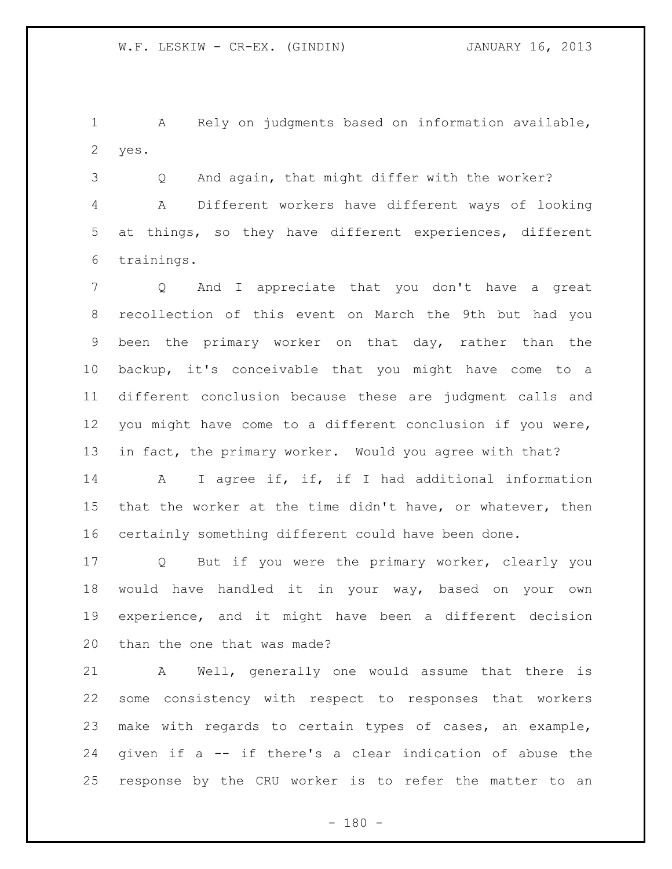A Rely on judgments based on information available, yes.

 Q And again, that might differ with the worker? A Different workers have different ways of looking at things, so they have different experiences, different trainings.

 Q And I appreciate that you don't have a great recollection of this event on March the 9th but had you been the primary worker on that day, rather than the backup, it's conceivable that you might have come to a different conclusion because these are judgment calls and you might have come to a different conclusion if you were, in fact, the primary worker. Would you agree with that?

 A I agree if, if, if I had additional information that the worker at the time didn't have, or whatever, then certainly something different could have been done.

 Q But if you were the primary worker, clearly you would have handled it in your way, based on your own experience, and it might have been a different decision than the one that was made?

 A Well, generally one would assume that there is some consistency with respect to responses that workers make with regards to certain types of cases, an example, given if a -- if there's a clear indication of abuse the response by the CRU worker is to refer the matter to an

 $- 180 -$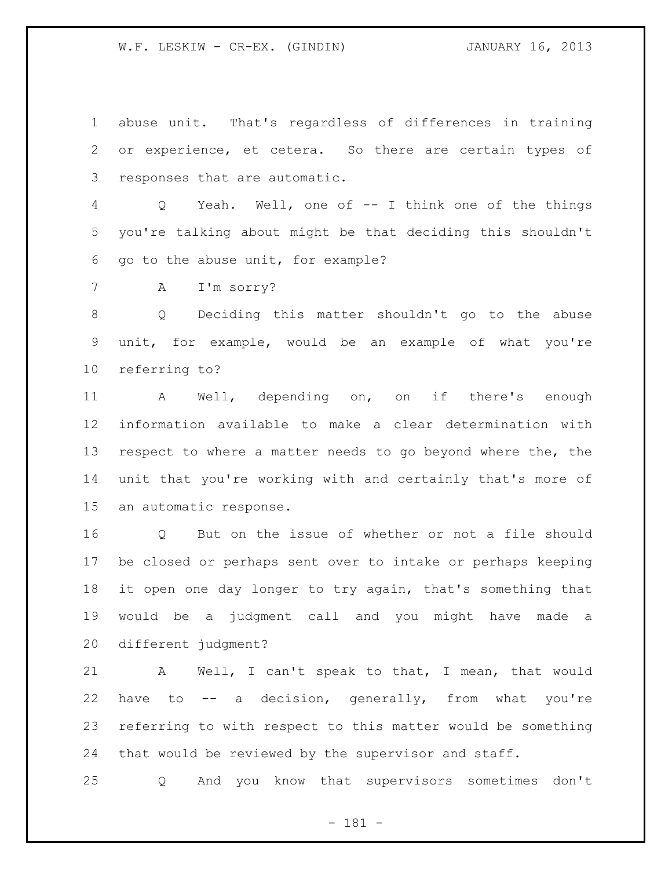abuse unit. That's regardless of differences in training or experience, et cetera. So there are certain types of responses that are automatic.

 Q Yeah. Well, one of -- I think one of the things you're talking about might be that deciding this shouldn't go to the abuse unit, for example?

A I'm sorry?

 Q Deciding this matter shouldn't go to the abuse unit, for example, would be an example of what you're referring to?

 A Well, depending on, on if there's enough information available to make a clear determination with respect to where a matter needs to go beyond where the, the unit that you're working with and certainly that's more of an automatic response.

16 0 But on the issue of whether or not a file should be closed or perhaps sent over to intake or perhaps keeping it open one day longer to try again, that's something that would be a judgment call and you might have made a different judgment?

 A Well, I can't speak to that, I mean, that would have to -- a decision, generally, from what you're referring to with respect to this matter would be something that would be reviewed by the supervisor and staff.

Q And you know that supervisors sometimes don't

- 181 -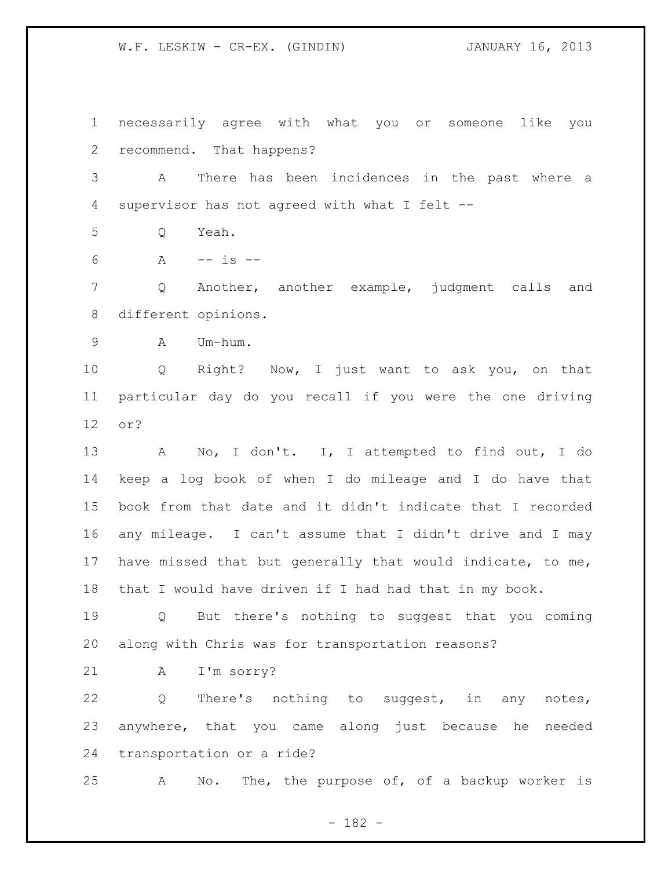necessarily agree with what you or someone like you recommend. That happens?

 A There has been incidences in the past where a supervisor has not agreed with what I felt --

Q Yeah.

A -- is --

 Q Another, another example, judgment calls and different opinions.

A Um-hum.

 Q Right? Now, I just want to ask you, on that particular day do you recall if you were the one driving or?

 A No, I don't. I, I attempted to find out, I do keep a log book of when I do mileage and I do have that book from that date and it didn't indicate that I recorded any mileage. I can't assume that I didn't drive and I may have missed that but generally that would indicate, to me, that I would have driven if I had had that in my book.

 Q But there's nothing to suggest that you coming along with Chris was for transportation reasons?

A I'm sorry?

 Q There's nothing to suggest, in any notes, anywhere, that you came along just because he needed transportation or a ride?

A No. The, the purpose of, of a backup worker is

- 182 -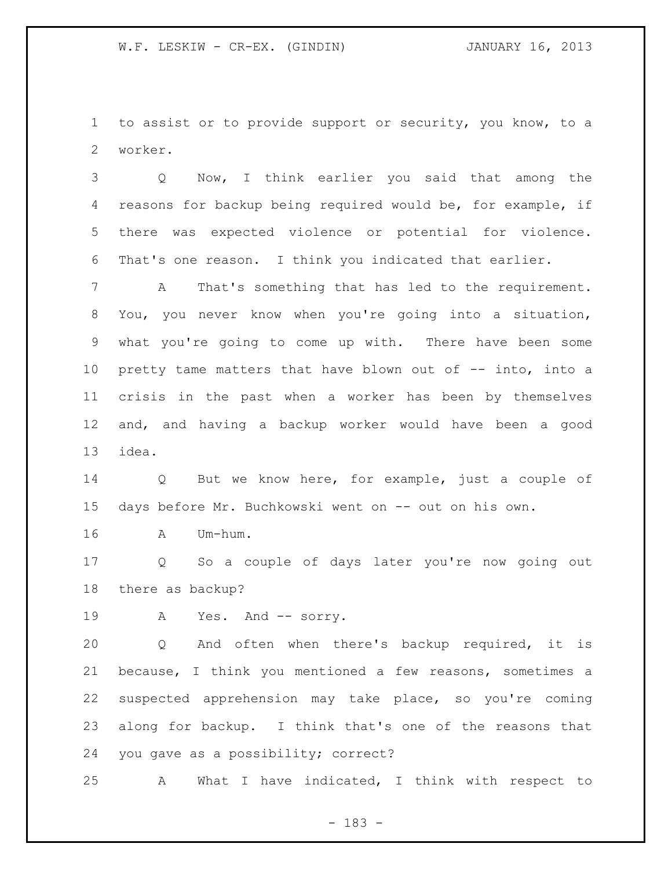to assist or to provide support or security, you know, to a worker.

 Q Now, I think earlier you said that among the reasons for backup being required would be, for example, if there was expected violence or potential for violence. That's one reason. I think you indicated that earlier.

 A That's something that has led to the requirement. You, you never know when you're going into a situation, what you're going to come up with. There have been some pretty tame matters that have blown out of -- into, into a crisis in the past when a worker has been by themselves and, and having a backup worker would have been a good idea.

 Q But we know here, for example, just a couple of days before Mr. Buchkowski went on -- out on his own.

A Um-hum.

 Q So a couple of days later you're now going out there as backup?

19 A Yes. And -- sorry.

 Q And often when there's backup required, it is because, I think you mentioned a few reasons, sometimes a suspected apprehension may take place, so you're coming along for backup. I think that's one of the reasons that you gave as a possibility; correct?

A What I have indicated, I think with respect to

- 183 -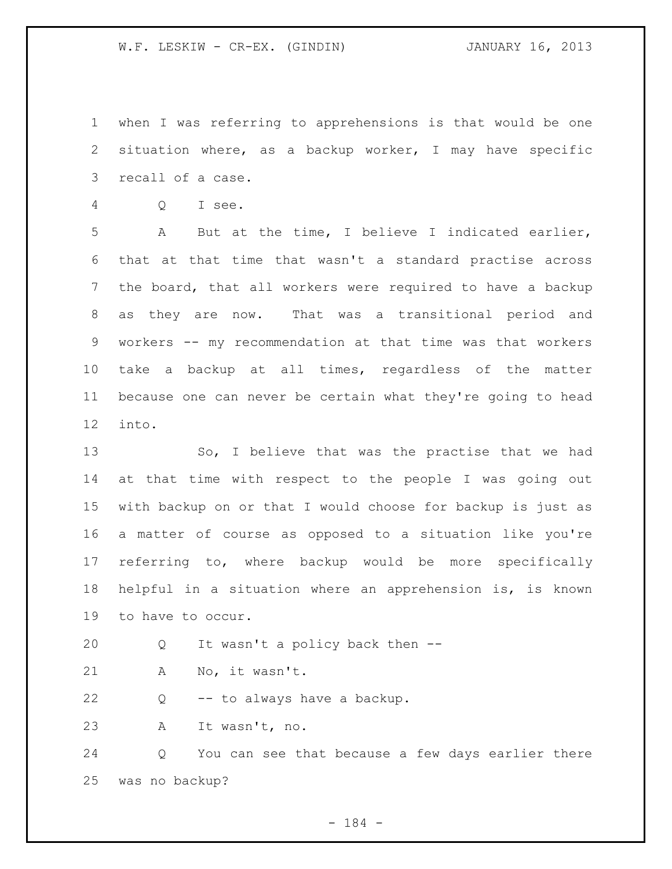when I was referring to apprehensions is that would be one situation where, as a backup worker, I may have specific recall of a case.

Q I see.

 A But at the time, I believe I indicated earlier, that at that time that wasn't a standard practise across the board, that all workers were required to have a backup as they are now. That was a transitional period and workers -- my recommendation at that time was that workers take a backup at all times, regardless of the matter because one can never be certain what they're going to head into.

 So, I believe that was the practise that we had at that time with respect to the people I was going out with backup on or that I would choose for backup is just as a matter of course as opposed to a situation like you're referring to, where backup would be more specifically helpful in a situation where an apprehension is, is known to have to occur.

Q It wasn't a policy back then --

A No, it wasn't.

Q -- to always have a backup.

A It wasn't, no.

 Q You can see that because a few days earlier there was no backup?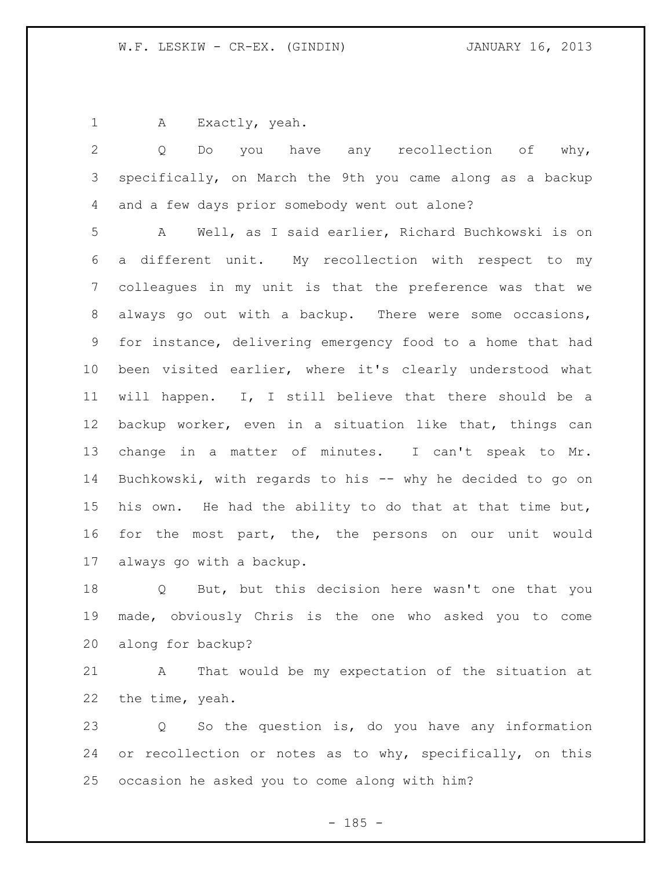A Exactly, yeah.

 Q Do you have any recollection of why, specifically, on March the 9th you came along as a backup and a few days prior somebody went out alone?

 A Well, as I said earlier, Richard Buchkowski is on a different unit. My recollection with respect to my colleagues in my unit is that the preference was that we always go out with a backup. There were some occasions, for instance, delivering emergency food to a home that had been visited earlier, where it's clearly understood what will happen. I, I still believe that there should be a backup worker, even in a situation like that, things can change in a matter of minutes. I can't speak to Mr. Buchkowski, with regards to his -- why he decided to go on his own. He had the ability to do that at that time but, for the most part, the, the persons on our unit would always go with a backup.

 Q But, but this decision here wasn't one that you made, obviously Chris is the one who asked you to come along for backup?

 A That would be my expectation of the situation at the time, yeah.

 Q So the question is, do you have any information 24 or recollection or notes as to why, specifically, on this occasion he asked you to come along with him?

 $- 185 -$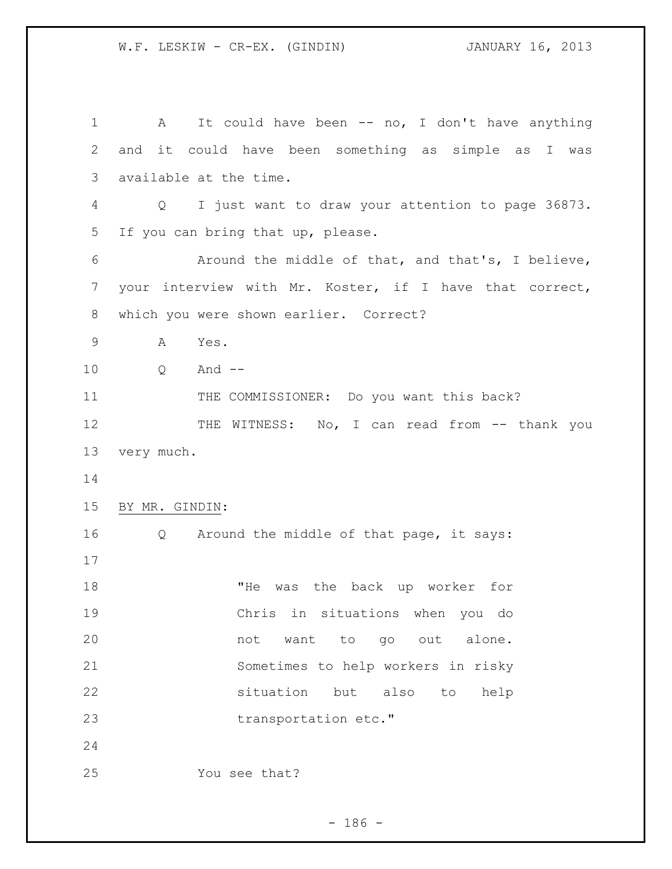| $\mathbf 1$ | It could have been -- no, I don't have anything<br>$\mathbf{A}$        |
|-------------|------------------------------------------------------------------------|
| 2           | and it could have been something as simple as I was                    |
| 3           | available at the time.                                                 |
| 4           | I just want to draw your attention to page 36873.<br>$Q \qquad \qquad$ |
| 5           | If you can bring that up, please.                                      |
| 6           | Around the middle of that, and that's, I believe,                      |
| 7           | your interview with Mr. Koster, if I have that correct,                |
| 8           | which you were shown earlier. Correct?                                 |
| 9           | A<br>Yes.                                                              |
| 10          | And $--$<br>Q                                                          |
| 11          | THE COMMISSIONER: Do you want this back?                               |
| 12          | THE WITNESS: No, I can read from -- thank you                          |
| 13          | very much.                                                             |
| 14          |                                                                        |
| 15          | BY MR. GINDIN:                                                         |
| 16          | Q Around the middle of that page, it says:                             |
| 17          |                                                                        |
| 18          | "He<br>the back up worker for<br>was                                   |
| 19          | Chris in situations when you do                                        |
| 20          | want<br>alone.<br>not<br>to<br>go out                                  |
| 21          | Sometimes to help workers in risky                                     |
| 22          | situation<br>but<br>also<br>to<br>help                                 |
| 23          | transportation etc."                                                   |
| 24          |                                                                        |
| 25          | You see that?                                                          |

- 186 -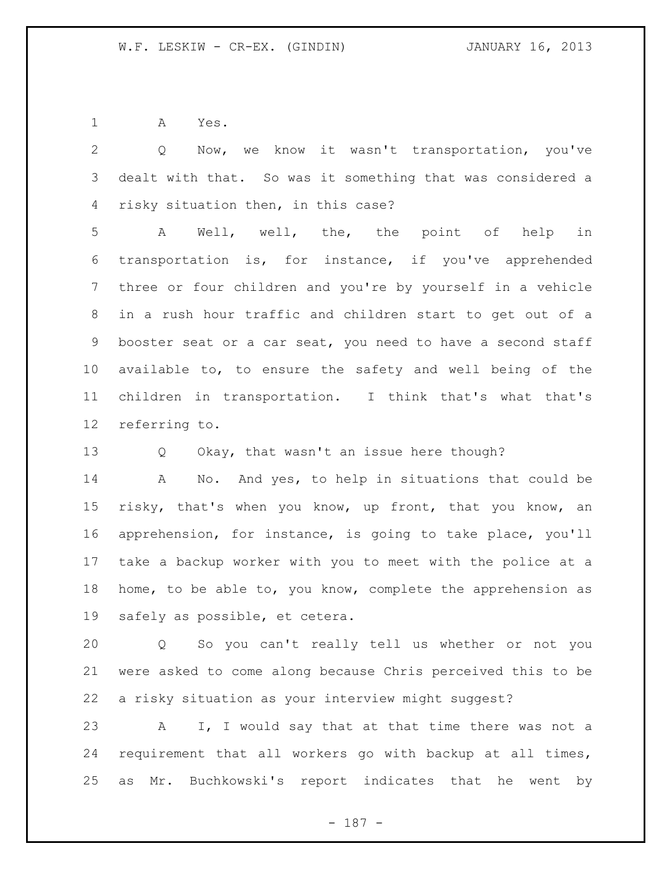A Yes.

 Q Now, we know it wasn't transportation, you've dealt with that. So was it something that was considered a risky situation then, in this case? A Well, well, the, the point of help in transportation is, for instance, if you've apprehended three or four children and you're by yourself in a vehicle in a rush hour traffic and children start to get out of a booster seat or a car seat, you need to have a second staff available to, to ensure the safety and well being of the children in transportation. I think that's what that's referring to. Q Okay, that wasn't an issue here though? A No. And yes, to help in situations that could be

 risky, that's when you know, up front, that you know, an apprehension, for instance, is going to take place, you'll take a backup worker with you to meet with the police at a home, to be able to, you know, complete the apprehension as safely as possible, et cetera.

 Q So you can't really tell us whether or not you were asked to come along because Chris perceived this to be a risky situation as your interview might suggest?

 A I, I would say that at that time there was not a requirement that all workers go with backup at all times, as Mr. Buchkowski's report indicates that he went by

- 187 -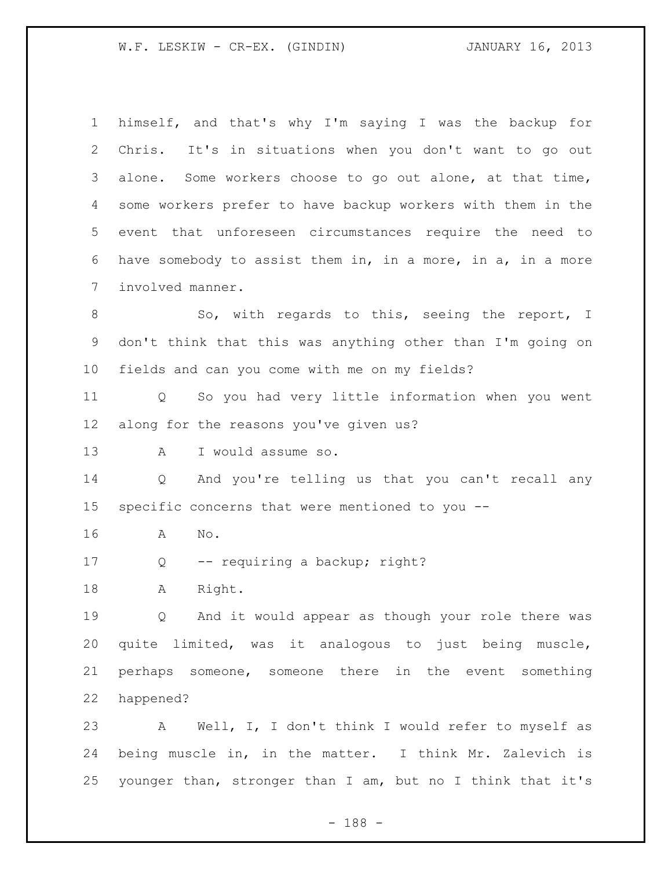| $\mathbf 1$     | himself, and that's why I'm saying I was the backup for               |
|-----------------|-----------------------------------------------------------------------|
| 2               | Chris. It's in situations when you don't want to go out               |
| 3               | alone. Some workers choose to go out alone, at that time,             |
| 4               | some workers prefer to have backup workers with them in the           |
| 5               | event that unforeseen circumstances require the need to               |
| 6               | have somebody to assist them in, in a more, in a, in a more           |
| 7               | involved manner.                                                      |
| 8               | So, with regards to this, seeing the report, I                        |
| 9               | don't think that this was anything other than I'm going on            |
| 10 <sub>o</sub> | fields and can you come with me on my fields?                         |
| 11              | So you had very little information when you went<br>$Q \qquad \qquad$ |
| 12              | along for the reasons you've given us?                                |
| 13              | I would assume so.<br>A                                               |
| 14              | And you're telling us that you can't recall any<br>Q                  |
| 15              | specific concerns that were mentioned to you --                       |
| 16              | No.<br>A                                                              |
| 17              | -- requiring a backup; right?<br>Q                                    |
| 18              | Right.<br>Α                                                           |
| 19              | Q And it would appear as though your role there was                   |
| 20              | quite limited, was it analogous to just being muscle,                 |
| 21              | perhaps someone, someone there in the event something                 |
| 22              | happened?                                                             |
| 23              | A Well, I, I don't think I would refer to myself as                   |
| 24              | being muscle in, in the matter. I think Mr. Zalevich is               |
| 25              | younger than, stronger than I am, but no I think that it's            |

- 188 -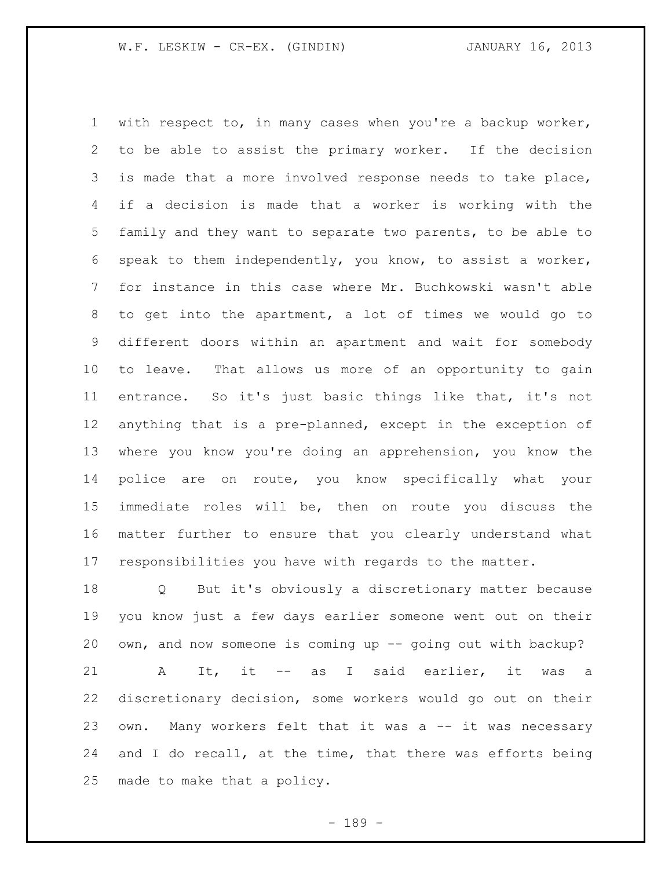with respect to, in many cases when you're a backup worker, to be able to assist the primary worker. If the decision is made that a more involved response needs to take place, if a decision is made that a worker is working with the family and they want to separate two parents, to be able to speak to them independently, you know, to assist a worker, for instance in this case where Mr. Buchkowski wasn't able to get into the apartment, a lot of times we would go to different doors within an apartment and wait for somebody to leave. That allows us more of an opportunity to gain entrance. So it's just basic things like that, it's not anything that is a pre-planned, except in the exception of where you know you're doing an apprehension, you know the police are on route, you know specifically what your immediate roles will be, then on route you discuss the matter further to ensure that you clearly understand what responsibilities you have with regards to the matter.

 Q But it's obviously a discretionary matter because you know just a few days earlier someone went out on their own, and now someone is coming up -- going out with backup? A It, it -- as I said earlier, it was a discretionary decision, some workers would go out on their own. Many workers felt that it was a -- it was necessary 24 and I do recall, at the time, that there was efforts being made to make that a policy.

- 189 -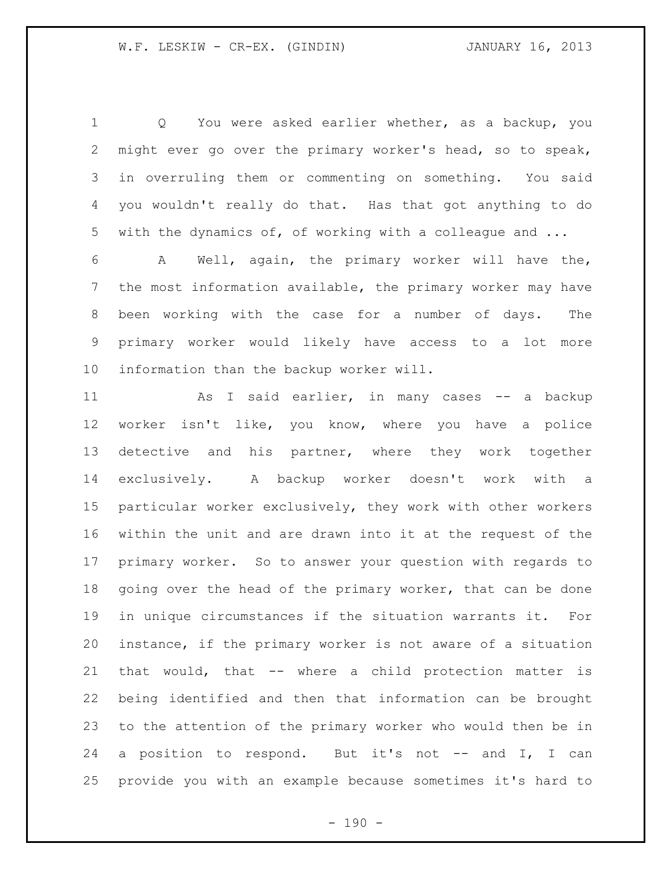Q You were asked earlier whether, as a backup, you might ever go over the primary worker's head, so to speak, in overruling them or commenting on something. You said you wouldn't really do that. Has that got anything to do with the dynamics of, of working with a colleague and ...

 A Well, again, the primary worker will have the, the most information available, the primary worker may have been working with the case for a number of days. The primary worker would likely have access to a lot more information than the backup worker will.

11 As I said earlier, in many cases -- a backup worker isn't like, you know, where you have a police detective and his partner, where they work together exclusively. A backup worker doesn't work with a particular worker exclusively, they work with other workers within the unit and are drawn into it at the request of the primary worker. So to answer your question with regards to 18 going over the head of the primary worker, that can be done in unique circumstances if the situation warrants it. For instance, if the primary worker is not aware of a situation that would, that -- where a child protection matter is being identified and then that information can be brought to the attention of the primary worker who would then be in 24 a position to respond. But it's not -- and I, I can provide you with an example because sometimes it's hard to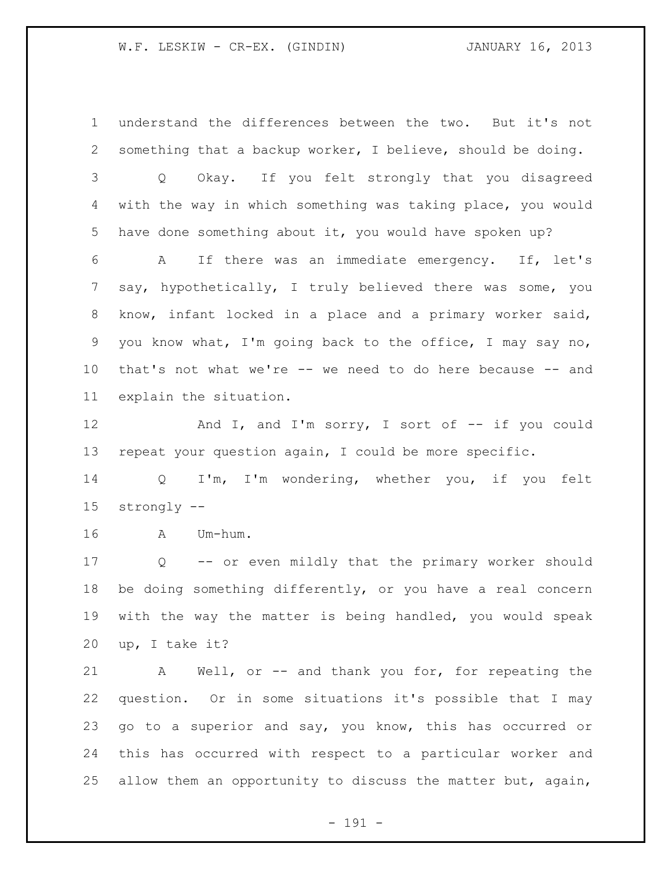understand the differences between the two. But it's not something that a backup worker, I believe, should be doing. Q Okay. If you felt strongly that you disagreed with the way in which something was taking place, you would have done something about it, you would have spoken up? A If there was an immediate emergency. If, let's say, hypothetically, I truly believed there was some, you know, infant locked in a place and a primary worker said, you know what, I'm going back to the office, I may say no, that's not what we're -- we need to do here because -- and explain the situation.

12 And I, and I'm sorry, I sort of -- if you could repeat your question again, I could be more specific.

 Q I'm, I'm wondering, whether you, if you felt strongly --

A Um-hum.

 Q -- or even mildly that the primary worker should be doing something differently, or you have a real concern with the way the matter is being handled, you would speak up, I take it?

 A Well, or -- and thank you for, for repeating the question. Or in some situations it's possible that I may go to a superior and say, you know, this has occurred or this has occurred with respect to a particular worker and allow them an opportunity to discuss the matter but, again,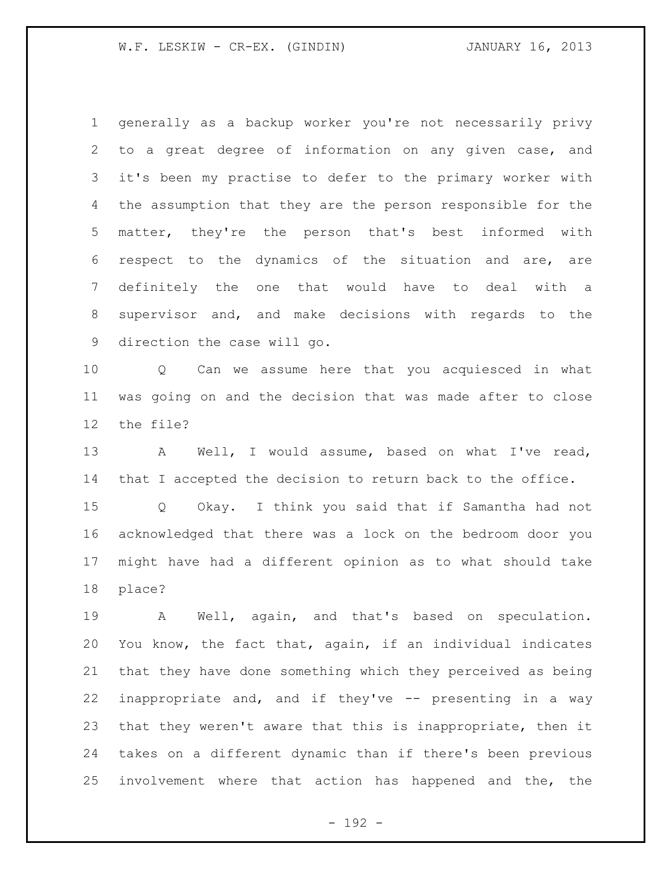generally as a backup worker you're not necessarily privy to a great degree of information on any given case, and it's been my practise to defer to the primary worker with the assumption that they are the person responsible for the matter, they're the person that's best informed with respect to the dynamics of the situation and are, are definitely the one that would have to deal with a supervisor and, and make decisions with regards to the direction the case will go.

 Q Can we assume here that you acquiesced in what was going on and the decision that was made after to close the file?

 A Well, I would assume, based on what I've read, that I accepted the decision to return back to the office.

 Q Okay. I think you said that if Samantha had not acknowledged that there was a lock on the bedroom door you might have had a different opinion as to what should take place?

 A Well, again, and that's based on speculation. You know, the fact that, again, if an individual indicates that they have done something which they perceived as being inappropriate and, and if they've -- presenting in a way that they weren't aware that this is inappropriate, then it takes on a different dynamic than if there's been previous involvement where that action has happened and the, the

- 192 -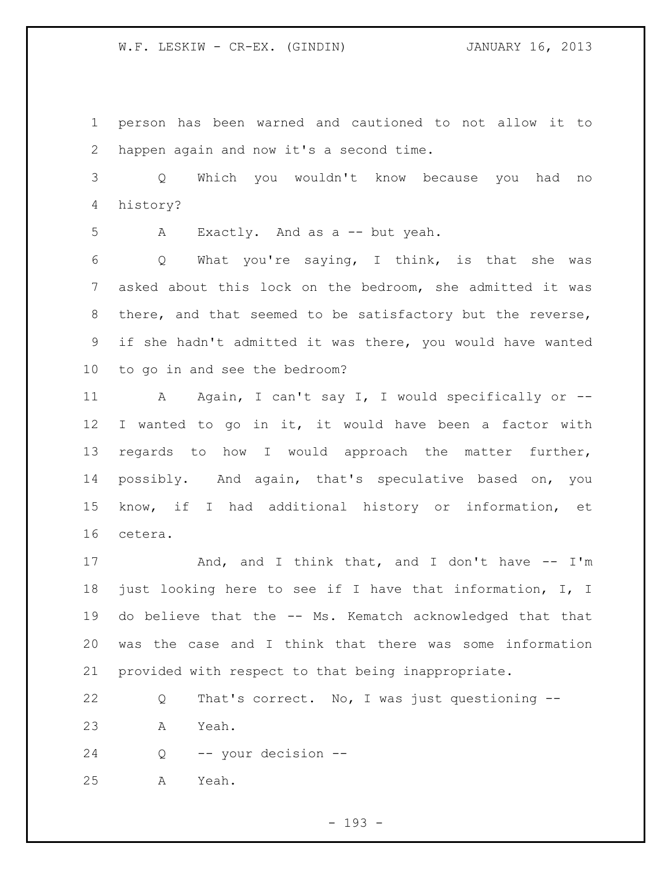person has been warned and cautioned to not allow it to happen again and now it's a second time.

 Q Which you wouldn't know because you had no history?

A Exactly. And as a -- but yeah.

 Q What you're saying, I think, is that she was asked about this lock on the bedroom, she admitted it was there, and that seemed to be satisfactory but the reverse, if she hadn't admitted it was there, you would have wanted to go in and see the bedroom?

 A Again, I can't say I, I would specifically or -- I wanted to go in it, it would have been a factor with regards to how I would approach the matter further, possibly. And again, that's speculative based on, you know, if I had additional history or information, et cetera.

17 And, and I think that, and I don't have -- I'm just looking here to see if I have that information, I, I do believe that the -- Ms. Kematch acknowledged that that was the case and I think that there was some information provided with respect to that being inappropriate.

 Q That's correct. No, I was just questioning -- A Yeah.

Q -- your decision --

A Yeah.

- 193 -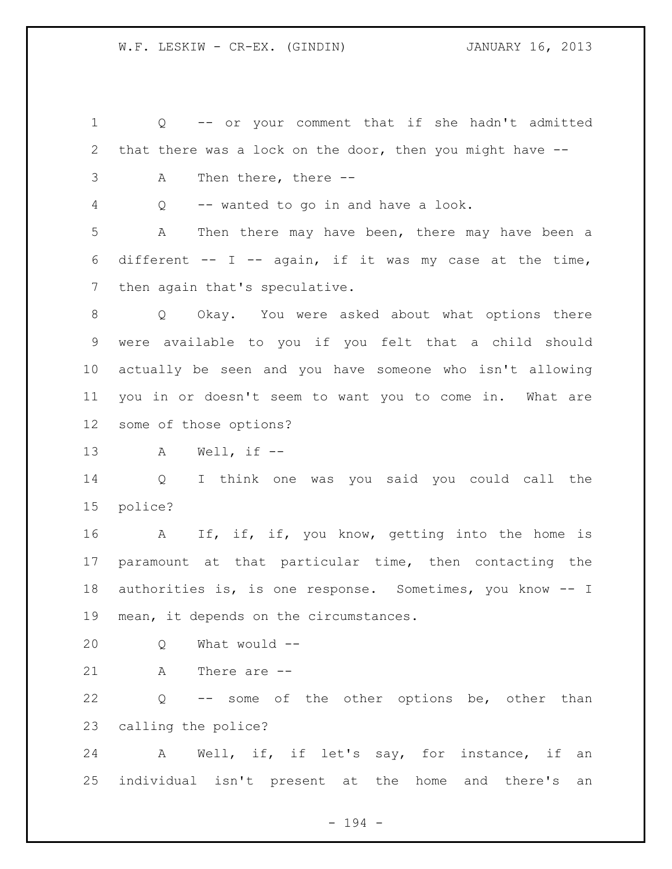Q -- or your comment that if she hadn't admitted that there was a lock on the door, then you might have -- A Then there, there -- Q -- wanted to go in and have a look. A Then there may have been, there may have been a 6 different  $--$  I  $--$  again, if it was my case at the time, 7 then again that's speculative. Q Okay. You were asked about what options there were available to you if you felt that a child should actually be seen and you have someone who isn't allowing you in or doesn't seem to want you to come in. What are some of those options? A Well, if -- Q I think one was you said you could call the police? 16 A If, if, if, you know, getting into the home is paramount at that particular time, then contacting the authorities is, is one response. Sometimes, you know -- I mean, it depends on the circumstances. Q What would -- A There are -- Q -- some of the other options be, other than calling the police?

 A Well, if, if let's say, for instance, if an individual isn't present at the home and there's an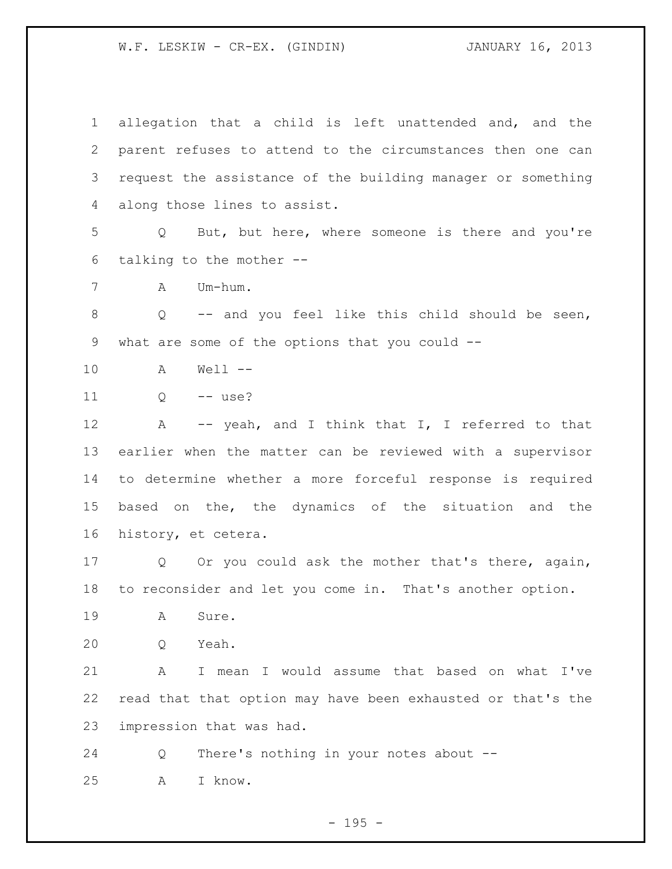allegation that a child is left unattended and, and the parent refuses to attend to the circumstances then one can request the assistance of the building manager or something along those lines to assist. Q But, but here, where someone is there and you're talking to the mother -- A Um-hum. Q -- and you feel like this child should be seen, what are some of the options that you could -- A Well -- 11 Q -- use? 12 A -- yeah, and I think that I, I referred to that earlier when the matter can be reviewed with a supervisor to determine whether a more forceful response is required based on the, the dynamics of the situation and the history, et cetera. Q Or you could ask the mother that's there, again, to reconsider and let you come in. That's another option. A Sure. Q Yeah. A I mean I would assume that based on what I've read that that option may have been exhausted or that's the impression that was had. Q There's nothing in your notes about -- A I know.

- 195 -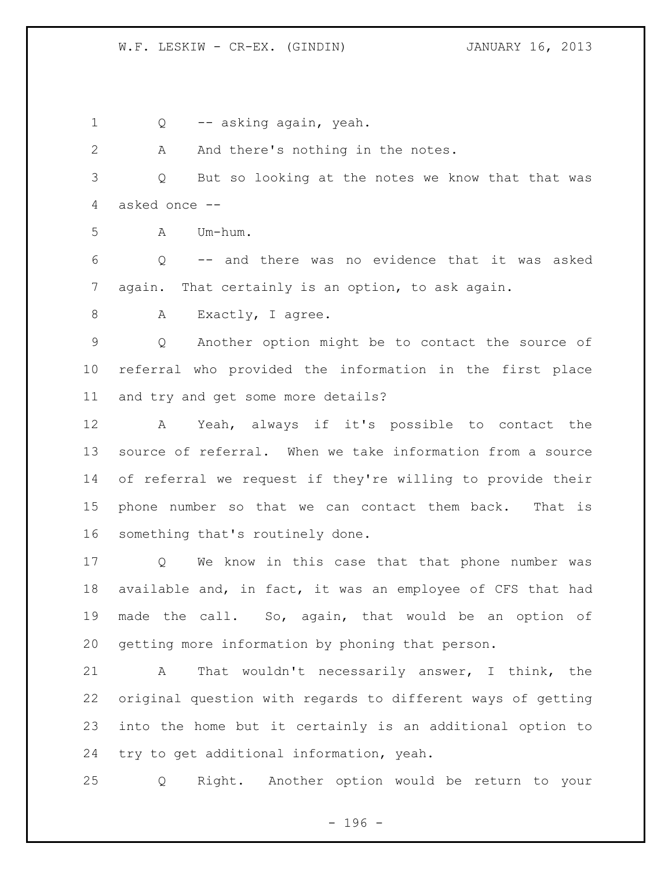Q -- asking again, yeah. 2 A And there's nothing in the notes. Q But so looking at the notes we know that that was asked once -- A Um-hum. Q -- and there was no evidence that it was asked again. That certainly is an option, to ask again. 8 A Exactly, I agree. Q Another option might be to contact the source of referral who provided the information in the first place and try and get some more details? A Yeah, always if it's possible to contact the source of referral. When we take information from a source of referral we request if they're willing to provide their phone number so that we can contact them back. That is something that's routinely done. Q We know in this case that that phone number was available and, in fact, it was an employee of CFS that had made the call. So, again, that would be an option of getting more information by phoning that person. A That wouldn't necessarily answer, I think, the

 original question with regards to different ways of getting into the home but it certainly is an additional option to try to get additional information, yeah.

Q Right. Another option would be return to your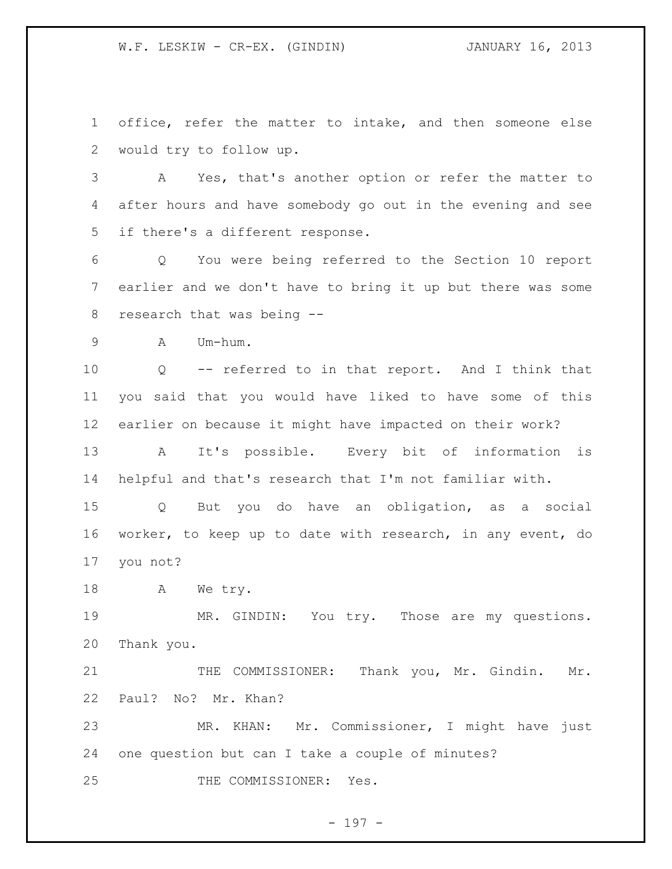office, refer the matter to intake, and then someone else would try to follow up.

 A Yes, that's another option or refer the matter to after hours and have somebody go out in the evening and see if there's a different response.

 Q You were being referred to the Section 10 report earlier and we don't have to bring it up but there was some research that was being --

A Um-hum.

 Q -- referred to in that report. And I think that you said that you would have liked to have some of this earlier on because it might have impacted on their work?

 A It's possible. Every bit of information is helpful and that's research that I'm not familiar with.

 Q But you do have an obligation, as a social worker, to keep up to date with research, in any event, do you not?

18 A We try.

19 MR. GINDIN: You try. Those are my questions. Thank you.

21 THE COMMISSIONER: Thank you, Mr. Gindin. Mr. Paul? No? Mr. Khan?

 MR. KHAN: Mr. Commissioner, I might have just one question but can I take a couple of minutes?

THE COMMISSIONER: Yes.

- 197 -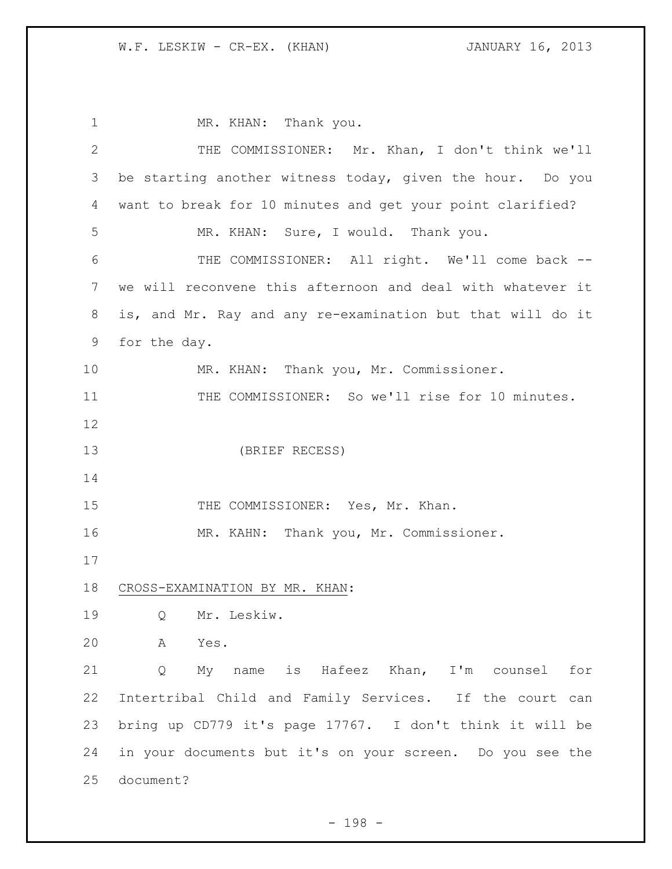1 MR. KHAN: Thank you. THE COMMISSIONER: Mr. Khan, I don't think we'll be starting another witness today, given the hour. Do you want to break for 10 minutes and get your point clarified? MR. KHAN: Sure, I would. Thank you. THE COMMISSIONER: All right. We'll come back -- we will reconvene this afternoon and deal with whatever it is, and Mr. Ray and any re-examination but that will do it for the day. MR. KHAN: Thank you, Mr. Commissioner. 11 THE COMMISSIONER: So we'll rise for 10 minutes. (BRIEF RECESS) 15 THE COMMISSIONER: Yes, Mr. Khan. MR. KAHN: Thank you, Mr. Commissioner. CROSS-EXAMINATION BY MR. KHAN: Q Mr. Leskiw. A Yes. Q My name is Hafeez Khan, I'm counsel for Intertribal Child and Family Services. If the court can bring up CD779 it's page 17767. I don't think it will be in your documents but it's on your screen. Do you see the document?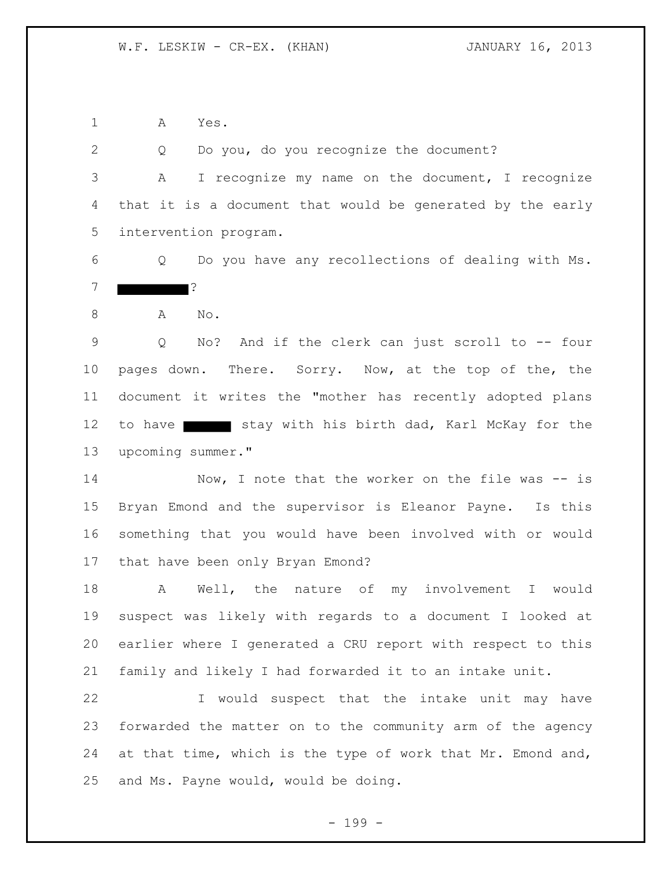A Yes.

 Q Do you, do you recognize the document? A I recognize my name on the document, I recognize that it is a document that would be generated by the early intervention program.

 Q Do you have any recollections of dealing with Ms. ?

A No.

 Q No? And if the clerk can just scroll to -- four pages down. There. Sorry. Now, at the top of the, the document it writes the "mother has recently adopted plans 12 to have stay with his birth dad, Karl McKay for the upcoming summer."

14 Now, I note that the worker on the file was -- is Bryan Emond and the supervisor is Eleanor Payne. Is this something that you would have been involved with or would that have been only Bryan Emond?

 A Well, the nature of my involvement I would suspect was likely with regards to a document I looked at earlier where I generated a CRU report with respect to this family and likely I had forwarded it to an intake unit.

22 I would suspect that the intake unit may have forwarded the matter on to the community arm of the agency 24 at that time, which is the type of work that Mr. Emond and, and Ms. Payne would, would be doing.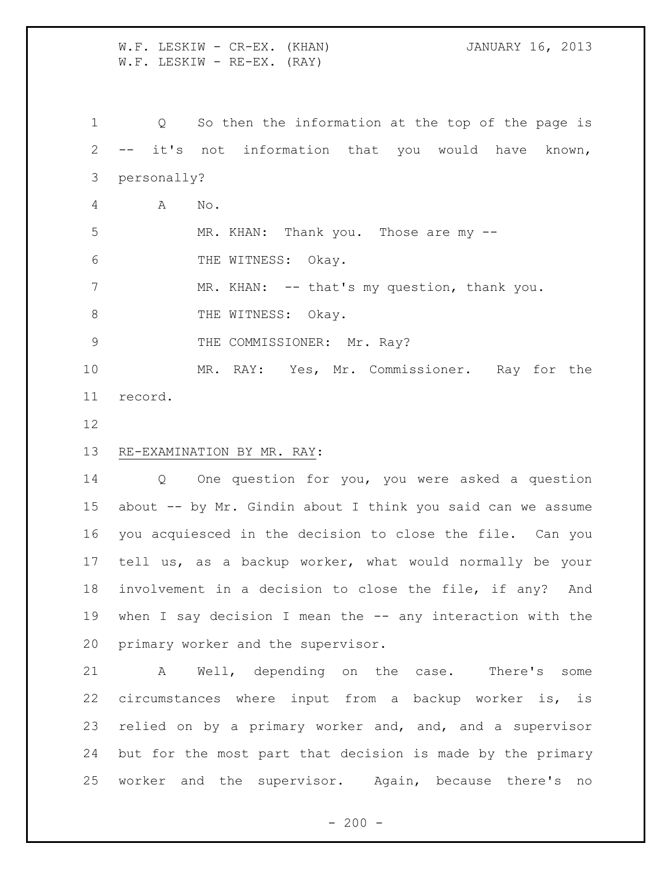W.F. LESKIW - CR-EX. (KHAN) **JANUARY 16, 2013** W.F. LESKIW - RE-EX. (RAY)

 Q So then the information at the top of the page is -- it's not information that you would have known, personally? A No. 5 MR. KHAN: Thank you. Those are my  $-$ 6 THE WITNESS: Okay. 7 MR. KHAN: -- that's my question, thank you. 8 THE WITNESS: Okay. 9 THE COMMISSIONER: Mr. Ray? MR. RAY: Yes, Mr. Commissioner. Ray for the record.

## RE-EXAMINATION BY MR. RAY:

 Q One question for you, you were asked a question about -- by Mr. Gindin about I think you said can we assume you acquiesced in the decision to close the file. Can you tell us, as a backup worker, what would normally be your involvement in a decision to close the file, if any? And when I say decision I mean the -- any interaction with the primary worker and the supervisor.

 A Well, depending on the case. There's some circumstances where input from a backup worker is, is relied on by a primary worker and, and, and a supervisor but for the most part that decision is made by the primary worker and the supervisor. Again, because there's no